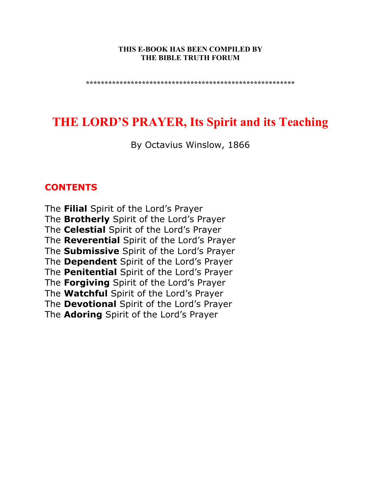#### **THIS E-BOOK HAS BEEN COMPILED BY THE BIBLE TRUTH FORUM**

**\*\*\*\*\*\*\*\*\*\*\*\*\*\*\*\*\*\*\*\*\*\*\*\*\*\*\*\*\*\*\*\*\*\*\*\*\*\*\*\*\*\*\*\*\*\*\*\*\*\*\*\*\*\*\*\*** 

# **THE LORD'S PRAYER, Its Spirit and its Teaching**

By Octavius Winslow, 1866

#### **CONTENTS**

The **Filial** Spirit of the Lord's Prayer The **Brotherly** Spirit of the Lord's Prayer The **Celestial** Spirit of the Lord's Prayer The **Reverential** Spirit of the Lord's Prayer The **Submissive** Spirit of the Lord's Prayer The **Dependent** Spirit of the Lord's Prayer The **Penitential** Spirit of the Lord's Prayer The **Forgiving** Spirit of the Lord's Prayer The **Watchful** Spirit of the Lord's Prayer The **Devotional** Spirit of the Lord's Prayer The **Adoring** Spirit of the Lord's Prayer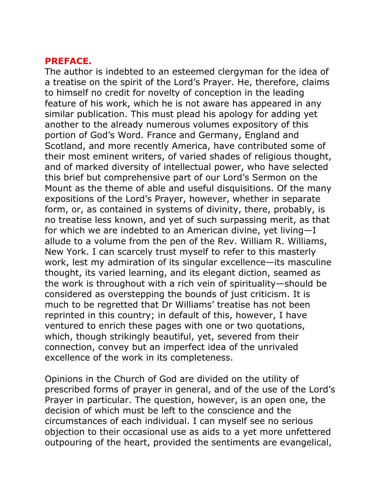#### **PREFACE.**

The author is indebted to an esteemed clergyman for the idea of a treatise on the spirit of the Lord's Prayer. He, therefore, claims to himself no credit for novelty of conception in the leading feature of his work, which he is not aware has appeared in any similar publication. This must plead his apology for adding yet another to the already numerous volumes expository of this portion of God's Word. France and Germany, England and Scotland, and more recently America, have contributed some of their most eminent writers, of varied shades of religious thought, and of marked diversity of intellectual power, who have selected this brief but comprehensive part of our Lord's Sermon on the Mount as the theme of able and useful disquisitions. Of the many expositions of the Lord's Prayer, however, whether in separate form, or, as contained in systems of divinity, there, probably, is no treatise less known, and yet of such surpassing merit, as that for which we are indebted to an American divine, yet living—I allude to a volume from the pen of the Rev. William R. Williams, New York. I can scarcely trust myself to refer to this masterly work, lest my admiration of its singular excellence—its masculine thought, its varied learning, and its elegant diction, seamed as the work is throughout with a rich vein of spirituality—should be considered as overstepping the bounds of just criticism. It is much to be regretted that Dr Williams' treatise has not been reprinted in this country; in default of this, however, I have ventured to enrich these pages with one or two quotations, which, though strikingly beautiful, yet, severed from their connection, convey but an imperfect idea of the unrivaled excellence of the work in its completeness.

Opinions in the Church of God are divided on the utility of prescribed forms of prayer in general, and of the use of the Lord's Prayer in particular. The question, however, is an open one, the decision of which must be left to the conscience and the circumstances of each individual. I can myself see no serious objection to their occasional use as aids to a yet more unfettered outpouring of the heart, provided the sentiments are evangelical,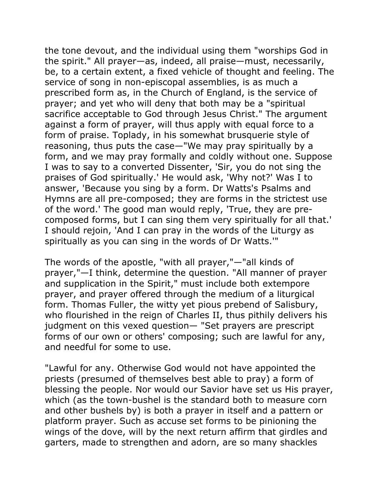the tone devout, and the individual using them "worships God in the spirit." All prayer—as, indeed, all praise—must, necessarily, be, to a certain extent, a fixed vehicle of thought and feeling. The service of song in non-episcopal assemblies, is as much a prescribed form as, in the Church of England, is the service of prayer; and yet who will deny that both may be a "spiritual sacrifice acceptable to God through Jesus Christ." The argument against a form of prayer, will thus apply with equal force to a form of praise. Toplady, in his somewhat brusquerie style of reasoning, thus puts the case—"We may pray spiritually by a form, and we may pray formally and coldly without one. Suppose I was to say to a converted Dissenter, 'Sir, you do not sing the praises of God spiritually.' He would ask, 'Why not?' Was I to answer, 'Because you sing by a form. Dr Watts's Psalms and Hymns are all pre-composed; they are forms in the strictest use of the word.' The good man would reply, 'True, they are precomposed forms, but I can sing them very spiritually for all that.' I should rejoin, 'And I can pray in the words of the Liturgy as spiritually as you can sing in the words of Dr Watts.'"

The words of the apostle, "with all prayer,"—"all kinds of prayer,"—I think, determine the question. "All manner of prayer and supplication in the Spirit," must include both extempore prayer, and prayer offered through the medium of a liturgical form. Thomas Fuller, the witty yet pious prebend of Salisbury, who flourished in the reign of Charles II, thus pithily delivers his judgment on this vexed question— "Set prayers are prescript forms of our own or others' composing; such are lawful for any, and needful for some to use.

"Lawful for any. Otherwise God would not have appointed the priests (presumed of themselves best able to pray) a form of blessing the people. Nor would our Savior have set us His prayer, which (as the town-bushel is the standard both to measure corn and other bushels by) is both a prayer in itself and a pattern or platform prayer. Such as accuse set forms to be pinioning the wings of the dove, will by the next return affirm that girdles and garters, made to strengthen and adorn, are so many shackles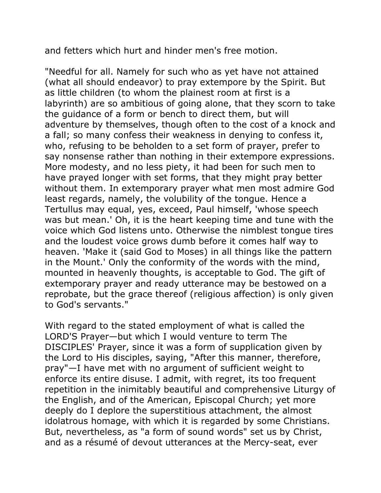and fetters which hurt and hinder men's free motion.

"Needful for all. Namely for such who as yet have not attained (what all should endeavor) to pray extempore by the Spirit. But as little children (to whom the plainest room at first is a labyrinth) are so ambitious of going alone, that they scorn to take the guidance of a form or bench to direct them, but will adventure by themselves, though often to the cost of a knock and a fall; so many confess their weakness in denying to confess it, who, refusing to be beholden to a set form of prayer, prefer to say nonsense rather than nothing in their extempore expressions. More modesty, and no less piety, it had been for such men to have prayed longer with set forms, that they might pray better without them. In extemporary prayer what men most admire God least regards, namely, the volubility of the tongue. Hence a Tertullus may equal, yes, exceed, Paul himself, 'whose speech was but mean.' Oh, it is the heart keeping time and tune with the voice which God listens unto. Otherwise the nimblest tongue tires and the loudest voice grows dumb before it comes half way to heaven. 'Make it (said God to Moses) in all things like the pattern in the Mount.' Only the conformity of the words with the mind, mounted in heavenly thoughts, is acceptable to God. The gift of extemporary prayer and ready utterance may be bestowed on a reprobate, but the grace thereof (religious affection) is only given to God's servants."

With regard to the stated employment of what is called the LORD'S Prayer—but which I would venture to term The DISCIPLES' Prayer, since it was a form of supplication given by the Lord to His disciples, saying, "After this manner, therefore, pray"—I have met with no argument of sufficient weight to enforce its entire disuse. I admit, with regret, its too frequent repetition in the inimitably beautiful and comprehensive Liturgy of the English, and of the American, Episcopal Church; yet more deeply do I deplore the superstitious attachment, the almost idolatrous homage, with which it is regarded by some Christians. But, nevertheless, as "a form of sound words" set us by Christ, and as a résumé of devout utterances at the Mercy-seat, ever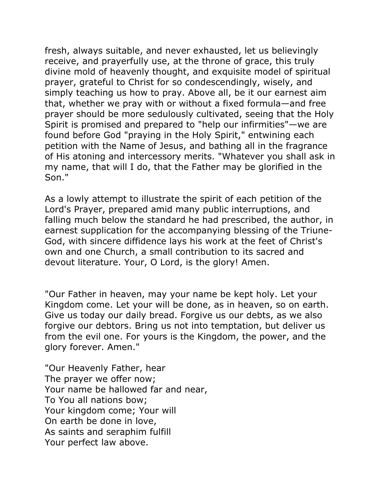fresh, always suitable, and never exhausted, let us believingly receive, and prayerfully use, at the throne of grace, this truly divine mold of heavenly thought, and exquisite model of spiritual prayer, grateful to Christ for so condescendingly, wisely, and simply teaching us how to pray. Above all, be it our earnest aim that, whether we pray with or without a fixed formula—and free prayer should be more sedulously cultivated, seeing that the Holy Spirit is promised and prepared to "help our infirmities"—we are found before God "praying in the Holy Spirit," entwining each petition with the Name of Jesus, and bathing all in the fragrance of His atoning and intercessory merits. "Whatever you shall ask in my name, that will I do, that the Father may be glorified in the Son."

As a lowly attempt to illustrate the spirit of each petition of the Lord's Prayer, prepared amid many public interruptions, and falling much below the standard he had prescribed, the author, in earnest supplication for the accompanying blessing of the Triune-God, with sincere diffidence lays his work at the feet of Christ's own and one Church, a small contribution to its sacred and devout literature. Your, O Lord, is the glory! Amen.

"Our Father in heaven, may your name be kept holy. Let your Kingdom come. Let your will be done, as in heaven, so on earth. Give us today our daily bread. Forgive us our debts, as we also forgive our debtors. Bring us not into temptation, but deliver us from the evil one. For yours is the Kingdom, the power, and the glory forever. Amen."

"Our Heavenly Father, hear The prayer we offer now; Your name be hallowed far and near, To You all nations bow; Your kingdom come; Your will On earth be done in love, As saints and seraphim fulfill Your perfect law above.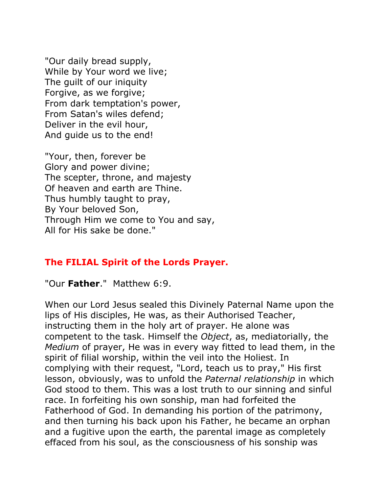"Our daily bread supply, While by Your word we live; The guilt of our iniquity Forgive, as we forgive; From dark temptation's power, From Satan's wiles defend; Deliver in the evil hour, And guide us to the end!

"Your, then, forever be Glory and power divine; The scepter, throne, and majesty Of heaven and earth are Thine. Thus humbly taught to pray, By Your beloved Son, Through Him we come to You and say, All for His sake be done."

### **The FILIAL Spirit of the Lords Prayer.**

"Our **Father**." Matthew 6:9.

When our Lord Jesus sealed this Divinely Paternal Name upon the lips of His disciples, He was, as their Authorised Teacher, instructing them in the holy art of prayer. He alone was competent to the task. Himself the *Object*, as, mediatorially, the *Medium* of prayer, He was in every way fitted to lead them, in the spirit of filial worship, within the veil into the Holiest. In complying with their request, "Lord, teach us to pray," His first lesson, obviously, was to unfold the *Paternal relationship* in which God stood to them. This was a lost truth to our sinning and sinful race. In forfeiting his own sonship, man had forfeited the Fatherhood of God. In demanding his portion of the patrimony, and then turning his back upon his Father, he became an orphan and a fugitive upon the earth, the parental image as completely effaced from his soul, as the consciousness of his sonship was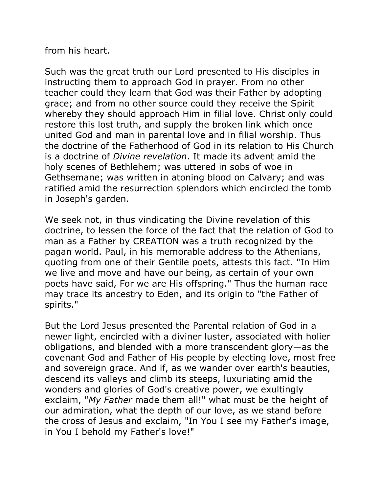from his heart.

Such was the great truth our Lord presented to His disciples in instructing them to approach God in prayer. From no other teacher could they learn that God was their Father by adopting grace; and from no other source could they receive the Spirit whereby they should approach Him in filial love. Christ only could restore this lost truth, and supply the broken link which once united God and man in parental love and in filial worship. Thus the doctrine of the Fatherhood of God in its relation to His Church is a doctrine of *Divine revelation*. It made its advent amid the holy scenes of Bethlehem; was uttered in sobs of woe in Gethsemane; was written in atoning blood on Calvary; and was ratified amid the resurrection splendors which encircled the tomb in Joseph's garden.

We seek not, in thus vindicating the Divine revelation of this doctrine, to lessen the force of the fact that the relation of God to man as a Father by CREATION was a truth recognized by the pagan world. Paul, in his memorable address to the Athenians, quoting from one of their Gentile poets, attests this fact. "In Him we live and move and have our being, as certain of your own poets have said, For we are His offspring." Thus the human race may trace its ancestry to Eden, and its origin to "the Father of spirits."

But the Lord Jesus presented the Parental relation of God in a newer light, encircled with a diviner luster, associated with holier obligations, and blended with a more transcendent glory—as the covenant God and Father of His people by electing love, most free and sovereign grace. And if, as we wander over earth's beauties, descend its valleys and climb its steeps, luxuriating amid the wonders and glories of God's creative power, we exultingly exclaim, "*My Father* made them all!" what must be the height of our admiration, what the depth of our love, as we stand before the cross of Jesus and exclaim, "In You I see my Father's image, in You I behold my Father's love!"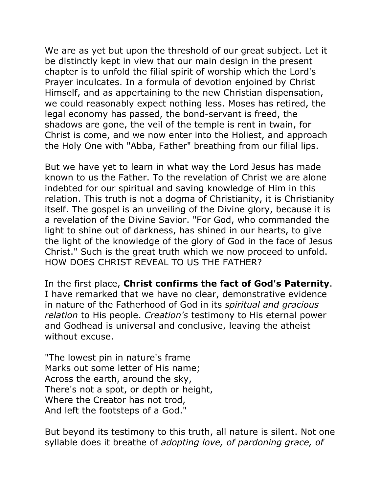We are as yet but upon the threshold of our great subject. Let it be distinctly kept in view that our main design in the present chapter is to unfold the filial spirit of worship which the Lord's Prayer inculcates. In a formula of devotion enjoined by Christ Himself, and as appertaining to the new Christian dispensation, we could reasonably expect nothing less. Moses has retired, the legal economy has passed, the bond-servant is freed, the shadows are gone, the veil of the temple is rent in twain, for Christ is come, and we now enter into the Holiest, and approach the Holy One with "Abba, Father" breathing from our filial lips.

But we have yet to learn in what way the Lord Jesus has made known to us the Father. To the revelation of Christ we are alone indebted for our spiritual and saving knowledge of Him in this relation. This truth is not a dogma of Christianity, it is Christianity itself. The gospel is an unveiling of the Divine glory, because it is a revelation of the Divine Savior. "For God, who commanded the light to shine out of darkness, has shined in our hearts, to give the light of the knowledge of the glory of God in the face of Jesus Christ." Such is the great truth which we now proceed to unfold. HOW DOES CHRIST REVEAL TO US THE FATHER?

In the first place, **Christ confirms the fact of God's Paternity**. I have remarked that we have no clear, demonstrative evidence in nature of the Fatherhood of God in its *spiritual and gracious relation* to His people. *Creation's* testimony to His eternal power and Godhead is universal and conclusive, leaving the atheist without excuse.

"The lowest pin in nature's frame Marks out some letter of His name; Across the earth, around the sky, There's not a spot, or depth or height, Where the Creator has not trod, And left the footsteps of a God."

But beyond its testimony to this truth, all nature is silent. Not one syllable does it breathe of *adopting love, of pardoning grace, of*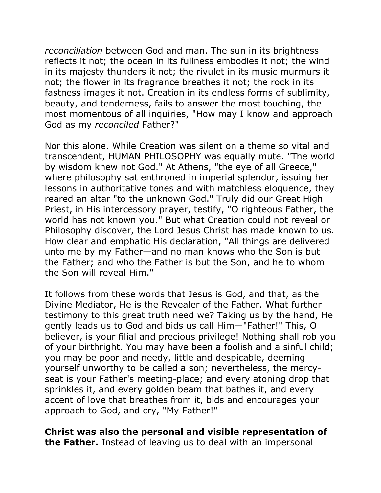*reconciliation* between God and man. The sun in its brightness reflects it not; the ocean in its fullness embodies it not; the wind in its majesty thunders it not; the rivulet in its music murmurs it not; the flower in its fragrance breathes it not; the rock in its fastness images it not. Creation in its endless forms of sublimity, beauty, and tenderness, fails to answer the most touching, the most momentous of all inquiries, "How may I know and approach God as my *reconciled* Father?"

Nor this alone. While Creation was silent on a theme so vital and transcendent, HUMAN PHILOSOPHY was equally mute. "The world by wisdom knew not God." At Athens, "the eye of all Greece," where philosophy sat enthroned in imperial splendor, issuing her lessons in authoritative tones and with matchless eloquence, they reared an altar "to the unknown God." Truly did our Great High Priest, in His intercessory prayer, testify, "O righteous Father, the world has not known you." But what Creation could not reveal or Philosophy discover, the Lord Jesus Christ has made known to us. How clear and emphatic His declaration, "All things are delivered unto me by my Father—and no man knows who the Son is but the Father; and who the Father is but the Son, and he to whom the Son will reveal Him."

It follows from these words that Jesus is God, and that, as the Divine Mediator, He is the Revealer of the Father. What further testimony to this great truth need we? Taking us by the hand, He gently leads us to God and bids us call Him—"Father!" This, O believer, is your filial and precious privilege! Nothing shall rob you of your birthright. You may have been a foolish and a sinful child; you may be poor and needy, little and despicable, deeming yourself unworthy to be called a son; nevertheless, the mercyseat is your Father's meeting-place; and every atoning drop that sprinkles it, and every golden beam that bathes it, and every accent of love that breathes from it, bids and encourages your approach to God, and cry, "My Father!"

**Christ was also the personal and visible representation of the Father.** Instead of leaving us to deal with an impersonal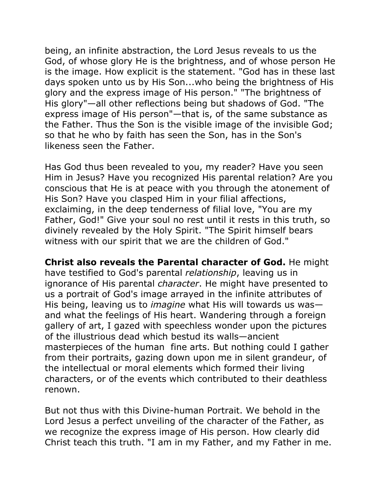being, an infinite abstraction, the Lord Jesus reveals to us the God, of whose glory He is the brightness, and of whose person He is the image. How explicit is the statement. "God has in these last days spoken unto us by His Son...who being the brightness of His glory and the express image of His person." "The brightness of His glory"—all other reflections being but shadows of God. "The express image of His person"—that is, of the same substance as the Father. Thus the Son is the visible image of the invisible God; so that he who by faith has seen the Son, has in the Son's likeness seen the Father.

Has God thus been revealed to you, my reader? Have you seen Him in Jesus? Have you recognized His parental relation? Are you conscious that He is at peace with you through the atonement of His Son? Have you clasped Him in your filial affections, exclaiming, in the deep tenderness of filial love, "You are my Father, God!" Give your soul no rest until it rests in this truth, so divinely revealed by the Holy Spirit. "The Spirit himself bears witness with our spirit that we are the children of God."

**Christ also reveals the Parental character of God.** He might have testified to God's parental *relationship*, leaving us in ignorance of His parental *character*. He might have presented to us a portrait of God's image arrayed in the infinite attributes of His being, leaving us to *imagine* what His will towards us was and what the feelings of His heart. Wandering through a foreign gallery of art, I gazed with speechless wonder upon the pictures of the illustrious dead which bestud its walls—ancient masterpieces of the human fine arts. But nothing could I gather from their portraits, gazing down upon me in silent grandeur, of the intellectual or moral elements which formed their living characters, or of the events which contributed to their deathless renown.

But not thus with this Divine-human Portrait. We behold in the Lord Jesus a perfect unveiling of the character of the Father, as we recognize the express image of His person. How clearly did Christ teach this truth. "I am in my Father, and my Father in me.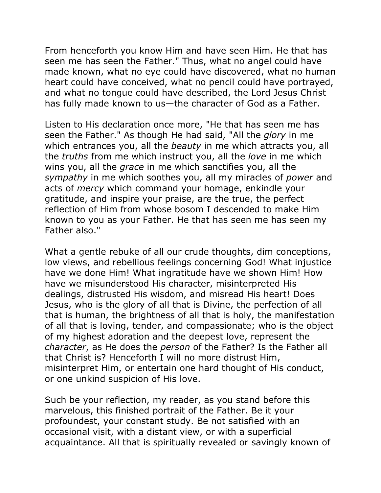From henceforth you know Him and have seen Him. He that has seen me has seen the Father." Thus, what no angel could have made known, what no eye could have discovered, what no human heart could have conceived, what no pencil could have portrayed, and what no tongue could have described, the Lord Jesus Christ has fully made known to us—the character of God as a Father.

Listen to His declaration once more, "He that has seen me has seen the Father." As though He had said, "All the *glory* in me which entrances you, all the *beauty* in me which attracts you, all the *truths* from me which instruct you, all the *love* in me which wins you, all the *grace* in me which sanctifies you, all the *sympathy* in me which soothes you, all my miracles of *power* and acts of *mercy* which command your homage, enkindle your gratitude, and inspire your praise, are the true, the perfect reflection of Him from whose bosom I descended to make Him known to you as your Father. He that has seen me has seen my Father also."

What a gentle rebuke of all our crude thoughts, dim conceptions, low views, and rebellious feelings concerning God! What injustice have we done Him! What ingratitude have we shown Him! How have we misunderstood His character, misinterpreted His dealings, distrusted His wisdom, and misread His heart! Does Jesus, who is the glory of all that is Divine, the perfection of all that is human, the brightness of all that is holy, the manifestation of all that is loving, tender, and compassionate; who is the object of my highest adoration and the deepest love, represent the *character*, as He does the *person* of the Father? Is the Father all that Christ is? Henceforth I will no more distrust Him, misinterpret Him, or entertain one hard thought of His conduct, or one unkind suspicion of His love.

Such be your reflection, my reader, as you stand before this marvelous, this finished portrait of the Father. Be it your profoundest, your constant study. Be not satisfied with an occasional visit, with a distant view, or with a superficial acquaintance. All that is spiritually revealed or savingly known of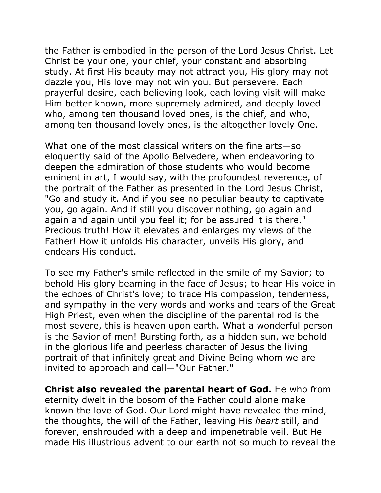the Father is embodied in the person of the Lord Jesus Christ. Let Christ be your one, your chief, your constant and absorbing study. At first His beauty may not attract you, His glory may not dazzle you, His love may not win you. But persevere. Each prayerful desire, each believing look, each loving visit will make Him better known, more supremely admired, and deeply loved who, among ten thousand loved ones, is the chief, and who, among ten thousand lovely ones, is the altogether lovely One.

What one of the most classical writers on the fine arts—so eloquently said of the Apollo Belvedere, when endeavoring to deepen the admiration of those students who would become eminent in art, I would say, with the profoundest reverence, of the portrait of the Father as presented in the Lord Jesus Christ, "Go and study it. And if you see no peculiar beauty to captivate you, go again. And if still you discover nothing, go again and again and again until you feel it; for be assured it is there." Precious truth! How it elevates and enlarges my views of the Father! How it unfolds His character, unveils His glory, and endears His conduct.

To see my Father's smile reflected in the smile of my Savior; to behold His glory beaming in the face of Jesus; to hear His voice in the echoes of Christ's love; to trace His compassion, tenderness, and sympathy in the very words and works and tears of the Great High Priest, even when the discipline of the parental rod is the most severe, this is heaven upon earth. What a wonderful person is the Savior of men! Bursting forth, as a hidden sun, we behold in the glorious life and peerless character of Jesus the living portrait of that infinitely great and Divine Being whom we are invited to approach and call—"Our Father."

**Christ also revealed the parental heart of God.** He who from eternity dwelt in the bosom of the Father could alone make known the love of God. Our Lord might have revealed the mind, the thoughts, the will of the Father, leaving His *heart* still, and forever, enshrouded with a deep and impenetrable veil. But He made His illustrious advent to our earth not so much to reveal the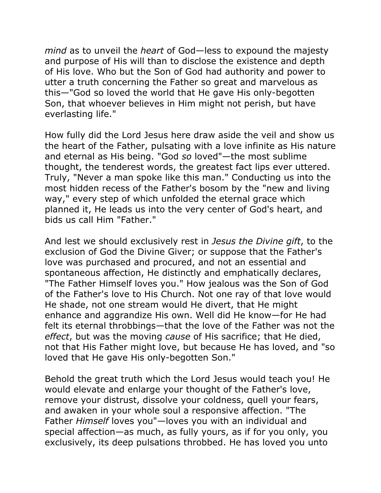*mind* as to unveil the *heart* of God—less to expound the majesty and purpose of His will than to disclose the existence and depth of His love. Who but the Son of God had authority and power to utter a truth concerning the Father so great and marvelous as this—"God so loved the world that He gave His only-begotten Son, that whoever believes in Him might not perish, but have everlasting life."

How fully did the Lord Jesus here draw aside the veil and show us the heart of the Father, pulsating with a love infinite as His nature and eternal as His being. "God *so* loved"—the most sublime thought, the tenderest words, the greatest fact lips ever uttered. Truly, "Never a man spoke like this man." Conducting us into the most hidden recess of the Father's bosom by the "new and living way," every step of which unfolded the eternal grace which planned it, He leads us into the very center of God's heart, and bids us call Him "Father."

And lest we should exclusively rest in *Jesus the Divine gift*, to the exclusion of God the Divine Giver; or suppose that the Father's love was purchased and procured, and not an essential and spontaneous affection, He distinctly and emphatically declares, "The Father Himself loves you." How jealous was the Son of God of the Father's love to His Church. Not one ray of that love would He shade, not one stream would He divert, that He might enhance and aggrandize His own. Well did He know—for He had felt its eternal throbbings—that the love of the Father was not the *effect*, but was the moving *cause* of His sacrifice; that He died, not that His Father might love, but because He has loved, and "so loved that He gave His only-begotten Son."

Behold the great truth which the Lord Jesus would teach you! He would elevate and enlarge your thought of the Father's love, remove your distrust, dissolve your coldness, quell your fears, and awaken in your whole soul a responsive affection. "The Father *Himself* loves you"—loves you with an individual and special affection—as much, as fully yours, as if for you only, you exclusively, its deep pulsations throbbed. He has loved you unto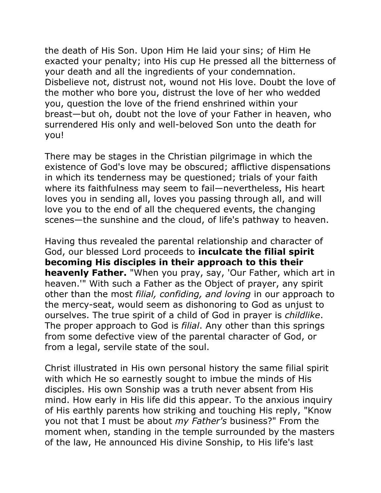the death of His Son. Upon Him He laid your sins; of Him He exacted your penalty; into His cup He pressed all the bitterness of your death and all the ingredients of your condemnation. Disbelieve not, distrust not, wound not His love. Doubt the love of the mother who bore you, distrust the love of her who wedded you, question the love of the friend enshrined within your breast—but oh, doubt not the love of your Father in heaven, who surrendered His only and well-beloved Son unto the death for you!

There may be stages in the Christian pilgrimage in which the existence of God's love may be obscured; afflictive dispensations in which its tenderness may be questioned; trials of your faith where its faithfulness may seem to fail—nevertheless, His heart loves you in sending all, loves you passing through all, and will love you to the end of all the chequered events, the changing scenes—the sunshine and the cloud, of life's pathway to heaven.

Having thus revealed the parental relationship and character of God, our blessed Lord proceeds to **inculcate the filial spirit becoming His disciples in their approach to this their heavenly Father.** "When you pray, say, 'Our Father, which art in heaven.'" With such a Father as the Object of prayer, any spirit other than the most *filial, confiding, and loving* in our approach to the mercy-seat, would seem as dishonoring to God as unjust to ourselves. The true spirit of a child of God in prayer is *childlike*. The proper approach to God is *filial*. Any other than this springs from some defective view of the parental character of God, or from a legal, servile state of the soul.

Christ illustrated in His own personal history the same filial spirit with which He so earnestly sought to imbue the minds of His disciples. His own Sonship was a truth never absent from His mind. How early in His life did this appear. To the anxious inquiry of His earthly parents how striking and touching His reply, "Know you not that I must be about *my Father's* business?" From the moment when, standing in the temple surrounded by the masters of the law, He announced His divine Sonship, to His life's last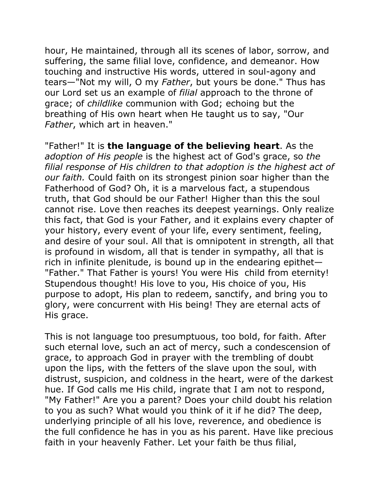hour, He maintained, through all its scenes of labor, sorrow, and suffering, the same filial love, confidence, and demeanor. How touching and instructive His words, uttered in soul-agony and tears—"Not my will, O my *Father*, but yours be done." Thus has our Lord set us an example of *filial* approach to the throne of grace; of *childlike* communion with God; echoing but the breathing of His own heart when He taught us to say, "Our *Father*, which art in heaven."

"Father!" It is **the language of the believing heart**. As the *adoption of His people* is the highest act of God's grace, so *the filial response of His children to that adoption is the highest act of our faith.* Could faith on its strongest pinion soar higher than the Fatherhood of God? Oh, it is a marvelous fact, a stupendous truth, that God should be our Father! Higher than this the soul cannot rise. Love then reaches its deepest yearnings. Only realize this fact, that God is your Father, and it explains every chapter of your history, every event of your life, every sentiment, feeling, and desire of your soul. All that is omnipotent in strength, all that is profound in wisdom, all that is tender in sympathy, all that is rich in infinite plenitude, is bound up in the endearing epithet— "Father." That Father is yours! You were His child from eternity! Stupendous thought! His love to you, His choice of you, His purpose to adopt, His plan to redeem, sanctify, and bring you to glory, were concurrent with His being! They are eternal acts of His grace.

This is not language too presumptuous, too bold, for faith. After such eternal love, such an act of mercy, such a condescension of grace, to approach God in prayer with the trembling of doubt upon the lips, with the fetters of the slave upon the soul, with distrust, suspicion, and coldness in the heart, were of the darkest hue. If God calls me His child, ingrate that I am not to respond, "My Father!" Are you a parent? Does your child doubt his relation to you as such? What would you think of it if he did? The deep, underlying principle of all his love, reverence, and obedience is the full confidence he has in you as his parent. Have like precious faith in your heavenly Father. Let your faith be thus filial,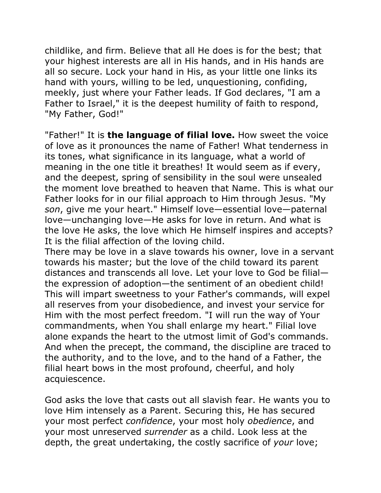childlike, and firm. Believe that all He does is for the best; that your highest interests are all in His hands, and in His hands are all so secure. Lock your hand in His, as your little one links its hand with yours, willing to be led, unquestioning, confiding, meekly, just where your Father leads. If God declares, "I am a Father to Israel," it is the deepest humility of faith to respond, "My Father, God!"

"Father!" It is **the language of filial love.** How sweet the voice of love as it pronounces the name of Father! What tenderness in its tones, what significance in its language, what a world of meaning in the one title it breathes! It would seem as if every, and the deepest, spring of sensibility in the soul were unsealed the moment love breathed to heaven that Name. This is what our Father looks for in our filial approach to Him through Jesus. "My *son*, give me your heart." Himself love—essential love—paternal love—unchanging love—He asks for love in return. And what is the love He asks, the love which He himself inspires and accepts? It is the filial affection of the loving child.

There may be love in a slave towards his owner, love in a servant towards his master; but the love of the child toward its parent distances and transcends all love. Let your love to God be filial the expression of adoption—the sentiment of an obedient child! This will impart sweetness to your Father's commands, will expel all reserves from your disobedience, and invest your service for Him with the most perfect freedom. "I will run the way of Your commandments, when You shall enlarge my heart." Filial love alone expands the heart to the utmost limit of God's commands. And when the precept, the command, the discipline are traced to the authority, and to the love, and to the hand of a Father, the filial heart bows in the most profound, cheerful, and holy acquiescence.

God asks the love that casts out all slavish fear. He wants you to love Him intensely as a Parent. Securing this, He has secured your most perfect *confidence*, your most holy *obedience*, and your most unreserved *surrender* as a child. Look less at the depth, the great undertaking, the costly sacrifice of *your* love;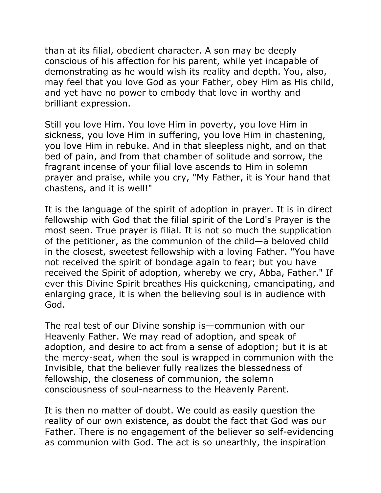than at its filial, obedient character. A son may be deeply conscious of his affection for his parent, while yet incapable of demonstrating as he would wish its reality and depth. You, also, may feel that you love God as your Father, obey Him as His child, and yet have no power to embody that love in worthy and brilliant expression.

Still you love Him. You love Him in poverty, you love Him in sickness, you love Him in suffering, you love Him in chastening, you love Him in rebuke. And in that sleepless night, and on that bed of pain, and from that chamber of solitude and sorrow, the fragrant incense of your filial love ascends to Him in solemn prayer and praise, while you cry, "My Father, it is Your hand that chastens, and it is well!"

It is the language of the spirit of adoption in prayer. It is in direct fellowship with God that the filial spirit of the Lord's Prayer is the most seen. True prayer is filial. It is not so much the supplication of the petitioner, as the communion of the child—a beloved child in the closest, sweetest fellowship with a loving Father. "You have not received the spirit of bondage again to fear; but you have received the Spirit of adoption, whereby we cry, Abba, Father." If ever this Divine Spirit breathes His quickening, emancipating, and enlarging grace, it is when the believing soul is in audience with God.

The real test of our Divine sonship is—communion with our Heavenly Father. We may read of adoption, and speak of adoption, and desire to act from a sense of adoption; but it is at the mercy-seat, when the soul is wrapped in communion with the Invisible, that the believer fully realizes the blessedness of fellowship, the closeness of communion, the solemn consciousness of soul-nearness to the Heavenly Parent.

It is then no matter of doubt. We could as easily question the reality of our own existence, as doubt the fact that God was our Father. There is no engagement of the believer so self-evidencing as communion with God. The act is so unearthly, the inspiration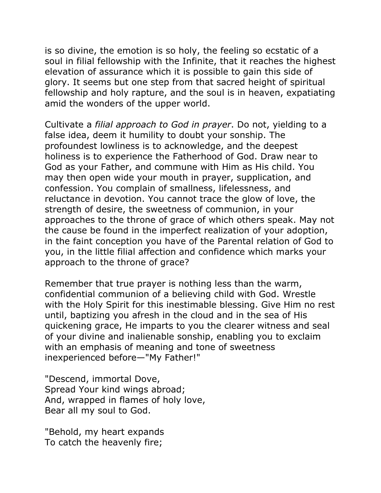is so divine, the emotion is so holy, the feeling so ecstatic of a soul in filial fellowship with the Infinite, that it reaches the highest elevation of assurance which it is possible to gain this side of glory. It seems but one step from that sacred height of spiritual fellowship and holy rapture, and the soul is in heaven, expatiating amid the wonders of the upper world.

Cultivate a *filial approach to God in prayer*. Do not, yielding to a false idea, deem it humility to doubt your sonship. The profoundest lowliness is to acknowledge, and the deepest holiness is to experience the Fatherhood of God. Draw near to God as your Father, and commune with Him as His child. You may then open wide your mouth in prayer, supplication, and confession. You complain of smallness, lifelessness, and reluctance in devotion. You cannot trace the glow of love, the strength of desire, the sweetness of communion, in your approaches to the throne of grace of which others speak. May not the cause be found in the imperfect realization of your adoption, in the faint conception you have of the Parental relation of God to you, in the little filial affection and confidence which marks your approach to the throne of grace?

Remember that true prayer is nothing less than the warm, confidential communion of a believing child with God. Wrestle with the Holy Spirit for this inestimable blessing. Give Him no rest until, baptizing you afresh in the cloud and in the sea of His quickening grace, He imparts to you the clearer witness and seal of your divine and inalienable sonship, enabling you to exclaim with an emphasis of meaning and tone of sweetness inexperienced before—"My Father!"

"Descend, immortal Dove, Spread Your kind wings abroad; And, wrapped in flames of holy love, Bear all my soul to God.

"Behold, my heart expands To catch the heavenly fire;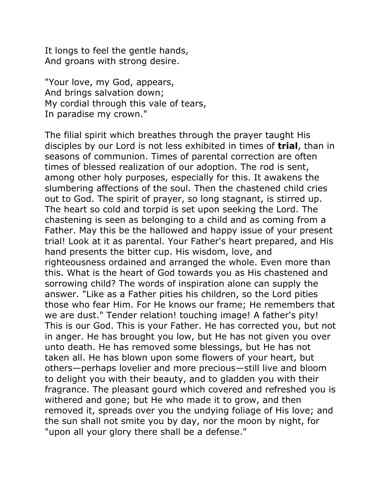It longs to feel the gentle hands, And groans with strong desire.

"Your love, my God, appears, And brings salvation down; My cordial through this vale of tears, In paradise my crown."

The filial spirit which breathes through the prayer taught His disciples by our Lord is not less exhibited in times of **trial**, than in seasons of communion. Times of parental correction are often times of blessed realization of our adoption. The rod is sent, among other holy purposes, especially for this. It awakens the slumbering affections of the soul. Then the chastened child cries out to God. The spirit of prayer, so long stagnant, is stirred up. The heart so cold and torpid is set upon seeking the Lord. The chastening is seen as belonging to a child and as coming from a Father. May this be the hallowed and happy issue of your present trial! Look at it as parental. Your Father's heart prepared, and His hand presents the bitter cup. His wisdom, love, and righteousness ordained and arranged the whole. Even more than this. What is the heart of God towards you as His chastened and sorrowing child? The words of inspiration alone can supply the answer. "Like as a Father pities his children, so the Lord pities those who fear Him. For He knows our frame; He remembers that we are dust." Tender relation! touching image! A father's pity! This is our God. This is your Father. He has corrected you, but not in anger. He has brought you low, but He has not given you over unto death. He has removed some blessings, but He has not taken all. He has blown upon some flowers of your heart, but others—perhaps lovelier and more precious—still live and bloom to delight you with their beauty, and to gladden you with their fragrance. The pleasant gourd which covered and refreshed you is withered and gone; but He who made it to grow, and then removed it, spreads over you the undying foliage of His love; and the sun shall not smite you by day, nor the moon by night, for "upon all your glory there shall be a defense."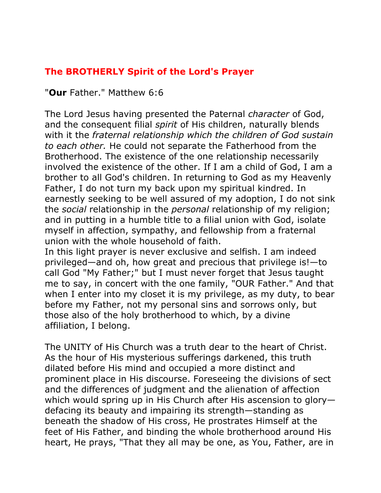# **The BROTHERLY Spirit of the Lord's Prayer**

# "**Our** Father." Matthew 6:6

The Lord Jesus having presented the Paternal *character* of God, and the consequent filial *spirit* of His children, naturally blends with it the *fraternal relationship which the children of God sustain to each other.* He could not separate the Fatherhood from the Brotherhood. The existence of the one relationship necessarily involved the existence of the other. If I am a child of God, I am a brother to all God's children. In returning to God as my Heavenly Father, I do not turn my back upon my spiritual kindred. In earnestly seeking to be well assured of my adoption, I do not sink the *social* relationship in the *personal* relationship of my religion; and in putting in a humble title to a filial union with God, isolate myself in affection, sympathy, and fellowship from a fraternal union with the whole household of faith.

In this light prayer is never exclusive and selfish. I am indeed privileged—and oh, how great and precious that privilege is!—to call God "My Father;" but I must never forget that Jesus taught me to say, in concert with the one family, "OUR Father." And that when I enter into my closet it is my privilege, as my duty, to bear before my Father, not my personal sins and sorrows only, but those also of the holy brotherhood to which, by a divine affiliation, I belong.

The UNITY of His Church was a truth dear to the heart of Christ. As the hour of His mysterious sufferings darkened, this truth dilated before His mind and occupied a more distinct and prominent place in His discourse. Foreseeing the divisions of sect and the differences of judgment and the alienation of affection which would spring up in His Church after His ascension to glory defacing its beauty and impairing its strength—standing as beneath the shadow of His cross, He prostrates Himself at the feet of His Father, and binding the whole brotherhood around His heart, He prays, "That they all may be one, as You, Father, are in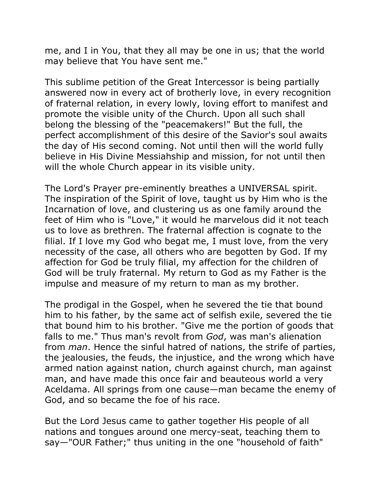me, and I in You, that they all may be one in us; that the world may believe that You have sent me."

This sublime petition of the Great Intercessor is being partially answered now in every act of brotherly love, in every recognition of fraternal relation, in every lowly, loving effort to manifest and promote the visible unity of the Church. Upon all such shall belong the blessing of the "peacemakers!" But the full, the perfect accomplishment of this desire of the Savior's soul awaits the day of His second coming. Not until then will the world fully believe in His Divine Messiahship and mission, for not until then will the whole Church appear in its visible unity.

The Lord's Prayer pre-eminently breathes a UNIVERSAL spirit. The inspiration of the Spirit of love, taught us by Him who is the Incarnation of love, and clustering us as one family around the feet of Him who is "Love," it would he marvelous did it not teach us to love as brethren. The fraternal affection is cognate to the filial. If I love my God who begat me, I must love, from the very necessity of the case, all others who are begotten by God. If my affection for God be truly filial, my affection for the children of God will be truly fraternal. My return to God as my Father is the impulse and measure of my return to man as my brother.

The prodigal in the Gospel, when he severed the tie that bound him to his father, by the same act of selfish exile, severed the tie that bound him to his brother. "Give me the portion of goods that falls to me." Thus man's revolt from *God*, was man's alienation from *man*. Hence the sinful hatred of nations, the strife of parties, the jealousies, the feuds, the injustice, and the wrong which have armed nation against nation, church against church, man against man, and have made this once fair and beauteous world a very Aceldama. All springs from one cause—man became the enemy of God, and so became the foe of his race.

But the Lord Jesus came to gather together His people of all nations and tongues around one mercy-seat, teaching them to say—"OUR Father;" thus uniting in the one "household of faith"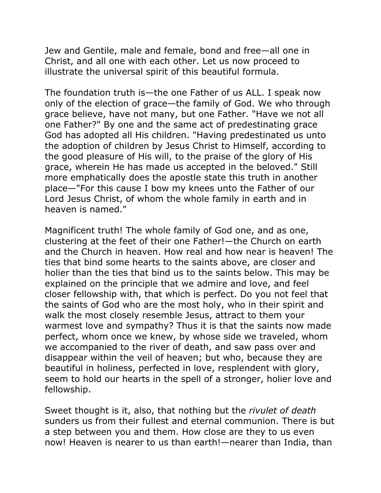Jew and Gentile, male and female, bond and free—all one in Christ, and all one with each other. Let us now proceed to illustrate the universal spirit of this beautiful formula.

The foundation truth is—the one Father of us ALL. I speak now only of the election of grace—the family of God. We who through grace believe, have not many, but one Father. "Have we not all one Father?" By one and the same act of predestinating grace God has adopted all His children. "Having predestinated us unto the adoption of children by Jesus Christ to Himself, according to the good pleasure of His will, to the praise of the glory of His grace, wherein He has made us accepted in the beloved." Still more emphatically does the apostle state this truth in another place—"For this cause I bow my knees unto the Father of our Lord Jesus Christ, of whom the whole family in earth and in heaven is named."

Magnificent truth! The whole family of God one, and as one, clustering at the feet of their one Father!—the Church on earth and the Church in heaven. How real and how near is heaven! The ties that bind some hearts to the saints above, are closer and holier than the ties that bind us to the saints below. This may be explained on the principle that we admire and love, and feel closer fellowship with, that which is perfect. Do you not feel that the saints of God who are the most holy, who in their spirit and walk the most closely resemble Jesus, attract to them your warmest love and sympathy? Thus it is that the saints now made perfect, whom once we knew, by whose side we traveled, whom we accompanied to the river of death, and saw pass over and disappear within the veil of heaven; but who, because they are beautiful in holiness, perfected in love, resplendent with glory, seem to hold our hearts in the spell of a stronger, holier love and fellowship.

Sweet thought is it, also, that nothing but the *rivulet of death* sunders us from their fullest and eternal communion. There is but a step between you and them. How close are they to us even now! Heaven is nearer to us than earth!—nearer than India, than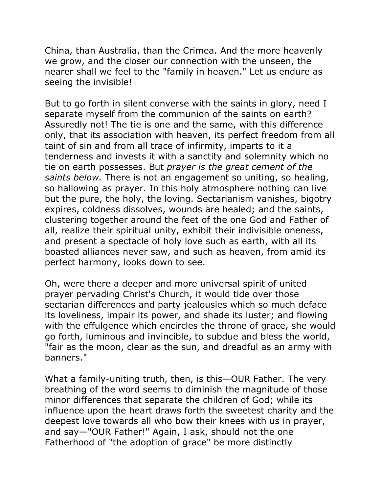China, than Australia, than the Crimea. And the more heavenly we grow, and the closer our connection with the unseen, the nearer shall we feel to the "family in heaven." Let us endure as seeing the invisible!

But to go forth in silent converse with the saints in glory, need I separate myself from the communion of the saints on earth? Assuredly not! The tie is one and the same, with this difference only, that its association with heaven, its perfect freedom from all taint of sin and from all trace of infirmity, imparts to it a tenderness and invests it with a sanctity and solemnity which no tie on earth possesses. But *prayer is the great cement of the saints below.* There is not an engagement so uniting, so healing, so hallowing as prayer. In this holy atmosphere nothing can live but the pure, the holy, the loving. Sectarianism vanishes, bigotry expires, coldness dissolves, wounds are healed; and the saints, clustering together around the feet of the one God and Father of all, realize their spiritual unity, exhibit their indivisible oneness, and present a spectacle of holy love such as earth, with all its boasted alliances never saw, and such as heaven, from amid its perfect harmony, looks down to see.

Oh, were there a deeper and more universal spirit of united prayer pervading Christ's Church, it would tide over those sectarian differences and party jealousies which so much deface its loveliness, impair its power, and shade its luster; and flowing with the effulgence which encircles the throne of grace, she would go forth, luminous and invincible, to subdue and bless the world, "fair as the moon, clear as the sun, and dreadful as an army with banners."

What a family-uniting truth, then, is this—OUR Father. The very breathing of the word seems to diminish the magnitude of those minor differences that separate the children of God; while its influence upon the heart draws forth the sweetest charity and the deepest love towards all who bow their knees with us in prayer, and say—"OUR Father!" Again, I ask, should not the one Fatherhood of "the adoption of grace" be more distinctly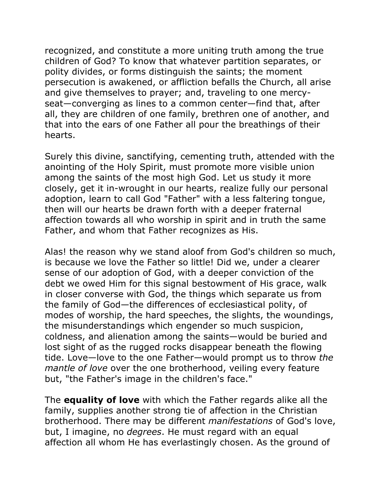recognized, and constitute a more uniting truth among the true children of God? To know that whatever partition separates, or polity divides, or forms distinguish the saints; the moment persecution is awakened, or affliction befalls the Church, all arise and give themselves to prayer; and, traveling to one mercyseat—converging as lines to a common center—find that, after all, they are children of one family, brethren one of another, and that into the ears of one Father all pour the breathings of their hearts.

Surely this divine, sanctifying, cementing truth, attended with the anointing of the Holy Spirit, must promote more visible union among the saints of the most high God. Let us study it more closely, get it in-wrought in our hearts, realize fully our personal adoption, learn to call God "Father" with a less faltering tongue, then will our hearts be drawn forth with a deeper fraternal affection towards all who worship in spirit and in truth the same Father, and whom that Father recognizes as His.

Alas! the reason why we stand aloof from God's children so much, is because we love the Father so little! Did we, under a clearer sense of our adoption of God, with a deeper conviction of the debt we owed Him for this signal bestowment of His grace, walk in closer converse with God, the things which separate us from the family of God—the differences of ecclesiastical polity, of modes of worship, the hard speeches, the slights, the woundings, the misunderstandings which engender so much suspicion, coldness, and alienation among the saints—would be buried and lost sight of as the rugged rocks disappear beneath the flowing tide. Love—love to the one Father—would prompt us to throw *the mantle of love* over the one brotherhood, veiling every feature but, "the Father's image in the children's face."

The **equality of love** with which the Father regards alike all the family, supplies another strong tie of affection in the Christian brotherhood. There may be different *manifestations* of God's love, but, I imagine, no *degrees*. He must regard with an equal affection all whom He has everlastingly chosen. As the ground of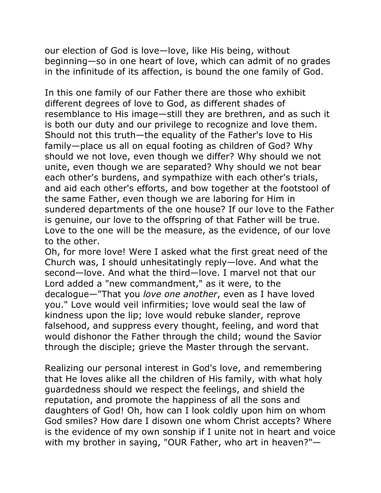our election of God is love—love, like His being, without beginning—so in one heart of love, which can admit of no grades in the infinitude of its affection, is bound the one family of God.

In this one family of our Father there are those who exhibit different degrees of love to God, as different shades of resemblance to His image—still they are brethren, and as such it is both our duty and our privilege to recognize and love them. Should not this truth—the equality of the Father's love to His family—place us all on equal footing as children of God? Why should we not love, even though we differ? Why should we not unite, even though we are separated? Why should we not bear each other's burdens, and sympathize with each other's trials, and aid each other's efforts, and bow together at the footstool of the same Father, even though we are laboring for Him in sundered departments of the one house? If our love to the Father is genuine, our love to the offspring of that Father will be true. Love to the one will be the measure, as the evidence, of our love to the other.

Oh, for more love! Were I asked what the first great need of the Church was, I should unhesitatingly reply—love. And what the second—love. And what the third—love. I marvel not that our Lord added a "new commandment," as it were, to the decalogue—"That you *love one another*, even as I have loved you." Love would veil infirmities; love would seal the law of kindness upon the lip; love would rebuke slander, reprove falsehood, and suppress every thought, feeling, and word that would dishonor the Father through the child; wound the Savior through the disciple; grieve the Master through the servant.

Realizing our personal interest in God's love, and remembering that He loves alike all the children of His family, with what holy guardedness should we respect the feelings, and shield the reputation, and promote the happiness of all the sons and daughters of God! Oh, how can I look coldly upon him on whom God smiles? How dare I disown one whom Christ accepts? Where is the evidence of my own sonship if I unite not in heart and voice with my brother in saying, "OUR Father, who art in heaven?"—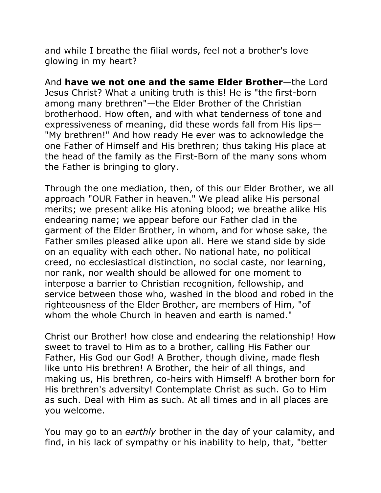and while I breathe the filial words, feel not a brother's love glowing in my heart?

And **have we not one and the same Elder Brother**—the Lord Jesus Christ? What a uniting truth is this! He is "the first-born among many brethren"—the Elder Brother of the Christian brotherhood. How often, and with what tenderness of tone and expressiveness of meaning, did these words fall from His lips— "My brethren!" And how ready He ever was to acknowledge the one Father of Himself and His brethren; thus taking His place at the head of the family as the First-Born of the many sons whom the Father is bringing to glory.

Through the one mediation, then, of this our Elder Brother, we all approach "OUR Father in heaven." We plead alike His personal merits; we present alike His atoning blood; we breathe alike His endearing name; we appear before our Father clad in the garment of the Elder Brother, in whom, and for whose sake, the Father smiles pleased alike upon all. Here we stand side by side on an equality with each other. No national hate, no political creed, no ecclesiastical distinction, no social caste, nor learning, nor rank, nor wealth should be allowed for one moment to interpose a barrier to Christian recognition, fellowship, and service between those who, washed in the blood and robed in the righteousness of the Elder Brother, are members of Him, "of whom the whole Church in heaven and earth is named."

Christ our Brother! how close and endearing the relationship! How sweet to travel to Him as to a brother, calling His Father our Father, His God our God! A Brother, though divine, made flesh like unto His brethren! A Brother, the heir of all things, and making us, His brethren, co-heirs with Himself! A brother born for His brethren's adversity! Contemplate Christ as such. Go to Him as such. Deal with Him as such. At all times and in all places are you welcome.

You may go to an *earthly* brother in the day of your calamity, and find, in his lack of sympathy or his inability to help, that, "better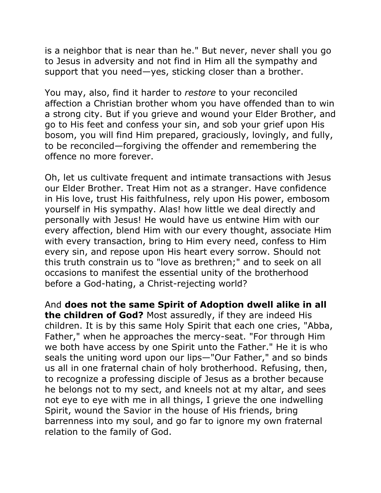is a neighbor that is near than he." But never, never shall you go to Jesus in adversity and not find in Him all the sympathy and support that you need—yes, sticking closer than a brother.

You may, also, find it harder to *restore* to your reconciled affection a Christian brother whom you have offended than to win a strong city. But if you grieve and wound your Elder Brother, and go to His feet and confess your sin, and sob your grief upon His bosom, you will find Him prepared, graciously, lovingly, and fully, to be reconciled—forgiving the offender and remembering the offence no more forever.

Oh, let us cultivate frequent and intimate transactions with Jesus our Elder Brother. Treat Him not as a stranger. Have confidence in His love, trust His faithfulness, rely upon His power, embosom yourself in His sympathy. Alas! how little we deal directly and personally with Jesus! He would have us entwine Him with our every affection, blend Him with our every thought, associate Him with every transaction, bring to Him every need, confess to Him every sin, and repose upon His heart every sorrow. Should not this truth constrain us to "love as brethren;" and to seek on all occasions to manifest the essential unity of the brotherhood before a God-hating, a Christ-rejecting world?

And **does not the same Spirit of Adoption dwell alike in all the children of God?** Most assuredly, if they are indeed His children. It is by this same Holy Spirit that each one cries, "Abba, Father," when he approaches the mercy-seat. "For through Him we both have access by one Spirit unto the Father." He it is who seals the uniting word upon our lips—"Our Father," and so binds us all in one fraternal chain of holy brotherhood. Refusing, then, to recognize a professing disciple of Jesus as a brother because he belongs not to my sect, and kneels not at my altar, and sees not eye to eye with me in all things, I grieve the one indwelling Spirit, wound the Savior in the house of His friends, bring barrenness into my soul, and go far to ignore my own fraternal relation to the family of God.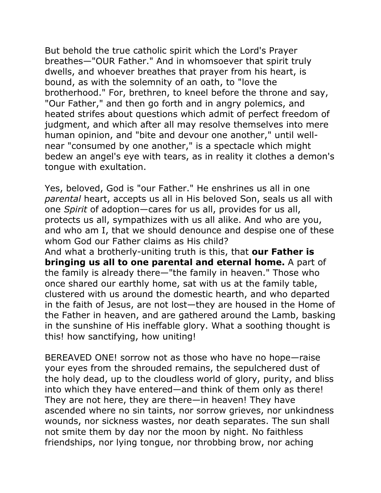But behold the true catholic spirit which the Lord's Prayer breathes—"OUR Father." And in whomsoever that spirit truly dwells, and whoever breathes that prayer from his heart, is bound, as with the solemnity of an oath, to "love the brotherhood." For, brethren, to kneel before the throne and say, "Our Father," and then go forth and in angry polemics, and heated strifes about questions which admit of perfect freedom of judgment, and which after all may resolve themselves into mere human opinion, and "bite and devour one another," until wellnear "consumed by one another," is a spectacle which might bedew an angel's eye with tears, as in reality it clothes a demon's tongue with exultation.

Yes, beloved, God is "our Father." He enshrines us all in one *parental* heart, accepts us all in His beloved Son, seals us all with one *Spirit* of adoption—cares for us all, provides for us all, protects us all, sympathizes with us all alike. And who are you, and who am I, that we should denounce and despise one of these whom God our Father claims as His child?

And what a brotherly-uniting truth is this, that **our Father is bringing us all to one parental and eternal home.** A part of the family is already there—"the family in heaven." Those who once shared our earthly home, sat with us at the family table, clustered with us around the domestic hearth, and who departed in the faith of Jesus, are not lost—they are housed in the Home of the Father in heaven, and are gathered around the Lamb, basking in the sunshine of His ineffable glory. What a soothing thought is this! how sanctifying, how uniting!

BEREAVED ONE! sorrow not as those who have no hope—raise your eyes from the shrouded remains, the sepulchered dust of the holy dead, up to the cloudless world of glory, purity, and bliss into which they have entered—and think of them only as there! They are not here, they are there—in heaven! They have ascended where no sin taints, nor sorrow grieves, nor unkindness wounds, nor sickness wastes, nor death separates. The sun shall not smite them by day nor the moon by night. No faithless friendships, nor lying tongue, nor throbbing brow, nor aching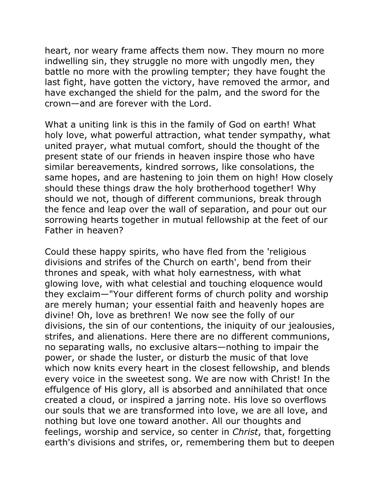heart, nor weary frame affects them now. They mourn no more indwelling sin, they struggle no more with ungodly men, they battle no more with the prowling tempter; they have fought the last fight, have gotten the victory, have removed the armor, and have exchanged the shield for the palm, and the sword for the crown—and are forever with the Lord.

What a uniting link is this in the family of God on earth! What holy love, what powerful attraction, what tender sympathy, what united prayer, what mutual comfort, should the thought of the present state of our friends in heaven inspire those who have similar bereavements, kindred sorrows, like consolations, the same hopes, and are hastening to join them on high! How closely should these things draw the holy brotherhood together! Why should we not, though of different communions, break through the fence and leap over the wall of separation, and pour out our sorrowing hearts together in mutual fellowship at the feet of our Father in heaven?

Could these happy spirits, who have fled from the 'religious divisions and strifes of the Church on earth', bend from their thrones and speak, with what holy earnestness, with what glowing love, with what celestial and touching eloquence would they exclaim—"Your different forms of church polity and worship are merely human; your essential faith and heavenly hopes are divine! Oh, love as brethren! We now see the folly of our divisions, the sin of our contentions, the iniquity of our jealousies, strifes, and alienations. Here there are no different communions, no separating walls, no exclusive altars—nothing to impair the power, or shade the luster, or disturb the music of that love which now knits every heart in the closest fellowship, and blends every voice in the sweetest song. We are now with Christ! In the effulgence of His glory, all is absorbed and annihilated that once created a cloud, or inspired a jarring note. His love so overflows our souls that we are transformed into love, we are all love, and nothing but love one toward another. All our thoughts and feelings, worship and service, so center in *Christ*, that, forgetting earth's divisions and strifes, or, remembering them but to deepen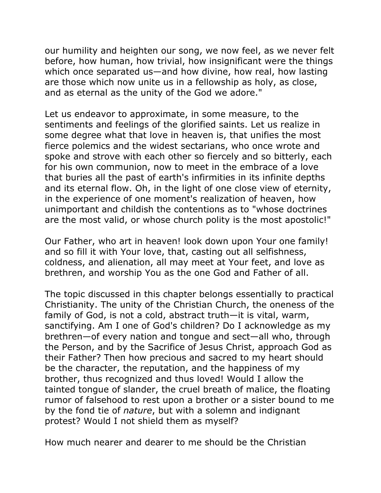our humility and heighten our song, we now feel, as we never felt before, how human, how trivial, how insignificant were the things which once separated us—and how divine, how real, how lasting are those which now unite us in a fellowship as holy, as close, and as eternal as the unity of the God we adore."

Let us endeavor to approximate, in some measure, to the sentiments and feelings of the glorified saints. Let us realize in some degree what that love in heaven is, that unifies the most fierce polemics and the widest sectarians, who once wrote and spoke and strove with each other so fiercely and so bitterly, each for his own communion, now to meet in the embrace of a love that buries all the past of earth's infirmities in its infinite depths and its eternal flow. Oh, in the light of one close view of eternity, in the experience of one moment's realization of heaven, how unimportant and childish the contentions as to "whose doctrines are the most valid, or whose church polity is the most apostolic!"

Our Father, who art in heaven! look down upon Your one family! and so fill it with Your love, that, casting out all selfishness, coldness, and alienation, all may meet at Your feet, and love as brethren, and worship You as the one God and Father of all.

The topic discussed in this chapter belongs essentially to practical Christianity. The unity of the Christian Church, the oneness of the family of God, is not a cold, abstract truth—it is vital, warm, sanctifying. Am I one of God's children? Do I acknowledge as my brethren—of every nation and tongue and sect—all who, through the Person, and by the Sacrifice of Jesus Christ, approach God as their Father? Then how precious and sacred to my heart should be the character, the reputation, and the happiness of my brother, thus recognized and thus loved! Would I allow the tainted tongue of slander, the cruel breath of malice, the floating rumor of falsehood to rest upon a brother or a sister bound to me by the fond tie of *nature*, but with a solemn and indignant protest? Would I not shield them as myself?

How much nearer and dearer to me should be the Christian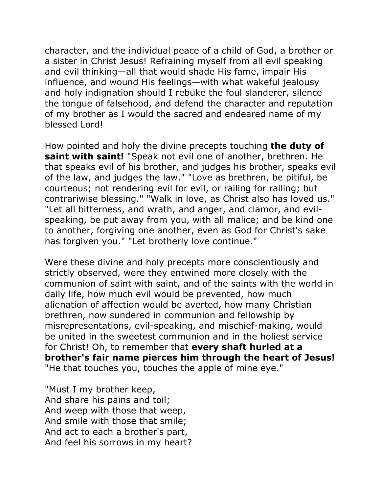character, and the individual peace of a child of God, a brother or a sister in Christ Jesus! Refraining myself from all evil speaking and evil thinking—all that would shade His fame, impair His influence, and wound His feelings—with what wakeful jealousy and holy indignation should I rebuke the foul slanderer, silence the tongue of falsehood, and defend the character and reputation of my brother as I would the sacred and endeared name of my blessed Lord!

How pointed and holy the divine precepts touching **the duty of saint with saint!** "Speak not evil one of another, brethren. He that speaks evil of his brother, and judges his brother, speaks evil of the law, and judges the law." "Love as brethren, be pitiful, be courteous; not rendering evil for evil, or railing for railing; but contrariwise blessing." "Walk in love, as Christ also has loved us." "Let all bitterness, and wrath, and anger, and clamor, and evilspeaking, be put away from you, with all malice; and be kind one to another, forgiving one another, even as God for Christ's sake has forgiven you." "Let brotherly love continue."

Were these divine and holy precepts more conscientiously and strictly observed, were they entwined more closely with the communion of saint with saint, and of the saints with the world in daily life, how much evil would be prevented, how much alienation of affection would be averted, how many Christian brethren, now sundered in communion and fellowship by misrepresentations, evil-speaking, and mischief-making, would be united in the sweetest communion and in the holiest service for Christ! Oh, to remember that **every shaft hurled at a brother's fair name pierces him through the heart of Jesus!** "He that touches you, touches the apple of mine eye."

"Must I my brother keep, And share his pains and toil; And weep with those that weep, And smile with those that smile; And act to each a brother's part, And feel his sorrows in my heart?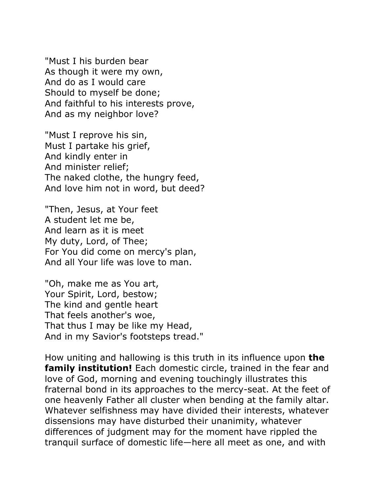"Must I his burden bear As though it were my own, And do as I would care Should to myself be done; And faithful to his interests prove, And as my neighbor love?

"Must I reprove his sin, Must I partake his grief, And kindly enter in And minister relief; The naked clothe, the hungry feed, And love him not in word, but deed?

"Then, Jesus, at Your feet A student let me be, And learn as it is meet My duty, Lord, of Thee; For You did come on mercy's plan, And all Your life was love to man.

"Oh, make me as You art, Your Spirit, Lord, bestow; The kind and gentle heart That feels another's woe, That thus I may be like my Head, And in my Savior's footsteps tread."

How uniting and hallowing is this truth in its influence upon **the family institution!** Each domestic circle, trained in the fear and love of God, morning and evening touchingly illustrates this fraternal bond in its approaches to the mercy-seat. At the feet of one heavenly Father all cluster when bending at the family altar. Whatever selfishness may have divided their interests, whatever dissensions may have disturbed their unanimity, whatever differences of judgment may for the moment have rippled the tranquil surface of domestic life—here all meet as one, and with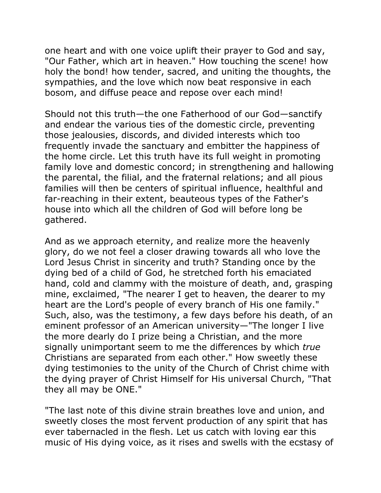one heart and with one voice uplift their prayer to God and say, "Our Father, which art in heaven." How touching the scene! how holy the bond! how tender, sacred, and uniting the thoughts, the sympathies, and the love which now beat responsive in each bosom, and diffuse peace and repose over each mind!

Should not this truth—the one Fatherhood of our God—sanctify and endear the various ties of the domestic circle, preventing those jealousies, discords, and divided interests which too frequently invade the sanctuary and embitter the happiness of the home circle. Let this truth have its full weight in promoting family love and domestic concord; in strengthening and hallowing the parental, the filial, and the fraternal relations; and all pious families will then be centers of spiritual influence, healthful and far-reaching in their extent, beauteous types of the Father's house into which all the children of God will before long be gathered.

And as we approach eternity, and realize more the heavenly glory, do we not feel a closer drawing towards all who love the Lord Jesus Christ in sincerity and truth? Standing once by the dying bed of a child of God, he stretched forth his emaciated hand, cold and clammy with the moisture of death, and, grasping mine, exclaimed, "The nearer I get to heaven, the dearer to my heart are the Lord's people of every branch of His one family." Such, also, was the testimony, a few days before his death, of an eminent professor of an American university—"The longer I live the more dearly do I prize being a Christian, and the more signally unimportant seem to me the differences by which *true* Christians are separated from each other." How sweetly these dying testimonies to the unity of the Church of Christ chime with the dying prayer of Christ Himself for His universal Church, "That they all may be ONE."

"The last note of this divine strain breathes love and union, and sweetly closes the most fervent production of any spirit that has ever tabernacled in the flesh. Let us catch with loving ear this music of His dying voice, as it rises and swells with the ecstasy of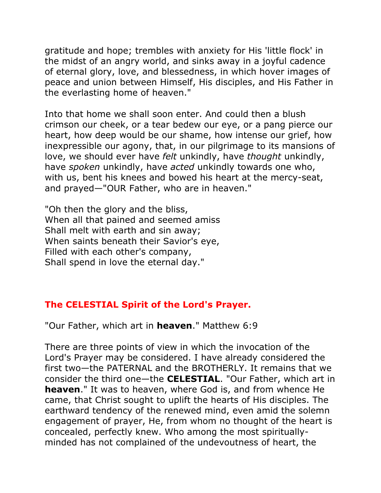gratitude and hope; trembles with anxiety for His 'little flock' in the midst of an angry world, and sinks away in a joyful cadence of eternal glory, love, and blessedness, in which hover images of peace and union between Himself, His disciples, and His Father in the everlasting home of heaven."

Into that home we shall soon enter. And could then a blush crimson our cheek, or a tear bedew our eye, or a pang pierce our heart, how deep would be our shame, how intense our grief, how inexpressible our agony, that, in our pilgrimage to its mansions of love, we should ever have *felt* unkindly, have *thought* unkindly, have *spoken* unkindly, have *acted* unkindly towards one who, with us, bent his knees and bowed his heart at the mercy-seat, and prayed—"OUR Father, who are in heaven."

"Oh then the glory and the bliss, When all that pained and seemed amiss Shall melt with earth and sin away; When saints beneath their Savior's eye, Filled with each other's company, Shall spend in love the eternal day."

# **The CELESTIAL Spirit of the Lord's Prayer.**

"Our Father, which art in **heaven**." Matthew 6:9

There are three points of view in which the invocation of the Lord's Prayer may be considered. I have already considered the first two—the PATERNAL and the BROTHERLY. It remains that we consider the third one—the **CELESTIAL**. "Our Father, which art in **heaven**." It was to heaven, where God is, and from whence He came, that Christ sought to uplift the hearts of His disciples. The earthward tendency of the renewed mind, even amid the solemn engagement of prayer, He, from whom no thought of the heart is concealed, perfectly knew. Who among the most spirituallyminded has not complained of the undevoutness of heart, the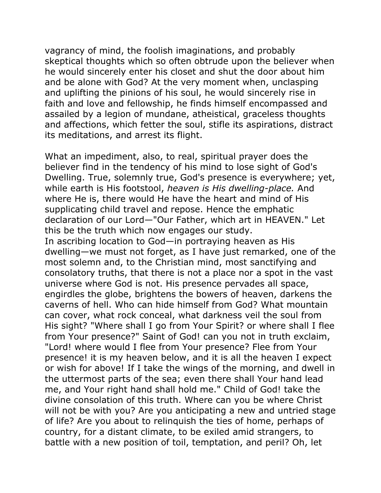vagrancy of mind, the foolish imaginations, and probably skeptical thoughts which so often obtrude upon the believer when he would sincerely enter his closet and shut the door about him and be alone with God? At the very moment when, unclasping and uplifting the pinions of his soul, he would sincerely rise in faith and love and fellowship, he finds himself encompassed and assailed by a legion of mundane, atheistical, graceless thoughts and affections, which fetter the soul, stifle its aspirations, distract its meditations, and arrest its flight.

What an impediment, also, to real, spiritual prayer does the believer find in the tendency of his mind to lose sight of God's Dwelling. True, solemnly true, God's presence is everywhere; yet, while earth is His footstool, *heaven is His dwelling-place.* And where He is, there would He have the heart and mind of His supplicating child travel and repose. Hence the emphatic declaration of our Lord—"Our Father, which art in HEAVEN." Let this be the truth which now engages our study.

In ascribing location to God—in portraying heaven as His dwelling—we must not forget, as I have just remarked, one of the most solemn and, to the Christian mind, most sanctifying and consolatory truths, that there is not a place nor a spot in the vast universe where God is not. His presence pervades all space, engirdles the globe, brightens the bowers of heaven, darkens the caverns of hell. Who can hide himself from God? What mountain can cover, what rock conceal, what darkness veil the soul from His sight? "Where shall I go from Your Spirit? or where shall I flee from Your presence?" Saint of God! can you not in truth exclaim, "Lord! where would I flee from Your presence? Flee from Your presence! it is my heaven below, and it is all the heaven I expect or wish for above! If I take the wings of the morning, and dwell in the uttermost parts of the sea; even there shall Your hand lead me, and Your right hand shall hold me." Child of God! take the divine consolation of this truth. Where can you be where Christ will not be with you? Are you anticipating a new and untried stage of life? Are you about to relinquish the ties of home, perhaps of country, for a distant climate, to be exiled amid strangers, to battle with a new position of toil, temptation, and peril? Oh, let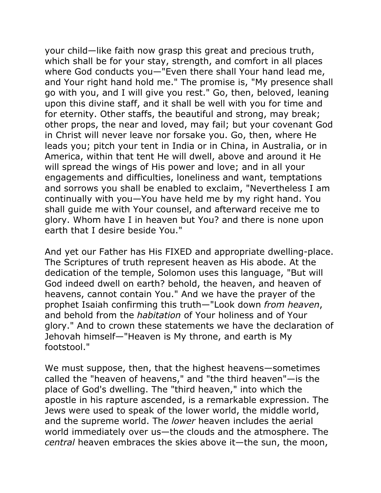your child—like faith now grasp this great and precious truth, which shall be for your stay, strength, and comfort in all places where God conducts you—"Even there shall Your hand lead me, and Your right hand hold me." The promise is, "My presence shall go with you, and I will give you rest." Go, then, beloved, leaning upon this divine staff, and it shall be well with you for time and for eternity. Other staffs, the beautiful and strong, may break; other props, the near and loved, may fail; but your covenant God in Christ will never leave nor forsake you. Go, then, where He leads you; pitch your tent in India or in China, in Australia, or in America, within that tent He will dwell, above and around it He will spread the wings of His power and love; and in all your engagements and difficulties, loneliness and want, temptations and sorrows you shall be enabled to exclaim, "Nevertheless I am continually with you—You have held me by my right hand. You shall guide me with Your counsel, and afterward receive me to glory. Whom have I in heaven but You? and there is none upon earth that I desire beside You."

And yet our Father has His FIXED and appropriate dwelling-place. The Scriptures of truth represent heaven as His abode. At the dedication of the temple, Solomon uses this language, "But will God indeed dwell on earth? behold, the heaven, and heaven of heavens, cannot contain You." And we have the prayer of the prophet Isaiah confirming this truth—"Look down *from heaven*, and behold from the *habitation* of Your holiness and of Your glory." And to crown these statements we have the declaration of Jehovah himself—"Heaven is My throne, and earth is My footstool."

We must suppose, then, that the highest heavens—sometimes called the "heaven of heavens," and "the third heaven"—is the place of God's dwelling. The "third heaven," into which the apostle in his rapture ascended, is a remarkable expression. The Jews were used to speak of the lower world, the middle world, and the supreme world. The *lower* heaven includes the aerial world immediately over us—the clouds and the atmosphere. The *central* heaven embraces the skies above it—the sun, the moon,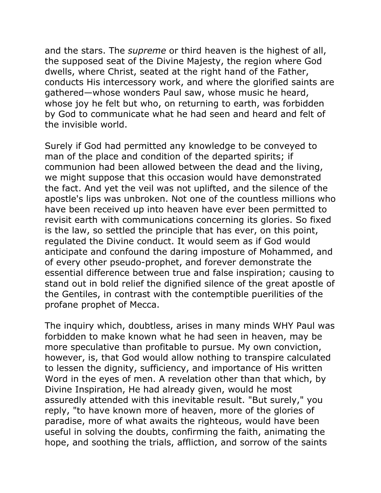and the stars. The *supreme* or third heaven is the highest of all, the supposed seat of the Divine Majesty, the region where God dwells, where Christ, seated at the right hand of the Father, conducts His intercessory work, and where the glorified saints are gathered—whose wonders Paul saw, whose music he heard, whose joy he felt but who, on returning to earth, was forbidden by God to communicate what he had seen and heard and felt of the invisible world.

Surely if God had permitted any knowledge to be conveyed to man of the place and condition of the departed spirits; if communion had been allowed between the dead and the living, we might suppose that this occasion would have demonstrated the fact. And yet the veil was not uplifted, and the silence of the apostle's lips was unbroken. Not one of the countless millions who have been received up into heaven have ever been permitted to revisit earth with communications concerning its glories. So fixed is the law, so settled the principle that has ever, on this point, regulated the Divine conduct. It would seem as if God would anticipate and confound the daring imposture of Mohammed, and of every other pseudo-prophet, and forever demonstrate the essential difference between true and false inspiration; causing to stand out in bold relief the dignified silence of the great apostle of the Gentiles, in contrast with the contemptible puerilities of the profane prophet of Mecca.

The inquiry which, doubtless, arises in many minds WHY Paul was forbidden to make known what he had seen in heaven, may be more speculative than profitable to pursue. My own conviction, however, is, that God would allow nothing to transpire calculated to lessen the dignity, sufficiency, and importance of His written Word in the eyes of men. A revelation other than that which, by Divine Inspiration, He had already given, would he most assuredly attended with this inevitable result. "But surely," you reply, "to have known more of heaven, more of the glories of paradise, more of what awaits the righteous, would have been useful in solving the doubts, confirming the faith, animating the hope, and soothing the trials, affliction, and sorrow of the saints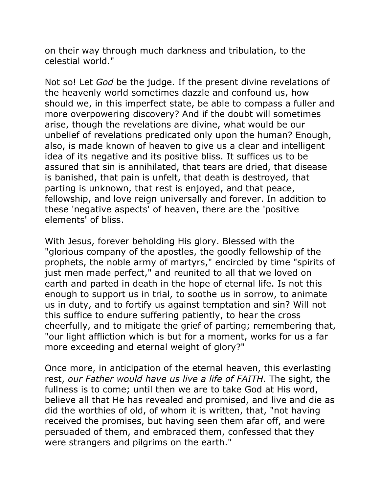on their way through much darkness and tribulation, to the celestial world."

Not so! Let *God* be the judge. If the present divine revelations of the heavenly world sometimes dazzle and confound us, how should we, in this imperfect state, be able to compass a fuller and more overpowering discovery? And if the doubt will sometimes arise, though the revelations are divine, what would be our unbelief of revelations predicated only upon the human? Enough, also, is made known of heaven to give us a clear and intelligent idea of its negative and its positive bliss. It suffices us to be assured that sin is annihilated, that tears are dried, that disease is banished, that pain is unfelt, that death is destroyed, that parting is unknown, that rest is enjoyed, and that peace, fellowship, and love reign universally and forever. In addition to these 'negative aspects' of heaven, there are the 'positive elements' of bliss.

With Jesus, forever beholding His glory. Blessed with the "glorious company of the apostles, the goodly fellowship of the prophets, the noble army of martyrs," encircled by time "spirits of just men made perfect," and reunited to all that we loved on earth and parted in death in the hope of eternal life. Is not this enough to support us in trial, to soothe us in sorrow, to animate us in duty, and to fortify us against temptation and sin? Will not this suffice to endure suffering patiently, to hear the cross cheerfully, and to mitigate the grief of parting; remembering that, "our light affliction which is but for a moment, works for us a far more exceeding and eternal weight of glory?"

Once more, in anticipation of the eternal heaven, this everlasting rest, *our Father would have us live a life of FAITH.* The sight, the fullness is to come; until then we are to take God at His word, believe all that He has revealed and promised, and live and die as did the worthies of old, of whom it is written, that, "not having received the promises, but having seen them afar off, and were persuaded of them, and embraced them, confessed that they were strangers and pilgrims on the earth."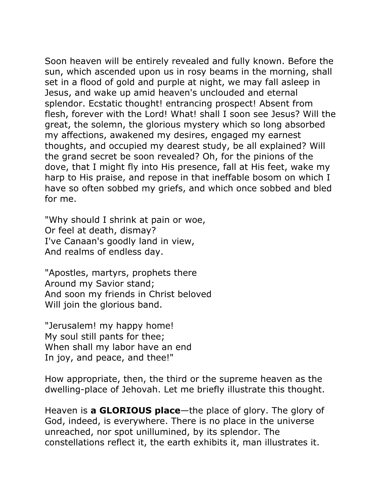Soon heaven will be entirely revealed and fully known. Before the sun, which ascended upon us in rosy beams in the morning, shall set in a flood of gold and purple at night, we may fall asleep in Jesus, and wake up amid heaven's unclouded and eternal splendor. Ecstatic thought! entrancing prospect! Absent from flesh, forever with the Lord! What! shall I soon see Jesus? Will the great, the solemn, the glorious mystery which so long absorbed my affections, awakened my desires, engaged my earnest thoughts, and occupied my dearest study, be all explained? Will the grand secret be soon revealed? Oh, for the pinions of the dove, that I might fly into His presence, fall at His feet, wake my harp to His praise, and repose in that ineffable bosom on which I have so often sobbed my griefs, and which once sobbed and bled for me.

"Why should I shrink at pain or woe, Or feel at death, dismay? I've Canaan's goodly land in view, And realms of endless day.

"Apostles, martyrs, prophets there Around my Savior stand; And soon my friends in Christ beloved Will join the glorious band.

"Jerusalem! my happy home! My soul still pants for thee; When shall my labor have an end In joy, and peace, and thee!"

How appropriate, then, the third or the supreme heaven as the dwelling-place of Jehovah. Let me briefly illustrate this thought.

Heaven is **a GLORIOUS place**—the place of glory. The glory of God, indeed, is everywhere. There is no place in the universe unreached, nor spot unillumined, by its splendor. The constellations reflect it, the earth exhibits it, man illustrates it.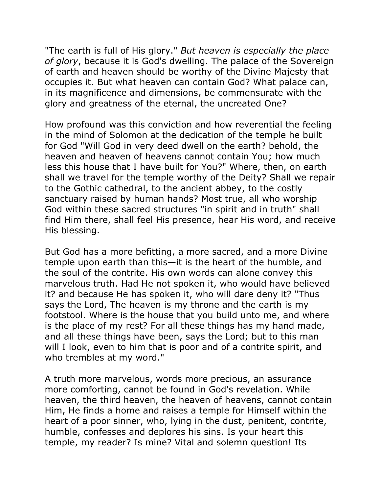"The earth is full of His glory." *But heaven is especially the place of glory*, because it is God's dwelling. The palace of the Sovereign of earth and heaven should be worthy of the Divine Majesty that occupies it. But what heaven can contain God? What palace can, in its magnificence and dimensions, be commensurate with the glory and greatness of the eternal, the uncreated One?

How profound was this conviction and how reverential the feeling in the mind of Solomon at the dedication of the temple he built for God "Will God in very deed dwell on the earth? behold, the heaven and heaven of heavens cannot contain You; how much less this house that I have built for You?" Where, then, on earth shall we travel for the temple worthy of the Deity? Shall we repair to the Gothic cathedral, to the ancient abbey, to the costly sanctuary raised by human hands? Most true, all who worship God within these sacred structures "in spirit and in truth" shall find Him there, shall feel His presence, hear His word, and receive His blessing.

But God has a more befitting, a more sacred, and a more Divine temple upon earth than this—it is the heart of the humble, and the soul of the contrite. His own words can alone convey this marvelous truth. Had He not spoken it, who would have believed it? and because He has spoken it, who will dare deny it? "Thus says the Lord, The heaven is my throne and the earth is my footstool. Where is the house that you build unto me, and where is the place of my rest? For all these things has my hand made, and all these things have been, says the Lord; but to this man will I look, even to him that is poor and of a contrite spirit, and who trembles at my word."

A truth more marvelous, words more precious, an assurance more comforting, cannot be found in God's revelation. While heaven, the third heaven, the heaven of heavens, cannot contain Him, He finds a home and raises a temple for Himself within the heart of a poor sinner, who, lying in the dust, penitent, contrite, humble, confesses and deplores his sins. Is your heart this temple, my reader? Is mine? Vital and solemn question! Its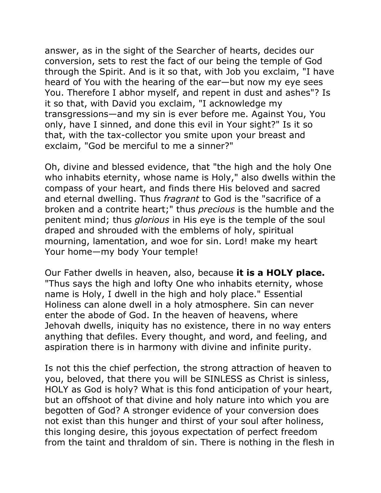answer, as in the sight of the Searcher of hearts, decides our conversion, sets to rest the fact of our being the temple of God through the Spirit. And is it so that, with Job you exclaim, "I have heard of You with the hearing of the ear—but now my eye sees You. Therefore I abhor myself, and repent in dust and ashes"? Is it so that, with David you exclaim, "I acknowledge my transgressions—and my sin is ever before me. Against You, You only, have I sinned, and done this evil in Your sight?" Is it so that, with the tax-collector you smite upon your breast and exclaim, "God be merciful to me a sinner?"

Oh, divine and blessed evidence, that "the high and the holy One who inhabits eternity, whose name is Holy," also dwells within the compass of your heart, and finds there His beloved and sacred and eternal dwelling. Thus *fragrant* to God is the "sacrifice of a broken and a contrite heart;" thus *precious* is the humble and the penitent mind; thus *glorious* in His eye is the temple of the soul draped and shrouded with the emblems of holy, spiritual mourning, lamentation, and woe for sin. Lord! make my heart Your home—my body Your temple!

Our Father dwells in heaven, also, because **it is a HOLY place.** "Thus says the high and lofty One who inhabits eternity, whose name is Holy, I dwell in the high and holy place." Essential Holiness can alone dwell in a holy atmosphere. Sin can never enter the abode of God. In the heaven of heavens, where Jehovah dwells, iniquity has no existence, there in no way enters anything that defiles. Every thought, and word, and feeling, and aspiration there is in harmony with divine and infinite purity.

Is not this the chief perfection, the strong attraction of heaven to you, beloved, that there you will be SINLESS as Christ is sinless, HOLY as God is holy? What is this fond anticipation of your heart, but an offshoot of that divine and holy nature into which you are begotten of God? A stronger evidence of your conversion does not exist than this hunger and thirst of your soul after holiness, this longing desire, this joyous expectation of perfect freedom from the taint and thraldom of sin. There is nothing in the flesh in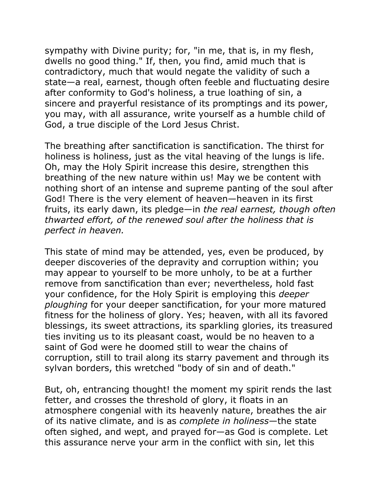sympathy with Divine purity; for, "in me, that is, in my flesh, dwells no good thing." If, then, you find, amid much that is contradictory, much that would negate the validity of such a state—a real, earnest, though often feeble and fluctuating desire after conformity to God's holiness, a true loathing of sin, a sincere and prayerful resistance of its promptings and its power, you may, with all assurance, write yourself as a humble child of God, a true disciple of the Lord Jesus Christ.

The breathing after sanctification is sanctification. The thirst for holiness is holiness, just as the vital heaving of the lungs is life. Oh, may the Holy Spirit increase this desire, strengthen this breathing of the new nature within us! May we be content with nothing short of an intense and supreme panting of the soul after God! There is the very element of heaven—heaven in its first fruits, its early dawn, its pledge—in *the real earnest, though often thwarted effort, of the renewed soul after the holiness that is perfect in heaven.* 

This state of mind may be attended, yes, even be produced, by deeper discoveries of the depravity and corruption within; you may appear to yourself to be more unholy, to be at a further remove from sanctification than ever; nevertheless, hold fast your confidence, for the Holy Spirit is employing this *deeper ploughing* for your deeper sanctification, for your more matured fitness for the holiness of glory. Yes; heaven, with all its favored blessings, its sweet attractions, its sparkling glories, its treasured ties inviting us to its pleasant coast, would be no heaven to a saint of God were he doomed still to wear the chains of corruption, still to trail along its starry pavement and through its sylvan borders, this wretched "body of sin and of death."

But, oh, entrancing thought! the moment my spirit rends the last fetter, and crosses the threshold of glory, it floats in an atmosphere congenial with its heavenly nature, breathes the air of its native climate, and is as *complete in holiness*—the state often sighed, and wept, and prayed for—as God is complete. Let this assurance nerve your arm in the conflict with sin, let this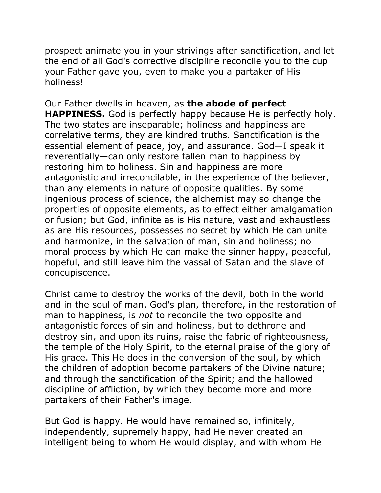prospect animate you in your strivings after sanctification, and let the end of all God's corrective discipline reconcile you to the cup your Father gave you, even to make you a partaker of His holiness!

## Our Father dwells in heaven, as **the abode of perfect**

**HAPPINESS.** God is perfectly happy because He is perfectly holy. The two states are inseparable; holiness and happiness are correlative terms, they are kindred truths. Sanctification is the essential element of peace, joy, and assurance. God—I speak it reverentially—can only restore fallen man to happiness by restoring him to holiness. Sin and happiness are more antagonistic and irreconcilable, in the experience of the believer, than any elements in nature of opposite qualities. By some ingenious process of science, the alchemist may so change the properties of opposite elements, as to effect either amalgamation or fusion; but God, infinite as is His nature, vast and exhaustless as are His resources, possesses no secret by which He can unite and harmonize, in the salvation of man, sin and holiness; no moral process by which He can make the sinner happy, peaceful, hopeful, and still leave him the vassal of Satan and the slave of concupiscence.

Christ came to destroy the works of the devil, both in the world and in the soul of man. God's plan, therefore, in the restoration of man to happiness, is *not* to reconcile the two opposite and antagonistic forces of sin and holiness, but to dethrone and destroy sin, and upon its ruins, raise the fabric of righteousness, the temple of the Holy Spirit, to the eternal praise of the glory of His grace. This He does in the conversion of the soul, by which the children of adoption become partakers of the Divine nature; and through the sanctification of the Spirit; and the hallowed discipline of affliction, by which they become more and more partakers of their Father's image.

But God is happy. He would have remained so, infinitely, independently, supremely happy, had He never created an intelligent being to whom He would display, and with whom He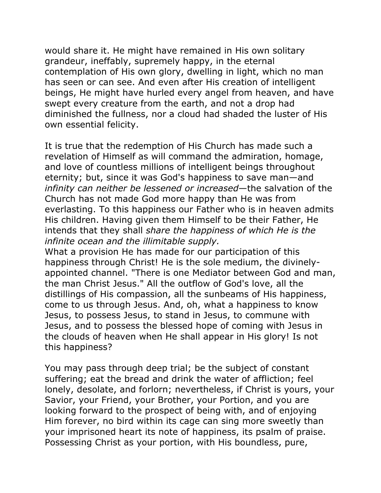would share it. He might have remained in His own solitary grandeur, ineffably, supremely happy, in the eternal contemplation of His own glory, dwelling in light, which no man has seen or can see. And even after His creation of intelligent beings, He might have hurled every angel from heaven, and have swept every creature from the earth, and not a drop had diminished the fullness, nor a cloud had shaded the luster of His own essential felicity.

It is true that the redemption of His Church has made such a revelation of Himself as will command the admiration, homage, and love of countless millions of intelligent beings throughout eternity; but, since it was God's happiness to save man—and *infinity can neither be lessened or increased*—the salvation of the Church has not made God more happy than He was from everlasting. To this happiness our Father who is in heaven admits His children. Having given them Himself to be their Father, He intends that they shall *share the happiness of which He is the infinite ocean and the illimitable supply.* 

What a provision He has made for our participation of this happiness through Christ! He is the sole medium, the divinelyappointed channel. "There is one Mediator between God and man, the man Christ Jesus." All the outflow of God's love, all the distillings of His compassion, all the sunbeams of His happiness, come to us through Jesus. And, oh, what a happiness to know Jesus, to possess Jesus, to stand in Jesus, to commune with Jesus, and to possess the blessed hope of coming with Jesus in the clouds of heaven when He shall appear in His glory! Is not this happiness?

You may pass through deep trial; be the subject of constant suffering; eat the bread and drink the water of affliction; feel lonely, desolate, and forlorn; nevertheless, if Christ is yours, your Savior, your Friend, your Brother, your Portion, and you are looking forward to the prospect of being with, and of enjoying Him forever, no bird within its cage can sing more sweetly than your imprisoned heart its note of happiness, its psalm of praise. Possessing Christ as your portion, with His boundless, pure,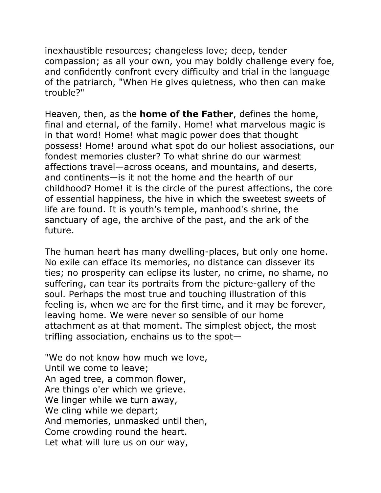inexhaustible resources; changeless love; deep, tender compassion; as all your own, you may boldly challenge every foe, and confidently confront every difficulty and trial in the language of the patriarch, "When He gives quietness, who then can make trouble?"

Heaven, then, as the **home of the Father**, defines the home, final and eternal, of the family. Home! what marvelous magic is in that word! Home! what magic power does that thought possess! Home! around what spot do our holiest associations, our fondest memories cluster? To what shrine do our warmest affections travel—across oceans, and mountains, and deserts, and continents—is it not the home and the hearth of our childhood? Home! it is the circle of the purest affections, the core of essential happiness, the hive in which the sweetest sweets of life are found. It is youth's temple, manhood's shrine, the sanctuary of age, the archive of the past, and the ark of the future.

The human heart has many dwelling-places, but only one home. No exile can efface its memories, no distance can dissever its ties; no prosperity can eclipse its luster, no crime, no shame, no suffering, can tear its portraits from the picture-gallery of the soul. Perhaps the most true and touching illustration of this feeling is, when we are for the first time, and it may be forever, leaving home. We were never so sensible of our home attachment as at that moment. The simplest object, the most trifling association, enchains us to the spot—

"We do not know how much we love, Until we come to leave; An aged tree, a common flower, Are things o'er which we grieve. We linger while we turn away, We cling while we depart; And memories, unmasked until then, Come crowding round the heart. Let what will lure us on our way,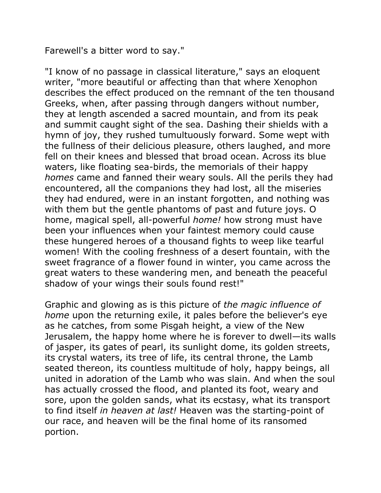Farewell's a bitter word to say."

"I know of no passage in classical literature," says an eloquent writer, "more beautiful or affecting than that where Xenophon describes the effect produced on the remnant of the ten thousand Greeks, when, after passing through dangers without number, they at length ascended a sacred mountain, and from its peak and summit caught sight of the sea. Dashing their shields with a hymn of joy, they rushed tumultuously forward. Some wept with the fullness of their delicious pleasure, others laughed, and more fell on their knees and blessed that broad ocean. Across its blue waters, like floating sea-birds, the memorials of their happy *homes* came and fanned their weary souls. All the perils they had encountered, all the companions they had lost, all the miseries they had endured, were in an instant forgotten, and nothing was with them but the gentle phantoms of past and future joys. O home, magical spell, all-powerful *home!* how strong must have been your influences when your faintest memory could cause these hungered heroes of a thousand fights to weep like tearful women! With the cooling freshness of a desert fountain, with the sweet fragrance of a flower found in winter, you came across the great waters to these wandering men, and beneath the peaceful shadow of your wings their souls found rest!"

Graphic and glowing as is this picture of *the magic influence of home* upon the returning exile, it pales before the believer's eye as he catches, from some Pisgah height, a view of the New Jerusalem, the happy home where he is forever to dwell—its walls of jasper, its gates of pearl, its sunlight dome, its golden streets, its crystal waters, its tree of life, its central throne, the Lamb seated thereon, its countless multitude of holy, happy beings, all united in adoration of the Lamb who was slain. And when the soul has actually crossed the flood, and planted its foot, weary and sore, upon the golden sands, what its ecstasy, what its transport to find itself *in heaven at last!* Heaven was the starting-point of our race, and heaven will be the final home of its ransomed portion.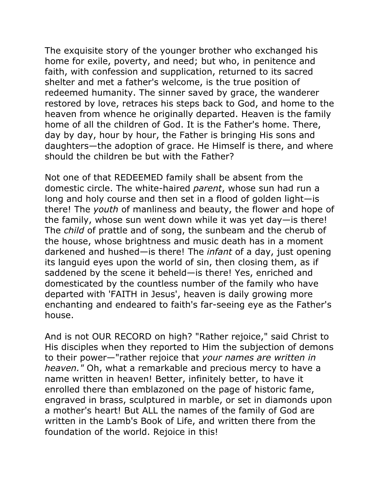The exquisite story of the younger brother who exchanged his home for exile, poverty, and need; but who, in penitence and faith, with confession and supplication, returned to its sacred shelter and met a father's welcome, is the true position of redeemed humanity. The sinner saved by grace, the wanderer restored by love, retraces his steps back to God, and home to the heaven from whence he originally departed. Heaven is the family home of all the children of God. It is the Father's home. There, day by day, hour by hour, the Father is bringing His sons and daughters—the adoption of grace. He Himself is there, and where should the children be but with the Father?

Not one of that REDEEMED family shall be absent from the domestic circle. The white-haired *parent*, whose sun had run a long and holy course and then set in a flood of golden light—is there! The *youth* of manliness and beauty, the flower and hope of the family, whose sun went down while it was yet day—is there! The *child* of prattle and of song, the sunbeam and the cherub of the house, whose brightness and music death has in a moment darkened and hushed—is there! The *infant* of a day, just opening its languid eyes upon the world of sin, then closing them, as if saddened by the scene it beheld—is there! Yes, enriched and domesticated by the countless number of the family who have departed with 'FAITH in Jesus', heaven is daily growing more enchanting and endeared to faith's far-seeing eye as the Father's house.

And is not OUR RECORD on high? "Rather rejoice," said Christ to His disciples when they reported to Him the subjection of demons to their power—"rather rejoice that *your names are written in heaven."* Oh, what a remarkable and precious mercy to have a name written in heaven! Better, infinitely better, to have it enrolled there than emblazoned on the page of historic fame, engraved in brass, sculptured in marble, or set in diamonds upon a mother's heart! But ALL the names of the family of God are written in the Lamb's Book of Life, and written there from the foundation of the world. Rejoice in this!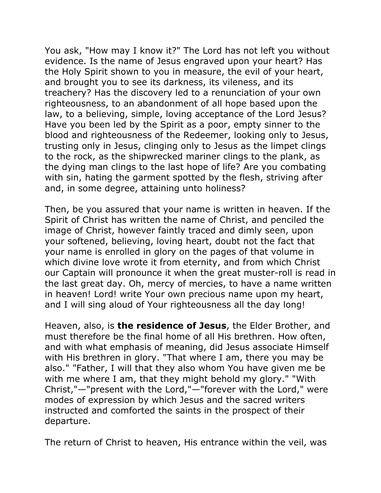You ask, "How may I know it?" The Lord has not left you without evidence. Is the name of Jesus engraved upon your heart? Has the Holy Spirit shown to you in measure, the evil of your heart, and brought you to see its darkness, its vileness, and its treachery? Has the discovery led to a renunciation of your own righteousness, to an abandonment of all hope based upon the law, to a believing, simple, loving acceptance of the Lord Jesus? Have you been led by the Spirit as a poor, empty sinner to the blood and righteousness of the Redeemer, looking only to Jesus, trusting only in Jesus, clinging only to Jesus as the limpet clings to the rock, as the shipwrecked mariner clings to the plank, as the dying man clings to the last hope of life? Are you combating with sin, hating the garment spotted by the flesh, striving after and, in some degree, attaining unto holiness?

Then, be you assured that your name is written in heaven. If the Spirit of Christ has written the name of Christ, and penciled the image of Christ, however faintly traced and dimly seen, upon your softened, believing, loving heart, doubt not the fact that your name is enrolled in glory on the pages of that volume in which divine love wrote it from eternity, and from which Christ our Captain will pronounce it when the great muster-roll is read in the last great day. Oh, mercy of mercies, to have a name written in heaven! Lord! write Your own precious name upon my heart, and I will sing aloud of Your righteousness all the day long!

Heaven, also, is **the residence of Jesus**, the Elder Brother, and must therefore be the final home of all His brethren. How often, and with what emphasis of meaning, did Jesus associate Himself with His brethren in glory. "That where I am, there you may be also." "Father, I will that they also whom You have given me be with me where I am, that they might behold my glory." "With Christ,"—"present with the Lord,"—"forever with the Lord," were modes of expression by which Jesus and the sacred writers instructed and comforted the saints in the prospect of their departure.

The return of Christ to heaven, His entrance within the veil, was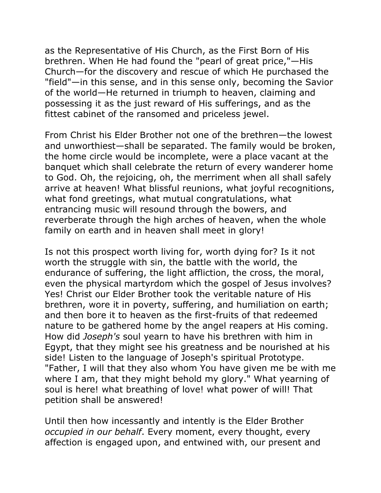as the Representative of His Church, as the First Born of His brethren. When He had found the "pearl of great price,"—His Church—for the discovery and rescue of which He purchased the "field"—in this sense, and in this sense only, becoming the Savior of the world—He returned in triumph to heaven, claiming and possessing it as the just reward of His sufferings, and as the fittest cabinet of the ransomed and priceless jewel.

From Christ his Elder Brother not one of the brethren—the lowest and unworthiest—shall be separated. The family would be broken, the home circle would be incomplete, were a place vacant at the banquet which shall celebrate the return of every wanderer home to God. Oh, the rejoicing, oh, the merriment when all shall safely arrive at heaven! What blissful reunions, what joyful recognitions, what fond greetings, what mutual congratulations, what entrancing music will resound through the bowers, and reverberate through the high arches of heaven, when the whole family on earth and in heaven shall meet in glory!

Is not this prospect worth living for, worth dying for? Is it not worth the struggle with sin, the battle with the world, the endurance of suffering, the light affliction, the cross, the moral, even the physical martyrdom which the gospel of Jesus involves? Yes! Christ our Elder Brother took the veritable nature of His brethren, wore it in poverty, suffering, and humiliation on earth; and then bore it to heaven as the first-fruits of that redeemed nature to be gathered home by the angel reapers at His coming. How did *Joseph's* soul yearn to have his brethren with him in Egypt, that they might see his greatness and be nourished at his side! Listen to the language of Joseph's spiritual Prototype. "Father, I will that they also whom You have given me be with me where I am, that they might behold my glory." What yearning of soul is here! what breathing of love! what power of will! That petition shall be answered!

Until then how incessantly and intently is the Elder Brother *occupied in our behalf*. Every moment, every thought, every affection is engaged upon, and entwined with, our present and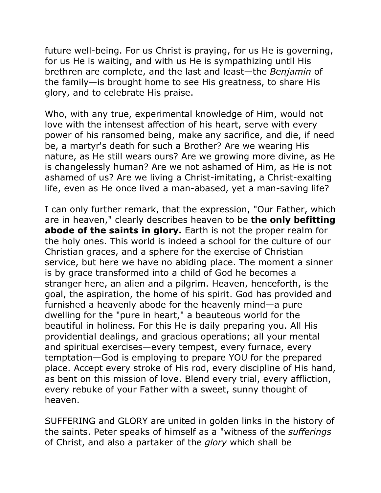future well-being. For us Christ is praying, for us He is governing, for us He is waiting, and with us He is sympathizing until His brethren are complete, and the last and least—the *Benjamin* of the family—is brought home to see His greatness, to share His glory, and to celebrate His praise.

Who, with any true, experimental knowledge of Him, would not love with the intensest affection of his heart, serve with every power of his ransomed being, make any sacrifice, and die, if need be, a martyr's death for such a Brother? Are we wearing His nature, as He still wears ours? Are we growing more divine, as He is changelessly human? Are we not ashamed of Him, as He is not ashamed of us? Are we living a Christ-imitating, a Christ-exalting life, even as He once lived a man-abased, yet a man-saving life?

I can only further remark, that the expression, "Our Father, which are in heaven," clearly describes heaven to be **the only befitting abode of the saints in glory.** Earth is not the proper realm for the holy ones. This world is indeed a school for the culture of our Christian graces, and a sphere for the exercise of Christian service, but here we have no abiding place. The moment a sinner is by grace transformed into a child of God he becomes a stranger here, an alien and a pilgrim. Heaven, henceforth, is the goal, the aspiration, the home of his spirit. God has provided and furnished a heavenly abode for the heavenly mind—a pure dwelling for the "pure in heart," a beauteous world for the beautiful in holiness. For this He is daily preparing you. All His providential dealings, and gracious operations; all your mental and spiritual exercises—every tempest, every furnace, every temptation—God is employing to prepare YOU for the prepared place. Accept every stroke of His rod, every discipline of His hand, as bent on this mission of love. Blend every trial, every affliction, every rebuke of your Father with a sweet, sunny thought of heaven.

SUFFERING and GLORY are united in golden links in the history of the saints. Peter speaks of himself as a "witness of the *sufferings* of Christ, and also a partaker of the *glory* which shall be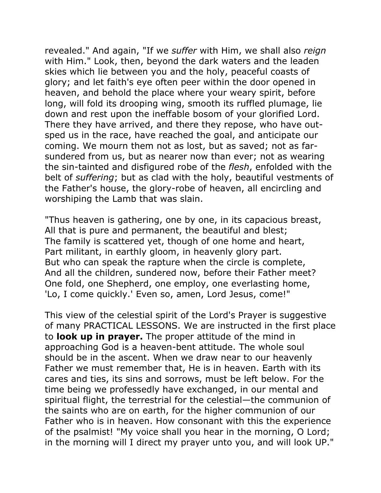revealed." And again, "If we *suffer* with Him, we shall also *reign* with Him." Look, then, beyond the dark waters and the leaden skies which lie between you and the holy, peaceful coasts of glory; and let faith's eye often peer within the door opened in heaven, and behold the place where your weary spirit, before long, will fold its drooping wing, smooth its ruffled plumage, lie down and rest upon the ineffable bosom of your glorified Lord. There they have arrived, and there they repose, who have outsped us in the race, have reached the goal, and anticipate our coming. We mourn them not as lost, but as saved; not as farsundered from us, but as nearer now than ever; not as wearing the sin-tainted and disfigured robe of the *flesh*, enfolded with the belt of *suffering*; but as clad with the holy, beautiful vestments of the Father's house, the glory-robe of heaven, all encircling and worshiping the Lamb that was slain.

"Thus heaven is gathering, one by one, in its capacious breast, All that is pure and permanent, the beautiful and blest; The family is scattered yet, though of one home and heart, Part militant, in earthly gloom, in heavenly glory part. But who can speak the rapture when the circle is complete, And all the children, sundered now, before their Father meet? One fold, one Shepherd, one employ, one everlasting home, 'Lo, I come quickly.' Even so, amen, Lord Jesus, come!"

This view of the celestial spirit of the Lord's Prayer is suggestive of many PRACTICAL LESSONS. We are instructed in the first place to **look up in prayer.** The proper attitude of the mind in approaching God is a heaven-bent attitude. The whole soul should be in the ascent. When we draw near to our heavenly Father we must remember that, He is in heaven. Earth with its cares and ties, its sins and sorrows, must be left below. For the time being we professedly have exchanged, in our mental and spiritual flight, the terrestrial for the celestial—the communion of the saints who are on earth, for the higher communion of our Father who is in heaven. How consonant with this the experience of the psalmist! "My voice shall you hear in the morning, O Lord; in the morning will I direct my prayer unto you, and will look UP."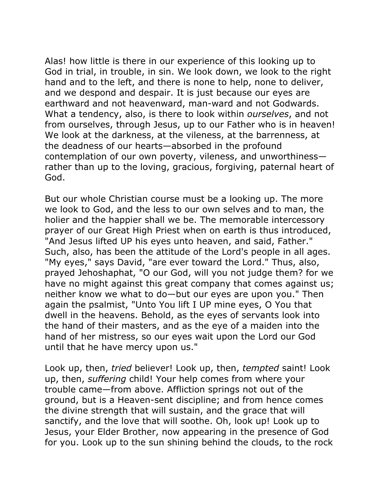Alas! how little is there in our experience of this looking up to God in trial, in trouble, in sin. We look down, we look to the right hand and to the left, and there is none to help, none to deliver, and we despond and despair. It is just because our eyes are earthward and not heavenward, man-ward and not Godwards. What a tendency, also, is there to look within *ourselves*, and not from ourselves, through Jesus, up to our Father who is in heaven! We look at the darkness, at the vileness, at the barrenness, at the deadness of our hearts—absorbed in the profound contemplation of our own poverty, vileness, and unworthiness rather than up to the loving, gracious, forgiving, paternal heart of God.

But our whole Christian course must be a looking up. The more we look to God, and the less to our own selves and to man, the holier and the happier shall we be. The memorable intercessory prayer of our Great High Priest when on earth is thus introduced, "And Jesus lifted UP his eyes unto heaven, and said, Father." Such, also, has been the attitude of the Lord's people in all ages. "My eyes," says David, "are ever toward the Lord." Thus, also, prayed Jehoshaphat, "O our God, will you not judge them? for we have no might against this great company that comes against us; neither know we what to do—but our eyes are upon you." Then again the psalmist, "Unto You lift I UP mine eyes, O You that dwell in the heavens. Behold, as the eyes of servants look into the hand of their masters, and as the eye of a maiden into the hand of her mistress, so our eyes wait upon the Lord our God until that he have mercy upon us."

Look up, then, *tried* believer! Look up, then, *tempted* saint! Look up, then, *suffering* child! Your help comes from where your trouble came—from above. Affliction springs not out of the ground, but is a Heaven-sent discipline; and from hence comes the divine strength that will sustain, and the grace that will sanctify, and the love that will soothe. Oh, look up! Look up to Jesus, your Elder Brother, now appearing in the presence of God for you. Look up to the sun shining behind the clouds, to the rock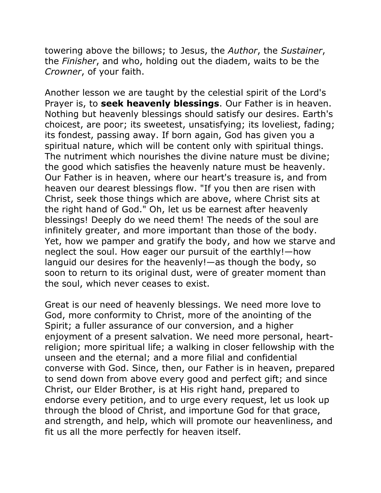towering above the billows; to Jesus, the *Author*, the *Sustainer*, the *Finisher*, and who, holding out the diadem, waits to be the *Crowner*, of your faith.

Another lesson we are taught by the celestial spirit of the Lord's Prayer is, to **seek heavenly blessings**. Our Father is in heaven. Nothing but heavenly blessings should satisfy our desires. Earth's choicest, are poor; its sweetest, unsatisfying; its loveliest, fading; its fondest, passing away. If born again, God has given you a spiritual nature, which will be content only with spiritual things. The nutriment which nourishes the divine nature must be divine; the good which satisfies the heavenly nature must be heavenly. Our Father is in heaven, where our heart's treasure is, and from heaven our dearest blessings flow. "If you then are risen with Christ, seek those things which are above, where Christ sits at the right hand of God." Oh, let us be earnest after heavenly blessings! Deeply do we need them! The needs of the soul are infinitely greater, and more important than those of the body. Yet, how we pamper and gratify the body, and how we starve and neglect the soul. How eager our pursuit of the earthly!—how languid our desires for the heavenly!—as though the body, so soon to return to its original dust, were of greater moment than the soul, which never ceases to exist.

Great is our need of heavenly blessings. We need more love to God, more conformity to Christ, more of the anointing of the Spirit; a fuller assurance of our conversion, and a higher enjoyment of a present salvation. We need more personal, heartreligion; more spiritual life; a walking in closer fellowship with the unseen and the eternal; and a more filial and confidential converse with God. Since, then, our Father is in heaven, prepared to send down from above every good and perfect gift; and since Christ, our Elder Brother, is at His right hand, prepared to endorse every petition, and to urge every request, let us look up through the blood of Christ, and importune God for that grace, and strength, and help, which will promote our heavenliness, and fit us all the more perfectly for heaven itself.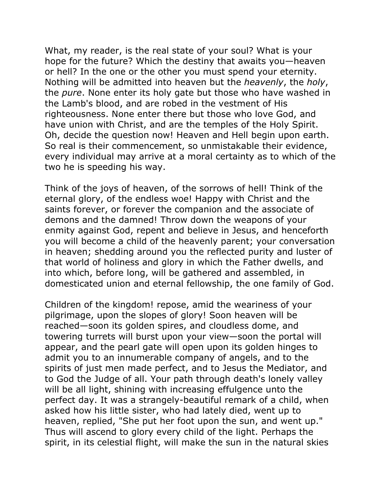What, my reader, is the real state of your soul? What is your hope for the future? Which the destiny that awaits you—heaven or hell? In the one or the other you must spend your eternity. Nothing will be admitted into heaven but the *heavenly*, the *holy*, the *pure*. None enter its holy gate but those who have washed in the Lamb's blood, and are robed in the vestment of His righteousness. None enter there but those who love God, and have union with Christ, and are the temples of the Holy Spirit. Oh, decide the question now! Heaven and Hell begin upon earth. So real is their commencement, so unmistakable their evidence, every individual may arrive at a moral certainty as to which of the two he is speeding his way.

Think of the joys of heaven, of the sorrows of hell! Think of the eternal glory, of the endless woe! Happy with Christ and the saints forever, or forever the companion and the associate of demons and the damned! Throw down the weapons of your enmity against God, repent and believe in Jesus, and henceforth you will become a child of the heavenly parent; your conversation in heaven; shedding around you the reflected purity and luster of that world of holiness and glory in which the Father dwells, and into which, before long, will be gathered and assembled, in domesticated union and eternal fellowship, the one family of God.

Children of the kingdom! repose, amid the weariness of your pilgrimage, upon the slopes of glory! Soon heaven will be reached—soon its golden spires, and cloudless dome, and towering turrets will burst upon your view—soon the portal will appear, and the pearl gate will open upon its golden hinges to admit you to an innumerable company of angels, and to the spirits of just men made perfect, and to Jesus the Mediator, and to God the Judge of all. Your path through death's lonely valley will be all light, shining with increasing effulgence unto the perfect day. It was a strangely-beautiful remark of a child, when asked how his little sister, who had lately died, went up to heaven, replied, "She put her foot upon the sun, and went up." Thus will ascend to glory every child of the light. Perhaps the spirit, in its celestial flight, will make the sun in the natural skies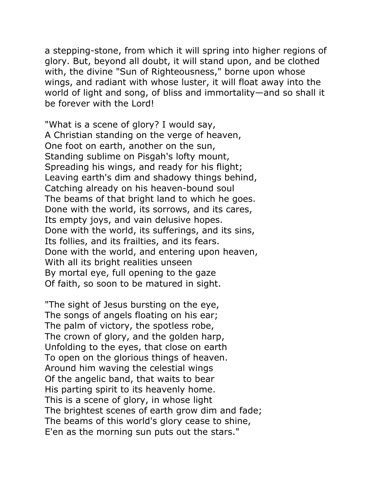a stepping-stone, from which it will spring into higher regions of glory. But, beyond all doubt, it will stand upon, and be clothed with, the divine "Sun of Righteousness," borne upon whose wings, and radiant with whose luster, it will float away into the world of light and song, of bliss and immortality—and so shall it be forever with the Lord!

"What is a scene of glory? I would say, A Christian standing on the verge of heaven, One foot on earth, another on the sun, Standing sublime on Pisgah's lofty mount, Spreading his wings, and ready for his flight; Leaving earth's dim and shadowy things behind, Catching already on his heaven-bound soul The beams of that bright land to which he goes. Done with the world, its sorrows, and its cares, Its empty joys, and vain delusive hopes. Done with the world, its sufferings, and its sins, Its follies, and its frailties, and its fears. Done with the world, and entering upon heaven, With all its bright realities unseen By mortal eye, full opening to the gaze Of faith, so soon to be matured in sight.

"The sight of Jesus bursting on the eye, The songs of angels floating on his ear; The palm of victory, the spotless robe, The crown of glory, and the golden harp, Unfolding to the eyes, that close on earth To open on the glorious things of heaven. Around him waving the celestial wings Of the angelic band, that waits to bear His parting spirit to its heavenly home. This is a scene of glory, in whose light The brightest scenes of earth grow dim and fade; The beams of this world's glory cease to shine, E'en as the morning sun puts out the stars."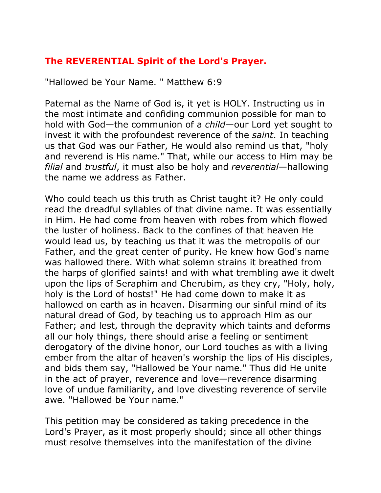## **The REVERENTIAL Spirit of the Lord's Prayer.**

"Hallowed be Your Name. " Matthew 6:9

Paternal as the Name of God is, it yet is HOLY. Instructing us in the most intimate and confiding communion possible for man to hold with God—the communion of a *child*—our Lord yet sought to invest it with the profoundest reverence of the *saint*. In teaching us that God was our Father, He would also remind us that, "holy and reverend is His name." That, while our access to Him may be *filial* and *trustful*, it must also be holy and *reverential*—hallowing the name we address as Father.

Who could teach us this truth as Christ taught it? He only could read the dreadful syllables of that divine name. It was essentially in Him. He had come from heaven with robes from which flowed the luster of holiness. Back to the confines of that heaven He would lead us, by teaching us that it was the metropolis of our Father, and the great center of purity. He knew how God's name was hallowed there. With what solemn strains it breathed from the harps of glorified saints! and with what trembling awe it dwelt upon the lips of Seraphim and Cherubim, as they cry, "Holy, holy, holy is the Lord of hosts!" He had come down to make it as hallowed on earth as in heaven. Disarming our sinful mind of its natural dread of God, by teaching us to approach Him as our Father; and lest, through the depravity which taints and deforms all our holy things, there should arise a feeling or sentiment derogatory of the divine honor, our Lord touches as with a living ember from the altar of heaven's worship the lips of His disciples, and bids them say, "Hallowed be Your name." Thus did He unite in the act of prayer, reverence and love—reverence disarming love of undue familiarity, and love divesting reverence of servile awe. "Hallowed be Your name."

This petition may be considered as taking precedence in the Lord's Prayer, as it most properly should; since all other things must resolve themselves into the manifestation of the divine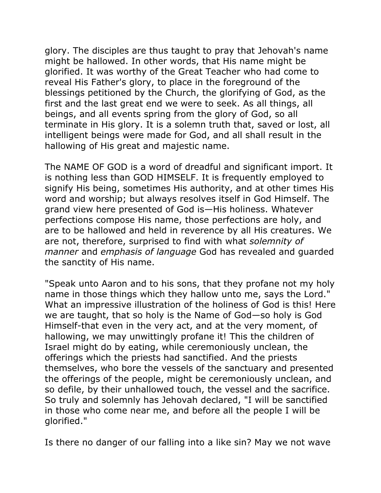glory. The disciples are thus taught to pray that Jehovah's name might be hallowed. In other words, that His name might be glorified. It was worthy of the Great Teacher who had come to reveal His Father's glory, to place in the foreground of the blessings petitioned by the Church, the glorifying of God, as the first and the last great end we were to seek. As all things, all beings, and all events spring from the glory of God, so all terminate in His glory. It is a solemn truth that, saved or lost, all intelligent beings were made for God, and all shall result in the hallowing of His great and majestic name.

The NAME OF GOD is a word of dreadful and significant import. It is nothing less than GOD HIMSELF. It is frequently employed to signify His being, sometimes His authority, and at other times His word and worship; but always resolves itself in God Himself. The grand view here presented of God is—His holiness. Whatever perfections compose His name, those perfections are holy, and are to be hallowed and held in reverence by all His creatures. We are not, therefore, surprised to find with what *solemnity of manner* and *emphasis of language* God has revealed and guarded the sanctity of His name.

"Speak unto Aaron and to his sons, that they profane not my holy name in those things which they hallow unto me, says the Lord." What an impressive illustration of the holiness of God is this! Here we are taught, that so holy is the Name of God—so holy is God Himself-that even in the very act, and at the very moment, of hallowing, we may unwittingly profane it! This the children of Israel might do by eating, while ceremoniously unclean, the offerings which the priests had sanctified. And the priests themselves, who bore the vessels of the sanctuary and presented the offerings of the people, might be ceremoniously unclean, and so defile, by their unhallowed touch, the vessel and the sacrifice. So truly and solemnly has Jehovah declared, "I will be sanctified in those who come near me, and before all the people I will be glorified."

Is there no danger of our falling into a like sin? May we not wave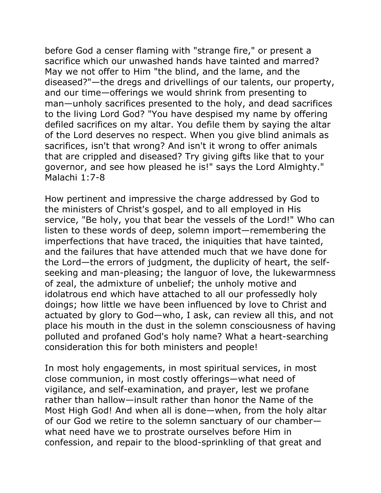before God a censer flaming with "strange fire," or present a sacrifice which our unwashed hands have tainted and marred? May we not offer to Him "the blind, and the lame, and the diseased?"—the dregs and drivellings of our talents, our property, and our time—offerings we would shrink from presenting to man—unholy sacrifices presented to the holy, and dead sacrifices to the living Lord God? "You have despised my name by offering defiled sacrifices on my altar. You defile them by saying the altar of the Lord deserves no respect. When you give blind animals as sacrifices, isn't that wrong? And isn't it wrong to offer animals that are crippled and diseased? Try giving gifts like that to your governor, and see how pleased he is!" says the Lord Almighty." Malachi 1:7-8

How pertinent and impressive the charge addressed by God to the ministers of Christ's gospel, and to all employed in His service, "Be holy, you that bear the vessels of the Lord!" Who can listen to these words of deep, solemn import—remembering the imperfections that have traced, the iniquities that have tainted, and the failures that have attended much that we have done for the Lord—the errors of judgment, the duplicity of heart, the selfseeking and man-pleasing; the languor of love, the lukewarmness of zeal, the admixture of unbelief; the unholy motive and idolatrous end which have attached to all our professedly holy doings; how little we have been influenced by love to Christ and actuated by glory to God—who, I ask, can review all this, and not place his mouth in the dust in the solemn consciousness of having polluted and profaned God's holy name? What a heart-searching consideration this for both ministers and people!

In most holy engagements, in most spiritual services, in most close communion, in most costly offerings—what need of vigilance, and self-examination, and prayer, lest we profane rather than hallow—insult rather than honor the Name of the Most High God! And when all is done—when, from the holy altar of our God we retire to the solemn sanctuary of our chamber what need have we to prostrate ourselves before Him in confession, and repair to the blood-sprinkling of that great and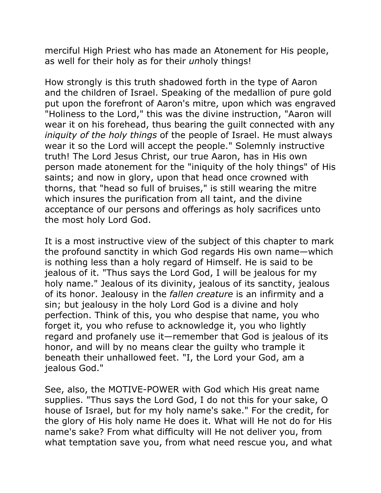merciful High Priest who has made an Atonement for His people, as well for their holy as for their *un*holy things!

How strongly is this truth shadowed forth in the type of Aaron and the children of Israel. Speaking of the medallion of pure gold put upon the forefront of Aaron's mitre, upon which was engraved "Holiness to the Lord," this was the divine instruction, "Aaron will wear it on his forehead, thus bearing the guilt connected with any *iniquity of the holy things* of the people of Israel. He must always wear it so the Lord will accept the people." Solemnly instructive truth! The Lord Jesus Christ, our true Aaron, has in His own person made atonement for the "iniquity of the holy things" of His saints; and now in glory, upon that head once crowned with thorns, that "head so full of bruises," is still wearing the mitre which insures the purification from all taint, and the divine acceptance of our persons and offerings as holy sacrifices unto the most holy Lord God.

It is a most instructive view of the subject of this chapter to mark the profound sanctity in which God regards His own name—which is nothing less than a holy regard of Himself. He is said to be jealous of it. "Thus says the Lord God, I will be jealous for my holy name." Jealous of its divinity, jealous of its sanctity, jealous of its honor. Jealousy in the *fallen creature* is an infirmity and a sin; but jealousy in the holy Lord God is a divine and holy perfection. Think of this, you who despise that name, you who forget it, you who refuse to acknowledge it, you who lightly regard and profanely use it—remember that God is jealous of its honor, and will by no means clear the guilty who trample it beneath their unhallowed feet. "I, the Lord your God, am a jealous God."

See, also, the MOTIVE-POWER with God which His great name supplies. "Thus says the Lord God, I do not this for your sake, O house of Israel, but for my holy name's sake." For the credit, for the glory of His holy name He does it. What will He not do for His name's sake? From what difficulty will He not deliver you, from what temptation save you, from what need rescue you, and what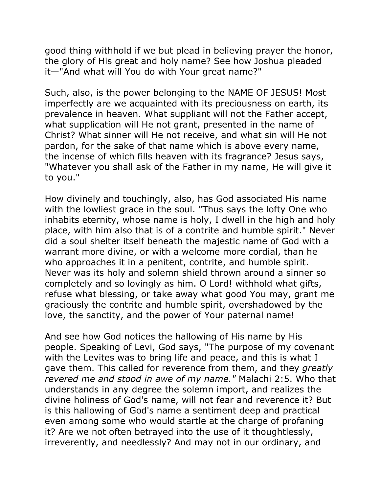good thing withhold if we but plead in believing prayer the honor, the glory of His great and holy name? See how Joshua pleaded it—"And what will You do with Your great name?"

Such, also, is the power belonging to the NAME OF JESUS! Most imperfectly are we acquainted with its preciousness on earth, its prevalence in heaven. What suppliant will not the Father accept, what supplication will He not grant, presented in the name of Christ? What sinner will He not receive, and what sin will He not pardon, for the sake of that name which is above every name, the incense of which fills heaven with its fragrance? Jesus says, "Whatever you shall ask of the Father in my name, He will give it to you."

How divinely and touchingly, also, has God associated His name with the lowliest grace in the soul. "Thus says the lofty One who inhabits eternity, whose name is holy, I dwell in the high and holy place, with him also that is of a contrite and humble spirit." Never did a soul shelter itself beneath the majestic name of God with a warrant more divine, or with a welcome more cordial, than he who approaches it in a penitent, contrite, and humble spirit. Never was its holy and solemn shield thrown around a sinner so completely and so lovingly as him. O Lord! withhold what gifts, refuse what blessing, or take away what good You may, grant me graciously the contrite and humble spirit, overshadowed by the love, the sanctity, and the power of Your paternal name!

And see how God notices the hallowing of His name by His people. Speaking of Levi, God says, "The purpose of my covenant with the Levites was to bring life and peace, and this is what I gave them. This called for reverence from them, and they *greatly revered me and stood in awe of my name."* Malachi 2:5. Who that understands in any degree the solemn import, and realizes the divine holiness of God's name, will not fear and reverence it? But is this hallowing of God's name a sentiment deep and practical even among some who would startle at the charge of profaning it? Are we not often betrayed into the use of it thoughtlessly, irreverently, and needlessly? And may not in our ordinary, and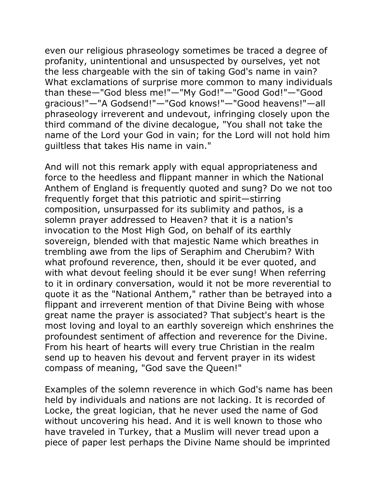even our religious phraseology sometimes be traced a degree of profanity, unintentional and unsuspected by ourselves, yet not the less chargeable with the sin of taking God's name in vain? What exclamations of surprise more common to many individuals than these—"God bless me!"—"My God!"—"Good God!"—"Good gracious!"—"A Godsend!"—"God knows!"—"Good heavens!"—all phraseology irreverent and undevout, infringing closely upon the third command of the divine decalogue, "You shall not take the name of the Lord your God in vain; for the Lord will not hold him guiltless that takes His name in vain."

And will not this remark apply with equal appropriateness and force to the heedless and flippant manner in which the National Anthem of England is frequently quoted and sung? Do we not too frequently forget that this patriotic and spirit—stirring composition, unsurpassed for its sublimity and pathos, is a solemn prayer addressed to Heaven? that it is a nation's invocation to the Most High God, on behalf of its earthly sovereign, blended with that majestic Name which breathes in trembling awe from the lips of Seraphim and Cherubim? With what profound reverence, then, should it be ever quoted, and with what devout feeling should it be ever sung! When referring to it in ordinary conversation, would it not be more reverential to quote it as the "National Anthem," rather than be betrayed into a flippant and irreverent mention of that Divine Being with whose great name the prayer is associated? That subject's heart is the most loving and loyal to an earthly sovereign which enshrines the profoundest sentiment of affection and reverence for the Divine. From his heart of hearts will every true Christian in the realm send up to heaven his devout and fervent prayer in its widest compass of meaning, "God save the Queen!"

Examples of the solemn reverence in which God's name has been held by individuals and nations are not lacking. It is recorded of Locke, the great logician, that he never used the name of God without uncovering his head. And it is well known to those who have traveled in Turkey, that a Muslim will never tread upon a piece of paper lest perhaps the Divine Name should be imprinted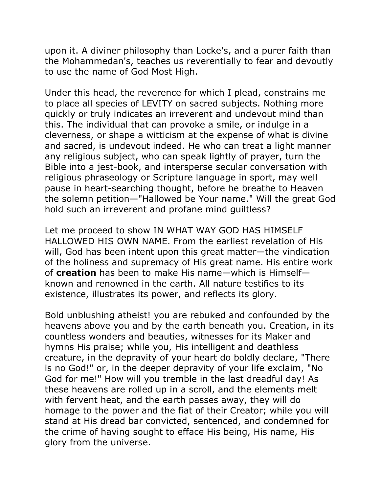upon it. A diviner philosophy than Locke's, and a purer faith than the Mohammedan's, teaches us reverentially to fear and devoutly to use the name of God Most High.

Under this head, the reverence for which I plead, constrains me to place all species of LEVITY on sacred subjects. Nothing more quickly or truly indicates an irreverent and undevout mind than this. The individual that can provoke a smile, or indulge in a cleverness, or shape a witticism at the expense of what is divine and sacred, is undevout indeed. He who can treat a light manner any religious subject, who can speak lightly of prayer, turn the Bible into a jest-book, and intersperse secular conversation with religious phraseology or Scripture language in sport, may well pause in heart-searching thought, before he breathe to Heaven the solemn petition—"Hallowed be Your name." Will the great God hold such an irreverent and profane mind guiltless?

Let me proceed to show IN WHAT WAY GOD HAS HIMSELF HALLOWED HIS OWN NAME. From the earliest revelation of His will, God has been intent upon this great matter—the vindication of the holiness and supremacy of His great name. His entire work of **creation** has been to make His name—which is Himself known and renowned in the earth. All nature testifies to its existence, illustrates its power, and reflects its glory.

Bold unblushing atheist! you are rebuked and confounded by the heavens above you and by the earth beneath you. Creation, in its countless wonders and beauties, witnesses for its Maker and hymns His praise; while you, His intelligent and deathless creature, in the depravity of your heart do boldly declare, "There is no God!" or, in the deeper depravity of your life exclaim, "No God for me!" How will you tremble in the last dreadful day! As these heavens are rolled up in a scroll, and the elements melt with fervent heat, and the earth passes away, they will do homage to the power and the fiat of their Creator; while you will stand at His dread bar convicted, sentenced, and condemned for the crime of having sought to efface His being, His name, His glory from the universe.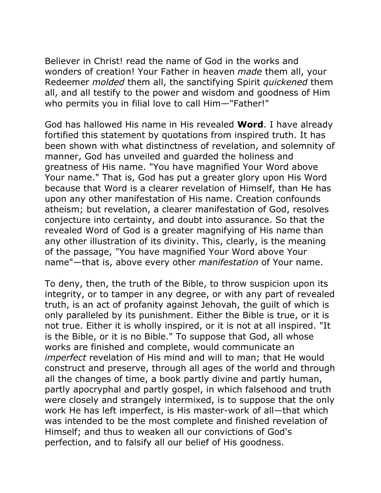Believer in Christ! read the name of God in the works and wonders of creation! Your Father in heaven *made* them all, your Redeemer *molded* them all, the sanctifying Spirit *quickened* them all, and all testify to the power and wisdom and goodness of Him who permits you in filial love to call Him—"Father!"

God has hallowed His name in His revealed **Word**. I have already fortified this statement by quotations from inspired truth. It has been shown with what distinctness of revelation, and solemnity of manner, God has unveiled and guarded the holiness and greatness of His name. "You have magnified Your Word above Your name." That is, God has put a greater glory upon His Word because that Word is a clearer revelation of Himself, than He has upon any other manifestation of His name. Creation confounds atheism; but revelation, a clearer manifestation of God, resolves conjecture into certainty, and doubt into assurance. So that the revealed Word of God is a greater magnifying of His name than any other illustration of its divinity. This, clearly, is the meaning of the passage, "You have magnified Your Word above Your name"—that is, above every other *manifestation* of Your name.

To deny, then, the truth of the Bible, to throw suspicion upon its integrity, or to tamper in any degree, or with any part of revealed truth, is an act of profanity against Jehovah, the guilt of which is only paralleled by its punishment. Either the Bible is true, or it is not true. Either it is wholly inspired, or it is not at all inspired. "It is the Bible, or it is no Bible." To suppose that God, all whose works are finished and complete, would communicate an *imperfect* revelation of His mind and will to man; that He would construct and preserve, through all ages of the world and through all the changes of time, a book partly divine and partly human, partly apocryphal and partly gospel, in which falsehood and truth were closely and strangely intermixed, is to suppose that the only work He has left imperfect, is His master-work of all—that which was intended to be the most complete and finished revelation of Himself; and thus to weaken all our convictions of God's perfection, and to falsify all our belief of His goodness.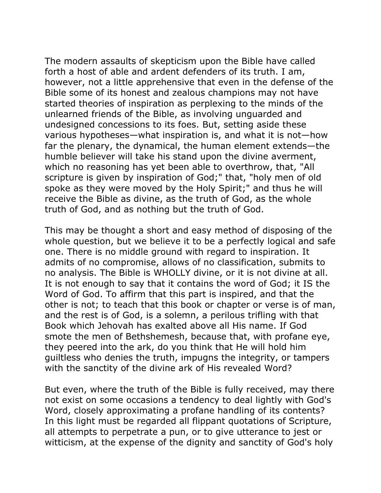The modern assaults of skepticism upon the Bible have called forth a host of able and ardent defenders of its truth. I am, however, not a little apprehensive that even in the defense of the Bible some of its honest and zealous champions may not have started theories of inspiration as perplexing to the minds of the unlearned friends of the Bible, as involving unguarded and undesigned concessions to its foes. But, setting aside these various hypotheses—what inspiration is, and what it is not—how far the plenary, the dynamical, the human element extends—the humble believer will take his stand upon the divine averment, which no reasoning has yet been able to overthrow, that, "All scripture is given by inspiration of God;" that, "holy men of old spoke as they were moved by the Holy Spirit;" and thus he will receive the Bible as divine, as the truth of God, as the whole truth of God, and as nothing but the truth of God.

This may be thought a short and easy method of disposing of the whole question, but we believe it to be a perfectly logical and safe one. There is no middle ground with regard to inspiration. It admits of no compromise, allows of no classification, submits to no analysis. The Bible is WHOLLY divine, or it is not divine at all. It is not enough to say that it contains the word of God; it IS the Word of God. To affirm that this part is inspired, and that the other is not; to teach that this book or chapter or verse is of man, and the rest is of God, is a solemn, a perilous trifling with that Book which Jehovah has exalted above all His name. If God smote the men of Bethshemesh, because that, with profane eye, they peered into the ark, do you think that He will hold him guiltless who denies the truth, impugns the integrity, or tampers with the sanctity of the divine ark of His revealed Word?

But even, where the truth of the Bible is fully received, may there not exist on some occasions a tendency to deal lightly with God's Word, closely approximating a profane handling of its contents? In this light must be regarded all flippant quotations of Scripture, all attempts to perpetrate a pun, or to give utterance to jest or witticism, at the expense of the dignity and sanctity of God's holy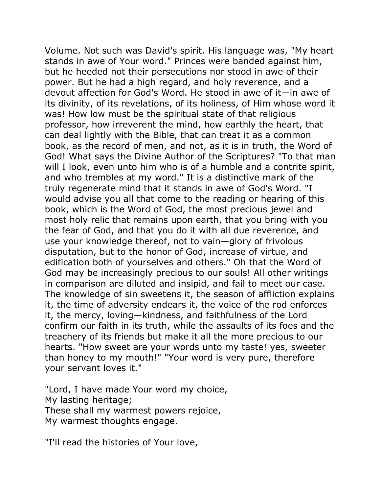Volume. Not such was David's spirit. His language was, "My heart stands in awe of Your word." Princes were banded against him, but he heeded not their persecutions nor stood in awe of their power. But he had a high regard, and holy reverence, and a devout affection for God's Word. He stood in awe of it—in awe of its divinity, of its revelations, of its holiness, of Him whose word it was! How low must be the spiritual state of that religious professor, how irreverent the mind, how earthly the heart, that can deal lightly with the Bible, that can treat it as a common book, as the record of men, and not, as it is in truth, the Word of God! What says the Divine Author of the Scriptures? "To that man will I look, even unto him who is of a humble and a contrite spirit, and who trembles at my word." It is a distinctive mark of the truly regenerate mind that it stands in awe of God's Word. "I would advise you all that come to the reading or hearing of this book, which is the Word of God, the most precious jewel and most holy relic that remains upon earth, that you bring with you the fear of God, and that you do it with all due reverence, and use your knowledge thereof, not to vain—glory of frivolous disputation, but to the honor of God, increase of virtue, and edification both of yourselves and others." Oh that the Word of God may be increasingly precious to our souls! All other writings in comparison are diluted and insipid, and fail to meet our case. The knowledge of sin sweetens it, the season of affliction explains it, the time of adversity endears it, the voice of the rod enforces it, the mercy, loving—kindness, and faithfulness of the Lord confirm our faith in its truth, while the assaults of its foes and the treachery of its friends but make it all the more precious to our hearts. "How sweet are your words unto my taste! yes, sweeter than honey to my mouth!" "Your word is very pure, therefore your servant loves it."

"Lord, I have made Your word my choice, My lasting heritage; These shall my warmest powers rejoice, My warmest thoughts engage.

"I'll read the histories of Your love,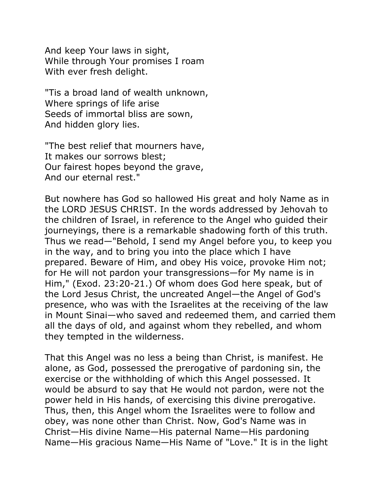And keep Your laws in sight, While through Your promises I roam With ever fresh delight.

"Tis a broad land of wealth unknown, Where springs of life arise Seeds of immortal bliss are sown, And hidden glory lies.

"The best relief that mourners have, It makes our sorrows blest; Our fairest hopes beyond the grave, And our eternal rest."

But nowhere has God so hallowed His great and holy Name as in the LORD JESUS CHRIST. In the words addressed by Jehovah to the children of Israel, in reference to the Angel who guided their journeyings, there is a remarkable shadowing forth of this truth. Thus we read—"Behold, I send my Angel before you, to keep you in the way, and to bring you into the place which I have prepared. Beware of Him, and obey His voice, provoke Him not; for He will not pardon your transgressions—for My name is in Him," (Exod. 23:20-21.) Of whom does God here speak, but of the Lord Jesus Christ, the uncreated Angel—the Angel of God's presence, who was with the Israelites at the receiving of the law in Mount Sinai—who saved and redeemed them, and carried them all the days of old, and against whom they rebelled, and whom they tempted in the wilderness.

That this Angel was no less a being than Christ, is manifest. He alone, as God, possessed the prerogative of pardoning sin, the exercise or the withholding of which this Angel possessed. It would be absurd to say that He would not pardon, were not the power held in His hands, of exercising this divine prerogative. Thus, then, this Angel whom the Israelites were to follow and obey, was none other than Christ. Now, God's Name was in Christ—His divine Name—His paternal Name—His pardoning Name—His gracious Name—His Name of "Love." It is in the light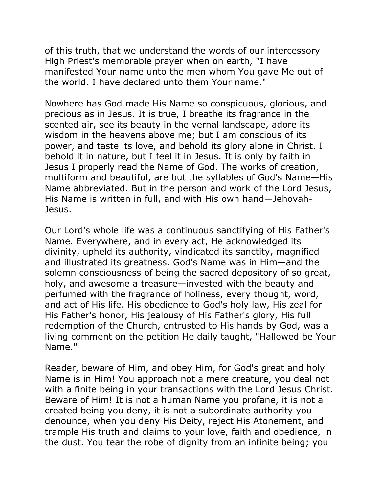of this truth, that we understand the words of our intercessory High Priest's memorable prayer when on earth, "I have manifested Your name unto the men whom You gave Me out of the world. I have declared unto them Your name."

Nowhere has God made His Name so conspicuous, glorious, and precious as in Jesus. It is true, I breathe its fragrance in the scented air, see its beauty in the vernal landscape, adore its wisdom in the heavens above me; but I am conscious of its power, and taste its love, and behold its glory alone in Christ. I behold it in nature, but I feel it in Jesus. It is only by faith in Jesus I properly read the Name of God. The works of creation, multiform and beautiful, are but the syllables of God's Name—His Name abbreviated. But in the person and work of the Lord Jesus, His Name is written in full, and with His own hand—Jehovah-Jesus.

Our Lord's whole life was a continuous sanctifying of His Father's Name. Everywhere, and in every act, He acknowledged its divinity, upheld its authority, vindicated its sanctity, magnified and illustrated its greatness. God's Name was in Him—and the solemn consciousness of being the sacred depository of so great, holy, and awesome a treasure—invested with the beauty and perfumed with the fragrance of holiness, every thought, word, and act of His life. His obedience to God's holy law, His zeal for His Father's honor, His jealousy of His Father's glory, His full redemption of the Church, entrusted to His hands by God, was a living comment on the petition He daily taught, "Hallowed be Your Name."

Reader, beware of Him, and obey Him, for God's great and holy Name is in Him! You approach not a mere creature, you deal not with a finite being in your transactions with the Lord Jesus Christ. Beware of Him! It is not a human Name you profane, it is not a created being you deny, it is not a subordinate authority you denounce, when you deny His Deity, reject His Atonement, and trample His truth and claims to your love, faith and obedience, in the dust. You tear the robe of dignity from an infinite being; you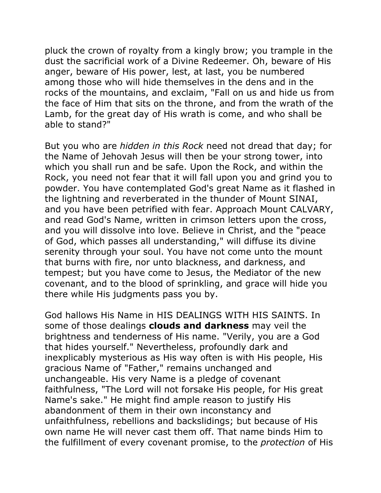pluck the crown of royalty from a kingly brow; you trample in the dust the sacrificial work of a Divine Redeemer. Oh, beware of His anger, beware of His power, lest, at last, you be numbered among those who will hide themselves in the dens and in the rocks of the mountains, and exclaim, "Fall on us and hide us from the face of Him that sits on the throne, and from the wrath of the Lamb, for the great day of His wrath is come, and who shall be able to stand?"

But you who are *hidden in this Rock* need not dread that day; for the Name of Jehovah Jesus will then be your strong tower, into which you shall run and be safe. Upon the Rock, and within the Rock, you need not fear that it will fall upon you and grind you to powder. You have contemplated God's great Name as it flashed in the lightning and reverberated in the thunder of Mount SINAI, and you have been petrified with fear. Approach Mount CALVARY, and read God's Name, written in crimson letters upon the cross, and you will dissolve into love. Believe in Christ, and the "peace of God, which passes all understanding," will diffuse its divine serenity through your soul. You have not come unto the mount that burns with fire, nor unto blackness, and darkness, and tempest; but you have come to Jesus, the Mediator of the new covenant, and to the blood of sprinkling, and grace will hide you there while His judgments pass you by.

God hallows His Name in HIS DEALINGS WITH HIS SAINTS. In some of those dealings **clouds and darkness** may veil the brightness and tenderness of His name. "Verily, you are a God that hides yourself." Nevertheless, profoundly dark and inexplicably mysterious as His way often is with His people, His gracious Name of "Father," remains unchanged and unchangeable. His very Name is a pledge of covenant faithfulness, "The Lord will not forsake His people, for His great Name's sake." He might find ample reason to justify His abandonment of them in their own inconstancy and unfaithfulness, rebellions and backslidings; but because of His own name He will never cast them off. That name binds Him to the fulfillment of every covenant promise, to the *protection* of His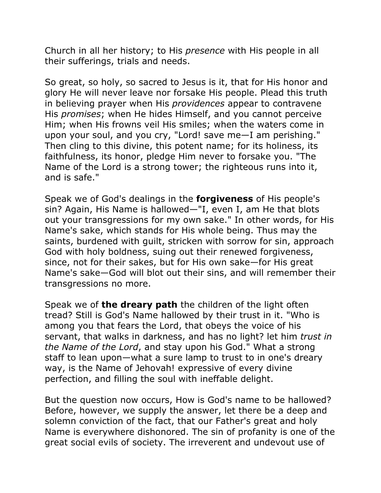Church in all her history; to His *presence* with His people in all their sufferings, trials and needs.

So great, so holy, so sacred to Jesus is it, that for His honor and glory He will never leave nor forsake His people. Plead this truth in believing prayer when His *providences* appear to contravene His *promises*; when He hides Himself, and you cannot perceive Him; when His frowns veil His smiles; when the waters come in upon your soul, and you cry, "Lord! save me—I am perishing." Then cling to this divine, this potent name; for its holiness, its faithfulness, its honor, pledge Him never to forsake you. "The Name of the Lord is a strong tower; the righteous runs into it, and is safe."

Speak we of God's dealings in the **forgiveness** of His people's sin? Again, His Name is hallowed—"I, even I, am He that blots out your transgressions for my own sake." In other words, for His Name's sake, which stands for His whole being. Thus may the saints, burdened with guilt, stricken with sorrow for sin, approach God with holy boldness, suing out their renewed forgiveness, since, not for their sakes, but for His own sake—for His great Name's sake—God will blot out their sins, and will remember their transgressions no more.

Speak we of **the dreary path** the children of the light often tread? Still is God's Name hallowed by their trust in it. "Who is among you that fears the Lord, that obeys the voice of his servant, that walks in darkness, and has no light? let him *trust in the Name of the Lord*, and stay upon his God." What a strong staff to lean upon—what a sure lamp to trust to in one's dreary way, is the Name of Jehovah! expressive of every divine perfection, and filling the soul with ineffable delight.

But the question now occurs, How is God's name to be hallowed? Before, however, we supply the answer, let there be a deep and solemn conviction of the fact, that our Father's great and holy Name is everywhere dishonored. The sin of profanity is one of the great social evils of society. The irreverent and undevout use of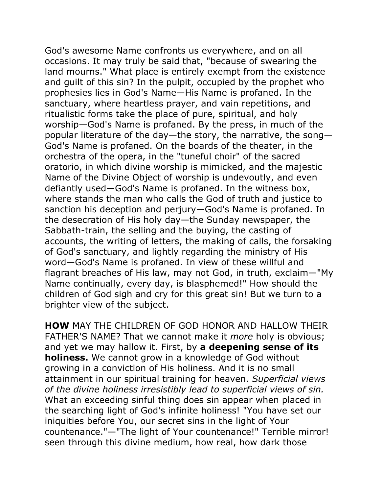God's awesome Name confronts us everywhere, and on all occasions. It may truly be said that, "because of swearing the land mourns." What place is entirely exempt from the existence and guilt of this sin? In the pulpit, occupied by the prophet who prophesies lies in God's Name—His Name is profaned. In the sanctuary, where heartless prayer, and vain repetitions, and ritualistic forms take the place of pure, spiritual, and holy worship—God's Name is profaned. By the press, in much of the popular literature of the day—the story, the narrative, the song— God's Name is profaned. On the boards of the theater, in the orchestra of the opera, in the "tuneful choir" of the sacred oratorio, in which divine worship is mimicked, and the majestic Name of the Divine Object of worship is undevoutly, and even defiantly used—God's Name is profaned. In the witness box, where stands the man who calls the God of truth and justice to sanction his deception and perjury—God's Name is profaned. In the desecration of His holy day—the Sunday newspaper, the Sabbath-train, the selling and the buying, the casting of accounts, the writing of letters, the making of calls, the forsaking of God's sanctuary, and lightly regarding the ministry of His word—God's Name is profaned. In view of these willful and flagrant breaches of His law, may not God, in truth, exclaim—"My Name continually, every day, is blasphemed!" How should the children of God sigh and cry for this great sin! But we turn to a brighter view of the subject.

**HOW** MAY THE CHILDREN OF GOD HONOR AND HALLOW THEIR FATHER'S NAME? That we cannot make it *more* holy is obvious; and yet we may hallow it. First, by **a deepening sense of its holiness.** We cannot grow in a knowledge of God without growing in a conviction of His holiness. And it is no small attainment in our spiritual training for heaven. *Superficial views of the divine holiness irresistibly lead to superficial views of sin.* What an exceeding sinful thing does sin appear when placed in the searching light of God's infinite holiness! "You have set our iniquities before You, our secret sins in the light of Your countenance."—"The light of Your countenance!" Terrible mirror! seen through this divine medium, how real, how dark those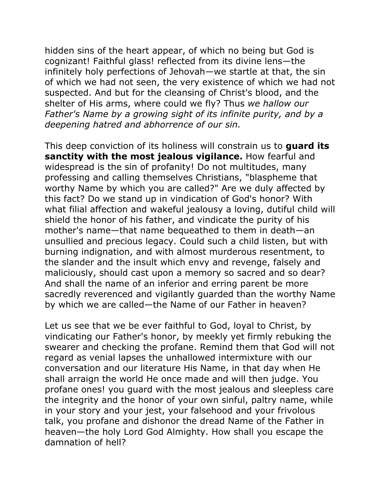hidden sins of the heart appear, of which no being but God is cognizant! Faithful glass! reflected from its divine lens—the infinitely holy perfections of Jehovah—we startle at that, the sin of which we had not seen, the very existence of which we had not suspected. And but for the cleansing of Christ's blood, and the shelter of His arms, where could we fly? Thus *we hallow our Father's Name by a growing sight of its infinite purity, and by a deepening hatred and abhorrence of our sin.* 

This deep conviction of its holiness will constrain us to **guard its sanctity with the most jealous vigilance.** How fearful and widespread is the sin of profanity! Do not multitudes, many professing and calling themselves Christians, "blaspheme that worthy Name by which you are called?" Are we duly affected by this fact? Do we stand up in vindication of God's honor? With what filial affection and wakeful jealousy a loving, dutiful child will shield the honor of his father, and vindicate the purity of his mother's name—that name bequeathed to them in death—an unsullied and precious legacy. Could such a child listen, but with burning indignation, and with almost murderous resentment, to the slander and the insult which envy and revenge, falsely and maliciously, should cast upon a memory so sacred and so dear? And shall the name of an inferior and erring parent be more sacredly reverenced and vigilantly guarded than the worthy Name by which we are called—the Name of our Father in heaven?

Let us see that we be ever faithful to God, loyal to Christ, by vindicating our Father's honor, by meekly yet firmly rebuking the swearer and checking the profane. Remind them that God will not regard as venial lapses the unhallowed intermixture with our conversation and our literature His Name, in that day when He shall arraign the world He once made and will then judge. You profane ones! you guard with the most jealous and sleepless care the integrity and the honor of your own sinful, paltry name, while in your story and your jest, your falsehood and your frivolous talk, you profane and dishonor the dread Name of the Father in heaven—the holy Lord God Almighty. How shall you escape the damnation of hell?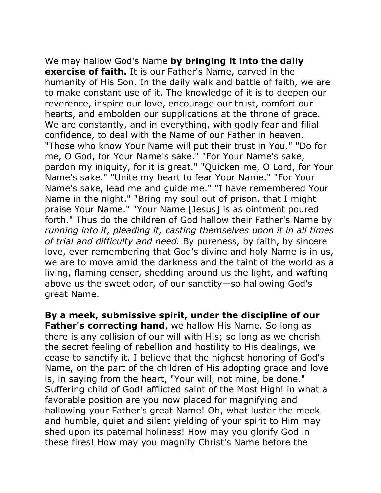We may hallow God's Name **by bringing it into the daily exercise of faith.** It is our Father's Name, carved in the humanity of His Son. In the daily walk and battle of faith, we are to make constant use of it. The knowledge of it is to deepen our reverence, inspire our love, encourage our trust, comfort our hearts, and embolden our supplications at the throne of grace. We are constantly, and in everything, with godly fear and filial confidence, to deal with the Name of our Father in heaven. "Those who know Your Name will put their trust in You." "Do for me, O God, for Your Name's sake." "For Your Name's sake, pardon my iniquity, for it is great." "Quicken me, O Lord, for Your Name's sake." "Unite my heart to fear Your Name." "For Your Name's sake, lead me and guide me." "I have remembered Your Name in the night." "Bring my soul out of prison, that I might praise Your Name." "Your Name [Jesus] is as ointment poured forth." Thus do the children of God hallow their Father's Name by *running into it, pleading it, casting themselves upon it in all times of trial and difficulty and need.* By pureness, by faith, by sincere love, ever remembering that God's divine and holy Name is in us, we are to move amid the darkness and the taint of the world as a living, flaming censer, shedding around us the light, and wafting above us the sweet odor, of our sanctity—so hallowing God's great Name.

**By a meek, submissive spirit, under the discipline of our Father's correcting hand**, we hallow His Name. So long as there is any collision of our will with His; so long as we cherish the secret feeling of rebellion and hostility to His dealings, we cease to sanctify it. I believe that the highest honoring of God's Name, on the part of the children of His adopting grace and love is, in saying from the heart, "Your will, not mine, be done." Suffering child of God! afflicted saint of the Most High! in what a favorable position are you now placed for magnifying and hallowing your Father's great Name! Oh, what luster the meek and humble, quiet and silent yielding of your spirit to Him may shed upon its paternal holiness! How may you glorify God in these fires! How may you magnify Christ's Name before the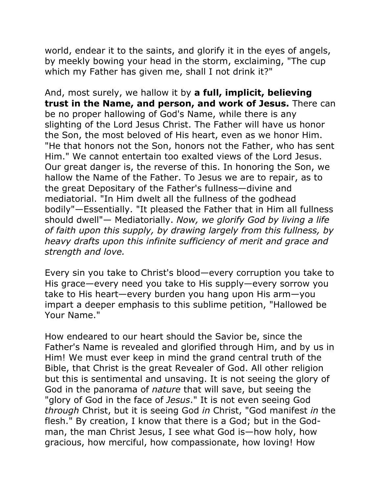world, endear it to the saints, and glorify it in the eyes of angels, by meekly bowing your head in the storm, exclaiming, "The cup which my Father has given me, shall I not drink it?"

And, most surely, we hallow it by **a full, implicit, believing trust in the Name, and person, and work of Jesus.** There can be no proper hallowing of God's Name, while there is any slighting of the Lord Jesus Christ. The Father will have us honor the Son, the most beloved of His heart, even as we honor Him. "He that honors not the Son, honors not the Father, who has sent Him." We cannot entertain too exalted views of the Lord Jesus. Our great danger is, the reverse of this. In honoring the Son, we hallow the Name of the Father. To Jesus we are to repair, as to the great Depositary of the Father's fullness—divine and mediatorial. "In Him dwelt all the fullness of the godhead bodily"—Essentially. "It pleased the Father that in Him all fullness should dwell"— Mediatorially. *Now, we glorify God by living a life of faith upon this supply, by drawing largely from this fullness, by heavy drafts upon this infinite sufficiency of merit and grace and strength and love.*

Every sin you take to Christ's blood—every corruption you take to His grace—every need you take to His supply—every sorrow you take to His heart—every burden you hang upon His arm—you impart a deeper emphasis to this sublime petition, "Hallowed be Your Name."

How endeared to our heart should the Savior be, since the Father's Name is revealed and glorified through Him, and by us in Him! We must ever keep in mind the grand central truth of the Bible, that Christ is the great Revealer of God. All other religion but this is sentimental and unsaving. It is not seeing the glory of God in the panorama of *nature* that will save, but seeing the "glory of God in the face of *Jesus*." It is not even seeing God *through* Christ, but it is seeing God *in* Christ, "God manifest *in* the flesh." By creation, I know that there is a God; but in the Godman, the man Christ Jesus, I see what God is—how holy, how gracious, how merciful, how compassionate, how loving! How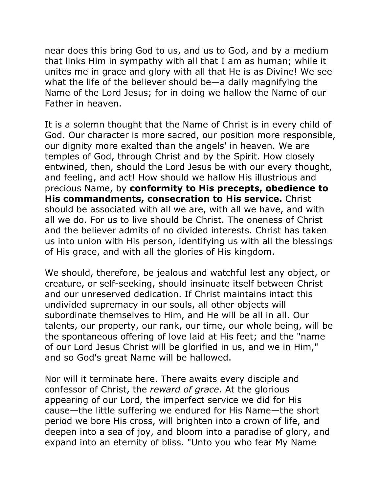near does this bring God to us, and us to God, and by a medium that links Him in sympathy with all that I am as human; while it unites me in grace and glory with all that He is as Divine! We see what the life of the believer should be—a daily magnifying the Name of the Lord Jesus; for in doing we hallow the Name of our Father in heaven.

It is a solemn thought that the Name of Christ is in every child of God. Our character is more sacred, our position more responsible, our dignity more exalted than the angels' in heaven. We are temples of God, through Christ and by the Spirit. How closely entwined, then, should the Lord Jesus be with our every thought, and feeling, and act! How should we hallow His illustrious and precious Name, by **conformity to His precepts, obedience to His commandments, consecration to His service.** Christ should be associated with all we are, with all we have, and with all we do. For us to live should be Christ. The oneness of Christ and the believer admits of no divided interests. Christ has taken us into union with His person, identifying us with all the blessings of His grace, and with all the glories of His kingdom.

We should, therefore, be jealous and watchful lest any object, or creature, or self-seeking, should insinuate itself between Christ and our unreserved dedication. If Christ maintains intact this undivided supremacy in our souls, all other objects will subordinate themselves to Him, and He will be all in all. Our talents, our property, our rank, our time, our whole being, will be the spontaneous offering of love laid at His feet; and the "name of our Lord Jesus Christ will be glorified in us, and we in Him," and so God's great Name will be hallowed.

Nor will it terminate here. There awaits every disciple and confessor of Christ, the *reward of grace*. At the glorious appearing of our Lord, the imperfect service we did for His cause—the little suffering we endured for His Name—the short period we bore His cross, will brighten into a crown of life, and deepen into a sea of joy, and bloom into a paradise of glory, and expand into an eternity of bliss. "Unto you who fear My Name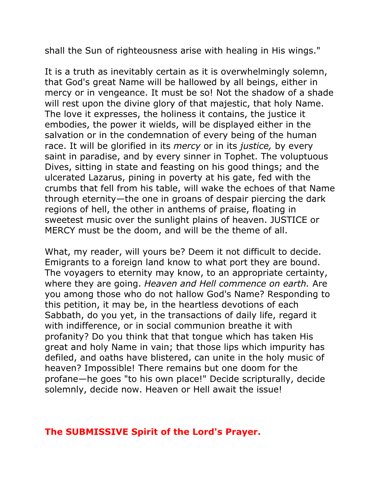shall the Sun of righteousness arise with healing in His wings."

It is a truth as inevitably certain as it is overwhelmingly solemn, that God's great Name will be hallowed by all beings, either in mercy or in vengeance. It must be so! Not the shadow of a shade will rest upon the divine glory of that majestic, that holy Name. The love it expresses, the holiness it contains, the justice it embodies, the power it wields, will be displayed either in the salvation or in the condemnation of every being of the human race. It will be glorified in its *mercy* or in its *justice,* by every saint in paradise, and by every sinner in Tophet. The voluptuous Dives, sitting in state and feasting on his good things; and the ulcerated Lazarus, pining in poverty at his gate, fed with the crumbs that fell from his table, will wake the echoes of that Name through eternity—the one in groans of despair piercing the dark regions of hell, the other in anthems of praise, floating in sweetest music over the sunlight plains of heaven. JUSTICE or MERCY must be the doom, and will be the theme of all.

What, my reader, will yours be? Deem it not difficult to decide. Emigrants to a foreign land know to what port they are bound. The voyagers to eternity may know, to an appropriate certainty, where they are going. *Heaven and Hell commence on earth.* Are you among those who do not hallow God's Name? Responding to this petition, it may be, in the heartless devotions of each Sabbath, do you yet, in the transactions of daily life, regard it with indifference, or in social communion breathe it with profanity? Do you think that that tongue which has taken His great and holy Name in vain; that those lips which impurity has defiled, and oaths have blistered, can unite in the holy music of heaven? Impossible! There remains but one doom for the profane—he goes "to his own place!" Decide scripturally, decide solemnly, decide now. Heaven or Hell await the issue!

## **The SUBMISSIVE Spirit of the Lord's Prayer.**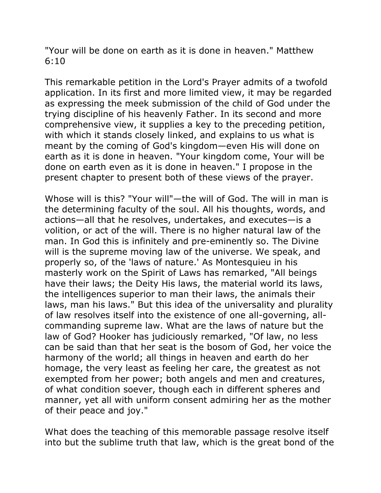"Your will be done on earth as it is done in heaven." Matthew 6:10

This remarkable petition in the Lord's Prayer admits of a twofold application. In its first and more limited view, it may be regarded as expressing the meek submission of the child of God under the trying discipline of his heavenly Father. In its second and more comprehensive view, it supplies a key to the preceding petition, with which it stands closely linked, and explains to us what is meant by the coming of God's kingdom—even His will done on earth as it is done in heaven. "Your kingdom come, Your will be done on earth even as it is done in heaven." I propose in the present chapter to present both of these views of the prayer.

Whose will is this? "Your will"—the will of God. The will in man is the determining faculty of the soul. All his thoughts, words, and actions—all that he resolves, undertakes, and executes—is a volition, or act of the will. There is no higher natural law of the man. In God this is infinitely and pre-eminently so. The Divine will is the supreme moving law of the universe. We speak, and properly so, of the 'laws of nature.' As Montesquieu in his masterly work on the Spirit of Laws has remarked, "All beings have their laws; the Deity His laws, the material world its laws, the intelligences superior to man their laws, the animals their laws, man his laws." But this idea of the universality and plurality of law resolves itself into the existence of one all-governing, allcommanding supreme law. What are the laws of nature but the law of God? Hooker has judiciously remarked, "Of law, no less can be said than that her seat is the bosom of God, her voice the harmony of the world; all things in heaven and earth do her homage, the very least as feeling her care, the greatest as not exempted from her power; both angels and men and creatures, of what condition soever, though each in different spheres and manner, yet all with uniform consent admiring her as the mother of their peace and joy."

What does the teaching of this memorable passage resolve itself into but the sublime truth that law, which is the great bond of the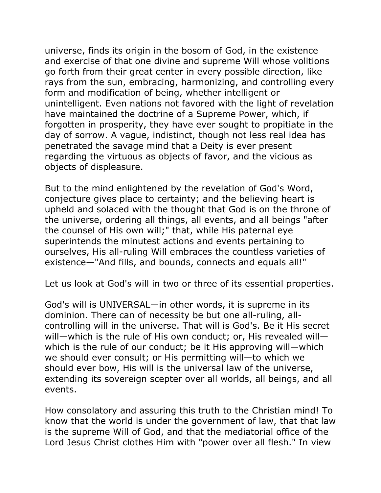universe, finds its origin in the bosom of God, in the existence and exercise of that one divine and supreme Will whose volitions go forth from their great center in every possible direction, like rays from the sun, embracing, harmonizing, and controlling every form and modification of being, whether intelligent or unintelligent. Even nations not favored with the light of revelation have maintained the doctrine of a Supreme Power, which, if forgotten in prosperity, they have ever sought to propitiate in the day of sorrow. A vague, indistinct, though not less real idea has penetrated the savage mind that a Deity is ever present regarding the virtuous as objects of favor, and the vicious as objects of displeasure.

But to the mind enlightened by the revelation of God's Word, conjecture gives place to certainty; and the believing heart is upheld and solaced with the thought that God is on the throne of the universe, ordering all things, all events, and all beings "after the counsel of His own will;" that, while His paternal eye superintends the minutest actions and events pertaining to ourselves, His all-ruling Will embraces the countless varieties of existence—"And fills, and bounds, connects and equals all!"

Let us look at God's will in two or three of its essential properties.

God's will is UNIVERSAL—in other words, it is supreme in its dominion. There can of necessity be but one all-ruling, allcontrolling will in the universe. That will is God's. Be it His secret will—which is the rule of His own conduct; or, His revealed will which is the rule of our conduct; be it His approving will—which we should ever consult; or His permitting will—to which we should ever bow, His will is the universal law of the universe, extending its sovereign scepter over all worlds, all beings, and all events.

How consolatory and assuring this truth to the Christian mind! To know that the world is under the government of law, that that law is the supreme Will of God, and that the mediatorial office of the Lord Jesus Christ clothes Him with "power over all flesh." In view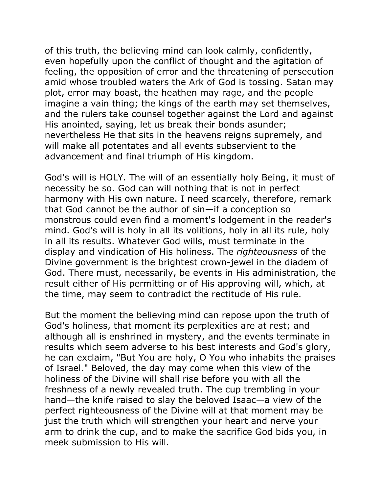of this truth, the believing mind can look calmly, confidently, even hopefully upon the conflict of thought and the agitation of feeling, the opposition of error and the threatening of persecution amid whose troubled waters the Ark of God is tossing. Satan may plot, error may boast, the heathen may rage, and the people imagine a vain thing; the kings of the earth may set themselves, and the rulers take counsel together against the Lord and against His anointed, saying, let us break their bonds asunder; nevertheless He that sits in the heavens reigns supremely, and will make all potentates and all events subservient to the advancement and final triumph of His kingdom.

God's will is HOLY. The will of an essentially holy Being, it must of necessity be so. God can will nothing that is not in perfect harmony with His own nature. I need scarcely, therefore, remark that God cannot be the author of sin—if a conception so monstrous could even find a moment's lodgement in the reader's mind. God's will is holy in all its volitions, holy in all its rule, holy in all its results. Whatever God wills, must terminate in the display and vindication of His holiness. The *righteousness* of the Divine government is the brightest crown-jewel in the diadem of God. There must, necessarily, be events in His administration, the result either of His permitting or of His approving will, which, at the time, may seem to contradict the rectitude of His rule.

But the moment the believing mind can repose upon the truth of God's holiness, that moment its perplexities are at rest; and although all is enshrined in mystery, and the events terminate in results which seem adverse to his best interests and God's glory, he can exclaim, "But You are holy, O You who inhabits the praises of Israel." Beloved, the day may come when this view of the holiness of the Divine will shall rise before you with all the freshness of a newly revealed truth. The cup trembling in your hand—the knife raised to slay the beloved Isaac—a view of the perfect righteousness of the Divine will at that moment may be just the truth which will strengthen your heart and nerve your arm to drink the cup, and to make the sacrifice God bids you, in meek submission to His will.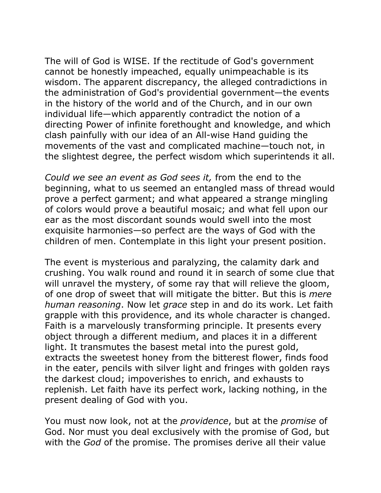The will of God is WISE. If the rectitude of God's government cannot be honestly impeached, equally unimpeachable is its wisdom. The apparent discrepancy, the alleged contradictions in the administration of God's providential government—the events in the history of the world and of the Church, and in our own individual life—which apparently contradict the notion of a directing Power of infinite forethought and knowledge, and which clash painfully with our idea of an All-wise Hand guiding the movements of the vast and complicated machine—touch not, in the slightest degree, the perfect wisdom which superintends it all.

*Could we see an event as God sees it,* from the end to the beginning, what to us seemed an entangled mass of thread would prove a perfect garment; and what appeared a strange mingling of colors would prove a beautiful mosaic; and what fell upon our ear as the most discordant sounds would swell into the most exquisite harmonies—so perfect are the ways of God with the children of men. Contemplate in this light your present position.

The event is mysterious and paralyzing, the calamity dark and crushing. You walk round and round it in search of some clue that will unravel the mystery, of some ray that will relieve the gloom, of one drop of sweet that will mitigate the bitter. But this is *mere human reasoning*. Now let *grace* step in and do its work. Let faith grapple with this providence, and its whole character is changed. Faith is a marvelously transforming principle. It presents every object through a different medium, and places it in a different light. It transmutes the basest metal into the purest gold, extracts the sweetest honey from the bitterest flower, finds food in the eater, pencils with silver light and fringes with golden rays the darkest cloud; impoverishes to enrich, and exhausts to replenish. Let faith have its perfect work, lacking nothing, in the present dealing of God with you.

You must now look, not at the *providence*, but at the *promise* of God. Nor must you deal exclusively with the promise of God, but with the *God* of the promise. The promises derive all their value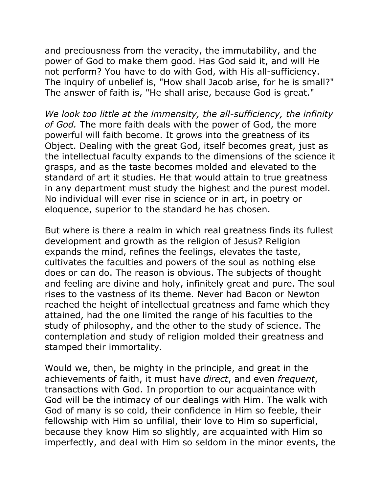and preciousness from the veracity, the immutability, and the power of God to make them good. Has God said it, and will He not perform? You have to do with God, with His all-sufficiency. The inquiry of unbelief is, "How shall Jacob arise, for he is small?" The answer of faith is, "He shall arise, because God is great."

*We look too little at the immensity, the all-sufficiency, the infinity of God.* The more faith deals with the power of God, the more powerful will faith become. It grows into the greatness of its Object. Dealing with the great God, itself becomes great, just as the intellectual faculty expands to the dimensions of the science it grasps, and as the taste becomes molded and elevated to the standard of art it studies. He that would attain to true greatness in any department must study the highest and the purest model. No individual will ever rise in science or in art, in poetry or eloquence, superior to the standard he has chosen.

But where is there a realm in which real greatness finds its fullest development and growth as the religion of Jesus? Religion expands the mind, refines the feelings, elevates the taste, cultivates the faculties and powers of the soul as nothing else does or can do. The reason is obvious. The subjects of thought and feeling are divine and holy, infinitely great and pure. The soul rises to the vastness of its theme. Never had Bacon or Newton reached the height of intellectual greatness and fame which they attained, had the one limited the range of his faculties to the study of philosophy, and the other to the study of science. The contemplation and study of religion molded their greatness and stamped their immortality.

Would we, then, be mighty in the principle, and great in the achievements of faith, it must have *direct*, and even *frequent*, transactions with God. In proportion to our acquaintance with God will be the intimacy of our dealings with Him. The walk with God of many is so cold, their confidence in Him so feeble, their fellowship with Him so unfilial, their love to Him so superficial, because they know Him so slightly, are acquainted with Him so imperfectly, and deal with Him so seldom in the minor events, the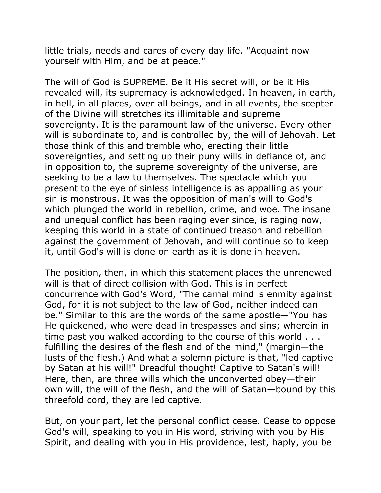little trials, needs and cares of every day life. "Acquaint now yourself with Him, and be at peace."

The will of God is SUPREME. Be it His secret will, or be it His revealed will, its supremacy is acknowledged. In heaven, in earth, in hell, in all places, over all beings, and in all events, the scepter of the Divine will stretches its illimitable and supreme sovereignty. It is the paramount law of the universe. Every other will is subordinate to, and is controlled by, the will of Jehovah. Let those think of this and tremble who, erecting their little sovereignties, and setting up their puny wills in defiance of, and in opposition to, the supreme sovereignty of the universe, are seeking to be a law to themselves. The spectacle which you present to the eye of sinless intelligence is as appalling as your sin is monstrous. It was the opposition of man's will to God's which plunged the world in rebellion, crime, and woe. The insane and unequal conflict has been raging ever since, is raging now, keeping this world in a state of continued treason and rebellion against the government of Jehovah, and will continue so to keep it, until God's will is done on earth as it is done in heaven.

The position, then, in which this statement places the unrenewed will is that of direct collision with God. This is in perfect concurrence with God's Word, "The carnal mind is enmity against God, for it is not subject to the law of God, neither indeed can be." Similar to this are the words of the same apostle—"You has He quickened, who were dead in trespasses and sins; wherein in time past you walked according to the course of this world . . . fulfilling the desires of the flesh and of the mind," (margin—the lusts of the flesh.) And what a solemn picture is that, "led captive by Satan at his will!" Dreadful thought! Captive to Satan's will! Here, then, are three wills which the unconverted obey—their own will, the will of the flesh, and the will of Satan—bound by this threefold cord, they are led captive.

But, on your part, let the personal conflict cease. Cease to oppose God's will, speaking to you in His word, striving with you by His Spirit, and dealing with you in His providence, lest, haply, you be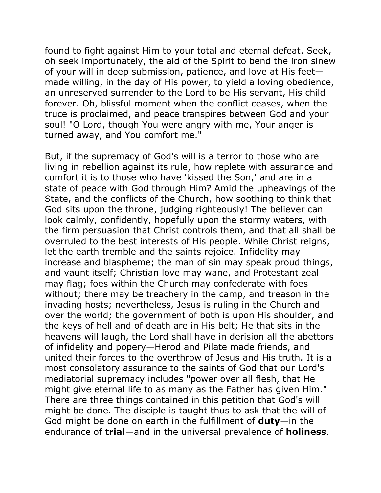found to fight against Him to your total and eternal defeat. Seek, oh seek importunately, the aid of the Spirit to bend the iron sinew of your will in deep submission, patience, and love at His feet made willing, in the day of His power, to yield a loving obedience, an unreserved surrender to the Lord to be His servant, His child forever. Oh, blissful moment when the conflict ceases, when the truce is proclaimed, and peace transpires between God and your soul! "O Lord, though You were angry with me, Your anger is turned away, and You comfort me."

But, if the supremacy of God's will is a terror to those who are living in rebellion against its rule, how replete with assurance and comfort it is to those who have 'kissed the Son,' and are in a state of peace with God through Him? Amid the upheavings of the State, and the conflicts of the Church, how soothing to think that God sits upon the throne, judging righteously! The believer can look calmly, confidently, hopefully upon the stormy waters, with the firm persuasion that Christ controls them, and that all shall be overruled to the best interests of His people. While Christ reigns, let the earth tremble and the saints rejoice. Infidelity may increase and blaspheme; the man of sin may speak proud things, and vaunt itself; Christian love may wane, and Protestant zeal may flag; foes within the Church may confederate with foes without; there may be treachery in the camp, and treason in the invading hosts; nevertheless, Jesus is ruling in the Church and over the world; the government of both is upon His shoulder, and the keys of hell and of death are in His belt; He that sits in the heavens will laugh, the Lord shall have in derision all the abettors of infidelity and popery—Herod and Pilate made friends, and united their forces to the overthrow of Jesus and His truth. It is a most consolatory assurance to the saints of God that our Lord's mediatorial supremacy includes "power over all flesh, that He might give eternal life to as many as the Father has given Him." There are three things contained in this petition that God's will might be done. The disciple is taught thus to ask that the will of God might be done on earth in the fulfillment of **duty**—in the endurance of **trial**—and in the universal prevalence of **holiness**.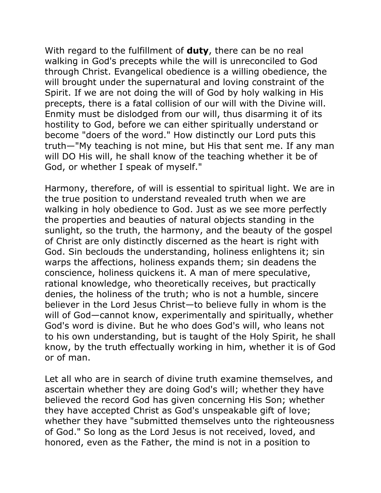With regard to the fulfillment of **duty**, there can be no real walking in God's precepts while the will is unreconciled to God through Christ. Evangelical obedience is a willing obedience, the will brought under the supernatural and loving constraint of the Spirit. If we are not doing the will of God by holy walking in His precepts, there is a fatal collision of our will with the Divine will. Enmity must be dislodged from our will, thus disarming it of its hostility to God, before we can either spiritually understand or become "doers of the word." How distinctly our Lord puts this truth—"My teaching is not mine, but His that sent me. If any man will DO His will, he shall know of the teaching whether it be of God, or whether I speak of myself."

Harmony, therefore, of will is essential to spiritual light. We are in the true position to understand revealed truth when we are walking in holy obedience to God. Just as we see more perfectly the properties and beauties of natural objects standing in the sunlight, so the truth, the harmony, and the beauty of the gospel of Christ are only distinctly discerned as the heart is right with God. Sin beclouds the understanding, holiness enlightens it; sin warps the affections, holiness expands them; sin deadens the conscience, holiness quickens it. A man of mere speculative, rational knowledge, who theoretically receives, but practically denies, the holiness of the truth; who is not a humble, sincere believer in the Lord Jesus Christ—to believe fully in whom is the will of God—cannot know, experimentally and spiritually, whether God's word is divine. But he who does God's will, who leans not to his own understanding, but is taught of the Holy Spirit, he shall know, by the truth effectually working in him, whether it is of God or of man.

Let all who are in search of divine truth examine themselves, and ascertain whether they are doing God's will; whether they have believed the record God has given concerning His Son; whether they have accepted Christ as God's unspeakable gift of love; whether they have "submitted themselves unto the righteousness of God." So long as the Lord Jesus is not received, loved, and honored, even as the Father, the mind is not in a position to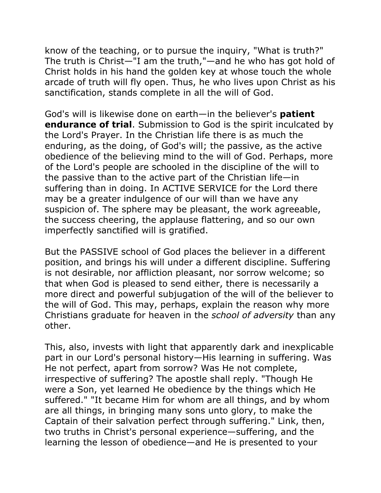know of the teaching, or to pursue the inquiry, "What is truth?" The truth is Christ—"I am the truth,"—and he who has got hold of Christ holds in his hand the golden key at whose touch the whole arcade of truth will fly open. Thus, he who lives upon Christ as his sanctification, stands complete in all the will of God.

God's will is likewise done on earth—in the believer's **patient endurance of trial**. Submission to God is the spirit inculcated by the Lord's Prayer. In the Christian life there is as much the enduring, as the doing, of God's will; the passive, as the active obedience of the believing mind to the will of God. Perhaps, more of the Lord's people are schooled in the discipline of the will to the passive than to the active part of the Christian life—in suffering than in doing. In ACTIVE SERVICE for the Lord there may be a greater indulgence of our will than we have any suspicion of. The sphere may be pleasant, the work agreeable, the success cheering, the applause flattering, and so our own imperfectly sanctified will is gratified.

But the PASSIVE school of God places the believer in a different position, and brings his will under a different discipline. Suffering is not desirable, nor affliction pleasant, nor sorrow welcome; so that when God is pleased to send either, there is necessarily a more direct and powerful subjugation of the will of the believer to the will of God. This may, perhaps, explain the reason why more Christians graduate for heaven in the *school of adversity* than any other.

This, also, invests with light that apparently dark and inexplicable part in our Lord's personal history—His learning in suffering. Was He not perfect, apart from sorrow? Was He not complete, irrespective of suffering? The apostle shall reply. "Though He were a Son, yet learned He obedience by the things which He suffered." "It became Him for whom are all things, and by whom are all things, in bringing many sons unto glory, to make the Captain of their salvation perfect through suffering." Link, then, two truths in Christ's personal experience—suffering, and the learning the lesson of obedience—and He is presented to your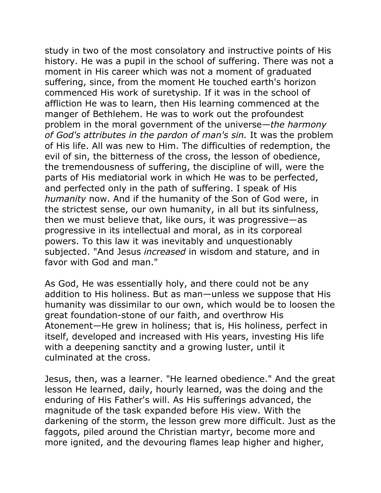study in two of the most consolatory and instructive points of His history. He was a pupil in the school of suffering. There was not a moment in His career which was not a moment of graduated suffering, since, from the moment He touched earth's horizon commenced His work of suretyship. If it was in the school of affliction He was to learn, then His learning commenced at the manger of Bethlehem. He was to work out the profoundest problem in the moral government of the universe*—the harmony of God's attributes in the pardon of man's sin.* It was the problem of His life. All was new to Him. The difficulties of redemption, the evil of sin, the bitterness of the cross, the lesson of obedience, the tremendousness of suffering, the discipline of will, were the parts of His mediatorial work in which He was to be perfected, and perfected only in the path of suffering. I speak of His *humanity* now. And if the humanity of the Son of God were, in the strictest sense, our own humanity, in all but its sinfulness, then we must believe that, like ours, it was progressive—as progressive in its intellectual and moral, as in its corporeal powers. To this law it was inevitably and unquestionably subjected. "And Jesus *increased* in wisdom and stature, and in favor with God and man."

As God, He was essentially holy, and there could not be any addition to His holiness. But as man—unless we suppose that His humanity was dissimilar to our own, which would be to loosen the great foundation-stone of our faith, and overthrow His Atonement—He grew in holiness; that is, His holiness, perfect in itself, developed and increased with His years, investing His life with a deepening sanctity and a growing luster, until it culminated at the cross.

Jesus, then, was a learner. "He learned obedience." And the great lesson He learned, daily, hourly learned, was the doing and the enduring of His Father's will. As His sufferings advanced, the magnitude of the task expanded before His view. With the darkening of the storm, the lesson grew more difficult. Just as the faggots, piled around the Christian martyr, become more and more ignited, and the devouring flames leap higher and higher,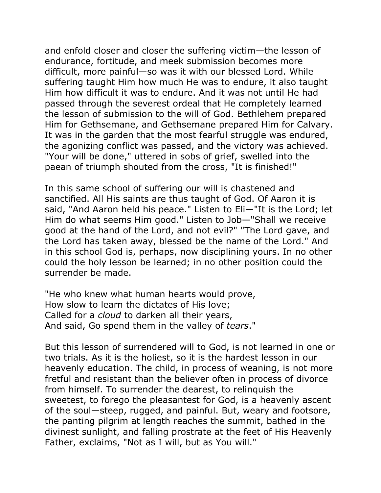and enfold closer and closer the suffering victim—the lesson of endurance, fortitude, and meek submission becomes more difficult, more painful—so was it with our blessed Lord. While suffering taught Him how much He was to endure, it also taught Him how difficult it was to endure. And it was not until He had passed through the severest ordeal that He completely learned the lesson of submission to the will of God. Bethlehem prepared Him for Gethsemane, and Gethsemane prepared Him for Calvary. It was in the garden that the most fearful struggle was endured, the agonizing conflict was passed, and the victory was achieved. "Your will be done," uttered in sobs of grief, swelled into the paean of triumph shouted from the cross, "It is finished!"

In this same school of suffering our will is chastened and sanctified. All His saints are thus taught of God. Of Aaron it is said, "And Aaron held his peace." Listen to Eli—"It is the Lord; let Him do what seems Him good." Listen to Job—"Shall we receive good at the hand of the Lord, and not evil?" "The Lord gave, and the Lord has taken away, blessed be the name of the Lord." And in this school God is, perhaps, now disciplining yours. In no other could the holy lesson be learned; in no other position could the surrender be made.

"He who knew what human hearts would prove, How slow to learn the dictates of His love; Called for a *cloud* to darken all their years, And said, Go spend them in the valley of *tears*."

But this lesson of surrendered will to God, is not learned in one or two trials. As it is the holiest, so it is the hardest lesson in our heavenly education. The child, in process of weaning, is not more fretful and resistant than the believer often in process of divorce from himself. To surrender the dearest, to relinquish the sweetest, to forego the pleasantest for God, is a heavenly ascent of the soul—steep, rugged, and painful. But, weary and footsore, the panting pilgrim at length reaches the summit, bathed in the divinest sunlight, and falling prostrate at the feet of His Heavenly Father, exclaims, "Not as I will, but as You will."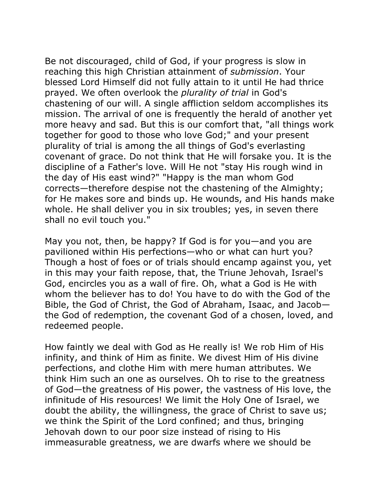Be not discouraged, child of God, if your progress is slow in reaching this high Christian attainment of *submission*. Your blessed Lord Himself did not fully attain to it until He had thrice prayed. We often overlook the *plurality of trial* in God's chastening of our will. A single affliction seldom accomplishes its mission. The arrival of one is frequently the herald of another yet more heavy and sad. But this is our comfort that, "all things work together for good to those who love God;" and your present plurality of trial is among the all things of God's everlasting covenant of grace. Do not think that He will forsake you. It is the discipline of a Father's love. Will He not "stay His rough wind in the day of His east wind?" "Happy is the man whom God corrects—therefore despise not the chastening of the Almighty; for He makes sore and binds up. He wounds, and His hands make whole. He shall deliver you in six troubles; yes, in seven there shall no evil touch you."

May you not, then, be happy? If God is for you—and you are pavilioned within His perfections—who or what can hurt you? Though a host of foes or of trials should encamp against you, yet in this may your faith repose, that, the Triune Jehovah, Israel's God, encircles you as a wall of fire. Oh, what a God is He with whom the believer has to do! You have to do with the God of the Bible, the God of Christ, the God of Abraham, Isaac, and Jacob the God of redemption, the covenant God of a chosen, loved, and redeemed people.

How faintly we deal with God as He really is! We rob Him of His infinity, and think of Him as finite. We divest Him of His divine perfections, and clothe Him with mere human attributes. We think Him such an one as ourselves. Oh to rise to the greatness of God—the greatness of His power, the vastness of His love, the infinitude of His resources! We limit the Holy One of Israel, we doubt the ability, the willingness, the grace of Christ to save us; we think the Spirit of the Lord confined; and thus, bringing Jehovah down to our poor size instead of rising to His immeasurable greatness, we are dwarfs where we should be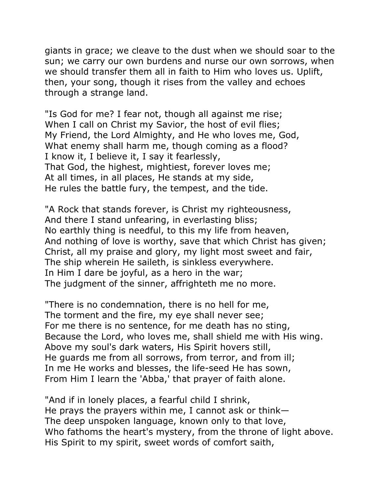giants in grace; we cleave to the dust when we should soar to the sun; we carry our own burdens and nurse our own sorrows, when we should transfer them all in faith to Him who loves us. Uplift, then, your song, though it rises from the valley and echoes through a strange land.

"Is God for me? I fear not, though all against me rise; When I call on Christ my Savior, the host of evil flies; My Friend, the Lord Almighty, and He who loves me, God, What enemy shall harm me, though coming as a flood? I know it, I believe it, I say it fearlessly, That God, the highest, mightiest, forever loves me; At all times, in all places, He stands at my side, He rules the battle fury, the tempest, and the tide.

"A Rock that stands forever, is Christ my righteousness, And there I stand unfearing, in everlasting bliss; No earthly thing is needful, to this my life from heaven, And nothing of love is worthy, save that which Christ has given; Christ, all my praise and glory, my light most sweet and fair, The ship wherein He saileth, is sinkless everywhere. In Him I dare be joyful, as a hero in the war; The judgment of the sinner, affrighteth me no more.

"There is no condemnation, there is no hell for me, The torment and the fire, my eye shall never see; For me there is no sentence, for me death has no sting, Because the Lord, who loves me, shall shield me with His wing. Above my soul's dark waters, His Spirit hovers still, He guards me from all sorrows, from terror, and from ill; In me He works and blesses, the life-seed He has sown, From Him I learn the 'Abba,' that prayer of faith alone.

"And if in lonely places, a fearful child I shrink, He prays the prayers within me, I cannot ask or think— The deep unspoken language, known only to that love, Who fathoms the heart's mystery, from the throne of light above. His Spirit to my spirit, sweet words of comfort saith,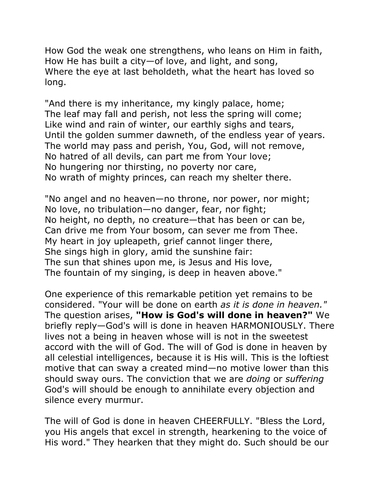How God the weak one strengthens, who leans on Him in faith, How He has built a city—of love, and light, and song, Where the eye at last beholdeth, what the heart has loved so long.

"And there is my inheritance, my kingly palace, home; The leaf may fall and perish, not less the spring will come; Like wind and rain of winter, our earthly sighs and tears, Until the golden summer dawneth, of the endless year of years. The world may pass and perish, You, God, will not remove, No hatred of all devils, can part me from Your love; No hungering nor thirsting, no poverty nor care, No wrath of mighty princes, can reach my shelter there.

"No angel and no heaven—no throne, nor power, nor might; No love, no tribulation—no danger, fear, nor fight; No height, no depth, no creature—that has been or can be, Can drive me from Your bosom, can sever me from Thee. My heart in joy upleapeth, grief cannot linger there, She sings high in glory, amid the sunshine fair: The sun that shines upon me, is Jesus and His love, The fountain of my singing, is deep in heaven above."

One experience of this remarkable petition yet remains to be considered. "Your will be done on earth *as it is done in heaven."* The question arises, **"How is God's will done in heaven?"** We briefly reply—God's will is done in heaven HARMONIOUSLY. There lives not a being in heaven whose will is not in the sweetest accord with the will of God. The will of God is done in heaven by all celestial intelligences, because it is His will. This is the loftiest motive that can sway a created mind—no motive lower than this should sway ours. The conviction that we are *doing* or *suffering* God's will should be enough to annihilate every objection and silence every murmur.

The will of God is done in heaven CHEERFULLY. "Bless the Lord, you His angels that excel in strength, hearkening to the voice of His word." They hearken that they might do. Such should be our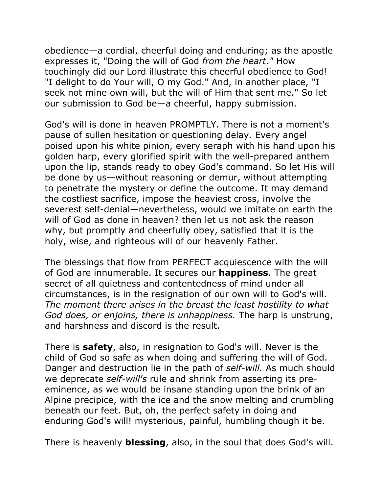obedience—a cordial, cheerful doing and enduring; as the apostle expresses it, "Doing the will of God *from the heart."* How touchingly did our Lord illustrate this cheerful obedience to God! "I delight to do Your will, O my God." And, in another place, "I seek not mine own will, but the will of Him that sent me." So let our submission to God be—a cheerful, happy submission.

God's will is done in heaven PROMPTLY. There is not a moment's pause of sullen hesitation or questioning delay. Every angel poised upon his white pinion, every seraph with his hand upon his golden harp, every glorified spirit with the well-prepared anthem upon the lip, stands ready to obey God's command. So let His will be done by us—without reasoning or demur, without attempting to penetrate the mystery or define the outcome. It may demand the costliest sacrifice, impose the heaviest cross, involve the severest self-denial—nevertheless, would we imitate on earth the will of God as done in heaven? then let us not ask the reason why, but promptly and cheerfully obey, satisfied that it is the holy, wise, and righteous will of our heavenly Father.

The blessings that flow from PERFECT acquiescence with the will of God are innumerable. It secures our **happiness**. The great secret of all quietness and contentedness of mind under all circumstances, is in the resignation of our own will to God's will. *The moment there arises in the breast the least hostility to what God does, or enjoins, there is unhappiness.* The harp is unstrung, and harshness and discord is the result.

There is **safety**, also, in resignation to God's will. Never is the child of God so safe as when doing and suffering the will of God. Danger and destruction lie in the path of *self-will.* As much should we deprecate *self-will's* rule and shrink from asserting its preeminence, as we would be insane standing upon the brink of an Alpine precipice, with the ice and the snow melting and crumbling beneath our feet. But, oh, the perfect safety in doing and enduring God's will! mysterious, painful, humbling though it be.

There is heavenly **blessing**, also, in the soul that does God's will.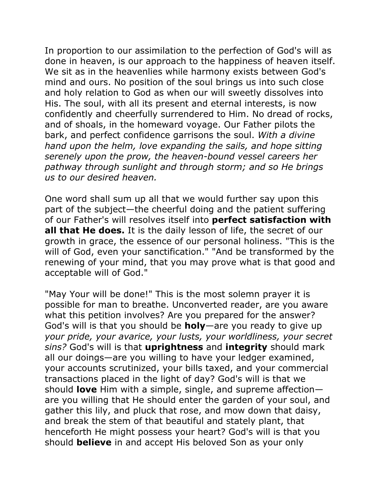In proportion to our assimilation to the perfection of God's will as done in heaven, is our approach to the happiness of heaven itself. We sit as in the heavenlies while harmony exists between God's mind and ours. No position of the soul brings us into such close and holy relation to God as when our will sweetly dissolves into His. The soul, with all its present and eternal interests, is now confidently and cheerfully surrendered to Him. No dread of rocks, and of shoals, in the homeward voyage. Our Father pilots the bark, and perfect confidence garrisons the soul. *With a divine hand upon the helm, love expanding the sails, and hope sitting serenely upon the prow, the heaven-bound vessel careers her pathway through sunlight and through storm; and so He brings us to our desired heaven.* 

One word shall sum up all that we would further say upon this part of the subject—the cheerful doing and the patient suffering of our Father's will resolves itself into **perfect satisfaction with all that He does.** It is the daily lesson of life, the secret of our growth in grace, the essence of our personal holiness. "This is the will of God, even your sanctification." "And be transformed by the renewing of your mind, that you may prove what is that good and acceptable will of God."

"May Your will be done!" This is the most solemn prayer it is possible for man to breathe. Unconverted reader, are you aware what this petition involves? Are you prepared for the answer? God's will is that you should be **holy**—are you ready to give up *your pride, your avarice, your lusts, your worldliness, your secret sins?* God's will is that **uprightness** and **integrity** should mark all our doings—are you willing to have your ledger examined, your accounts scrutinized, your bills taxed, and your commercial transactions placed in the light of day? God's will is that we should **love** Him with a simple, single, and supreme affection are you willing that He should enter the garden of your soul, and gather this lily, and pluck that rose, and mow down that daisy, and break the stem of that beautiful and stately plant, that henceforth He might possess your heart? God's will is that you should **believe** in and accept His beloved Son as your only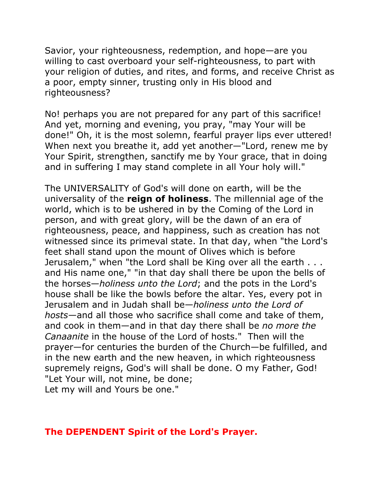Savior, your righteousness, redemption, and hope—are you willing to cast overboard your self-righteousness, to part with your religion of duties, and rites, and forms, and receive Christ as a poor, empty sinner, trusting only in His blood and righteousness?

No! perhaps you are not prepared for any part of this sacrifice! And yet, morning and evening, you pray, "may Your will be done!" Oh, it is the most solemn, fearful prayer lips ever uttered! When next you breathe it, add yet another—"Lord, renew me by Your Spirit, strengthen, sanctify me by Your grace, that in doing and in suffering I may stand complete in all Your holy will."

The UNIVERSALITY of God's will done on earth, will be the universality of the **reign of holiness**. The millennial age of the world, which is to be ushered in by the Coming of the Lord in person, and with great glory, will be the dawn of an era of righteousness, peace, and happiness, such as creation has not witnessed since its primeval state. In that day, when "the Lord's feet shall stand upon the mount of Olives which is before Jerusalem," when "the Lord shall be King over all the earth . . . and His name one," "in that day shall there be upon the bells of the horses—*holiness unto the Lord*; and the pots in the Lord's house shall be like the bowls before the altar. Yes, every pot in Jerusalem and in Judah shall be—*holiness unto the Lord of hosts*—and all those who sacrifice shall come and take of them, and cook in them—and in that day there shall be *no more the Canaanite* in the house of the Lord of hosts." Then will the prayer—for centuries the burden of the Church—be fulfilled, and in the new earth and the new heaven, in which righteousness supremely reigns, God's will shall be done. O my Father, God! "Let Your will, not mine, be done; Let my will and Yours be one."

## **The DEPENDENT Spirit of the Lord's Prayer.**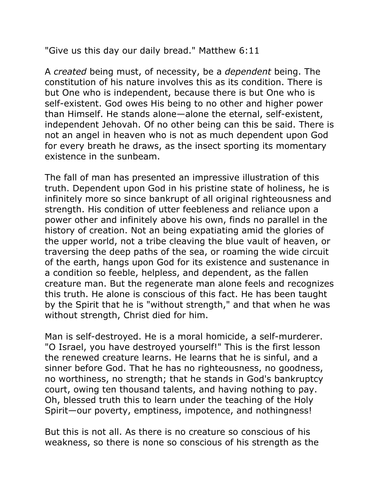"Give us this day our daily bread." Matthew 6:11

A *created* being must, of necessity, be a *dependent* being. The constitution of his nature involves this as its condition. There is but One who is independent, because there is but One who is self-existent. God owes His being to no other and higher power than Himself. He stands alone—alone the eternal, self-existent, independent Jehovah. Of no other being can this be said. There is not an angel in heaven who is not as much dependent upon God for every breath he draws, as the insect sporting its momentary existence in the sunbeam.

The fall of man has presented an impressive illustration of this truth. Dependent upon God in his pristine state of holiness, he is infinitely more so since bankrupt of all original righteousness and strength. His condition of utter feebleness and reliance upon a power other and infinitely above his own, finds no parallel in the history of creation. Not an being expatiating amid the glories of the upper world, not a tribe cleaving the blue vault of heaven, or traversing the deep paths of the sea, or roaming the wide circuit of the earth, hangs upon God for its existence and sustenance in a condition so feeble, helpless, and dependent, as the fallen creature man. But the regenerate man alone feels and recognizes this truth. He alone is conscious of this fact. He has been taught by the Spirit that he is "without strength," and that when he was without strength, Christ died for him.

Man is self-destroyed. He is a moral homicide, a self-murderer. "O Israel, you have destroyed yourself!" This is the first lesson the renewed creature learns. He learns that he is sinful, and a sinner before God. That he has no righteousness, no goodness, no worthiness, no strength; that he stands in God's bankruptcy court, owing ten thousand talents, and having nothing to pay. Oh, blessed truth this to learn under the teaching of the Holy Spirit—our poverty, emptiness, impotence, and nothingness!

But this is not all. As there is no creature so conscious of his weakness, so there is none so conscious of his strength as the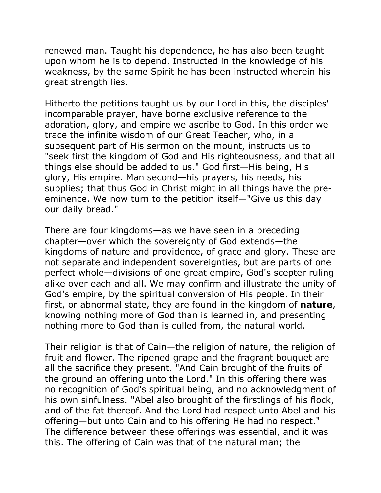renewed man. Taught his dependence, he has also been taught upon whom he is to depend. Instructed in the knowledge of his weakness, by the same Spirit he has been instructed wherein his great strength lies.

Hitherto the petitions taught us by our Lord in this, the disciples' incomparable prayer, have borne exclusive reference to the adoration, glory, and empire we ascribe to God. In this order we trace the infinite wisdom of our Great Teacher, who, in a subsequent part of His sermon on the mount, instructs us to "seek first the kingdom of God and His righteousness, and that all things else should be added to us." God first—His being, His glory, His empire. Man second—his prayers, his needs, his supplies; that thus God in Christ might in all things have the preeminence. We now turn to the petition itself—"Give us this day our daily bread."

There are four kingdoms—as we have seen in a preceding chapter—over which the sovereignty of God extends—the kingdoms of nature and providence, of grace and glory. These are not separate and independent sovereignties, but are parts of one perfect whole—divisions of one great empire, God's scepter ruling alike over each and all. We may confirm and illustrate the unity of God's empire, by the spiritual conversion of His people. In their first, or abnormal state, they are found in the kingdom of **nature**, knowing nothing more of God than is learned in, and presenting nothing more to God than is culled from, the natural world.

Their religion is that of Cain—the religion of nature, the religion of fruit and flower. The ripened grape and the fragrant bouquet are all the sacrifice they present. "And Cain brought of the fruits of the ground an offering unto the Lord." In this offering there was no recognition of God's spiritual being, and no acknowledgment of his own sinfulness. "Abel also brought of the firstlings of his flock, and of the fat thereof. And the Lord had respect unto Abel and his offering—but unto Cain and to his offering He had no respect." The difference between these offerings was essential, and it was this. The offering of Cain was that of the natural man; the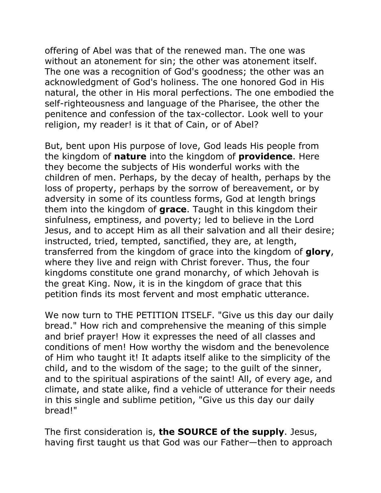offering of Abel was that of the renewed man. The one was without an atonement for sin; the other was atonement itself. The one was a recognition of God's goodness; the other was an acknowledgment of God's holiness. The one honored God in His natural, the other in His moral perfections. The one embodied the self-righteousness and language of the Pharisee, the other the penitence and confession of the tax-collector. Look well to your religion, my reader! is it that of Cain, or of Abel?

But, bent upon His purpose of love, God leads His people from the kingdom of **nature** into the kingdom of **providence**. Here they become the subjects of His wonderful works with the children of men. Perhaps, by the decay of health, perhaps by the loss of property, perhaps by the sorrow of bereavement, or by adversity in some of its countless forms, God at length brings them into the kingdom of **grace**. Taught in this kingdom their sinfulness, emptiness, and poverty; led to believe in the Lord Jesus, and to accept Him as all their salvation and all their desire; instructed, tried, tempted, sanctified, they are, at length, transferred from the kingdom of grace into the kingdom of **glory**, where they live and reign with Christ forever. Thus, the four kingdoms constitute one grand monarchy, of which Jehovah is the great King. Now, it is in the kingdom of grace that this petition finds its most fervent and most emphatic utterance.

We now turn to THE PETITION ITSELF. "Give us this day our daily bread." How rich and comprehensive the meaning of this simple and brief prayer! How it expresses the need of all classes and conditions of men! How worthy the wisdom and the benevolence of Him who taught it! It adapts itself alike to the simplicity of the child, and to the wisdom of the sage; to the guilt of the sinner, and to the spiritual aspirations of the saint! All, of every age, and climate, and state alike, find a vehicle of utterance for their needs in this single and sublime petition, "Give us this day our daily bread!"

The first consideration is, **the SOURCE of the supply**. Jesus, having first taught us that God was our Father—then to approach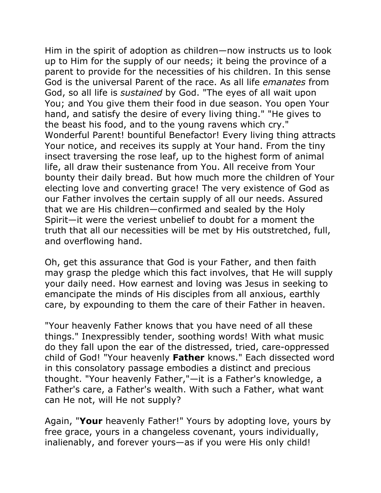Him in the spirit of adoption as children—now instructs us to look up to Him for the supply of our needs; it being the province of a parent to provide for the necessities of his children. In this sense God is the universal Parent of the race. As all life *emanates* from God, so all life is *sustained* by God. "The eyes of all wait upon You; and You give them their food in due season. You open Your hand, and satisfy the desire of every living thing." "He gives to the beast his food, and to the young ravens which cry." Wonderful Parent! bountiful Benefactor! Every living thing attracts Your notice, and receives its supply at Your hand. From the tiny insect traversing the rose leaf, up to the highest form of animal life, all draw their sustenance from You. All receive from Your bounty their daily bread. But how much more the children of Your electing love and converting grace! The very existence of God as our Father involves the certain supply of all our needs. Assured that we are His children—confirmed and sealed by the Holy Spirit—it were the veriest unbelief to doubt for a moment the truth that all our necessities will be met by His outstretched, full, and overflowing hand.

Oh, get this assurance that God is your Father, and then faith may grasp the pledge which this fact involves, that He will supply your daily need. How earnest and loving was Jesus in seeking to emancipate the minds of His disciples from all anxious, earthly care, by expounding to them the care of their Father in heaven.

"Your heavenly Father knows that you have need of all these things." Inexpressibly tender, soothing words! With what music do they fall upon the ear of the distressed, tried, care-oppressed child of God! "Your heavenly **Father** knows." Each dissected word in this consolatory passage embodies a distinct and precious thought. "Your heavenly Father,"—it is a Father's knowledge, a Father's care, a Father's wealth. With such a Father, what want can He not, will He not supply?

Again, "**Your** heavenly Father!" Yours by adopting love, yours by free grace, yours in a changeless covenant, yours individually, inalienably, and forever yours—as if you were His only child!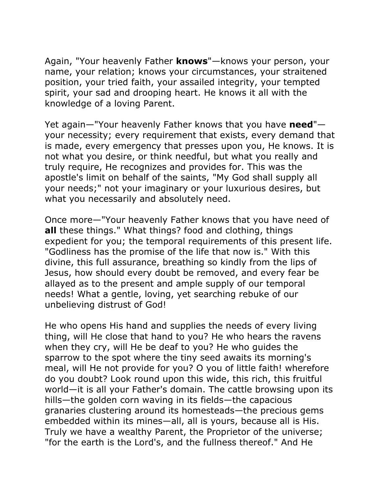Again, "Your heavenly Father **knows**"—knows your person, your name, your relation; knows your circumstances, your straitened position, your tried faith, your assailed integrity, your tempted spirit, your sad and drooping heart. He knows it all with the knowledge of a loving Parent.

Yet again—"Your heavenly Father knows that you have **need**" your necessity; every requirement that exists, every demand that is made, every emergency that presses upon you, He knows. It is not what you desire, or think needful, but what you really and truly require, He recognizes and provides for. This was the apostle's limit on behalf of the saints, "My God shall supply all your needs;" not your imaginary or your luxurious desires, but what you necessarily and absolutely need.

Once more—"Your heavenly Father knows that you have need of **all** these things." What things? food and clothing, things expedient for you; the temporal requirements of this present life. "Godliness has the promise of the life that now is." With this divine, this full assurance, breathing so kindly from the lips of Jesus, how should every doubt be removed, and every fear be allayed as to the present and ample supply of our temporal needs! What a gentle, loving, yet searching rebuke of our unbelieving distrust of God!

He who opens His hand and supplies the needs of every living thing, will He close that hand to you? He who hears the ravens when they cry, will He be deaf to you? He who guides the sparrow to the spot where the tiny seed awaits its morning's meal, will He not provide for you? O you of little faith! wherefore do you doubt? Look round upon this wide, this rich, this fruitful world—it is all your Father's domain. The cattle browsing upon its hills—the golden corn waving in its fields—the capacious granaries clustering around its homesteads—the precious gems embedded within its mines—all, all is yours, because all is His. Truly we have a wealthy Parent, the Proprietor of the universe; "for the earth is the Lord's, and the fullness thereof." And He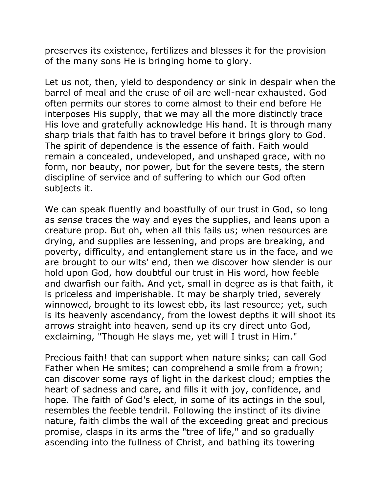preserves its existence, fertilizes and blesses it for the provision of the many sons He is bringing home to glory.

Let us not, then, yield to despondency or sink in despair when the barrel of meal and the cruse of oil are well-near exhausted. God often permits our stores to come almost to their end before He interposes His supply, that we may all the more distinctly trace His love and gratefully acknowledge His hand. It is through many sharp trials that faith has to travel before it brings glory to God. The spirit of dependence is the essence of faith. Faith would remain a concealed, undeveloped, and unshaped grace, with no form, nor beauty, nor power, but for the severe tests, the stern discipline of service and of suffering to which our God often subjects it.

We can speak fluently and boastfully of our trust in God, so long as *sense* traces the way and eyes the supplies, and leans upon a creature prop. But oh, when all this fails us; when resources are drying, and supplies are lessening, and props are breaking, and poverty, difficulty, and entanglement stare us in the face, and we are brought to our wits' end, then we discover how slender is our hold upon God, how doubtful our trust in His word, how feeble and dwarfish our faith. And yet, small in degree as is that faith, it is priceless and imperishable. It may be sharply tried, severely winnowed, brought to its lowest ebb, its last resource; yet, such is its heavenly ascendancy, from the lowest depths it will shoot its arrows straight into heaven, send up its cry direct unto God, exclaiming, "Though He slays me, yet will I trust in Him."

Precious faith! that can support when nature sinks; can call God Father when He smites; can comprehend a smile from a frown; can discover some rays of light in the darkest cloud; empties the heart of sadness and care, and fills it with joy, confidence, and hope. The faith of God's elect, in some of its actings in the soul, resembles the feeble tendril. Following the instinct of its divine nature, faith climbs the wall of the exceeding great and precious promise, clasps in its arms the "tree of life," and so gradually ascending into the fullness of Christ, and bathing its towering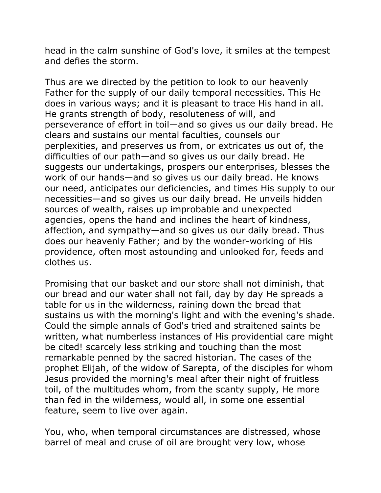head in the calm sunshine of God's love, it smiles at the tempest and defies the storm.

Thus are we directed by the petition to look to our heavenly Father for the supply of our daily temporal necessities. This He does in various ways; and it is pleasant to trace His hand in all. He grants strength of body, resoluteness of will, and perseverance of effort in toil—and so gives us our daily bread. He clears and sustains our mental faculties, counsels our perplexities, and preserves us from, or extricates us out of, the difficulties of our path—and so gives us our daily bread. He suggests our undertakings, prospers our enterprises, blesses the work of our hands—and so gives us our daily bread. He knows our need, anticipates our deficiencies, and times His supply to our necessities—and so gives us our daily bread. He unveils hidden sources of wealth, raises up improbable and unexpected agencies, opens the hand and inclines the heart of kindness, affection, and sympathy—and so gives us our daily bread. Thus does our heavenly Father; and by the wonder-working of His providence, often most astounding and unlooked for, feeds and clothes us.

Promising that our basket and our store shall not diminish, that our bread and our water shall not fail, day by day He spreads a table for us in the wilderness, raining down the bread that sustains us with the morning's light and with the evening's shade. Could the simple annals of God's tried and straitened saints be written, what numberless instances of His providential care might be cited! scarcely less striking and touching than the most remarkable penned by the sacred historian. The cases of the prophet Elijah, of the widow of Sarepta, of the disciples for whom Jesus provided the morning's meal after their night of fruitless toil, of the multitudes whom, from the scanty supply, He more than fed in the wilderness, would all, in some one essential feature, seem to live over again.

You, who, when temporal circumstances are distressed, whose barrel of meal and cruse of oil are brought very low, whose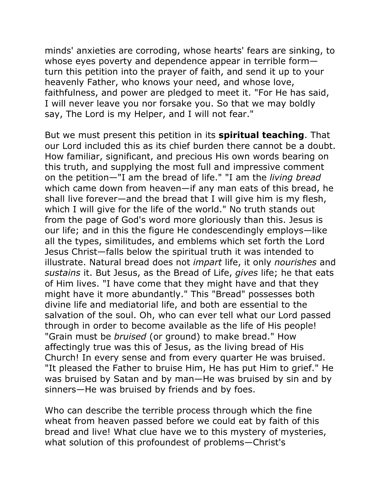minds' anxieties are corroding, whose hearts' fears are sinking, to whose eyes poverty and dependence appear in terrible form turn this petition into the prayer of faith, and send it up to your heavenly Father, who knows your need, and whose love, faithfulness, and power are pledged to meet it. "For He has said, I will never leave you nor forsake you. So that we may boldly say, The Lord is my Helper, and I will not fear."

But we must present this petition in its **spiritual teaching**. That our Lord included this as its chief burden there cannot be a doubt. How familiar, significant, and precious His own words bearing on this truth, and supplying the most full and impressive comment on the petition—"I am the bread of life." "I am the *living bread* which came down from heaven—if any man eats of this bread, he shall live forever—and the bread that I will give him is my flesh, which I will give for the life of the world." No truth stands out from the page of God's word more gloriously than this. Jesus is our life; and in this the figure He condescendingly employs—like all the types, similitudes, and emblems which set forth the Lord Jesus Christ—falls below the spiritual truth it was intended to illustrate. Natural bread does not *impart* life, it only *nourishes* and *sustains* it. But Jesus, as the Bread of Life, *gives* life; he that eats of Him lives. "I have come that they might have and that they might have it more abundantly." This "Bread" possesses both divine life and mediatorial life, and both are essential to the salvation of the soul. Oh, who can ever tell what our Lord passed through in order to become available as the life of His people! "Grain must be *bruised* (or ground) to make bread." How affectingly true was this of Jesus, as the living bread of His Church! In every sense and from every quarter He was bruised. "It pleased the Father to bruise Him, He has put Him to grief." He was bruised by Satan and by man—He was bruised by sin and by sinners—He was bruised by friends and by foes.

Who can describe the terrible process through which the fine wheat from heaven passed before we could eat by faith of this bread and live! What clue have we to this mystery of mysteries, what solution of this profoundest of problems—Christ's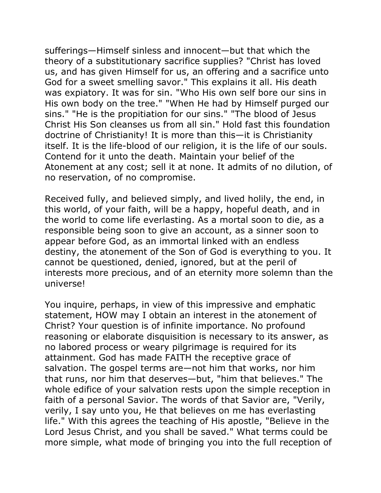sufferings—Himself sinless and innocent—but that which the theory of a substitutionary sacrifice supplies? "Christ has loved us, and has given Himself for us, an offering and a sacrifice unto God for a sweet smelling savor." This explains it all. His death was expiatory. It was for sin. "Who His own self bore our sins in His own body on the tree." "When He had by Himself purged our sins." "He is the propitiation for our sins." "The blood of Jesus Christ His Son cleanses us from all sin." Hold fast this foundation doctrine of Christianity! It is more than this—it is Christianity itself. It is the life-blood of our religion, it is the life of our souls. Contend for it unto the death. Maintain your belief of the Atonement at any cost; sell it at none. It admits of no dilution, of no reservation, of no compromise.

Received fully, and believed simply, and lived holily, the end, in this world, of your faith, will be a happy, hopeful death, and in the world to come life everlasting. As a mortal soon to die, as a responsible being soon to give an account, as a sinner soon to appear before God, as an immortal linked with an endless destiny, the atonement of the Son of God is everything to you. It cannot be questioned, denied, ignored, but at the peril of interests more precious, and of an eternity more solemn than the universe!

You inquire, perhaps, in view of this impressive and emphatic statement, HOW may I obtain an interest in the atonement of Christ? Your question is of infinite importance. No profound reasoning or elaborate disquisition is necessary to its answer, as no labored process or weary pilgrimage is required for its attainment. God has made FAITH the receptive grace of salvation. The gospel terms are—not him that works, nor him that runs, nor him that deserves—but, "him that believes." The whole edifice of your salvation rests upon the simple reception in faith of a personal Savior. The words of that Savior are, "Verily, verily, I say unto you, He that believes on me has everlasting life." With this agrees the teaching of His apostle, "Believe in the Lord Jesus Christ, and you shall be saved." What terms could be more simple, what mode of bringing you into the full reception of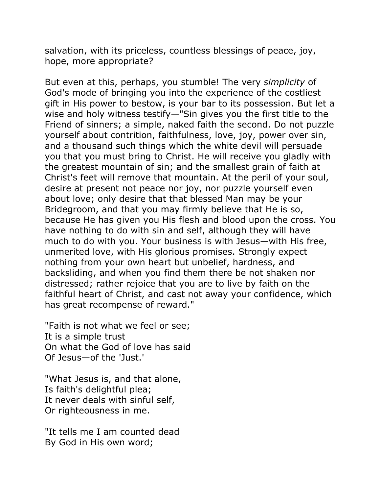salvation, with its priceless, countless blessings of peace, joy, hope, more appropriate?

But even at this, perhaps, you stumble! The very *simplicity* of God's mode of bringing you into the experience of the costliest gift in His power to bestow, is your bar to its possession. But let a wise and holy witness testify—"Sin gives you the first title to the Friend of sinners; a simple, naked faith the second. Do not puzzle yourself about contrition, faithfulness, love, joy, power over sin, and a thousand such things which the white devil will persuade you that you must bring to Christ. He will receive you gladly with the greatest mountain of sin; and the smallest grain of faith at Christ's feet will remove that mountain. At the peril of your soul, desire at present not peace nor joy, nor puzzle yourself even about love; only desire that that blessed Man may be your Bridegroom, and that you may firmly believe that He is so, because He has given you His flesh and blood upon the cross. You have nothing to do with sin and self, although they will have much to do with you. Your business is with Jesus—with His free, unmerited love, with His glorious promises. Strongly expect nothing from your own heart but unbelief, hardness, and backsliding, and when you find them there be not shaken nor distressed; rather rejoice that you are to live by faith on the faithful heart of Christ, and cast not away your confidence, which has great recompense of reward."

"Faith is not what we feel or see; It is a simple trust On what the God of love has said Of Jesus—of the 'Just.'

"What Jesus is, and that alone, Is faith's delightful plea; It never deals with sinful self, Or righteousness in me.

"It tells me I am counted dead By God in His own word;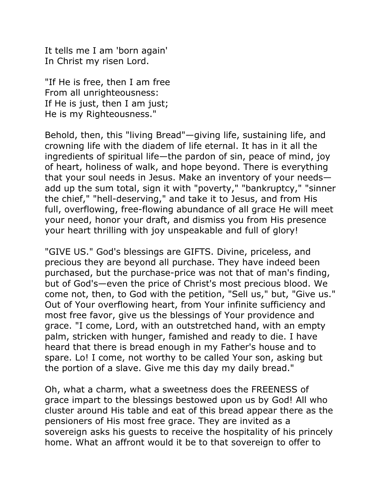It tells me I am 'born again' In Christ my risen Lord.

"If He is free, then I am free From all unrighteousness: If He is just, then I am just; He is my Righteousness."

Behold, then, this "living Bread"—giving life, sustaining life, and crowning life with the diadem of life eternal. It has in it all the ingredients of spiritual life—the pardon of sin, peace of mind, joy of heart, holiness of walk, and hope beyond. There is everything that your soul needs in Jesus. Make an inventory of your needs add up the sum total, sign it with "poverty," "bankruptcy," "sinner the chief," "hell-deserving," and take it to Jesus, and from His full, overflowing, free-flowing abundance of all grace He will meet your need, honor your draft, and dismiss you from His presence your heart thrilling with joy unspeakable and full of glory!

"GIVE US." God's blessings are GIFTS. Divine, priceless, and precious they are beyond all purchase. They have indeed been purchased, but the purchase-price was not that of man's finding, but of God's—even the price of Christ's most precious blood. We come not, then, to God with the petition, "Sell us," but, "Give us." Out of Your overflowing heart, from Your infinite sufficiency and most free favor, give us the blessings of Your providence and grace. "I come, Lord, with an outstretched hand, with an empty palm, stricken with hunger, famished and ready to die. I have heard that there is bread enough in my Father's house and to spare. Lo! I come, not worthy to be called Your son, asking but the portion of a slave. Give me this day my daily bread."

Oh, what a charm, what a sweetness does the FREENESS of grace impart to the blessings bestowed upon us by God! All who cluster around His table and eat of this bread appear there as the pensioners of His most free grace. They are invited as a sovereign asks his guests to receive the hospitality of his princely home. What an affront would it be to that sovereign to offer to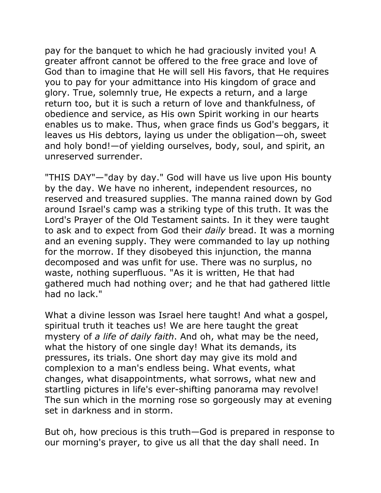pay for the banquet to which he had graciously invited you! A greater affront cannot be offered to the free grace and love of God than to imagine that He will sell His favors, that He requires you to pay for your admittance into His kingdom of grace and glory. True, solemnly true, He expects a return, and a large return too, but it is such a return of love and thankfulness, of obedience and service, as His own Spirit working in our hearts enables us to make. Thus, when grace finds us God's beggars, it leaves us His debtors, laying us under the obligation—oh, sweet and holy bond!—of yielding ourselves, body, soul, and spirit, an unreserved surrender.

"THIS DAY"—"day by day." God will have us live upon His bounty by the day. We have no inherent, independent resources, no reserved and treasured supplies. The manna rained down by God around Israel's camp was a striking type of this truth. It was the Lord's Prayer of the Old Testament saints. In it they were taught to ask and to expect from God their *daily* bread. It was a morning and an evening supply. They were commanded to lay up nothing for the morrow. If they disobeyed this injunction, the manna decomposed and was unfit for use. There was no surplus, no waste, nothing superfluous. "As it is written, He that had gathered much had nothing over; and he that had gathered little had no lack."

What a divine lesson was Israel here taught! And what a gospel, spiritual truth it teaches us! We are here taught the great mystery of *a life of daily faith*. And oh, what may be the need, what the history of one single day! What its demands, its pressures, its trials. One short day may give its mold and complexion to a man's endless being. What events, what changes, what disappointments, what sorrows, what new and startling pictures in life's ever-shifting panorama may revolve! The sun which in the morning rose so gorgeously may at evening set in darkness and in storm.

But oh, how precious is this truth—God is prepared in response to our morning's prayer, to give us all that the day shall need. In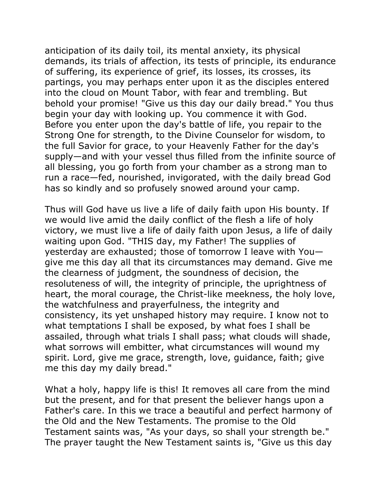anticipation of its daily toil, its mental anxiety, its physical demands, its trials of affection, its tests of principle, its endurance of suffering, its experience of grief, its losses, its crosses, its partings, you may perhaps enter upon it as the disciples entered into the cloud on Mount Tabor, with fear and trembling. But behold your promise! "Give us this day our daily bread." You thus begin your day with looking up. You commence it with God. Before you enter upon the day's battle of life, you repair to the Strong One for strength, to the Divine Counselor for wisdom, to the full Savior for grace, to your Heavenly Father for the day's supply—and with your vessel thus filled from the infinite source of all blessing, you go forth from your chamber as a strong man to run a race—fed, nourished, invigorated, with the daily bread God has so kindly and so profusely snowed around your camp.

Thus will God have us live a life of daily faith upon His bounty. If we would live amid the daily conflict of the flesh a life of holy victory, we must live a life of daily faith upon Jesus, a life of daily waiting upon God. "THIS day, my Father! The supplies of yesterday are exhausted; those of tomorrow I leave with You give me this day all that its circumstances may demand. Give me the clearness of judgment, the soundness of decision, the resoluteness of will, the integrity of principle, the uprightness of heart, the moral courage, the Christ-like meekness, the holy love, the watchfulness and prayerfulness, the integrity and consistency, its yet unshaped history may require. I know not to what temptations I shall be exposed, by what foes I shall be assailed, through what trials I shall pass; what clouds will shade, what sorrows will embitter, what circumstances will wound my spirit. Lord, give me grace, strength, love, guidance, faith; give me this day my daily bread."

What a holy, happy life is this! It removes all care from the mind but the present, and for that present the believer hangs upon a Father's care. In this we trace a beautiful and perfect harmony of the Old and the New Testaments. The promise to the Old Testament saints was, "As your days, so shall your strength be." The prayer taught the New Testament saints is, "Give us this day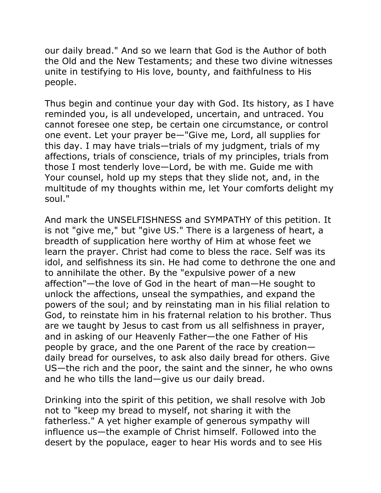our daily bread." And so we learn that God is the Author of both the Old and the New Testaments; and these two divine witnesses unite in testifying to His love, bounty, and faithfulness to His people.

Thus begin and continue your day with God. Its history, as I have reminded you, is all undeveloped, uncertain, and untraced. You cannot foresee one step, be certain one circumstance, or control one event. Let your prayer be—"Give me, Lord, all supplies for this day. I may have trials—trials of my judgment, trials of my affections, trials of conscience, trials of my principles, trials from those I most tenderly love—Lord, be with me. Guide me with Your counsel, hold up my steps that they slide not, and, in the multitude of my thoughts within me, let Your comforts delight my soul."

And mark the UNSELFISHNESS and SYMPATHY of this petition. It is not "give me," but "give US." There is a largeness of heart, a breadth of supplication here worthy of Him at whose feet we learn the prayer. Christ had come to bless the race. Self was its idol, and selfishness its sin. He had come to dethrone the one and to annihilate the other. By the "expulsive power of a new affection"—the love of God in the heart of man—He sought to unlock the affections, unseal the sympathies, and expand the powers of the soul; and by reinstating man in his filial relation to God, to reinstate him in his fraternal relation to his brother. Thus are we taught by Jesus to cast from us all selfishness in prayer, and in asking of our Heavenly Father—the one Father of His people by grace, and the one Parent of the race by creation daily bread for ourselves, to ask also daily bread for others. Give US—the rich and the poor, the saint and the sinner, he who owns and he who tills the land—give us our daily bread.

Drinking into the spirit of this petition, we shall resolve with Job not to "keep my bread to myself, not sharing it with the fatherless." A yet higher example of generous sympathy will influence us—the example of Christ himself. Followed into the desert by the populace, eager to hear His words and to see His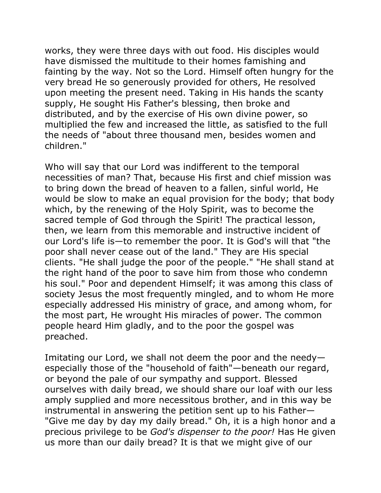works, they were three days with out food. His disciples would have dismissed the multitude to their homes famishing and fainting by the way. Not so the Lord. Himself often hungry for the very bread He so generously provided for others, He resolved upon meeting the present need. Taking in His hands the scanty supply, He sought His Father's blessing, then broke and distributed, and by the exercise of His own divine power, so multiplied the few and increased the little, as satisfied to the full the needs of "about three thousand men, besides women and children."

Who will say that our Lord was indifferent to the temporal necessities of man? That, because His first and chief mission was to bring down the bread of heaven to a fallen, sinful world, He would be slow to make an equal provision for the body; that body which, by the renewing of the Holy Spirit, was to become the sacred temple of God through the Spirit! The practical lesson, then, we learn from this memorable and instructive incident of our Lord's life is—to remember the poor. It is God's will that "the poor shall never cease out of the land." They are His special clients. "He shall judge the poor of the people." "He shall stand at the right hand of the poor to save him from those who condemn his soul." Poor and dependent Himself; it was among this class of society Jesus the most frequently mingled, and to whom He more especially addressed His ministry of grace, and among whom, for the most part, He wrought His miracles of power. The common people heard Him gladly, and to the poor the gospel was preached.

Imitating our Lord, we shall not deem the poor and the needy especially those of the "household of faith"—beneath our regard, or beyond the pale of our sympathy and support. Blessed ourselves with daily bread, we should share our loaf with our less amply supplied and more necessitous brother, and in this way be instrumental in answering the petition sent up to his Father— "Give me day by day my daily bread." Oh, it is a high honor and a precious privilege to be *God's dispenser to the poor!* Has He given us more than our daily bread? It is that we might give of our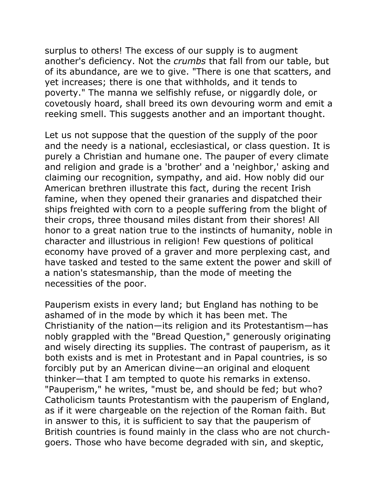surplus to others! The excess of our supply is to augment another's deficiency. Not the *crumbs* that fall from our table, but of its abundance, are we to give. "There is one that scatters, and yet increases; there is one that withholds, and it tends to poverty." The manna we selfishly refuse, or niggardly dole, or covetously hoard, shall breed its own devouring worm and emit a reeking smell. This suggests another and an important thought.

Let us not suppose that the question of the supply of the poor and the needy is a national, ecclesiastical, or class question. It is purely a Christian and humane one. The pauper of every climate and religion and grade is a 'brother' and a 'neighbor,' asking and claiming our recognition, sympathy, and aid. How nobly did our American brethren illustrate this fact, during the recent Irish famine, when they opened their granaries and dispatched their ships freighted with corn to a people suffering from the blight of their crops, three thousand miles distant from their shores! All honor to a great nation true to the instincts of humanity, noble in character and illustrious in religion! Few questions of political economy have proved of a graver and more perplexing cast, and have tasked and tested to the same extent the power and skill of a nation's statesmanship, than the mode of meeting the necessities of the poor.

Pauperism exists in every land; but England has nothing to be ashamed of in the mode by which it has been met. The Christianity of the nation—its religion and its Protestantism—has nobly grappled with the "Bread Question," generously originating and wisely directing its supplies. The contrast of pauperism, as it both exists and is met in Protestant and in Papal countries, is so forcibly put by an American divine—an original and eloquent thinker—that I am tempted to quote his remarks in extenso. "Pauperism," he writes, "must be, and should be fed; but who? Catholicism taunts Protestantism with the pauperism of England, as if it were chargeable on the rejection of the Roman faith. But in answer to this, it is sufficient to say that the pauperism of British countries is found mainly in the class who are not churchgoers. Those who have become degraded with sin, and skeptic,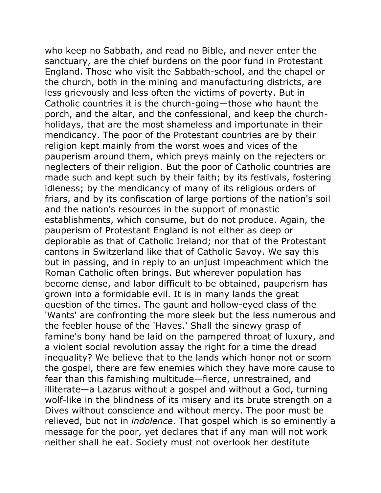who keep no Sabbath, and read no Bible, and never enter the sanctuary, are the chief burdens on the poor fund in Protestant England. Those who visit the Sabbath-school, and the chapel or the church, both in the mining and manufacturing districts, are less grievously and less often the victims of poverty. But in Catholic countries it is the church-going—those who haunt the porch, and the altar, and the confessional, and keep the churchholidays, that are the most shameless and importunate in their mendicancy. The poor of the Protestant countries are by their religion kept mainly from the worst woes and vices of the pauperism around them, which preys mainly on the rejecters or neglecters of their religion. But the poor of Catholic countries are made such and kept such by their faith; by its festivals, fostering idleness; by the mendicancy of many of its religious orders of friars, and by its confiscation of large portions of the nation's soil and the nation's resources in the support of monastic establishments, which consume, but do not produce. Again, the pauperism of Protestant England is not either as deep or deplorable as that of Catholic Ireland; nor that of the Protestant cantons in Switzerland like that of Catholic Savoy. We say this but in passing, and in reply to an unjust impeachment which the Roman Catholic often brings. But wherever population has become dense, and labor difficult to be obtained, pauperism has grown into a formidable evil. It is in many lands the great question of the times. The gaunt and hollow-eyed class of the 'Wants' are confronting the more sleek but the less numerous and the feebler house of the 'Haves.' Shall the sinewy grasp of famine's bony hand be laid on the pampered throat of luxury, and a violent social revolution assay the right for a time the dread inequality? We believe that to the lands which honor not or scorn the gospel, there are few enemies which they have more cause to fear than this famishing multitude—fierce, unrestrained, and illiterate—a Lazarus without a gospel and without a God, turning wolf-like in the blindness of its misery and its brute strength on a Dives without conscience and without mercy. The poor must be relieved, but not in *indolence*. That gospel which is so eminently a message for the poor, yet declares that if any man will not work neither shall he eat. Society must not overlook her destitute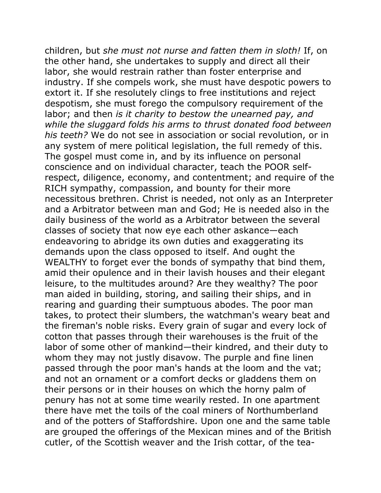children, but *she must not nurse and fatten them in sloth!* If, on the other hand, she undertakes to supply and direct all their labor, she would restrain rather than foster enterprise and industry. If she compels work, she must have despotic powers to extort it. If she resolutely clings to free institutions and reject despotism, she must forego the compulsory requirement of the labor; and then *is it charity to bestow the unearned pay, and while the sluggard folds his arms to thrust donated food between his teeth?* We do not see in association or social revolution, or in any system of mere political legislation, the full remedy of this. The gospel must come in, and by its influence on personal conscience and on individual character, teach the POOR selfrespect, diligence, economy, and contentment; and require of the RICH sympathy, compassion, and bounty for their more necessitous brethren. Christ is needed, not only as an Interpreter and a Arbitrator between man and God; He is needed also in the daily business of the world as a Arbitrator between the several classes of society that now eye each other askance—each endeavoring to abridge its own duties and exaggerating its demands upon the class opposed to itself. And ought the WEALTHY to forget ever the bonds of sympathy that bind them, amid their opulence and in their lavish houses and their elegant leisure, to the multitudes around? Are they wealthy? The poor man aided in building, storing, and sailing their ships, and in rearing and guarding their sumptuous abodes. The poor man takes, to protect their slumbers, the watchman's weary beat and the fireman's noble risks. Every grain of sugar and every lock of cotton that passes through their warehouses is the fruit of the labor of some other of mankind—their kindred, and their duty to whom they may not justly disavow. The purple and fine linen passed through the poor man's hands at the loom and the vat; and not an ornament or a comfort decks or gladdens them on their persons or in their houses on which the horny palm of penury has not at some time wearily rested. In one apartment there have met the toils of the coal miners of Northumberland and of the potters of Staffordshire. Upon one and the same table are grouped the offerings of the Mexican mines and of the British cutler, of the Scottish weaver and the Irish cottar, of the tea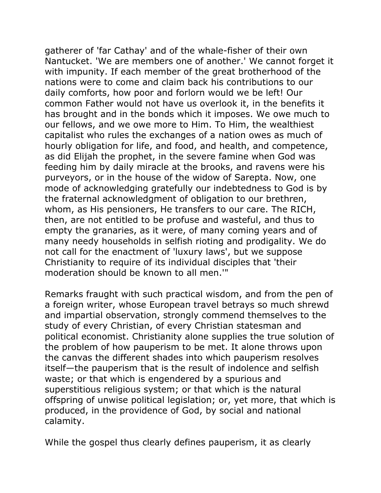gatherer of 'far Cathay' and of the whale-fisher of their own Nantucket. 'We are members one of another.' We cannot forget it with impunity. If each member of the great brotherhood of the nations were to come and claim back his contributions to our daily comforts, how poor and forlorn would we be left! Our common Father would not have us overlook it, in the benefits it has brought and in the bonds which it imposes. We owe much to our fellows, and we owe more to Him. To Him, the wealthiest capitalist who rules the exchanges of a nation owes as much of hourly obligation for life, and food, and health, and competence, as did Elijah the prophet, in the severe famine when God was feeding him by daily miracle at the brooks, and ravens were his purveyors, or in the house of the widow of Sarepta. Now, one mode of acknowledging gratefully our indebtedness to God is by the fraternal acknowledgment of obligation to our brethren, whom, as His pensioners, He transfers to our care. The RICH, then, are not entitled to be profuse and wasteful, and thus to empty the granaries, as it were, of many coming years and of many needy households in selfish rioting and prodigality. We do not call for the enactment of 'luxury laws', but we suppose Christianity to require of its individual disciples that 'their moderation should be known to all men.'"

Remarks fraught with such practical wisdom, and from the pen of a foreign writer, whose European travel betrays so much shrewd and impartial observation, strongly commend themselves to the study of every Christian, of every Christian statesman and political economist. Christianity alone supplies the true solution of the problem of how pauperism to be met. It alone throws upon the canvas the different shades into which pauperism resolves itself—the pauperism that is the result of indolence and selfish waste; or that which is engendered by a spurious and superstitious religious system; or that which is the natural offspring of unwise political legislation; or, yet more, that which is produced, in the providence of God, by social and national calamity.

While the gospel thus clearly defines pauperism, it as clearly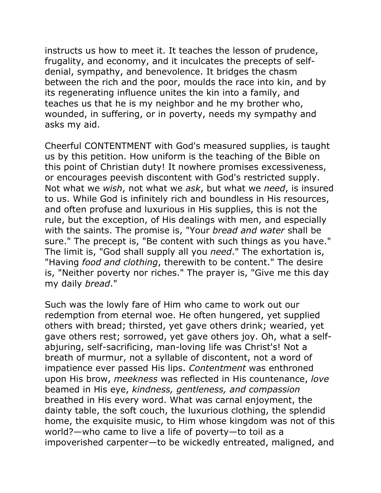instructs us how to meet it. It teaches the lesson of prudence, frugality, and economy, and it inculcates the precepts of selfdenial, sympathy, and benevolence. It bridges the chasm between the rich and the poor, moulds the race into kin, and by its regenerating influence unites the kin into a family, and teaches us that he is my neighbor and he my brother who, wounded, in suffering, or in poverty, needs my sympathy and asks my aid.

Cheerful CONTENTMENT with God's measured supplies, is taught us by this petition. How uniform is the teaching of the Bible on this point of Christian duty! It nowhere promises excessiveness, or encourages peevish discontent with God's restricted supply. Not what we *wish*, not what we *ask*, but what we *need*, is insured to us. While God is infinitely rich and boundless in His resources, and often profuse and luxurious in His supplies, this is not the rule, but the exception, of His dealings with men, and especially with the saints. The promise is, "Your *bread and water* shall be sure." The precept is, "Be content with such things as you have." The limit is, "God shall supply all you *need*." The exhortation is, "Having *food and clothing*, therewith to be content." The desire is, "Neither poverty nor riches." The prayer is, "Give me this day my daily *bread*."

Such was the lowly fare of Him who came to work out our redemption from eternal woe. He often hungered, yet supplied others with bread; thirsted, yet gave others drink; wearied, yet gave others rest; sorrowed, yet gave others joy. Oh, what a selfabjuring, self-sacrificing, man-loving life was Christ's! Not a breath of murmur, not a syllable of discontent, not a word of impatience ever passed His lips. *Contentment* was enthroned upon His brow, *meekness* was reflected in His countenance, *love* beamed in His eye, *kindness, gentleness, and compassion* breathed in His every word. What was carnal enjoyment, the dainty table, the soft couch, the luxurious clothing, the splendid home, the exquisite music, to Him whose kingdom was not of this world?—who came to live a life of poverty—to toil as a impoverished carpenter—to be wickedly entreated, maligned, and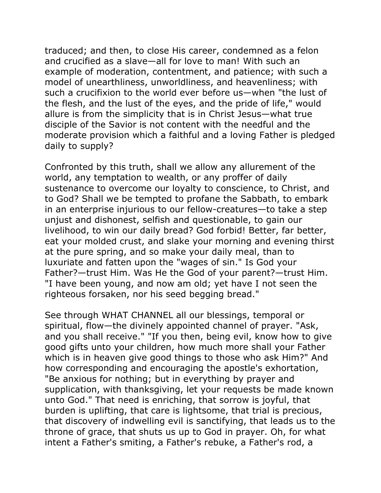traduced; and then, to close His career, condemned as a felon and crucified as a slave—all for love to man! With such an example of moderation, contentment, and patience; with such a model of unearthliness, unworldliness, and heavenliness; with such a crucifixion to the world ever before us—when "the lust of the flesh, and the lust of the eyes, and the pride of life," would allure is from the simplicity that is in Christ Jesus—what true disciple of the Savior is not content with the needful and the moderate provision which a faithful and a loving Father is pledged daily to supply?

Confronted by this truth, shall we allow any allurement of the world, any temptation to wealth, or any proffer of daily sustenance to overcome our loyalty to conscience, to Christ, and to God? Shall we be tempted to profane the Sabbath, to embark in an enterprise injurious to our fellow-creatures—to take a step unjust and dishonest, selfish and questionable, to gain our livelihood, to win our daily bread? God forbid! Better, far better, eat your molded crust, and slake your morning and evening thirst at the pure spring, and so make your daily meal, than to luxuriate and fatten upon the "wages of sin." Is God your Father?—trust Him. Was He the God of your parent?—trust Him. "I have been young, and now am old; yet have I not seen the righteous forsaken, nor his seed begging bread."

See through WHAT CHANNEL all our blessings, temporal or spiritual, flow—the divinely appointed channel of prayer. "Ask, and you shall receive." "If you then, being evil, know how to give good gifts unto your children, how much more shall your Father which is in heaven give good things to those who ask Him?" And how corresponding and encouraging the apostle's exhortation, "Be anxious for nothing; but in everything by prayer and supplication, with thanksgiving, let your requests be made known unto God." That need is enriching, that sorrow is joyful, that burden is uplifting, that care is lightsome, that trial is precious, that discovery of indwelling evil is sanctifying, that leads us to the throne of grace, that shuts us up to God in prayer. Oh, for what intent a Father's smiting, a Father's rebuke, a Father's rod, a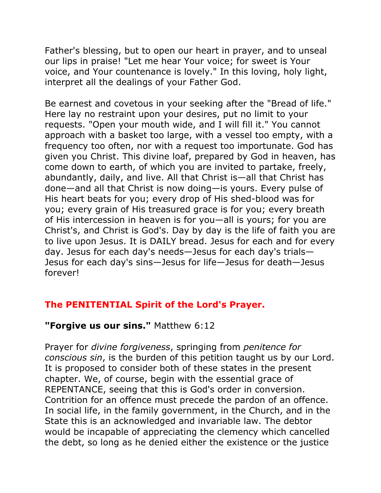Father's blessing, but to open our heart in prayer, and to unseal our lips in praise! "Let me hear Your voice; for sweet is Your voice, and Your countenance is lovely." In this loving, holy light, interpret all the dealings of your Father God.

Be earnest and covetous in your seeking after the "Bread of life." Here lay no restraint upon your desires, put no limit to your requests. "Open your mouth wide, and I will fill it." You cannot approach with a basket too large, with a vessel too empty, with a frequency too often, nor with a request too importunate. God has given you Christ. This divine loaf, prepared by God in heaven, has come down to earth, of which you are invited to partake, freely, abundantly, daily, and live. All that Christ is—all that Christ has done—and all that Christ is now doing—is yours. Every pulse of His heart beats for you; every drop of His shed-blood was for you; every grain of His treasured grace is for you; every breath of His intercession in heaven is for you—all is yours; for you are Christ's, and Christ is God's. Day by day is the life of faith you are to live upon Jesus. It is DAILY bread. Jesus for each and for every day. Jesus for each day's needs—Jesus for each day's trials— Jesus for each day's sins—Jesus for life—Jesus for death—Jesus forever!

## **The PENITENTIAL Spirit of the Lord's Prayer.**

## **"Forgive us our sins."** Matthew 6:12

Prayer for *divine forgiveness*, springing from *penitence for conscious sin*, is the burden of this petition taught us by our Lord. It is proposed to consider both of these states in the present chapter. We, of course, begin with the essential grace of REPENTANCE, seeing that this is God's order in conversion. Contrition for an offence must precede the pardon of an offence. In social life, in the family government, in the Church, and in the State this is an acknowledged and invariable law. The debtor would be incapable of appreciating the clemency which cancelled the debt, so long as he denied either the existence or the justice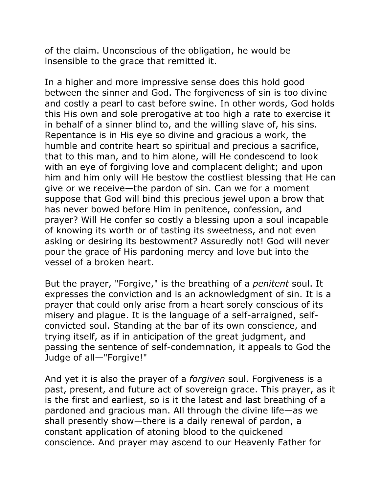of the claim. Unconscious of the obligation, he would be insensible to the grace that remitted it.

In a higher and more impressive sense does this hold good between the sinner and God. The forgiveness of sin is too divine and costly a pearl to cast before swine. In other words, God holds this His own and sole prerogative at too high a rate to exercise it in behalf of a sinner blind to, and the willing slave of, his sins. Repentance is in His eye so divine and gracious a work, the humble and contrite heart so spiritual and precious a sacrifice, that to this man, and to him alone, will He condescend to look with an eye of forgiving love and complacent delight; and upon him and him only will He bestow the costliest blessing that He can give or we receive—the pardon of sin. Can we for a moment suppose that God will bind this precious jewel upon a brow that has never bowed before Him in penitence, confession, and prayer? Will He confer so costly a blessing upon a soul incapable of knowing its worth or of tasting its sweetness, and not even asking or desiring its bestowment? Assuredly not! God will never pour the grace of His pardoning mercy and love but into the vessel of a broken heart.

But the prayer, "Forgive," is the breathing of a *penitent* soul. It expresses the conviction and is an acknowledgment of sin. It is a prayer that could only arise from a heart sorely conscious of its misery and plague. It is the language of a self-arraigned, selfconvicted soul. Standing at the bar of its own conscience, and trying itself, as if in anticipation of the great judgment, and passing the sentence of self-condemnation, it appeals to God the Judge of all—"Forgive!"

And yet it is also the prayer of a *forgiven* soul. Forgiveness is a past, present, and future act of sovereign grace. This prayer, as it is the first and earliest, so is it the latest and last breathing of a pardoned and gracious man. All through the divine life—as we shall presently show—there is a daily renewal of pardon, a constant application of atoning blood to the quickened conscience. And prayer may ascend to our Heavenly Father for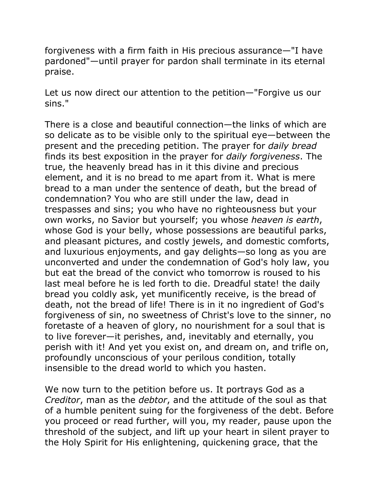forgiveness with a firm faith in His precious assurance—"I have pardoned"—until prayer for pardon shall terminate in its eternal praise.

Let us now direct our attention to the petition—"Forgive us our sins."

There is a close and beautiful connection—the links of which are so delicate as to be visible only to the spiritual eye—between the present and the preceding petition. The prayer for *daily bread* finds its best exposition in the prayer for *daily forgiveness*. The true, the heavenly bread has in it this divine and precious element, and it is no bread to me apart from it. What is mere bread to a man under the sentence of death, but the bread of condemnation? You who are still under the law, dead in trespasses and sins; you who have no righteousness but your own works, no Savior but yourself; you whose *heaven is earth*, whose God is your belly, whose possessions are beautiful parks, and pleasant pictures, and costly jewels, and domestic comforts, and luxurious enjoyments, and gay delights—so long as you are unconverted and under the condemnation of God's holy law, you but eat the bread of the convict who tomorrow is roused to his last meal before he is led forth to die. Dreadful state! the daily bread you coldly ask, yet munificently receive, is the bread of death, not the bread of life! There is in it no ingredient of God's forgiveness of sin, no sweetness of Christ's love to the sinner, no foretaste of a heaven of glory, no nourishment for a soul that is to live forever—it perishes, and, inevitably and eternally, you perish with it! And yet you exist on, and dream on, and trifle on, profoundly unconscious of your perilous condition, totally insensible to the dread world to which you hasten.

We now turn to the petition before us. It portrays God as a *Creditor*, man as the *debtor*, and the attitude of the soul as that of a humble penitent suing for the forgiveness of the debt. Before you proceed or read further, will you, my reader, pause upon the threshold of the subject, and lift up your heart in silent prayer to the Holy Spirit for His enlightening, quickening grace, that the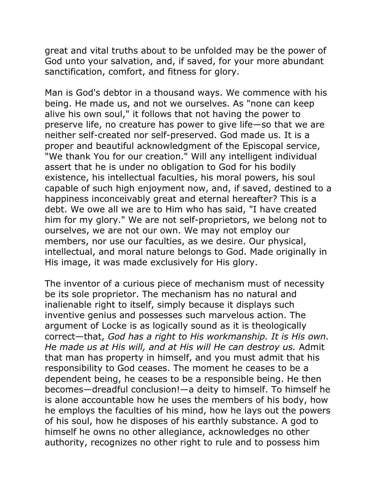great and vital truths about to be unfolded may be the power of God unto your salvation, and, if saved, for your more abundant sanctification, comfort, and fitness for glory.

Man is God's debtor in a thousand ways. We commence with his being. He made us, and not we ourselves. As "none can keep alive his own soul," it follows that not having the power to preserve life, no creature has power to give life—so that we are neither self-created nor self-preserved. God made us. It is a proper and beautiful acknowledgment of the Episcopal service, "We thank You for our creation." Will any intelligent individual assert that he is under no obligation to God for his bodily existence, his intellectual faculties, his moral powers, his soul capable of such high enjoyment now, and, if saved, destined to a happiness inconceivably great and eternal hereafter? This is a debt. We owe all we are to Him who has said, "I have created him for my glory." We are not self-proprietors, we belong not to ourselves, we are not our own. We may not employ our members, nor use our faculties, as we desire. Our physical, intellectual, and moral nature belongs to God. Made originally in His image, it was made exclusively for His glory.

The inventor of a curious piece of mechanism must of necessity be its sole proprietor. The mechanism has no natural and inalienable right to itself, simply because it displays such inventive genius and possesses such marvelous action. The argument of Locke is as logically sound as it is theologically correct—that, *God has a right to His workmanship. It is His own. He made us at His will, and at His will He can destroy us.* Admit that man has property in himself, and you must admit that his responsibility to God ceases. The moment he ceases to be a dependent being, he ceases to be a responsible being. He then becomes—dreadful conclusion!—a deity to himself. To himself he is alone accountable how he uses the members of his body, how he employs the faculties of his mind, how he lays out the powers of his soul, how he disposes of his earthly substance. A god to himself he owns no other allegiance, acknowledges no other authority, recognizes no other right to rule and to possess him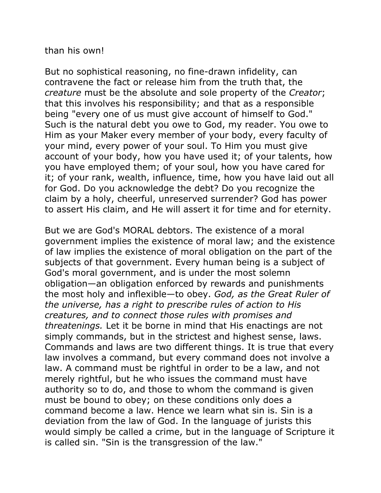than his own!

But no sophistical reasoning, no fine-drawn infidelity, can contravene the fact or release him from the truth that, the *creature* must be the absolute and sole property of the *Creator*; that this involves his responsibility; and that as a responsible being "every one of us must give account of himself to God." Such is the natural debt you owe to God, my reader. You owe to Him as your Maker every member of your body, every faculty of your mind, every power of your soul. To Him you must give account of your body, how you have used it; of your talents, how you have employed them; of your soul, how you have cared for it; of your rank, wealth, influence, time, how you have laid out all for God. Do you acknowledge the debt? Do you recognize the claim by a holy, cheerful, unreserved surrender? God has power to assert His claim, and He will assert it for time and for eternity.

But we are God's MORAL debtors. The existence of a moral government implies the existence of moral law; and the existence of law implies the existence of moral obligation on the part of the subjects of that government. Every human being is a subject of God's moral government, and is under the most solemn obligation—an obligation enforced by rewards and punishments the most holy and inflexible—to obey. *God, as the Great Ruler of the universe, has a right to prescribe rules of action to His creatures, and to connect those rules with promises and threatenings.* Let it be borne in mind that His enactings are not simply commands, but in the strictest and highest sense, laws. Commands and laws are two different things. It is true that every law involves a command, but every command does not involve a law. A command must be rightful in order to be a law, and not merely rightful, but he who issues the command must have authority so to do, and those to whom the command is given must be bound to obey; on these conditions only does a command become a law. Hence we learn what sin is. Sin is a deviation from the law of God. In the language of jurists this would simply be called a crime, but in the language of Scripture it is called sin. "Sin is the transgression of the law."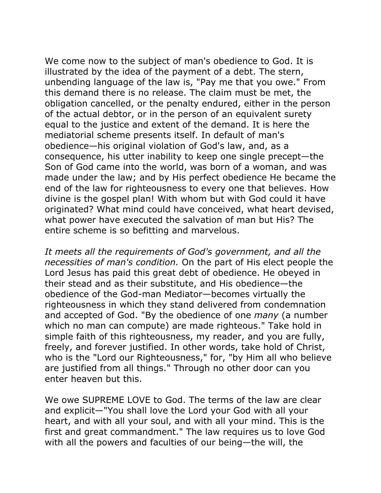We come now to the subject of man's obedience to God. It is illustrated by the idea of the payment of a debt. The stern, unbending language of the law is, "Pay me that you owe." From this demand there is no release. The claim must be met, the obligation cancelled, or the penalty endured, either in the person of the actual debtor, or in the person of an equivalent surety equal to the justice and extent of the demand. It is here the mediatorial scheme presents itself. In default of man's obedience—his original violation of God's law, and, as a consequence, his utter inability to keep one single precept—the Son of God came into the world, was born of a woman, and was made under the law; and by His perfect obedience He became the end of the law for righteousness to every one that believes. How divine is the gospel plan! With whom but with God could it have originated? What mind could have conceived, what heart devised, what power have executed the salvation of man but His? The entire scheme is so befitting and marvelous.

*It meets all the requirements of God's government, and all the necessities of man's condition.* On the part of His elect people the Lord Jesus has paid this great debt of obedience. He obeyed in their stead and as their substitute, and His obedience—the obedience of the God-man Mediator—becomes virtually the righteousness in which they stand delivered from condemnation and accepted of God. "By the obedience of one *many* (a number which no man can compute) are made righteous." Take hold in simple faith of this righteousness, my reader, and you are fully, freely, and forever justified. In other words, take hold of Christ, who is the "Lord our Righteousness," for, "by Him all who believe are justified from all things." Through no other door can you enter heaven but this.

We owe SUPREME LOVE to God. The terms of the law are clear and explicit—"You shall love the Lord your God with all your heart, and with all your soul, and with all your mind. This is the first and great commandment." The law requires us to love God with all the powers and faculties of our being—the will, the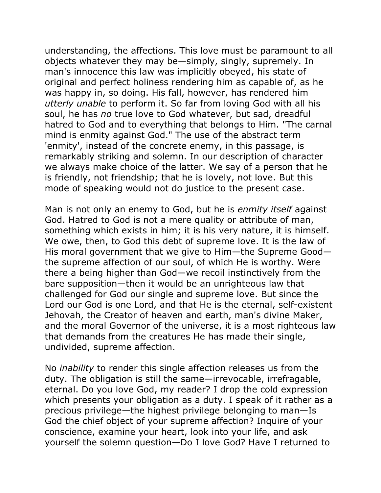understanding, the affections. This love must be paramount to all objects whatever they may be—simply, singly, supremely. In man's innocence this law was implicitly obeyed, his state of original and perfect holiness rendering him as capable of, as he was happy in, so doing. His fall, however, has rendered him *utterly unable* to perform it. So far from loving God with all his soul, he has *no* true love to God whatever, but sad, dreadful hatred to God and to everything that belongs to Him. "The carnal mind is enmity against God." The use of the abstract term 'enmity', instead of the concrete enemy, in this passage, is remarkably striking and solemn. In our description of character we always make choice of the latter. We say of a person that he is friendly, not friendship; that he is lovely, not love. But this mode of speaking would not do justice to the present case.

Man is not only an enemy to God, but he is *enmity itself* against God. Hatred to God is not a mere quality or attribute of man, something which exists in him; it is his very nature, it is himself. We owe, then, to God this debt of supreme love. It is the law of His moral government that we give to Him—the Supreme Good the supreme affection of our soul, of which He is worthy. Were there a being higher than God—we recoil instinctively from the bare supposition—then it would be an unrighteous law that challenged for God our single and supreme love. But since the Lord our God is one Lord, and that He is the eternal, self-existent Jehovah, the Creator of heaven and earth, man's divine Maker, and the moral Governor of the universe, it is a most righteous law that demands from the creatures He has made their single, undivided, supreme affection.

No *inability* to render this single affection releases us from the duty. The obligation is still the same—irrevocable, irrefragable, eternal. Do you love God, my reader? I drop the cold expression which presents your obligation as a duty. I speak of it rather as a precious privilege—the highest privilege belonging to man—Is God the chief object of your supreme affection? Inquire of your conscience, examine your heart, look into your life, and ask yourself the solemn question—Do I love God? Have I returned to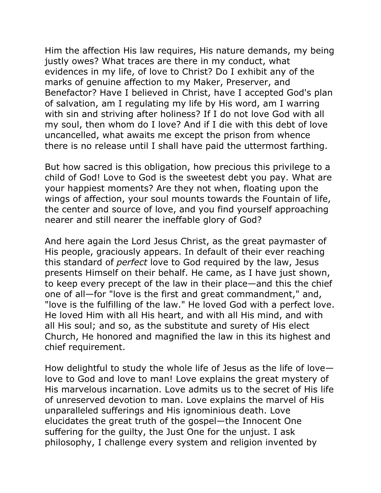Him the affection His law requires, His nature demands, my being justly owes? What traces are there in my conduct, what evidences in my life, of love to Christ? Do I exhibit any of the marks of genuine affection to my Maker, Preserver, and Benefactor? Have I believed in Christ, have I accepted God's plan of salvation, am I regulating my life by His word, am I warring with sin and striving after holiness? If I do not love God with all my soul, then whom do I love? And if I die with this debt of love uncancelled, what awaits me except the prison from whence there is no release until I shall have paid the uttermost farthing.

But how sacred is this obligation, how precious this privilege to a child of God! Love to God is the sweetest debt you pay. What are your happiest moments? Are they not when, floating upon the wings of affection, your soul mounts towards the Fountain of life, the center and source of love, and you find yourself approaching nearer and still nearer the ineffable glory of God?

And here again the Lord Jesus Christ, as the great paymaster of His people, graciously appears. In default of their ever reaching this standard of *perfect* love to God required by the law, Jesus presents Himself on their behalf. He came, as I have just shown, to keep every precept of the law in their place—and this the chief one of all—for "love is the first and great commandment," and, "love is the fulfilling of the law." He loved God with a perfect love. He loved Him with all His heart, and with all His mind, and with all His soul; and so, as the substitute and surety of His elect Church, He honored and magnified the law in this its highest and chief requirement.

How delightful to study the whole life of Jesus as the life of love love to God and love to man! Love explains the great mystery of His marvelous incarnation. Love admits us to the secret of His life of unreserved devotion to man. Love explains the marvel of His unparalleled sufferings and His ignominious death. Love elucidates the great truth of the gospel—the Innocent One suffering for the guilty, the Just One for the unjust. I ask philosophy, I challenge every system and religion invented by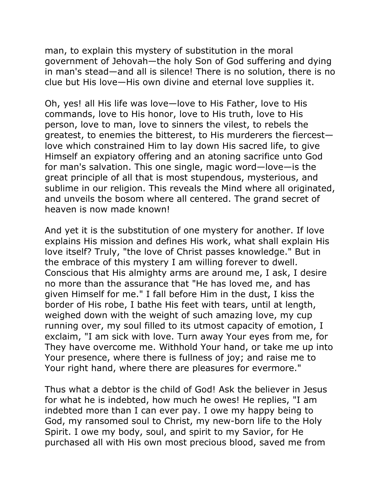man, to explain this mystery of substitution in the moral government of Jehovah—the holy Son of God suffering and dying in man's stead—and all is silence! There is no solution, there is no clue but His love—His own divine and eternal love supplies it.

Oh, yes! all His life was love—love to His Father, love to His commands, love to His honor, love to His truth, love to His person, love to man, love to sinners the vilest, to rebels the greatest, to enemies the bitterest, to His murderers the fiercest love which constrained Him to lay down His sacred life, to give Himself an expiatory offering and an atoning sacrifice unto God for man's salvation. This one single, magic word—love—is the great principle of all that is most stupendous, mysterious, and sublime in our religion. This reveals the Mind where all originated, and unveils the bosom where all centered. The grand secret of heaven is now made known!

And yet it is the substitution of one mystery for another. If love explains His mission and defines His work, what shall explain His love itself? Truly, "the love of Christ passes knowledge." But in the embrace of this mystery I am willing forever to dwell. Conscious that His almighty arms are around me, I ask, I desire no more than the assurance that "He has loved me, and has given Himself for me." I fall before Him in the dust, I kiss the border of His robe, I bathe His feet with tears, until at length, weighed down with the weight of such amazing love, my cup running over, my soul filled to its utmost capacity of emotion, I exclaim, "I am sick with love. Turn away Your eyes from me, for They have overcome me. Withhold Your hand, or take me up into Your presence, where there is fullness of joy; and raise me to Your right hand, where there are pleasures for evermore."

Thus what a debtor is the child of God! Ask the believer in Jesus for what he is indebted, how much he owes! He replies, "I am indebted more than I can ever pay. I owe my happy being to God, my ransomed soul to Christ, my new-born life to the Holy Spirit. I owe my body, soul, and spirit to my Savior, for He purchased all with His own most precious blood, saved me from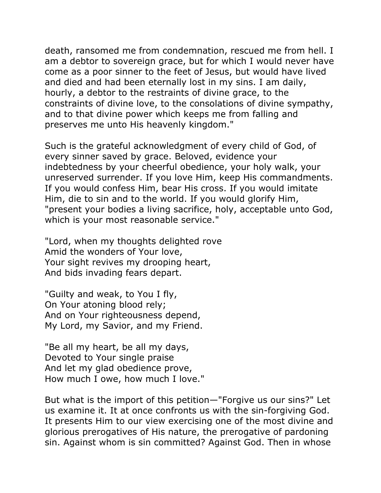death, ransomed me from condemnation, rescued me from hell. I am a debtor to sovereign grace, but for which I would never have come as a poor sinner to the feet of Jesus, but would have lived and died and had been eternally lost in my sins. I am daily, hourly, a debtor to the restraints of divine grace, to the constraints of divine love, to the consolations of divine sympathy, and to that divine power which keeps me from falling and preserves me unto His heavenly kingdom."

Such is the grateful acknowledgment of every child of God, of every sinner saved by grace. Beloved, evidence your indebtedness by your cheerful obedience, your holy walk, your unreserved surrender. If you love Him, keep His commandments. If you would confess Him, bear His cross. If you would imitate Him, die to sin and to the world. If you would glorify Him, "present your bodies a living sacrifice, holy, acceptable unto God, which is your most reasonable service."

"Lord, when my thoughts delighted rove Amid the wonders of Your love, Your sight revives my drooping heart, And bids invading fears depart.

"Guilty and weak, to You I fly, On Your atoning blood rely; And on Your righteousness depend, My Lord, my Savior, and my Friend.

"Be all my heart, be all my days, Devoted to Your single praise And let my glad obedience prove, How much I owe, how much I love."

But what is the import of this petition—"Forgive us our sins?" Let us examine it. It at once confronts us with the sin-forgiving God. It presents Him to our view exercising one of the most divine and glorious prerogatives of His nature, the prerogative of pardoning sin. Against whom is sin committed? Against God. Then in whose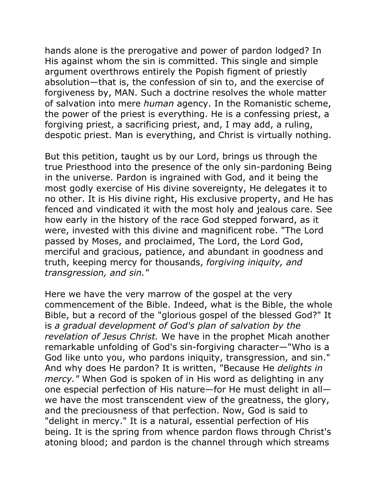hands alone is the prerogative and power of pardon lodged? In His against whom the sin is committed. This single and simple argument overthrows entirely the Popish figment of priestly absolution—that is, the confession of sin to, and the exercise of forgiveness by, MAN. Such a doctrine resolves the whole matter of salvation into mere *human* agency. In the Romanistic scheme, the power of the priest is everything. He is a confessing priest, a forgiving priest, a sacrificing priest, and, I may add, a ruling, despotic priest. Man is everything, and Christ is virtually nothing.

But this petition, taught us by our Lord, brings us through the true Priesthood into the presence of the only sin-pardoning Being in the universe. Pardon is ingrained with God, and it being the most godly exercise of His divine sovereignty, He delegates it to no other. It is His divine right, His exclusive property, and He has fenced and vindicated it with the most holy and jealous care. See how early in the history of the race God stepped forward, as it were, invested with this divine and magnificent robe. "The Lord passed by Moses, and proclaimed, The Lord, the Lord God, merciful and gracious, patience, and abundant in goodness and truth, keeping mercy for thousands, *forgiving iniquity, and transgression, and sin."*

Here we have the very marrow of the gospel at the very commencement of the Bible. Indeed, what is the Bible, the whole Bible, but a record of the "glorious gospel of the blessed God?" It is *a gradual development of God's plan of salvation by the revelation of Jesus Christ.* We have in the prophet Micah another remarkable unfolding of God's sin-forgiving character—"Who is a God like unto you, who pardons iniquity, transgression, and sin." And why does He pardon? It is written, "Because He *delights in mercy."* When God is spoken of in His word as delighting in any one especial perfection of His nature—for He must delight in all we have the most transcendent view of the greatness, the glory, and the preciousness of that perfection. Now, God is said to "delight in mercy." It is a natural, essential perfection of His being. It is the spring from whence pardon flows through Christ's atoning blood; and pardon is the channel through which streams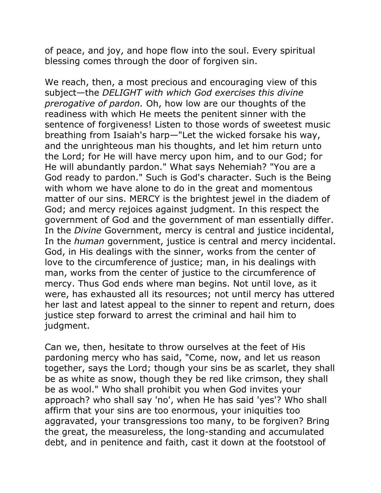of peace, and joy, and hope flow into the soul. Every spiritual blessing comes through the door of forgiven sin.

We reach, then, a most precious and encouraging view of this subject—the *DELIGHT with which God exercises this divine prerogative of pardon.* Oh, how low are our thoughts of the readiness with which He meets the penitent sinner with the sentence of forgiveness! Listen to those words of sweetest music breathing from Isaiah's harp—"Let the wicked forsake his way, and the unrighteous man his thoughts, and let him return unto the Lord; for He will have mercy upon him, and to our God; for He will abundantly pardon." What says Nehemiah? "You are a God ready to pardon." Such is God's character. Such is the Being with whom we have alone to do in the great and momentous matter of our sins. MERCY is the brightest jewel in the diadem of God; and mercy rejoices against judgment. In this respect the government of God and the government of man essentially differ. In the *Divine* Government, mercy is central and justice incidental, In the *human* government, justice is central and mercy incidental. God, in His dealings with the sinner, works from the center of love to the circumference of justice; man, in his dealings with man, works from the center of justice to the circumference of mercy. Thus God ends where man begins. Not until love, as it were, has exhausted all its resources; not until mercy has uttered her last and latest appeal to the sinner to repent and return, does justice step forward to arrest the criminal and hail him to judgment.

Can we, then, hesitate to throw ourselves at the feet of His pardoning mercy who has said, "Come, now, and let us reason together, says the Lord; though your sins be as scarlet, they shall be as white as snow, though they be red like crimson, they shall be as wool." Who shall prohibit you when God invites your approach? who shall say 'no', when He has said 'yes'? Who shall affirm that your sins are too enormous, your iniquities too aggravated, your transgressions too many, to be forgiven? Bring the great, the measureless, the long-standing and accumulated debt, and in penitence and faith, cast it down at the footstool of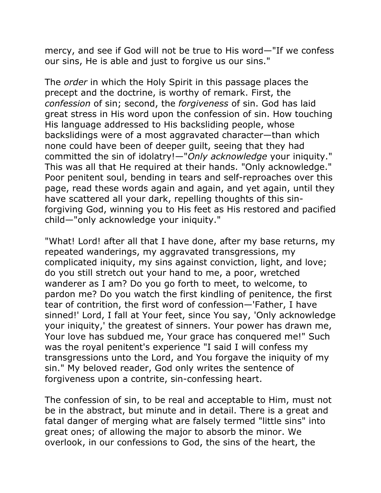mercy, and see if God will not be true to His word—"If we confess our sins, He is able and just to forgive us our sins."

The *order* in which the Holy Spirit in this passage places the precept and the doctrine, is worthy of remark. First, the *confession* of sin; second, the *forgiveness* of sin. God has laid great stress in His word upon the confession of sin. How touching His language addressed to His backsliding people, whose backslidings were of a most aggravated character—than which none could have been of deeper guilt, seeing that they had committed the sin of idolatry!—"*Only acknowledge* your iniquity." This was all that He required at their hands. "Only acknowledge." Poor penitent soul, bending in tears and self-reproaches over this page, read these words again and again, and yet again, until they have scattered all your dark, repelling thoughts of this sinforgiving God, winning you to His feet as His restored and pacified child—"only acknowledge your iniquity."

"What! Lord! after all that I have done, after my base returns, my repeated wanderings, my aggravated transgressions, my complicated iniquity, my sins against conviction, light, and love; do you still stretch out your hand to me, a poor, wretched wanderer as I am? Do you go forth to meet, to welcome, to pardon me? Do you watch the first kindling of penitence, the first tear of contrition, the first word of confession—'Father, I have sinned!' Lord, I fall at Your feet, since You say, 'Only acknowledge your iniquity,' the greatest of sinners. Your power has drawn me, Your love has subdued me, Your grace has conquered me!" Such was the royal penitent's experience "I said I will confess my transgressions unto the Lord, and You forgave the iniquity of my sin." My beloved reader, God only writes the sentence of forgiveness upon a contrite, sin-confessing heart.

The confession of sin, to be real and acceptable to Him, must not be in the abstract, but minute and in detail. There is a great and fatal danger of merging what are falsely termed "little sins" into great ones; of allowing the major to absorb the minor. We overlook, in our confessions to God, the sins of the heart, the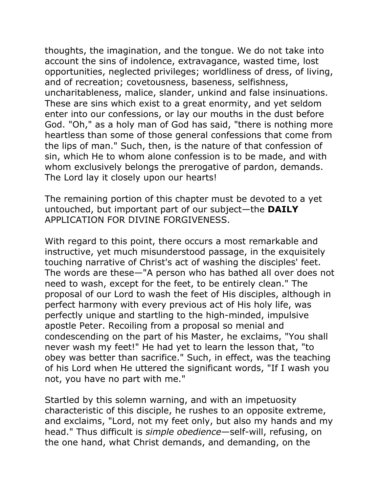thoughts, the imagination, and the tongue. We do not take into account the sins of indolence, extravagance, wasted time, lost opportunities, neglected privileges; worldliness of dress, of living, and of recreation; covetousness, baseness, selfishness, uncharitableness, malice, slander, unkind and false insinuations. These are sins which exist to a great enormity, and yet seldom enter into our confessions, or lay our mouths in the dust before God. "Oh," as a holy man of God has said, "there is nothing more heartless than some of those general confessions that come from the lips of man." Such, then, is the nature of that confession of sin, which He to whom alone confession is to be made, and with whom exclusively belongs the prerogative of pardon, demands. The Lord lay it closely upon our hearts!

The remaining portion of this chapter must be devoted to a yet untouched, but important part of our subject—the **DAILY** APPLICATION FOR DIVINE FORGIVENESS.

With regard to this point, there occurs a most remarkable and instructive, yet much misunderstood passage, in the exquisitely touching narrative of Christ's act of washing the disciples' feet. The words are these—"A person who has bathed all over does not need to wash, except for the feet, to be entirely clean." The proposal of our Lord to wash the feet of His disciples, although in perfect harmony with every previous act of His holy life, was perfectly unique and startling to the high-minded, impulsive apostle Peter. Recoiling from a proposal so menial and condescending on the part of his Master, he exclaims, "You shall never wash my feet!" He had yet to learn the lesson that, "to obey was better than sacrifice." Such, in effect, was the teaching of his Lord when He uttered the significant words, "If I wash you not, you have no part with me."

Startled by this solemn warning, and with an impetuosity characteristic of this disciple, he rushes to an opposite extreme, and exclaims, "Lord, not my feet only, but also my hands and my head." Thus difficult is *simple obedience*—self-will, refusing, on the one hand, what Christ demands, and demanding, on the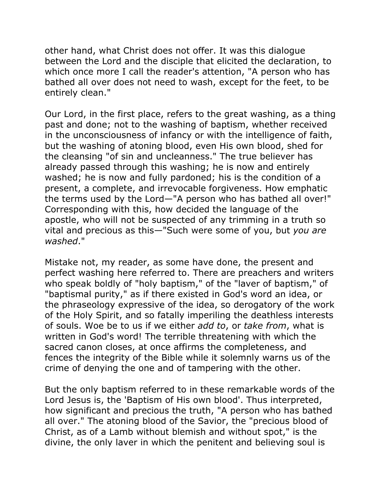other hand, what Christ does not offer. It was this dialogue between the Lord and the disciple that elicited the declaration, to which once more I call the reader's attention, "A person who has bathed all over does not need to wash, except for the feet, to be entirely clean."

Our Lord, in the first place, refers to the great washing, as a thing past and done; not to the washing of baptism, whether received in the unconsciousness of infancy or with the intelligence of faith, but the washing of atoning blood, even His own blood, shed for the cleansing "of sin and uncleanness." The true believer has already passed through this washing; he is now and entirely washed; he is now and fully pardoned; his is the condition of a present, a complete, and irrevocable forgiveness. How emphatic the terms used by the Lord—"A person who has bathed all over!" Corresponding with this, how decided the language of the apostle, who will not be suspected of any trimming in a truth so vital and precious as this—"Such were some of you, but *you are washed*."

Mistake not, my reader, as some have done, the present and perfect washing here referred to. There are preachers and writers who speak boldly of "holy baptism," of the "laver of baptism," of "baptismal purity," as if there existed in God's word an idea, or the phraseology expressive of the idea, so derogatory of the work of the Holy Spirit, and so fatally imperiling the deathless interests of souls. Woe be to us if we either *add to*, or *take from*, what is written in God's word! The terrible threatening with which the sacred canon closes, at once affirms the completeness, and fences the integrity of the Bible while it solemnly warns us of the crime of denying the one and of tampering with the other.

But the only baptism referred to in these remarkable words of the Lord Jesus is, the 'Baptism of His own blood'. Thus interpreted, how significant and precious the truth, "A person who has bathed all over." The atoning blood of the Savior, the "precious blood of Christ, as of a Lamb without blemish and without spot," is the divine, the only laver in which the penitent and believing soul is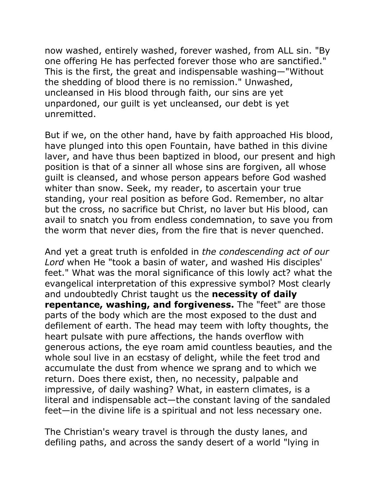now washed, entirely washed, forever washed, from ALL sin. "By one offering He has perfected forever those who are sanctified." This is the first, the great and indispensable washing—"Without the shedding of blood there is no remission." Unwashed, uncleansed in His blood through faith, our sins are yet unpardoned, our guilt is yet uncleansed, our debt is yet unremitted.

But if we, on the other hand, have by faith approached His blood, have plunged into this open Fountain, have bathed in this divine laver, and have thus been baptized in blood, our present and high position is that of a sinner all whose sins are forgiven, all whose guilt is cleansed, and whose person appears before God washed whiter than snow. Seek, my reader, to ascertain your true standing, your real position as before God. Remember, no altar but the cross, no sacrifice but Christ, no laver but His blood, can avail to snatch you from endless condemnation, to save you from the worm that never dies, from the fire that is never quenched.

And yet a great truth is enfolded in *the condescending act of our Lord* when He "took a basin of water, and washed His disciples' feet." What was the moral significance of this lowly act? what the evangelical interpretation of this expressive symbol? Most clearly and undoubtedly Christ taught us the **necessity of daily repentance, washing, and forgiveness.** The "feet" are those parts of the body which are the most exposed to the dust and defilement of earth. The head may teem with lofty thoughts, the heart pulsate with pure affections, the hands overflow with generous actions, the eye roam amid countless beauties, and the whole soul live in an ecstasy of delight, while the feet trod and accumulate the dust from whence we sprang and to which we return. Does there exist, then, no necessity, palpable and impressive, of daily washing? What, in eastern climates, is a literal and indispensable act—the constant laving of the sandaled feet—in the divine life is a spiritual and not less necessary one.

The Christian's weary travel is through the dusty lanes, and defiling paths, and across the sandy desert of a world "lying in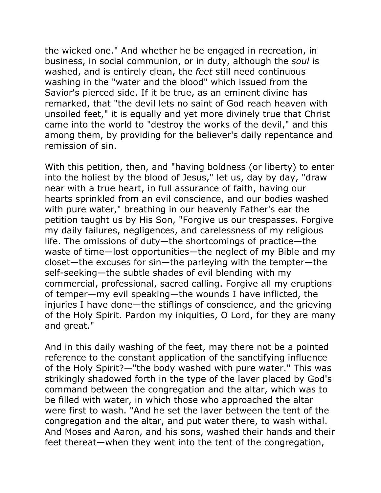the wicked one." And whether he be engaged in recreation, in business, in social communion, or in duty, although the *soul* is washed, and is entirely clean, the *feet* still need continuous washing in the "water and the blood" which issued from the Savior's pierced side. If it be true, as an eminent divine has remarked, that "the devil lets no saint of God reach heaven with unsoiled feet," it is equally and yet more divinely true that Christ came into the world to "destroy the works of the devil," and this among them, by providing for the believer's daily repentance and remission of sin.

With this petition, then, and "having boldness (or liberty) to enter into the holiest by the blood of Jesus," let us, day by day, "draw near with a true heart, in full assurance of faith, having our hearts sprinkled from an evil conscience, and our bodies washed with pure water," breathing in our heavenly Father's ear the petition taught us by His Son, "Forgive us our trespasses. Forgive my daily failures, negligences, and carelessness of my religious life. The omissions of duty—the shortcomings of practice—the waste of time—lost opportunities—the neglect of my Bible and my closet—the excuses for sin—the parleying with the tempter—the self-seeking—the subtle shades of evil blending with my commercial, professional, sacred calling. Forgive all my eruptions of temper—my evil speaking—the wounds I have inflicted, the injuries I have done—the stiflings of conscience, and the grieving of the Holy Spirit. Pardon my iniquities, O Lord, for they are many and great."

And in this daily washing of the feet, may there not be a pointed reference to the constant application of the sanctifying influence of the Holy Spirit?—"the body washed with pure water." This was strikingly shadowed forth in the type of the laver placed by God's command between the congregation and the altar, which was to be filled with water, in which those who approached the altar were first to wash. "And he set the laver between the tent of the congregation and the altar, and put water there, to wash withal. And Moses and Aaron, and his sons, washed their hands and their feet thereat—when they went into the tent of the congregation,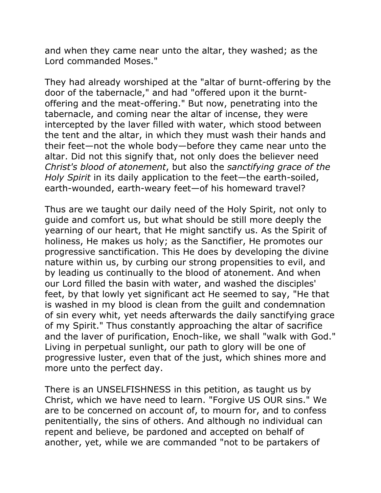and when they came near unto the altar, they washed; as the Lord commanded Moses."

They had already worshiped at the "altar of burnt-offering by the door of the tabernacle," and had "offered upon it the burntoffering and the meat-offering." But now, penetrating into the tabernacle, and coming near the altar of incense, they were intercepted by the laver filled with water, which stood between the tent and the altar, in which they must wash their hands and their feet—not the whole body—before they came near unto the altar. Did not this signify that, not only does the believer need *Christ's blood of atonement*, but also the *sanctifying grace of the Holy Spirit* in its daily application to the feet—the earth-soiled, earth-wounded, earth-weary feet—of his homeward travel?

Thus are we taught our daily need of the Holy Spirit, not only to guide and comfort us, but what should be still more deeply the yearning of our heart, that He might sanctify us. As the Spirit of holiness, He makes us holy; as the Sanctifier, He promotes our progressive sanctification. This He does by developing the divine nature within us, by curbing our strong propensities to evil, and by leading us continually to the blood of atonement. And when our Lord filled the basin with water, and washed the disciples' feet, by that lowly yet significant act He seemed to say, "He that is washed in my blood is clean from the guilt and condemnation of sin every whit, yet needs afterwards the daily sanctifying grace of my Spirit." Thus constantly approaching the altar of sacrifice and the laver of purification, Enoch-like, we shall "walk with God." Living in perpetual sunlight, our path to glory will be one of progressive luster, even that of the just, which shines more and more unto the perfect day.

There is an UNSELFISHNESS in this petition, as taught us by Christ, which we have need to learn. "Forgive US OUR sins." We are to be concerned on account of, to mourn for, and to confess penitentially, the sins of others. And although no individual can repent and believe, be pardoned and accepted on behalf of another, yet, while we are commanded "not to be partakers of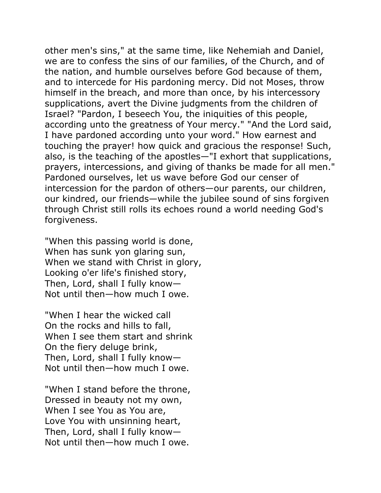other men's sins," at the same time, like Nehemiah and Daniel, we are to confess the sins of our families, of the Church, and of the nation, and humble ourselves before God because of them, and to intercede for His pardoning mercy. Did not Moses, throw himself in the breach, and more than once, by his intercessory supplications, avert the Divine judgments from the children of Israel? "Pardon, I beseech You, the iniquities of this people, according unto the greatness of Your mercy." "And the Lord said, I have pardoned according unto your word." How earnest and touching the prayer! how quick and gracious the response! Such, also, is the teaching of the apostles—"I exhort that supplications, prayers, intercessions, and giving of thanks be made for all men." Pardoned ourselves, let us wave before God our censer of intercession for the pardon of others—our parents, our children, our kindred, our friends—while the jubilee sound of sins forgiven through Christ still rolls its echoes round a world needing God's forgiveness.

"When this passing world is done, When has sunk yon glaring sun, When we stand with Christ in glory, Looking o'er life's finished story, Then, Lord, shall I fully know— Not until then—how much I owe.

"When I hear the wicked call On the rocks and hills to fall, When I see them start and shrink On the fiery deluge brink, Then, Lord, shall I fully know— Not until then—how much I owe.

"When I stand before the throne, Dressed in beauty not my own, When I see You as You are, Love You with unsinning heart, Then, Lord, shall I fully know— Not until then—how much I owe.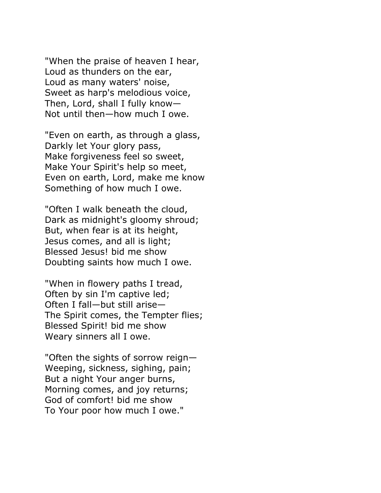"When the praise of heaven I hear, Loud as thunders on the ear, Loud as many waters' noise, Sweet as harp's melodious voice, Then, Lord, shall I fully know— Not until then—how much I owe.

"Even on earth, as through a glass, Darkly let Your glory pass, Make forgiveness feel so sweet, Make Your Spirit's help so meet, Even on earth, Lord, make me know Something of how much I owe.

"Often I walk beneath the cloud, Dark as midnight's gloomy shroud; But, when fear is at its height, Jesus comes, and all is light; Blessed Jesus! bid me show Doubting saints how much I owe.

"When in flowery paths I tread, Often by sin I'm captive led; Often I fall—but still arise— The Spirit comes, the Tempter flies; Blessed Spirit! bid me show Weary sinners all I owe.

"Often the sights of sorrow reign— Weeping, sickness, sighing, pain; But a night Your anger burns, Morning comes, and joy returns; God of comfort! bid me show To Your poor how much I owe."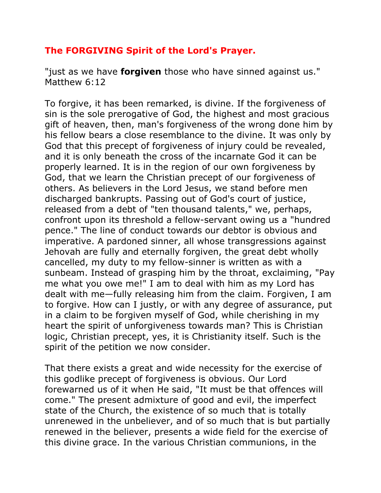## **The FORGIVING Spirit of the Lord's Prayer.**

"just as we have **forgiven** those who have sinned against us." Matthew 6:12

To forgive, it has been remarked, is divine. If the forgiveness of sin is the sole prerogative of God, the highest and most gracious gift of heaven, then, man's forgiveness of the wrong done him by his fellow bears a close resemblance to the divine. It was only by God that this precept of forgiveness of injury could be revealed, and it is only beneath the cross of the incarnate God it can be properly learned. It is in the region of our own forgiveness by God, that we learn the Christian precept of our forgiveness of others. As believers in the Lord Jesus, we stand before men discharged bankrupts. Passing out of God's court of justice, released from a debt of "ten thousand talents," we, perhaps, confront upon its threshold a fellow-servant owing us a "hundred pence." The line of conduct towards our debtor is obvious and imperative. A pardoned sinner, all whose transgressions against Jehovah are fully and eternally forgiven, the great debt wholly cancelled, my duty to my fellow-sinner is written as with a sunbeam. Instead of grasping him by the throat, exclaiming, "Pay me what you owe me!" I am to deal with him as my Lord has dealt with me—fully releasing him from the claim. Forgiven, I am to forgive. How can I justly, or with any degree of assurance, put in a claim to be forgiven myself of God, while cherishing in my heart the spirit of unforgiveness towards man? This is Christian logic, Christian precept, yes, it is Christianity itself. Such is the spirit of the petition we now consider.

That there exists a great and wide necessity for the exercise of this godlike precept of forgiveness is obvious. Our Lord forewarned us of it when He said, "It must be that offences will come." The present admixture of good and evil, the imperfect state of the Church, the existence of so much that is totally unrenewed in the unbeliever, and of so much that is but partially renewed in the believer, presents a wide field for the exercise of this divine grace. In the various Christian communions, in the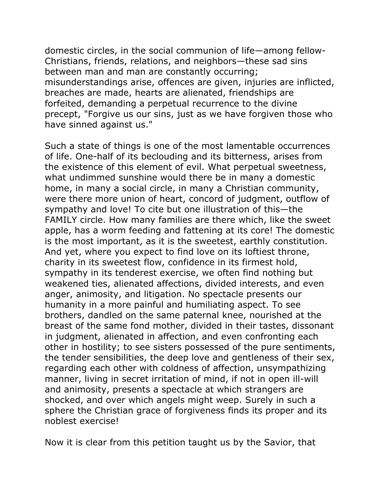domestic circles, in the social communion of life—among fellow-Christians, friends, relations, and neighbors—these sad sins between man and man are constantly occurring; misunderstandings arise, offences are given, injuries are inflicted, breaches are made, hearts are alienated, friendships are forfeited, demanding a perpetual recurrence to the divine precept, "Forgive us our sins, just as we have forgiven those who have sinned against us."

Such a state of things is one of the most lamentable occurrences of life. One-half of its beclouding and its bitterness, arises from the existence of this element of evil. What perpetual sweetness, what undimmed sunshine would there be in many a domestic home, in many a social circle, in many a Christian community, were there more union of heart, concord of judgment, outflow of sympathy and love! To cite but one illustration of this—the FAMILY circle. How many families are there which, like the sweet apple, has a worm feeding and fattening at its core! The domestic is the most important, as it is the sweetest, earthly constitution. And yet, where you expect to find love on its loftiest throne, charity in its sweetest flow, confidence in its firmest hold, sympathy in its tenderest exercise, we often find nothing but weakened ties, alienated affections, divided interests, and even anger, animosity, and litigation. No spectacle presents our humanity in a more painful and humiliating aspect. To see brothers, dandled on the same paternal knee, nourished at the breast of the same fond mother, divided in their tastes, dissonant in judgment, alienated in affection, and even confronting each other in hostility; to see sisters possessed of the pure sentiments, the tender sensibilities, the deep love and gentleness of their sex, regarding each other with coldness of affection, unsympathizing manner, living in secret irritation of mind, if not in open ill-will and animosity, presents a spectacle at which strangers are shocked, and over which angels might weep. Surely in such a sphere the Christian grace of forgiveness finds its proper and its noblest exercise!

Now it is clear from this petition taught us by the Savior, that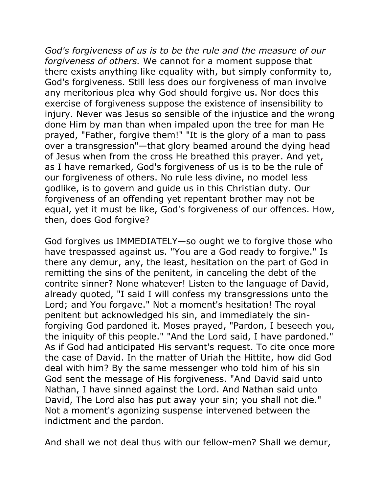*God's forgiveness of us is to be the rule and the measure of our forgiveness of others.* We cannot for a moment suppose that there exists anything like equality with, but simply conformity to, God's forgiveness. Still less does our forgiveness of man involve any meritorious plea why God should forgive us. Nor does this exercise of forgiveness suppose the existence of insensibility to injury. Never was Jesus so sensible of the injustice and the wrong done Him by man than when impaled upon the tree for man He prayed, "Father, forgive them!" "It is the glory of a man to pass over a transgression"—that glory beamed around the dying head of Jesus when from the cross He breathed this prayer. And yet, as I have remarked, God's forgiveness of us is to be the rule of our forgiveness of others. No rule less divine, no model less godlike, is to govern and guide us in this Christian duty. Our forgiveness of an offending yet repentant brother may not be equal, yet it must be like, God's forgiveness of our offences. How, then, does God forgive?

God forgives us IMMEDIATELY—so ought we to forgive those who have trespassed against us. "You are a God ready to forgive." Is there any demur, any, the least, hesitation on the part of God in remitting the sins of the penitent, in canceling the debt of the contrite sinner? None whatever! Listen to the language of David, already quoted, "I said I will confess my transgressions unto the Lord; and You forgave." Not a moment's hesitation! The royal penitent but acknowledged his sin, and immediately the sinforgiving God pardoned it. Moses prayed, "Pardon, I beseech you, the iniquity of this people." "And the Lord said, I have pardoned." As if God had anticipated His servant's request. To cite once more the case of David. In the matter of Uriah the Hittite, how did God deal with him? By the same messenger who told him of his sin God sent the message of His forgiveness. "And David said unto Nathan, I have sinned against the Lord. And Nathan said unto David, The Lord also has put away your sin; you shall not die." Not a moment's agonizing suspense intervened between the indictment and the pardon.

And shall we not deal thus with our fellow-men? Shall we demur,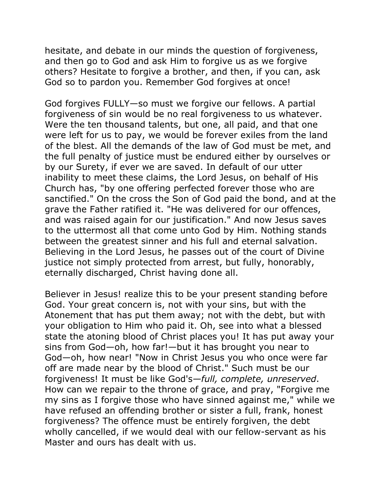hesitate, and debate in our minds the question of forgiveness, and then go to God and ask Him to forgive us as we forgive others? Hesitate to forgive a brother, and then, if you can, ask God so to pardon you. Remember God forgives at once!

God forgives FULLY—so must we forgive our fellows. A partial forgiveness of sin would be no real forgiveness to us whatever. Were the ten thousand talents, but one, all paid, and that one were left for us to pay, we would be forever exiles from the land of the blest. All the demands of the law of God must be met, and the full penalty of justice must be endured either by ourselves or by our Surety, if ever we are saved. In default of our utter inability to meet these claims, the Lord Jesus, on behalf of His Church has, "by one offering perfected forever those who are sanctified." On the cross the Son of God paid the bond, and at the grave the Father ratified it. "He was delivered for our offences, and was raised again for our justification." And now Jesus saves to the uttermost all that come unto God by Him. Nothing stands between the greatest sinner and his full and eternal salvation. Believing in the Lord Jesus, he passes out of the court of Divine justice not simply protected from arrest, but fully, honorably, eternally discharged, Christ having done all.

Believer in Jesus! realize this to be your present standing before God. Your great concern is, not with your sins, but with the Atonement that has put them away; not with the debt, but with your obligation to Him who paid it. Oh, see into what a blessed state the atoning blood of Christ places you! It has put away your sins from God—oh, how far!—but it has brought you near to God—oh, how near! "Now in Christ Jesus you who once were far off are made near by the blood of Christ." Such must be our forgiveness! It must be like God's*—full, complete, unreserved*. How can we repair to the throne of grace, and pray, "Forgive me my sins as I forgive those who have sinned against me," while we have refused an offending brother or sister a full, frank, honest forgiveness? The offence must be entirely forgiven, the debt wholly cancelled, if we would deal with our fellow-servant as his Master and ours has dealt with us.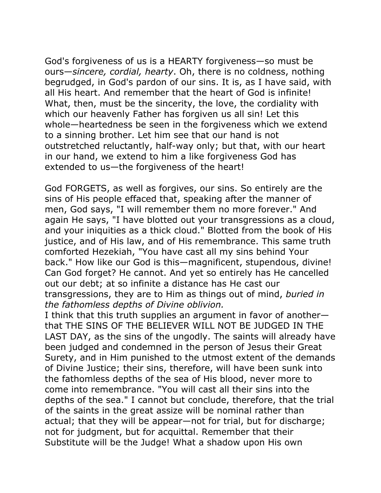God's forgiveness of us is a HEARTY forgiveness—so must be ours—*sincere, cordial, hearty*. Oh, there is no coldness, nothing begrudged, in God's pardon of our sins. It is, as I have said, with all His heart. And remember that the heart of God is infinite! What, then, must be the sincerity, the love, the cordiality with which our heavenly Father has forgiven us all sin! Let this whole—heartedness be seen in the forgiveness which we extend to a sinning brother. Let him see that our hand is not outstretched reluctantly, half-way only; but that, with our heart in our hand, we extend to him a like forgiveness God has extended to us—the forgiveness of the heart!

God FORGETS, as well as forgives, our sins. So entirely are the sins of His people effaced that, speaking after the manner of men, God says, "I will remember them no more forever." And again He says, "I have blotted out your transgressions as a cloud, and your iniquities as a thick cloud." Blotted from the book of His justice, and of His law, and of His remembrance. This same truth comforted Hezekiah, "You have cast all my sins behind Your back." How like our God is this—magnificent, stupendous, divine! Can God forget? He cannot. And yet so entirely has He cancelled out our debt; at so infinite a distance has He cast our transgressions, they are to Him as things out of mind, *buried in the fathomless depths of Divine oblivion.* 

I think that this truth supplies an argument in favor of another that THE SINS OF THE BELIEVER WILL NOT BE JUDGED IN THE LAST DAY, as the sins of the ungodly. The saints will already have been judged and condemned in the person of Jesus their Great Surety, and in Him punished to the utmost extent of the demands of Divine Justice; their sins, therefore, will have been sunk into the fathomless depths of the sea of His blood, never more to come into remembrance. "You will cast all their sins into the depths of the sea." I cannot but conclude, therefore, that the trial of the saints in the great assize will be nominal rather than actual; that they will be appear—not for trial, but for discharge; not for judgment, but for acquittal. Remember that their Substitute will be the Judge! What a shadow upon His own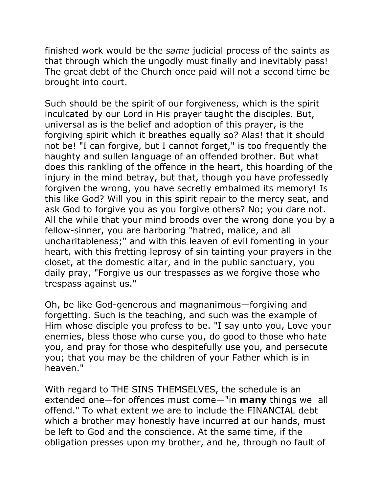finished work would be the *same* judicial process of the saints as that through which the ungodly must finally and inevitably pass! The great debt of the Church once paid will not a second time be brought into court.

Such should be the spirit of our forgiveness, which is the spirit inculcated by our Lord in His prayer taught the disciples. But, universal as is the belief and adoption of this prayer, is the forgiving spirit which it breathes equally so? Alas! that it should not be! "I can forgive, but I cannot forget," is too frequently the haughty and sullen language of an offended brother. But what does this rankling of the offence in the heart, this hoarding of the injury in the mind betray, but that, though you have professedly forgiven the wrong, you have secretly embalmed its memory! Is this like God? Will you in this spirit repair to the mercy seat, and ask God to forgive you as you forgive others? No; you dare not. All the while that your mind broods over the wrong done you by a fellow-sinner, you are harboring "hatred, malice, and all uncharitableness;" and with this leaven of evil fomenting in your heart, with this fretting leprosy of sin tainting your prayers in the closet, at the domestic altar, and in the public sanctuary, you daily pray, "Forgive us our trespasses as we forgive those who trespass against us."

Oh, be like God-generous and magnanimous—forgiving and forgetting. Such is the teaching, and such was the example of Him whose disciple you profess to be. "I say unto you, Love your enemies, bless those who curse you, do good to those who hate you, and pray for those who despitefully use you, and persecute you; that you may be the children of your Father which is in heaven."

With regard to THE SINS THEMSELVES, the schedule is an extended one—for offences must come—"in **many** things we all offend." To what extent we are to include the FINANCIAL debt which a brother may honestly have incurred at our hands, must be left to God and the conscience. At the same time, if the obligation presses upon my brother, and he, through no fault of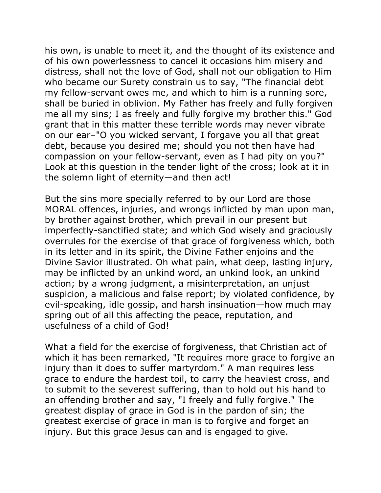his own, is unable to meet it, and the thought of its existence and of his own powerlessness to cancel it occasions him misery and distress, shall not the love of God, shall not our obligation to Him who became our Surety constrain us to say, "The financial debt my fellow-servant owes me, and which to him is a running sore, shall be buried in oblivion. My Father has freely and fully forgiven me all my sins; I as freely and fully forgive my brother this." God grant that in this matter these terrible words may never vibrate on our ear–"O you wicked servant, I forgave you all that great debt, because you desired me; should you not then have had compassion on your fellow-servant, even as I had pity on you?" Look at this question in the tender light of the cross; look at it in the solemn light of eternity—and then act!

But the sins more specially referred to by our Lord are those MORAL offences, injuries, and wrongs inflicted by man upon man, by brother against brother, which prevail in our present but imperfectly-sanctified state; and which God wisely and graciously overrules for the exercise of that grace of forgiveness which, both in its letter and in its spirit, the Divine Father enjoins and the Divine Savior illustrated. Oh what pain, what deep, lasting injury, may be inflicted by an unkind word, an unkind look, an unkind action; by a wrong judgment, a misinterpretation, an unjust suspicion, a malicious and false report; by violated confidence, by evil-speaking, idle gossip, and harsh insinuation—how much may spring out of all this affecting the peace, reputation, and usefulness of a child of God!

What a field for the exercise of forgiveness, that Christian act of which it has been remarked, "It requires more grace to forgive an injury than it does to suffer martyrdom." A man requires less grace to endure the hardest toil, to carry the heaviest cross, and to submit to the severest suffering, than to hold out his hand to an offending brother and say, "I freely and fully forgive." The greatest display of grace in God is in the pardon of sin; the greatest exercise of grace in man is to forgive and forget an injury. But this grace Jesus can and is engaged to give.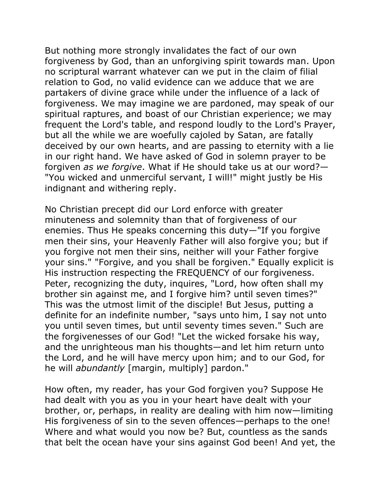But nothing more strongly invalidates the fact of our own forgiveness by God, than an unforgiving spirit towards man. Upon no scriptural warrant whatever can we put in the claim of filial relation to God, no valid evidence can we adduce that we are partakers of divine grace while under the influence of a lack of forgiveness. We may imagine we are pardoned, may speak of our spiritual raptures, and boast of our Christian experience; we may frequent the Lord's table, and respond loudly to the Lord's Prayer, but all the while we are woefully cajoled by Satan, are fatally deceived by our own hearts, and are passing to eternity with a lie in our right hand. We have asked of God in solemn prayer to be forgiven *as we forgive*. What if He should take us at our word?— "You wicked and unmerciful servant, I will!" might justly be His indignant and withering reply.

No Christian precept did our Lord enforce with greater minuteness and solemnity than that of forgiveness of our enemies. Thus He speaks concerning this duty—"If you forgive men their sins, your Heavenly Father will also forgive you; but if you forgive not men their sins, neither will your Father forgive your sins." "Forgive, and you shall be forgiven." Equally explicit is His instruction respecting the FREQUENCY of our forgiveness. Peter, recognizing the duty, inquires, "Lord, how often shall my brother sin against me, and I forgive him? until seven times?" This was the utmost limit of the disciple! But Jesus, putting a definite for an indefinite number, "says unto him, I say not unto you until seven times, but until seventy times seven." Such are the forgivenesses of our God! "Let the wicked forsake his way, and the unrighteous man his thoughts—and let him return unto the Lord, and he will have mercy upon him; and to our God, for he will *abundantly* [margin, multiply] pardon."

How often, my reader, has your God forgiven you? Suppose He had dealt with you as you in your heart have dealt with your brother, or, perhaps, in reality are dealing with him now—limiting His forgiveness of sin to the seven offences—perhaps to the one! Where and what would you now be? But, countless as the sands that belt the ocean have your sins against God been! And yet, the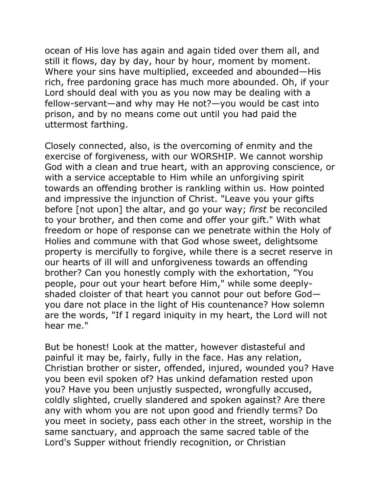ocean of His love has again and again tided over them all, and still it flows, day by day, hour by hour, moment by moment. Where your sins have multiplied, exceeded and abounded—His rich, free pardoning grace has much more abounded. Oh, if your Lord should deal with you as you now may be dealing with a fellow-servant—and why may He not?—you would be cast into prison, and by no means come out until you had paid the uttermost farthing.

Closely connected, also, is the overcoming of enmity and the exercise of forgiveness, with our WORSHIP. We cannot worship God with a clean and true heart, with an approving conscience, or with a service acceptable to Him while an unforgiving spirit towards an offending brother is rankling within us. How pointed and impressive the injunction of Christ. "Leave you your gifts before [not upon] the altar, and go your way; *first* be reconciled to your brother, and then come and offer your gift." With what freedom or hope of response can we penetrate within the Holy of Holies and commune with that God whose sweet, delightsome property is mercifully to forgive, while there is a secret reserve in our hearts of ill will and unforgiveness towards an offending brother? Can you honestly comply with the exhortation, "You people, pour out your heart before Him," while some deeplyshaded cloister of that heart you cannot pour out before God you dare not place in the light of His countenance? How solemn are the words, "If I regard iniquity in my heart, the Lord will not hear me."

But be honest! Look at the matter, however distasteful and painful it may be, fairly, fully in the face. Has any relation, Christian brother or sister, offended, injured, wounded you? Have you been evil spoken of? Has unkind defamation rested upon you? Have you been unjustly suspected, wrongfully accused, coldly slighted, cruelly slandered and spoken against? Are there any with whom you are not upon good and friendly terms? Do you meet in society, pass each other in the street, worship in the same sanctuary, and approach the same sacred table of the Lord's Supper without friendly recognition, or Christian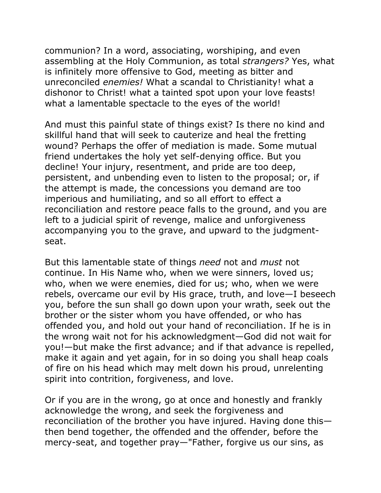communion? In a word, associating, worshiping, and even assembling at the Holy Communion, as total *strangers?* Yes, what is infinitely more offensive to God, meeting as bitter and unreconciled *enemies!* What a scandal to Christianity! what a dishonor to Christ! what a tainted spot upon your love feasts! what a lamentable spectacle to the eyes of the world!

And must this painful state of things exist? Is there no kind and skillful hand that will seek to cauterize and heal the fretting wound? Perhaps the offer of mediation is made. Some mutual friend undertakes the holy yet self-denying office. But you decline! Your injury, resentment, and pride are too deep, persistent, and unbending even to listen to the proposal; or, if the attempt is made, the concessions you demand are too imperious and humiliating, and so all effort to effect a reconciliation and restore peace falls to the ground, and you are left to a judicial spirit of revenge, malice and unforgiveness accompanying you to the grave, and upward to the judgmentseat.

But this lamentable state of things *need* not and *must* not continue. In His Name who, when we were sinners, loved us; who, when we were enemies, died for us; who, when we were rebels, overcame our evil by His grace, truth, and love—I beseech you, before the sun shall go down upon your wrath, seek out the brother or the sister whom you have offended, or who has offended you, and hold out your hand of reconciliation. If he is in the wrong wait not for his acknowledgment—God did not wait for you!—but make the first advance; and if that advance is repelled, make it again and yet again, for in so doing you shall heap coals of fire on his head which may melt down his proud, unrelenting spirit into contrition, forgiveness, and love.

Or if you are in the wrong, go at once and honestly and frankly acknowledge the wrong, and seek the forgiveness and reconciliation of the brother you have injured. Having done this then bend together, the offended and the offender, before the mercy-seat, and together pray—"Father, forgive us our sins, as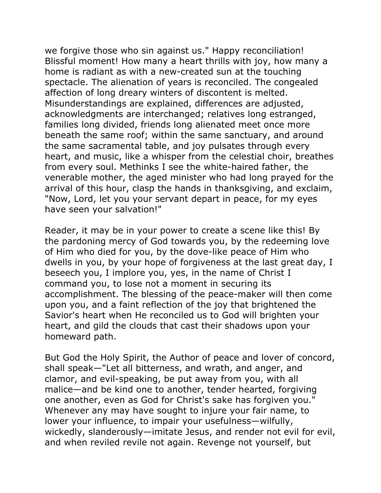we forgive those who sin against us." Happy reconciliation! Blissful moment! How many a heart thrills with joy, how many a home is radiant as with a new-created sun at the touching spectacle. The alienation of years is reconciled. The congealed affection of long dreary winters of discontent is melted. Misunderstandings are explained, differences are adjusted, acknowledgments are interchanged; relatives long estranged, families long divided, friends long alienated meet once more beneath the same roof; within the same sanctuary, and around the same sacramental table, and joy pulsates through every heart, and music, like a whisper from the celestial choir, breathes from every soul. Methinks I see the white-haired father, the venerable mother, the aged minister who had long prayed for the arrival of this hour, clasp the hands in thanksgiving, and exclaim, "Now, Lord, let you your servant depart in peace, for my eyes have seen your salvation!"

Reader, it may be in your power to create a scene like this! By the pardoning mercy of God towards you, by the redeeming love of Him who died for you, by the dove-like peace of Him who dwells in you, by your hope of forgiveness at the last great day, I beseech you, I implore you, yes, in the name of Christ I command you, to lose not a moment in securing its accomplishment. The blessing of the peace-maker will then come upon you, and a faint reflection of the joy that brightened the Savior's heart when He reconciled us to God will brighten your heart, and gild the clouds that cast their shadows upon your homeward path.

But God the Holy Spirit, the Author of peace and lover of concord, shall speak—"Let all bitterness, and wrath, and anger, and clamor, and evil-speaking, be put away from you, with all malice—and be kind one to another, tender hearted, forgiving one another, even as God for Christ's sake has forgiven you." Whenever any may have sought to injure your fair name, to lower your influence, to impair your usefulness—wilfully, wickedly, slanderously—imitate Jesus, and render not evil for evil, and when reviled revile not again. Revenge not yourself, but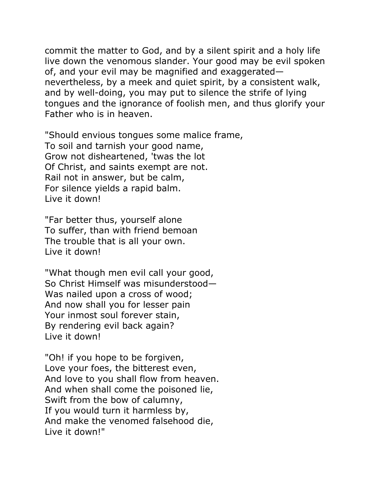commit the matter to God, and by a silent spirit and a holy life live down the venomous slander. Your good may be evil spoken of, and your evil may be magnified and exaggerated nevertheless, by a meek and quiet spirit, by a consistent walk, and by well-doing, you may put to silence the strife of lying tongues and the ignorance of foolish men, and thus glorify your Father who is in heaven.

"Should envious tongues some malice frame, To soil and tarnish your good name, Grow not disheartened, 'twas the lot Of Christ, and saints exempt are not. Rail not in answer, but be calm, For silence yields a rapid balm. Live it down!

"Far better thus, yourself alone To suffer, than with friend bemoan The trouble that is all your own. Live it down!

"What though men evil call your good, So Christ Himself was misunderstood— Was nailed upon a cross of wood; And now shall you for lesser pain Your inmost soul forever stain, By rendering evil back again? Live it down!

"Oh! if you hope to be forgiven, Love your foes, the bitterest even, And love to you shall flow from heaven. And when shall come the poisoned lie, Swift from the bow of calumny, If you would turn it harmless by, And make the venomed falsehood die, Live it down!"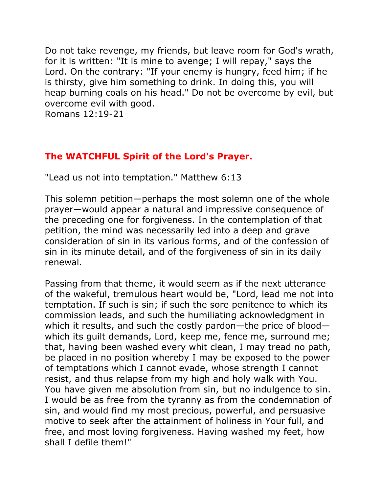Do not take revenge, my friends, but leave room for God's wrath, for it is written: "It is mine to avenge; I will repay," says the Lord. On the contrary: "If your enemy is hungry, feed him; if he is thirsty, give him something to drink. In doing this, you will heap burning coals on his head." Do not be overcome by evil, but overcome evil with good.

Romans 12:19-21

# **The WATCHFUL Spirit of the Lord's Prayer.**

"Lead us not into temptation." Matthew 6:13

This solemn petition—perhaps the most solemn one of the whole prayer—would appear a natural and impressive consequence of the preceding one for forgiveness. In the contemplation of that petition, the mind was necessarily led into a deep and grave consideration of sin in its various forms, and of the confession of sin in its minute detail, and of the forgiveness of sin in its daily renewal.

Passing from that theme, it would seem as if the next utterance of the wakeful, tremulous heart would be, "Lord, lead me not into temptation. If such is sin; if such the sore penitence to which its commission leads, and such the humiliating acknowledgment in which it results, and such the costly pardon—the price of blood which its guilt demands, Lord, keep me, fence me, surround me; that, having been washed every whit clean, I may tread no path, be placed in no position whereby I may be exposed to the power of temptations which I cannot evade, whose strength I cannot resist, and thus relapse from my high and holy walk with You. You have given me absolution from sin, but no indulgence to sin. I would be as free from the tyranny as from the condemnation of sin, and would find my most precious, powerful, and persuasive motive to seek after the attainment of holiness in Your full, and free, and most loving forgiveness. Having washed my feet, how shall I defile them!"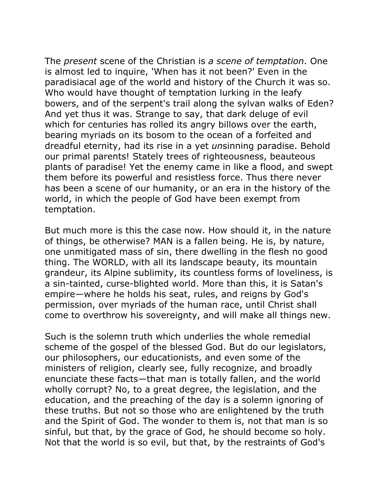The *present* scene of the Christian is *a scene of temptation*. One is almost led to inquire, 'When has it not been?' Even in the paradisiacal age of the world and history of the Church it was so. Who would have thought of temptation lurking in the leafy bowers, and of the serpent's trail along the sylvan walks of Eden? And yet thus it was. Strange to say, that dark deluge of evil which for centuries has rolled its angry billows over the earth, bearing myriads on its bosom to the ocean of a forfeited and dreadful eternity, had its rise in a yet *un*sinning paradise. Behold our primal parents! Stately trees of righteousness, beauteous plants of paradise! Yet the enemy came in like a flood, and swept them before its powerful and resistless force. Thus there never has been a scene of our humanity, or an era in the history of the world, in which the people of God have been exempt from temptation.

But much more is this the case now. How should it, in the nature of things, be otherwise? MAN is a fallen being. He is, by nature, one unmitigated mass of sin, there dwelling in the flesh no good thing. The WORLD, with all its landscape beauty, its mountain grandeur, its Alpine sublimity, its countless forms of loveliness, is a sin-tainted, curse-blighted world. More than this, it is Satan's empire—where he holds his seat, rules, and reigns by God's permission, over myriads of the human race, until Christ shall come to overthrow his sovereignty, and will make all things new.

Such is the solemn truth which underlies the whole remedial scheme of the gospel of the blessed God. But do our legislators, our philosophers, our educationists, and even some of the ministers of religion, clearly see, fully recognize, and broadly enunciate these facts—that man is totally fallen, and the world wholly corrupt? No, to a great degree, the legislation, and the education, and the preaching of the day is a solemn ignoring of these truths. But not so those who are enlightened by the truth and the Spirit of God. The wonder to them is, not that man is so sinful, but that, by the grace of God, he should become so holy. Not that the world is so evil, but that, by the restraints of God's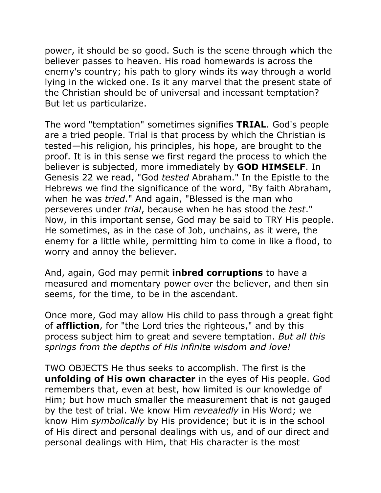power, it should be so good. Such is the scene through which the believer passes to heaven. His road homewards is across the enemy's country; his path to glory winds its way through a world lying in the wicked one. Is it any marvel that the present state of the Christian should be of universal and incessant temptation? But let us particularize.

The word "temptation" sometimes signifies **TRIAL**. God's people are a tried people. Trial is that process by which the Christian is tested—his religion, his principles, his hope, are brought to the proof. It is in this sense we first regard the process to which the believer is subjected, more immediately by **GOD HIMSELF**. In Genesis 22 we read, "God *tested* Abraham." In the Epistle to the Hebrews we find the significance of the word, "By faith Abraham, when he was *tried*." And again, "Blessed is the man who perseveres under *trial*, because when he has stood the *test*." Now, in this important sense, God may be said to TRY His people. He sometimes, as in the case of Job, unchains, as it were, the enemy for a little while, permitting him to come in like a flood, to worry and annoy the believer.

And, again, God may permit **inbred corruptions** to have a measured and momentary power over the believer, and then sin seems, for the time, to be in the ascendant.

Once more, God may allow His child to pass through a great fight of **affliction**, for "the Lord tries the righteous," and by this process subject him to great and severe temptation. *But all this springs from the depths of His infinite wisdom and love!*

TWO OBJECTS He thus seeks to accomplish. The first is the **unfolding of His own character** in the eyes of His people. God remembers that, even at best, how limited is our knowledge of Him; but how much smaller the measurement that is not gauged by the test of trial. We know Him *revealedly* in His Word; we know Him *symbolically* by His providence; but it is in the school of His direct and personal dealings with us, and of our direct and personal dealings with Him, that His character is the most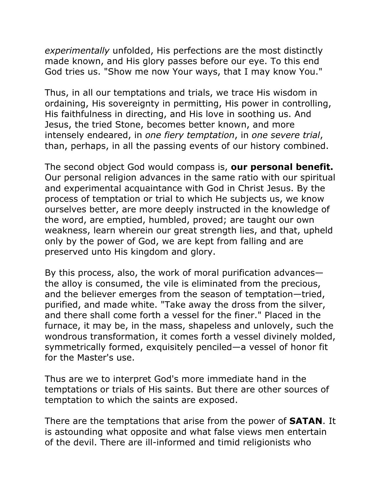*experimentally* unfolded, His perfections are the most distinctly made known, and His glory passes before our eye. To this end God tries us. "Show me now Your ways, that I may know You."

Thus, in all our temptations and trials, we trace His wisdom in ordaining, His sovereignty in permitting, His power in controlling, His faithfulness in directing, and His love in soothing us. And Jesus, the tried Stone, becomes better known, and more intensely endeared, in *one fiery temptation*, in *one severe trial*, than, perhaps, in all the passing events of our history combined.

The second object God would compass is, **our personal benefit.** Our personal religion advances in the same ratio with our spiritual and experimental acquaintance with God in Christ Jesus. By the process of temptation or trial to which He subjects us, we know ourselves better, are more deeply instructed in the knowledge of the word, are emptied, humbled, proved; are taught our own weakness, learn wherein our great strength lies, and that, upheld only by the power of God, we are kept from falling and are preserved unto His kingdom and glory.

By this process, also, the work of moral purification advances the alloy is consumed, the vile is eliminated from the precious, and the believer emerges from the season of temptation—tried, purified, and made white. "Take away the dross from the silver, and there shall come forth a vessel for the finer." Placed in the furnace, it may be, in the mass, shapeless and unlovely, such the wondrous transformation, it comes forth a vessel divinely molded, symmetrically formed, exquisitely penciled—a vessel of honor fit for the Master's use.

Thus are we to interpret God's more immediate hand in the temptations or trials of His saints. But there are other sources of temptation to which the saints are exposed.

There are the temptations that arise from the power of **SATAN**. It is astounding what opposite and what false views men entertain of the devil. There are ill-informed and timid religionists who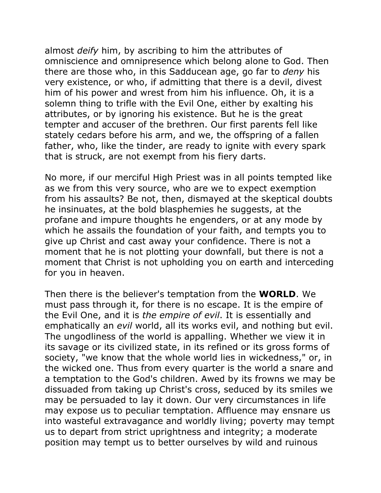almost *deify* him, by ascribing to him the attributes of omniscience and omnipresence which belong alone to God. Then there are those who, in this Sadducean age, go far to *deny* his very existence, or who, if admitting that there is a devil, divest him of his power and wrest from him his influence. Oh, it is a solemn thing to trifle with the Evil One, either by exalting his attributes, or by ignoring his existence. But he is the great tempter and accuser of the brethren. Our first parents fell like stately cedars before his arm, and we, the offspring of a fallen father, who, like the tinder, are ready to ignite with every spark that is struck, are not exempt from his fiery darts.

No more, if our merciful High Priest was in all points tempted like as we from this very source, who are we to expect exemption from his assaults? Be not, then, dismayed at the skeptical doubts he insinuates, at the bold blasphemies he suggests, at the profane and impure thoughts he engenders, or at any mode by which he assails the foundation of your faith, and tempts you to give up Christ and cast away your confidence. There is not a moment that he is not plotting your downfall, but there is not a moment that Christ is not upholding you on earth and interceding for you in heaven.

Then there is the believer's temptation from the **WORLD**. We must pass through it, for there is no escape. It is the empire of the Evil One, and it is *the empire of evil*. It is essentially and emphatically an *evil* world, all its works evil, and nothing but evil. The ungodliness of the world is appalling. Whether we view it in its savage or its civilized state, in its refined or its gross forms of society, "we know that the whole world lies in wickedness," or, in the wicked one. Thus from every quarter is the world a snare and a temptation to the God's children. Awed by its frowns we may be dissuaded from taking up Christ's cross, seduced by its smiles we may be persuaded to lay it down. Our very circumstances in life may expose us to peculiar temptation. Affluence may ensnare us into wasteful extravagance and worldly living; poverty may tempt us to depart from strict uprightness and integrity; a moderate position may tempt us to better ourselves by wild and ruinous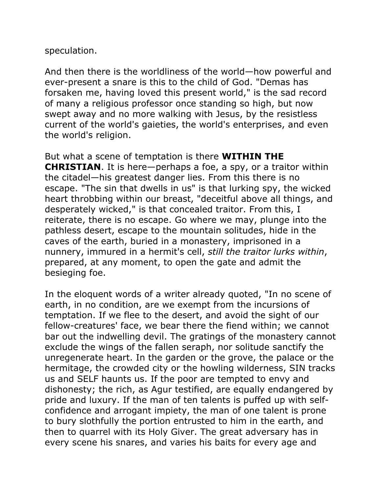### speculation.

And then there is the worldliness of the world—how powerful and ever-present a snare is this to the child of God. "Demas has forsaken me, having loved this present world," is the sad record of many a religious professor once standing so high, but now swept away and no more walking with Jesus, by the resistless current of the world's gaieties, the world's enterprises, and even the world's religion.

But what a scene of temptation is there **WITHIN THE CHRISTIAN**. It is here—perhaps a foe, a spy, or a traitor within the citadel—his greatest danger lies. From this there is no escape. "The sin that dwells in us" is that lurking spy, the wicked heart throbbing within our breast, "deceitful above all things, and desperately wicked," is that concealed traitor. From this, I reiterate, there is no escape. Go where we may, plunge into the pathless desert, escape to the mountain solitudes, hide in the caves of the earth, buried in a monastery, imprisoned in a nunnery, immured in a hermit's cell, *still the traitor lurks within*, prepared, at any moment, to open the gate and admit the besieging foe.

In the eloquent words of a writer already quoted, "In no scene of earth, in no condition, are we exempt from the incursions of temptation. If we flee to the desert, and avoid the sight of our fellow-creatures' face, we bear there the fiend within; we cannot bar out the indwelling devil. The gratings of the monastery cannot exclude the wings of the fallen seraph, nor solitude sanctify the unregenerate heart. In the garden or the grove, the palace or the hermitage, the crowded city or the howling wilderness, SIN tracks us and SELF haunts us. If the poor are tempted to envy and dishonesty; the rich, as Agur testified, are equally endangered by pride and luxury. If the man of ten talents is puffed up with selfconfidence and arrogant impiety, the man of one talent is prone to bury slothfully the portion entrusted to him in the earth, and then to quarrel with its Holy Giver. The great adversary has in every scene his snares, and varies his baits for every age and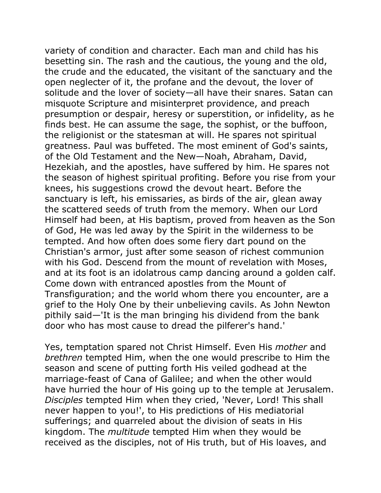variety of condition and character. Each man and child has his besetting sin. The rash and the cautious, the young and the old, the crude and the educated, the visitant of the sanctuary and the open neglecter of it, the profane and the devout, the lover of solitude and the lover of society—all have their snares. Satan can misquote Scripture and misinterpret providence, and preach presumption or despair, heresy or superstition, or infidelity, as he finds best. He can assume the sage, the sophist, or the buffoon, the religionist or the statesman at will. He spares not spiritual greatness. Paul was buffeted. The most eminent of God's saints, of the Old Testament and the New—Noah, Abraham, David, Hezekiah, and the apostles, have suffered by him. He spares not the season of highest spiritual profiting. Before you rise from your knees, his suggestions crowd the devout heart. Before the sanctuary is left, his emissaries, as birds of the air, glean away the scattered seeds of truth from the memory. When our Lord Himself had been, at His baptism, proved from heaven as the Son of God, He was led away by the Spirit in the wilderness to be tempted. And how often does some fiery dart pound on the Christian's armor, just after some season of richest communion with his God. Descend from the mount of revelation with Moses, and at its foot is an idolatrous camp dancing around a golden calf. Come down with entranced apostles from the Mount of Transfiguration; and the world whom there you encounter, are a grief to the Holy One by their unbelieving cavils. As John Newton pithily said—'It is the man bringing his dividend from the bank door who has most cause to dread the pilferer's hand.'

Yes, temptation spared not Christ Himself. Even His *mother* and *brethren* tempted Him, when the one would prescribe to Him the season and scene of putting forth His veiled godhead at the marriage-feast of Cana of Galilee; and when the other would have hurried the hour of His going up to the temple at Jerusalem. *Disciples* tempted Him when they cried, 'Never, Lord! This shall never happen to you!', to His predictions of His mediatorial sufferings; and quarreled about the division of seats in His kingdom. The *multitude* tempted Him when they would be received as the disciples, not of His truth, but of His loaves, and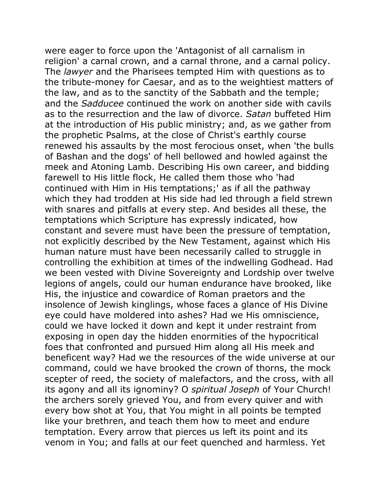were eager to force upon the 'Antagonist of all carnalism in religion' a carnal crown, and a carnal throne, and a carnal policy. The *lawyer* and the Pharisees tempted Him with questions as to the tribute-money for Caesar, and as to the weightiest matters of the law, and as to the sanctity of the Sabbath and the temple; and the *Sadducee* continued the work on another side with cavils as to the resurrection and the law of divorce. *Satan* buffeted Him at the introduction of His public ministry; and, as we gather from the prophetic Psalms, at the close of Christ's earthly course renewed his assaults by the most ferocious onset, when 'the bulls of Bashan and the dogs' of hell bellowed and howled against the meek and Atoning Lamb. Describing His own career, and bidding farewell to His little flock, He called them those who 'had continued with Him in His temptations;' as if all the pathway which they had trodden at His side had led through a field strewn with snares and pitfalls at every step. And besides all these, the temptations which Scripture has expressly indicated, how constant and severe must have been the pressure of temptation, not explicitly described by the New Testament, against which His human nature must have been necessarily called to struggle in controlling the exhibition at times of the indwelling Godhead. Had we been vested with Divine Sovereignty and Lordship over twelve legions of angels, could our human endurance have brooked, like His, the injustice and cowardice of Roman praetors and the insolence of Jewish kinglings, whose faces a glance of His Divine eye could have moldered into ashes? Had we His omniscience, could we have locked it down and kept it under restraint from exposing in open day the hidden enormities of the hypocritical foes that confronted and pursued Him along all His meek and beneficent way? Had we the resources of the wide universe at our command, could we have brooked the crown of thorns, the mock scepter of reed, the society of malefactors, and the cross, with all its agony and all its ignominy? O *spiritual Joseph* of Your Church! the archers sorely grieved You, and from every quiver and with every bow shot at You, that You might in all points be tempted like your brethren, and teach them how to meet and endure temptation. Every arrow that pierces us left its point and its venom in You; and falls at our feet quenched and harmless. Yet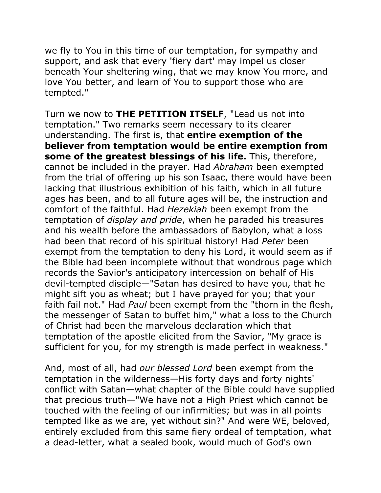we fly to You in this time of our temptation, for sympathy and support, and ask that every 'fiery dart' may impel us closer beneath Your sheltering wing, that we may know You more, and love You better, and learn of You to support those who are tempted."

Turn we now to **THE PETITION ITSELF**, "Lead us not into temptation." Two remarks seem necessary to its clearer understanding. The first is, that **entire exemption of the believer from temptation would be entire exemption from some of the greatest blessings of his life.** This, therefore, cannot be included in the prayer. Had *Abraham* been exempted from the trial of offering up his son Isaac, there would have been lacking that illustrious exhibition of his faith, which in all future ages has been, and to all future ages will be, the instruction and comfort of the faithful. Had *Hezekiah* been exempt from the temptation of *display and pride*, when he paraded his treasures and his wealth before the ambassadors of Babylon, what a loss had been that record of his spiritual history! Had *Peter* been exempt from the temptation to deny his Lord, it would seem as if the Bible had been incomplete without that wondrous page which records the Savior's anticipatory intercession on behalf of His devil-tempted disciple—"Satan has desired to have you, that he might sift you as wheat; but I have prayed for you; that your faith fail not." Had *Paul* been exempt from the "thorn in the flesh, the messenger of Satan to buffet him," what a loss to the Church of Christ had been the marvelous declaration which that temptation of the apostle elicited from the Savior, "My grace is sufficient for you, for my strength is made perfect in weakness."

And, most of all, had *our blessed Lord* been exempt from the temptation in the wilderness—His forty days and forty nights' conflict with Satan—what chapter of the Bible could have supplied that precious truth—"We have not a High Priest which cannot be touched with the feeling of our infirmities; but was in all points tempted like as we are, yet without sin?" And were WE, beloved, entirely excluded from this same fiery ordeal of temptation, what a dead-letter, what a sealed book, would much of God's own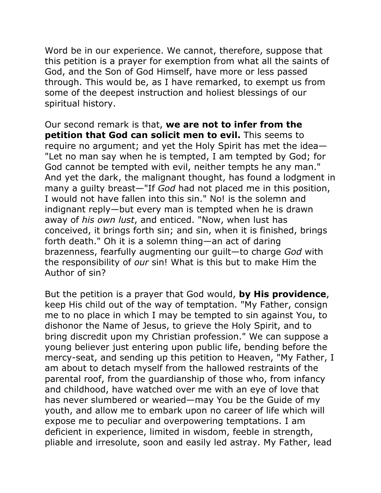Word be in our experience. We cannot, therefore, suppose that this petition is a prayer for exemption from what all the saints of God, and the Son of God Himself, have more or less passed through. This would be, as I have remarked, to exempt us from some of the deepest instruction and holiest blessings of our spiritual history.

Our second remark is that, **we are not to infer from the petition that God can solicit men to evil.** This seems to require no argument; and yet the Holy Spirit has met the idea— "Let no man say when he is tempted, I am tempted by God; for God cannot be tempted with evil, neither tempts he any man." And yet the dark, the malignant thought, has found a lodgment in many a guilty breast—"If *God* had not placed me in this position, I would not have fallen into this sin." No! is the solemn and indignant reply—but every man is tempted when he is drawn away of *his own lust*, and enticed. "Now, when lust has conceived, it brings forth sin; and sin, when it is finished, brings forth death." Oh it is a solemn thing—an act of daring brazenness, fearfully augmenting our guilt—to charge *God* with the responsibility of *our* sin! What is this but to make Him the Author of sin?

But the petition is a prayer that God would, **by His providence**, keep His child out of the way of temptation. "My Father, consign me to no place in which I may be tempted to sin against You, to dishonor the Name of Jesus, to grieve the Holy Spirit, and to bring discredit upon my Christian profession." We can suppose a young believer just entering upon public life, bending before the mercy-seat, and sending up this petition to Heaven, "My Father, I am about to detach myself from the hallowed restraints of the parental roof, from the guardianship of those who, from infancy and childhood, have watched over me with an eye of love that has never slumbered or wearied—may You be the Guide of my youth, and allow me to embark upon no career of life which will expose me to peculiar and overpowering temptations. I am deficient in experience, limited in wisdom, feeble in strength, pliable and irresolute, soon and easily led astray. My Father, lead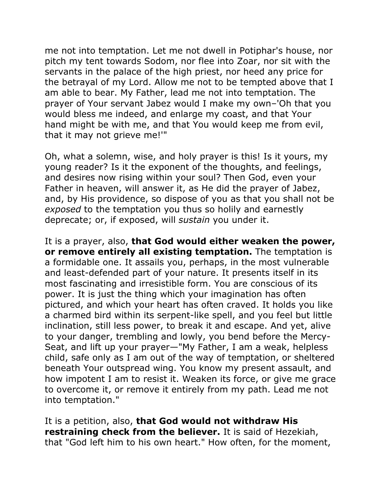me not into temptation. Let me not dwell in Potiphar's house, nor pitch my tent towards Sodom, nor flee into Zoar, nor sit with the servants in the palace of the high priest, nor heed any price for the betrayal of my Lord. Allow me not to be tempted above that I am able to bear. My Father, lead me not into temptation. The prayer of Your servant Jabez would I make my own–'Oh that you would bless me indeed, and enlarge my coast, and that Your hand might be with me, and that You would keep me from evil, that it may not grieve me!'"

Oh, what a solemn, wise, and holy prayer is this! Is it yours, my young reader? Is it the exponent of the thoughts, and feelings, and desires now rising within your soul? Then God, even your Father in heaven, will answer it, as He did the prayer of Jabez, and, by His providence, so dispose of you as that you shall not be *exposed* to the temptation you thus so holily and earnestly deprecate; or, if exposed, will *sustain* you under it.

It is a prayer, also, **that God would either weaken the power, or remove entirely all existing temptation.** The temptation is a formidable one. It assails you, perhaps, in the most vulnerable and least-defended part of your nature. It presents itself in its most fascinating and irresistible form. You are conscious of its power. It is just the thing which your imagination has often pictured, and which your heart has often craved. It holds you like a charmed bird within its serpent-like spell, and you feel but little inclination, still less power, to break it and escape. And yet, alive to your danger, trembling and lowly, you bend before the Mercy-Seat, and lift up your prayer—"My Father, I am a weak, helpless child, safe only as I am out of the way of temptation, or sheltered beneath Your outspread wing. You know my present assault, and how impotent I am to resist it. Weaken its force, or give me grace to overcome it, or remove it entirely from my path. Lead me not into temptation."

It is a petition, also, **that God would not withdraw His restraining check from the believer.** It is said of Hezekiah, that "God left him to his own heart." How often, for the moment,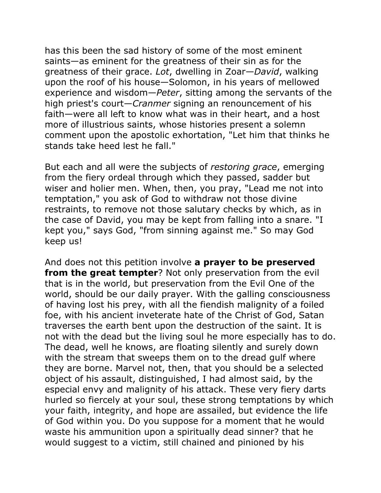has this been the sad history of some of the most eminent saints—as eminent for the greatness of their sin as for the greatness of their grace. *Lot*, dwelling in Zoar—*David*, walking upon the roof of his house—Solomon, in his years of mellowed experience and wisdom—*Peter*, sitting among the servants of the high priest's court—*Cranmer* signing an renouncement of his faith—were all left to know what was in their heart, and a host more of illustrious saints, whose histories present a solemn comment upon the apostolic exhortation, "Let him that thinks he stands take heed lest he fall."

But each and all were the subjects of *restoring grace*, emerging from the fiery ordeal through which they passed, sadder but wiser and holier men. When, then, you pray, "Lead me not into temptation," you ask of God to withdraw not those divine restraints, to remove not those salutary checks by which, as in the case of David, you may be kept from falling into a snare. "I kept you," says God, "from sinning against me." So may God keep us!

And does not this petition involve **a prayer to be preserved from the great tempter**? Not only preservation from the evil that is in the world, but preservation from the Evil One of the world, should be our daily prayer. With the galling consciousness of having lost his prey, with all the fiendish malignity of a foiled foe, with his ancient inveterate hate of the Christ of God, Satan traverses the earth bent upon the destruction of the saint. It is not with the dead but the living soul he more especially has to do. The dead, well he knows, are floating silently and surely down with the stream that sweeps them on to the dread gulf where they are borne. Marvel not, then, that you should be a selected object of his assault, distinguished, I had almost said, by the especial envy and malignity of his attack. These very fiery darts hurled so fiercely at your soul, these strong temptations by which your faith, integrity, and hope are assailed, but evidence the life of God within you. Do you suppose for a moment that he would waste his ammunition upon a spiritually dead sinner? that he would suggest to a victim, still chained and pinioned by his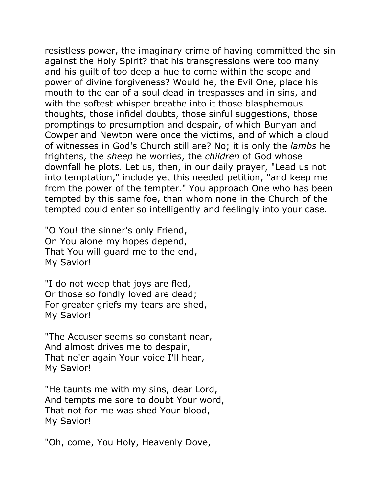resistless power, the imaginary crime of having committed the sin against the Holy Spirit? that his transgressions were too many and his guilt of too deep a hue to come within the scope and power of divine forgiveness? Would he, the Evil One, place his mouth to the ear of a soul dead in trespasses and in sins, and with the softest whisper breathe into it those blasphemous thoughts, those infidel doubts, those sinful suggestions, those promptings to presumption and despair, of which Bunyan and Cowper and Newton were once the victims, and of which a cloud of witnesses in God's Church still are? No; it is only the *lambs* he frightens, the *sheep* he worries, the *children* of God whose downfall he plots. Let us, then, in our daily prayer, "Lead us not into temptation," include yet this needed petition, "and keep me from the power of the tempter." You approach One who has been tempted by this same foe, than whom none in the Church of the tempted could enter so intelligently and feelingly into your case.

"O You! the sinner's only Friend, On You alone my hopes depend, That You will guard me to the end, My Savior!

"I do not weep that joys are fled, Or those so fondly loved are dead; For greater griefs my tears are shed, My Savior!

"The Accuser seems so constant near, And almost drives me to despair, That ne'er again Your voice I'll hear, My Savior!

"He taunts me with my sins, dear Lord, And tempts me sore to doubt Your word, That not for me was shed Your blood, My Savior!

"Oh, come, You Holy, Heavenly Dove,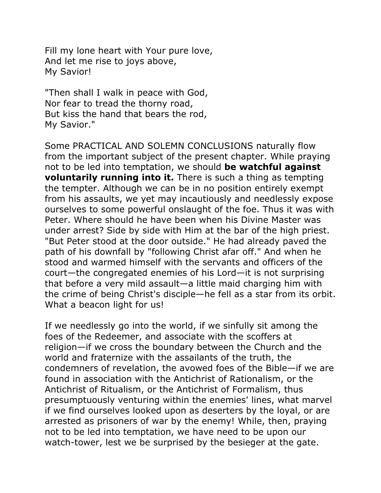Fill my lone heart with Your pure love, And let me rise to joys above, My Savior!

"Then shall I walk in peace with God, Nor fear to tread the thorny road, But kiss the hand that bears the rod, My Savior."

Some PRACTICAL AND SOLEMN CONCLUSIONS naturally flow from the important subject of the present chapter. While praying not to be led into temptation, we should **be watchful against voluntarily running into it.** There is such a thing as tempting the tempter. Although we can be in no position entirely exempt from his assaults, we yet may incautiously and needlessly expose ourselves to some powerful onslaught of the foe. Thus it was with Peter. Where should he have been when his Divine Master was under arrest? Side by side with Him at the bar of the high priest. "But Peter stood at the door outside." He had already paved the path of his downfall by "following Christ afar off." And when he stood and warmed himself with the servants and officers of the court—the congregated enemies of his Lord—it is not surprising that before a very mild assault—a little maid charging him with the crime of being Christ's disciple—he fell as a star from its orbit. What a beacon light for us!

If we needlessly go into the world, if we sinfully sit among the foes of the Redeemer, and associate with the scoffers at religion—if we cross the boundary between the Church and the world and fraternize with the assailants of the truth, the condemners of revelation, the avowed foes of the Bible—if we are found in association with the Antichrist of Rationalism, or the Antichrist of Ritualism, or the Antichrist of Formalism, thus presumptuously venturing within the enemies' lines, what marvel if we find ourselves looked upon as deserters by the loyal, or are arrested as prisoners of war by the enemy! While, then, praying not to be led into temptation, we have need to be upon our watch-tower, lest we be surprised by the besieger at the gate.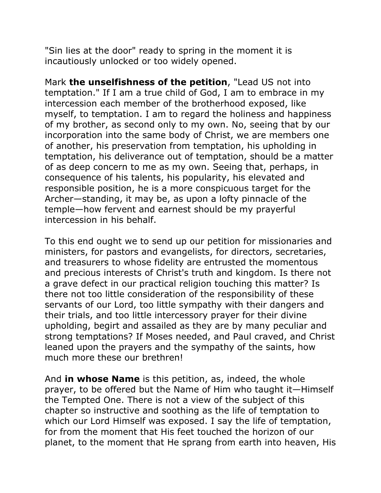"Sin lies at the door" ready to spring in the moment it is incautiously unlocked or too widely opened.

Mark **the unselfishness of the petition**, "Lead US not into temptation." If I am a true child of God, I am to embrace in my intercession each member of the brotherhood exposed, like myself, to temptation. I am to regard the holiness and happiness of my brother, as second only to my own. No, seeing that by our incorporation into the same body of Christ, we are members one of another, his preservation from temptation, his upholding in temptation, his deliverance out of temptation, should be a matter of as deep concern to me as my own. Seeing that, perhaps, in consequence of his talents, his popularity, his elevated and responsible position, he is a more conspicuous target for the Archer—standing, it may be, as upon a lofty pinnacle of the temple—how fervent and earnest should be my prayerful intercession in his behalf.

To this end ought we to send up our petition for missionaries and ministers, for pastors and evangelists, for directors, secretaries, and treasurers to whose fidelity are entrusted the momentous and precious interests of Christ's truth and kingdom. Is there not a grave defect in our practical religion touching this matter? Is there not too little consideration of the responsibility of these servants of our Lord, too little sympathy with their dangers and their trials, and too little intercessory prayer for their divine upholding, begirt and assailed as they are by many peculiar and strong temptations? If Moses needed, and Paul craved, and Christ leaned upon the prayers and the sympathy of the saints, how much more these our brethren!

And **in whose Name** is this petition, as, indeed, the whole prayer, to be offered but the Name of Him who taught it—Himself the Tempted One. There is not a view of the subject of this chapter so instructive and soothing as the life of temptation to which our Lord Himself was exposed. I say the life of temptation, for from the moment that His feet touched the horizon of our planet, to the moment that He sprang from earth into heaven, His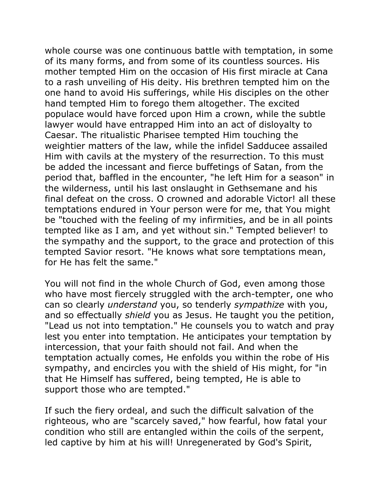whole course was one continuous battle with temptation, in some of its many forms, and from some of its countless sources. His mother tempted Him on the occasion of His first miracle at Cana to a rash unveiling of His deity. His brethren tempted him on the one hand to avoid His sufferings, while His disciples on the other hand tempted Him to forego them altogether. The excited populace would have forced upon Him a crown, while the subtle lawyer would have entrapped Him into an act of disloyalty to Caesar. The ritualistic Pharisee tempted Him touching the weightier matters of the law, while the infidel Sadducee assailed Him with cavils at the mystery of the resurrection. To this must be added the incessant and fierce buffetings of Satan, from the period that, baffled in the encounter, "he left Him for a season" in the wilderness, until his last onslaught in Gethsemane and his final defeat on the cross. O crowned and adorable Victor! all these temptations endured in Your person were for me, that You might be "touched with the feeling of my infirmities, and be in all points tempted like as I am, and yet without sin." Tempted believer! to the sympathy and the support, to the grace and protection of this tempted Savior resort. "He knows what sore temptations mean, for He has felt the same."

You will not find in the whole Church of God, even among those who have most fiercely struggled with the arch-tempter, one who can so clearly *understand* you, so tenderly *sympathize* with you, and so effectually *shield* you as Jesus. He taught you the petition, "Lead us not into temptation." He counsels you to watch and pray lest you enter into temptation. He anticipates your temptation by intercession, that your faith should not fail. And when the temptation actually comes, He enfolds you within the robe of His sympathy, and encircles you with the shield of His might, for "in that He Himself has suffered, being tempted, He is able to support those who are tempted."

If such the fiery ordeal, and such the difficult salvation of the righteous, who are "scarcely saved," how fearful, how fatal your condition who still are entangled within the coils of the serpent, led captive by him at his will! Unregenerated by God's Spirit,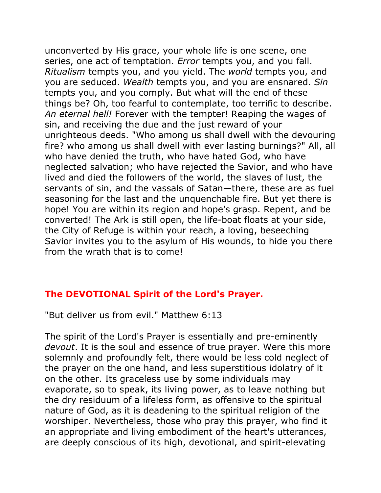unconverted by His grace, your whole life is one scene, one series, one act of temptation. *Error* tempts you, and you fall. *Ritualism* tempts you, and you yield. The *world* tempts you, and you are seduced. *Wealth* tempts you, and you are ensnared. *Sin* tempts you, and you comply. But what will the end of these things be? Oh, too fearful to contemplate, too terrific to describe. *An eternal hell!* Forever with the tempter! Reaping the wages of sin, and receiving the due and the just reward of your unrighteous deeds. "Who among us shall dwell with the devouring fire? who among us shall dwell with ever lasting burnings?" All, all who have denied the truth, who have hated God, who have neglected salvation; who have rejected the Savior, and who have lived and died the followers of the world, the slaves of lust, the servants of sin, and the vassals of Satan—there, these are as fuel seasoning for the last and the unquenchable fire. But yet there is hope! You are within its region and hope's grasp. Repent, and be converted! The Ark is still open, the life-boat floats at your side, the City of Refuge is within your reach, a loving, beseeching Savior invites you to the asylum of His wounds, to hide you there from the wrath that is to come!

### **The DEVOTIONAL Spirit of the Lord's Prayer.**

"But deliver us from evil." Matthew 6:13

The spirit of the Lord's Prayer is essentially and pre-eminently *devout*. It is the soul and essence of true prayer. Were this more solemnly and profoundly felt, there would be less cold neglect of the prayer on the one hand, and less superstitious idolatry of it on the other. Its graceless use by some individuals may evaporate, so to speak, its living power, as to leave nothing but the dry residuum of a lifeless form, as offensive to the spiritual nature of God, as it is deadening to the spiritual religion of the worshiper. Nevertheless, those who pray this prayer, who find it an appropriate and living embodiment of the heart's utterances, are deeply conscious of its high, devotional, and spirit-elevating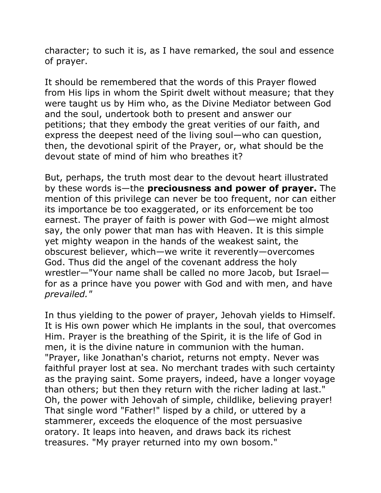character; to such it is, as I have remarked, the soul and essence of prayer.

It should be remembered that the words of this Prayer flowed from His lips in whom the Spirit dwelt without measure; that they were taught us by Him who, as the Divine Mediator between God and the soul, undertook both to present and answer our petitions; that they embody the great verities of our faith, and express the deepest need of the living soul—who can question, then, the devotional spirit of the Prayer, or, what should be the devout state of mind of him who breathes it?

But, perhaps, the truth most dear to the devout heart illustrated by these words is—the **preciousness and power of prayer.** The mention of this privilege can never be too frequent, nor can either its importance be too exaggerated, or its enforcement be too earnest. The prayer of faith is power with God—we might almost say, the only power that man has with Heaven. It is this simple yet mighty weapon in the hands of the weakest saint, the obscurest believer, which—we write it reverently—overcomes God. Thus did the angel of the covenant address the holy wrestler—"Your name shall be called no more Jacob, but Israel for as a prince have you power with God and with men, and have *prevailed."* 

In thus yielding to the power of prayer, Jehovah yields to Himself. It is His own power which He implants in the soul, that overcomes Him. Prayer is the breathing of the Spirit, it is the life of God in men, it is the divine nature in communion with the human. "Prayer, like Jonathan's chariot, returns not empty. Never was faithful prayer lost at sea. No merchant trades with such certainty as the praying saint. Some prayers, indeed, have a longer voyage than others; but then they return with the richer lading at last." Oh, the power with Jehovah of simple, childlike, believing prayer! That single word "Father!" lisped by a child, or uttered by a stammerer, exceeds the eloquence of the most persuasive oratory. It leaps into heaven, and draws back its richest treasures. "My prayer returned into my own bosom."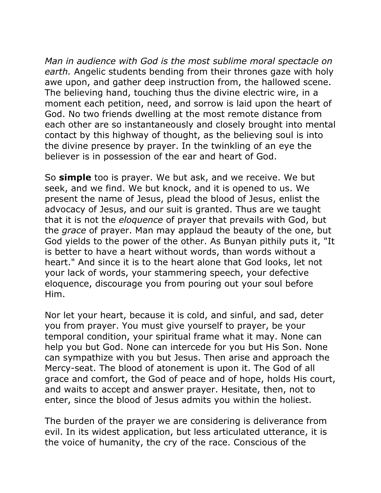*Man in audience with God is the most sublime moral spectacle on earth.* Angelic students bending from their thrones gaze with holy awe upon, and gather deep instruction from, the hallowed scene. The believing hand, touching thus the divine electric wire, in a moment each petition, need, and sorrow is laid upon the heart of God. No two friends dwelling at the most remote distance from each other are so instantaneously and closely brought into mental contact by this highway of thought, as the believing soul is into the divine presence by prayer. In the twinkling of an eye the believer is in possession of the ear and heart of God.

So **simple** too is prayer. We but ask, and we receive. We but seek, and we find. We but knock, and it is opened to us. We present the name of Jesus, plead the blood of Jesus, enlist the advocacy of Jesus, and our suit is granted. Thus are we taught that it is not the *eloquence* of prayer that prevails with God, but the *grace* of prayer. Man may applaud the beauty of the one, but God yields to the power of the other. As Bunyan pithily puts it, "It is better to have a heart without words, than words without a heart." And since it is to the heart alone that God looks, let not your lack of words, your stammering speech, your defective eloquence, discourage you from pouring out your soul before Him.

Nor let your heart, because it is cold, and sinful, and sad, deter you from prayer. You must give yourself to prayer, be your temporal condition, your spiritual frame what it may. None can help you but God. None can intercede for you but His Son. None can sympathize with you but Jesus. Then arise and approach the Mercy-seat. The blood of atonement is upon it. The God of all grace and comfort, the God of peace and of hope, holds His court, and waits to accept and answer prayer. Hesitate, then, not to enter, since the blood of Jesus admits you within the holiest.

The burden of the prayer we are considering is deliverance from evil. In its widest application, but less articulated utterance, it is the voice of humanity, the cry of the race. Conscious of the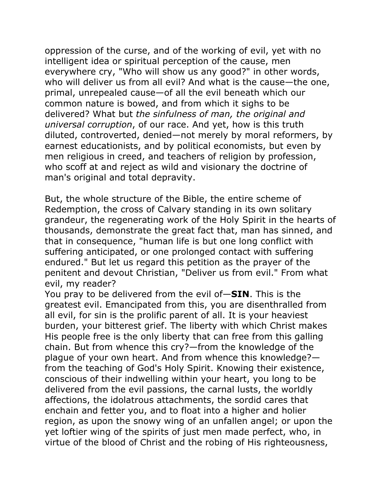oppression of the curse, and of the working of evil, yet with no intelligent idea or spiritual perception of the cause, men everywhere cry, "Who will show us any good?" in other words, who will deliver us from all evil? And what is the cause—the one, primal, unrepealed cause—of all the evil beneath which our common nature is bowed, and from which it sighs to be delivered? What but *the sinfulness of man, the original and universal corruption*, of our race. And yet, how is this truth diluted, controverted, denied—not merely by moral reformers, by earnest educationists, and by political economists, but even by men religious in creed, and teachers of religion by profession, who scoff at and reject as wild and visionary the doctrine of man's original and total depravity.

But, the whole structure of the Bible, the entire scheme of Redemption, the cross of Calvary standing in its own solitary grandeur, the regenerating work of the Holy Spirit in the hearts of thousands, demonstrate the great fact that, man has sinned, and that in consequence, "human life is but one long conflict with suffering anticipated, or one prolonged contact with suffering endured." But let us regard this petition as the prayer of the penitent and devout Christian, "Deliver us from evil." From what evil, my reader?

You pray to be delivered from the evil of—**SIN**. This is the greatest evil. Emancipated from this, you are disenthralled from all evil, for sin is the prolific parent of all. It is your heaviest burden, your bitterest grief. The liberty with which Christ makes His people free is the only liberty that can free from this galling chain. But from whence this cry?—from the knowledge of the plague of your own heart. And from whence this knowledge? from the teaching of God's Holy Spirit. Knowing their existence, conscious of their indwelling within your heart, you long to be delivered from the evil passions, the carnal lusts, the worldly affections, the idolatrous attachments, the sordid cares that enchain and fetter you, and to float into a higher and holier region, as upon the snowy wing of an unfallen angel; or upon the yet loftier wing of the spirits of just men made perfect, who, in virtue of the blood of Christ and the robing of His righteousness,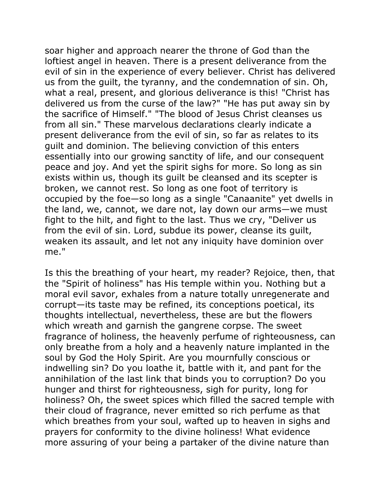soar higher and approach nearer the throne of God than the loftiest angel in heaven. There is a present deliverance from the evil of sin in the experience of every believer. Christ has delivered us from the guilt, the tyranny, and the condemnation of sin. Oh, what a real, present, and glorious deliverance is this! "Christ has delivered us from the curse of the law?" "He has put away sin by the sacrifice of Himself." "The blood of Jesus Christ cleanses us from all sin." These marvelous declarations clearly indicate a present deliverance from the evil of sin, so far as relates to its guilt and dominion. The believing conviction of this enters essentially into our growing sanctity of life, and our consequent peace and joy. And yet the spirit sighs for more. So long as sin exists within us, though its guilt be cleansed and its scepter is broken, we cannot rest. So long as one foot of territory is occupied by the foe—so long as a single "Canaanite" yet dwells in the land, we, cannot, we dare not, lay down our arms—we must fight to the hilt, and fight to the last. Thus we cry, "Deliver us from the evil of sin. Lord, subdue its power, cleanse its guilt, weaken its assault, and let not any iniquity have dominion over me."

Is this the breathing of your heart, my reader? Rejoice, then, that the "Spirit of holiness" has His temple within you. Nothing but a moral evil savor, exhales from a nature totally unregenerate and corrupt—its taste may be refined, its conceptions poetical, its thoughts intellectual, nevertheless, these are but the flowers which wreath and garnish the gangrene corpse. The sweet fragrance of holiness, the heavenly perfume of righteousness, can only breathe from a holy and a heavenly nature implanted in the soul by God the Holy Spirit. Are you mournfully conscious or indwelling sin? Do you loathe it, battle with it, and pant for the annihilation of the last link that binds you to corruption? Do you hunger and thirst for righteousness, sigh for purity, long for holiness? Oh, the sweet spices which filled the sacred temple with their cloud of fragrance, never emitted so rich perfume as that which breathes from your soul, wafted up to heaven in sighs and prayers for conformity to the divine holiness! What evidence more assuring of your being a partaker of the divine nature than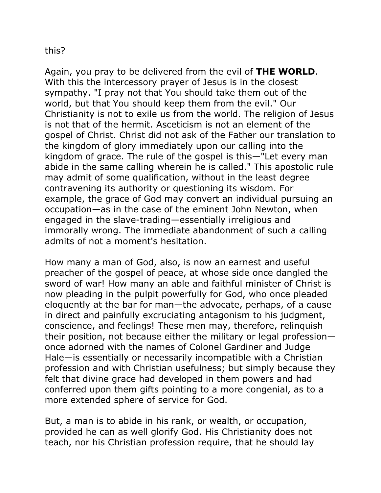#### this?

Again, you pray to be delivered from the evil of **THE WORLD**. With this the intercessory prayer of Jesus is in the closest sympathy. "I pray not that You should take them out of the world, but that You should keep them from the evil." Our Christianity is not to exile us from the world. The religion of Jesus is not that of the hermit. Asceticism is not an element of the gospel of Christ. Christ did not ask of the Father our translation to the kingdom of glory immediately upon our calling into the kingdom of grace. The rule of the gospel is this—"Let every man abide in the same calling wherein he is called." This apostolic rule may admit of some qualification, without in the least degree contravening its authority or questioning its wisdom. For example, the grace of God may convert an individual pursuing an occupation—as in the case of the eminent John Newton, when engaged in the slave-trading—essentially irreligious and immorally wrong. The immediate abandonment of such a calling admits of not a moment's hesitation.

How many a man of God, also, is now an earnest and useful preacher of the gospel of peace, at whose side once dangled the sword of war! How many an able and faithful minister of Christ is now pleading in the pulpit powerfully for God, who once pleaded eloquently at the bar for man—the advocate, perhaps, of a cause in direct and painfully excruciating antagonism to his judgment, conscience, and feelings! These men may, therefore, relinquish their position, not because either the military or legal profession once adorned with the names of Colonel Gardiner and Judge Hale—is essentially or necessarily incompatible with a Christian profession and with Christian usefulness; but simply because they felt that divine grace had developed in them powers and had conferred upon them gifts pointing to a more congenial, as to a more extended sphere of service for God.

But, a man is to abide in his rank, or wealth, or occupation, provided he can as well glorify God. His Christianity does not teach, nor his Christian profession require, that he should lay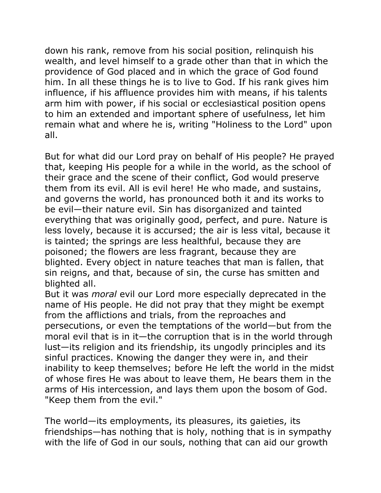down his rank, remove from his social position, relinquish his wealth, and level himself to a grade other than that in which the providence of God placed and in which the grace of God found him. In all these things he is to live to God. If his rank gives him influence, if his affluence provides him with means, if his talents arm him with power, if his social or ecclesiastical position opens to him an extended and important sphere of usefulness, let him remain what and where he is, writing "Holiness to the Lord" upon all.

But for what did our Lord pray on behalf of His people? He prayed that, keeping His people for a while in the world, as the school of their grace and the scene of their conflict, God would preserve them from its evil. All is evil here! He who made, and sustains, and governs the world, has pronounced both it and its works to be evil—their nature evil. Sin has disorganized and tainted everything that was originally good, perfect, and pure. Nature is less lovely, because it is accursed; the air is less vital, because it is tainted; the springs are less healthful, because they are poisoned; the flowers are less fragrant, because they are blighted. Every object in nature teaches that man is fallen, that sin reigns, and that, because of sin, the curse has smitten and blighted all.

But it was *moral* evil our Lord more especially deprecated in the name of His people. He did not pray that they might be exempt from the afflictions and trials, from the reproaches and persecutions, or even the temptations of the world—but from the moral evil that is in it—the corruption that is in the world through lust—its religion and its friendship, its ungodly principles and its sinful practices. Knowing the danger they were in, and their inability to keep themselves; before He left the world in the midst of whose fires He was about to leave them, He bears them in the arms of His intercession, and lays them upon the bosom of God. "Keep them from the evil."

The world—its employments, its pleasures, its gaieties, its friendships—has nothing that is holy, nothing that is in sympathy with the life of God in our souls, nothing that can aid our growth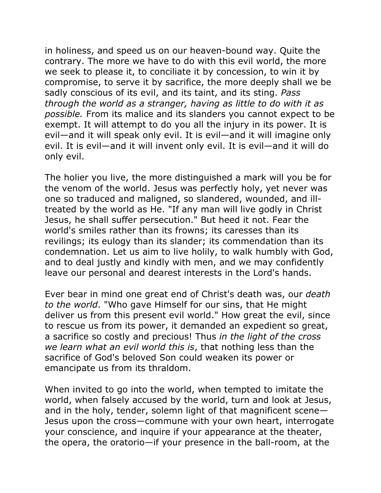in holiness, and speed us on our heaven-bound way. Quite the contrary. The more we have to do with this evil world, the more we seek to please it, to conciliate it by concession, to win it by compromise, to serve it by sacrifice, the more deeply shall we be sadly conscious of its evil, and its taint, and its sting. *Pass through the world as a stranger, having as little to do with it as possible.* From its malice and its slanders you cannot expect to be exempt. It will attempt to do you all the injury in its power. It is evil—and it will speak only evil. It is evil—and it will imagine only evil. It is evil—and it will invent only evil. It is evil—and it will do only evil.

The holier you live, the more distinguished a mark will you be for the venom of the world. Jesus was perfectly holy, yet never was one so traduced and maligned, so slandered, wounded, and illtreated by the world as He. "If any man will live godly in Christ Jesus, he shall suffer persecution." But heed it not. Fear the world's smiles rather than its frowns; its caresses than its revilings; its eulogy than its slander; its commendation than its condemnation. Let us aim to live holily, to walk humbly with God, and to deal justly and kindly with men, and we may confidently leave our personal and dearest interests in the Lord's hands.

Ever bear in mind one great end of Christ's death was, our *death to the world*. "Who gave Himself for our sins, that He might deliver us from this present evil world." How great the evil, since to rescue us from its power, it demanded an expedient so great, a sacrifice so costly and precious! Thus *in the light of the cross we learn what an evil world this is*, that nothing less than the sacrifice of God's beloved Son could weaken its power or emancipate us from its thraldom.

When invited to go into the world, when tempted to imitate the world, when falsely accused by the world, turn and look at Jesus, and in the holy, tender, solemn light of that magnificent scene— Jesus upon the cross—commune with your own heart, interrogate your conscience, and inquire if your appearance at the theater, the opera, the oratorio—if your presence in the ball-room, at the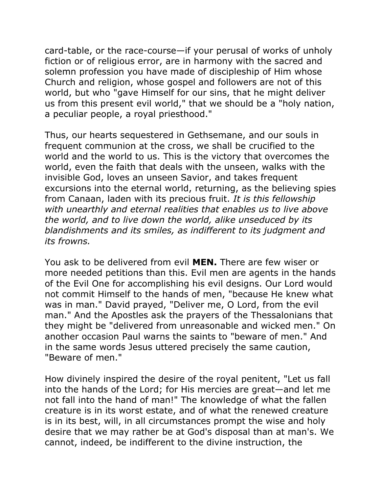card-table, or the race-course—if your perusal of works of unholy fiction or of religious error, are in harmony with the sacred and solemn profession you have made of discipleship of Him whose Church and religion, whose gospel and followers are not of this world, but who "gave Himself for our sins, that he might deliver us from this present evil world," that we should be a "holy nation, a peculiar people, a royal priesthood."

Thus, our hearts sequestered in Gethsemane, and our souls in frequent communion at the cross, we shall be crucified to the world and the world to us. This is the victory that overcomes the world, even the faith that deals with the unseen, walks with the invisible God, loves an unseen Savior, and takes frequent excursions into the eternal world, returning, as the believing spies from Canaan, laden with its precious fruit. *It is this fellowship with unearthly and eternal realities that enables us to live above the world, and to live down the world, alike unseduced by its blandishments and its smiles, as indifferent to its judgment and its frowns.*

You ask to be delivered from evil **MEN.** There are few wiser or more needed petitions than this. Evil men are agents in the hands of the Evil One for accomplishing his evil designs. Our Lord would not commit Himself to the hands of men, "because He knew what was in man." David prayed, "Deliver me, O Lord, from the evil man." And the Apostles ask the prayers of the Thessalonians that they might be "delivered from unreasonable and wicked men." On another occasion Paul warns the saints to "beware of men." And in the same words Jesus uttered precisely the same caution, "Beware of men."

How divinely inspired the desire of the royal penitent, "Let us fall into the hands of the Lord; for His mercies are great—and let me not fall into the hand of man!" The knowledge of what the fallen creature is in its worst estate, and of what the renewed creature is in its best, will, in all circumstances prompt the wise and holy desire that we may rather be at God's disposal than at man's. We cannot, indeed, be indifferent to the divine instruction, the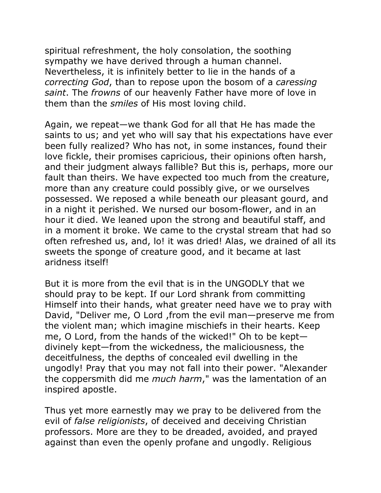spiritual refreshment, the holy consolation, the soothing sympathy we have derived through a human channel. Nevertheless, it is infinitely better to lie in the hands of a *correcting God*, than to repose upon the bosom of a *caressing saint*. The *frowns* of our heavenly Father have more of love in them than the *smiles* of His most loving child.

Again, we repeat—we thank God for all that He has made the saints to us; and yet who will say that his expectations have ever been fully realized? Who has not, in some instances, found their love fickle, their promises capricious, their opinions often harsh, and their judgment always fallible? But this is, perhaps, more our fault than theirs. We have expected too much from the creature, more than any creature could possibly give, or we ourselves possessed. We reposed a while beneath our pleasant gourd, and in a night it perished. We nursed our bosom-flower, and in an hour it died. We leaned upon the strong and beautiful staff, and in a moment it broke. We came to the crystal stream that had so often refreshed us, and, lo! it was dried! Alas, we drained of all its sweets the sponge of creature good, and it became at last aridness itself!

But it is more from the evil that is in the UNGODLY that we should pray to be kept. If our Lord shrank from committing Himself into their hands, what greater need have we to pray with David, "Deliver me, O Lord ,from the evil man—preserve me from the violent man; which imagine mischiefs in their hearts. Keep me, O Lord, from the hands of the wicked!" Oh to be kept divinely kept—from the wickedness, the maliciousness, the deceitfulness, the depths of concealed evil dwelling in the ungodly! Pray that you may not fall into their power. "Alexander the coppersmith did me *much harm*," was the lamentation of an inspired apostle.

Thus yet more earnestly may we pray to be delivered from the evil of *false religionists*, of deceived and deceiving Christian professors. More are they to be dreaded, avoided, and prayed against than even the openly profane and ungodly. Religious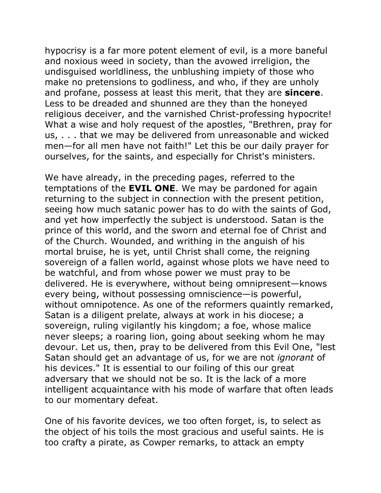hypocrisy is a far more potent element of evil, is a more baneful and noxious weed in society, than the avowed irreligion, the undisguised worldliness, the unblushing impiety of those who make no pretensions to godliness, and who, if they are unholy and profane, possess at least this merit, that they are **sincere**. Less to be dreaded and shunned are they than the honeyed religious deceiver, and the varnished Christ-professing hypocrite! What a wise and holy request of the apostles, "Brethren, pray for us, . . . that we may be delivered from unreasonable and wicked men—for all men have not faith!" Let this be our daily prayer for ourselves, for the saints, and especially for Christ's ministers.

We have already, in the preceding pages, referred to the temptations of the **EVIL ONE**. We may be pardoned for again returning to the subject in connection with the present petition, seeing how much satanic power has to do with the saints of God, and yet how imperfectly the subject is understood. Satan is the prince of this world, and the sworn and eternal foe of Christ and of the Church. Wounded, and writhing in the anguish of his mortal bruise, he is yet, until Christ shall come, the reigning sovereign of a fallen world, against whose plots we have need to be watchful, and from whose power we must pray to be delivered. He is everywhere, without being omnipresent—knows every being, without possessing omniscience—is powerful, without omnipotence. As one of the reformers quaintly remarked, Satan is a diligent prelate, always at work in his diocese; a sovereign, ruling vigilantly his kingdom; a foe, whose malice never sleeps; a roaring lion, going about seeking whom he may devour. Let us, then, pray to be delivered from this Evil One, "lest Satan should get an advantage of us, for we are not *ignorant* of his devices." It is essential to our foiling of this our great adversary that we should not be so. It is the lack of a more intelligent acquaintance with his mode of warfare that often leads to our momentary defeat.

One of his favorite devices, we too often forget, is, to select as the object of his toils the most gracious and useful saints. He is too crafty a pirate, as Cowper remarks, to attack an empty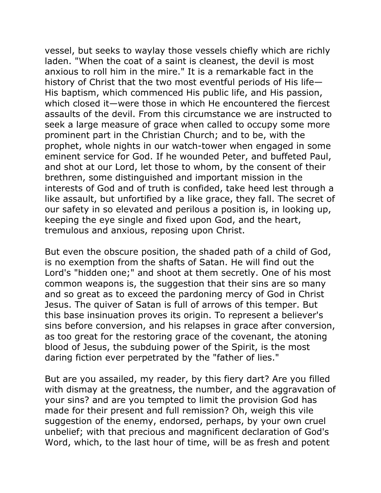vessel, but seeks to waylay those vessels chiefly which are richly laden. "When the coat of a saint is cleanest, the devil is most anxious to roll him in the mire." It is a remarkable fact in the history of Christ that the two most eventful periods of His life— His baptism, which commenced His public life, and His passion, which closed it—were those in which He encountered the fiercest assaults of the devil. From this circumstance we are instructed to seek a large measure of grace when called to occupy some more prominent part in the Christian Church; and to be, with the prophet, whole nights in our watch-tower when engaged in some eminent service for God. If he wounded Peter, and buffeted Paul, and shot at our Lord, let those to whom, by the consent of their brethren, some distinguished and important mission in the interests of God and of truth is confided, take heed lest through a like assault, but unfortified by a like grace, they fall. The secret of our safety in so elevated and perilous a position is, in looking up, keeping the eye single and fixed upon God, and the heart, tremulous and anxious, reposing upon Christ.

But even the obscure position, the shaded path of a child of God, is no exemption from the shafts of Satan. He will find out the Lord's "hidden one;" and shoot at them secretly. One of his most common weapons is, the suggestion that their sins are so many and so great as to exceed the pardoning mercy of God in Christ Jesus. The quiver of Satan is full of arrows of this temper. But this base insinuation proves its origin. To represent a believer's sins before conversion, and his relapses in grace after conversion, as too great for the restoring grace of the covenant, the atoning blood of Jesus, the subduing power of the Spirit, is the most daring fiction ever perpetrated by the "father of lies."

But are you assailed, my reader, by this fiery dart? Are you filled with dismay at the greatness, the number, and the aggravation of your sins? and are you tempted to limit the provision God has made for their present and full remission? Oh, weigh this vile suggestion of the enemy, endorsed, perhaps, by your own cruel unbelief; with that precious and magnificent declaration of God's Word, which, to the last hour of time, will be as fresh and potent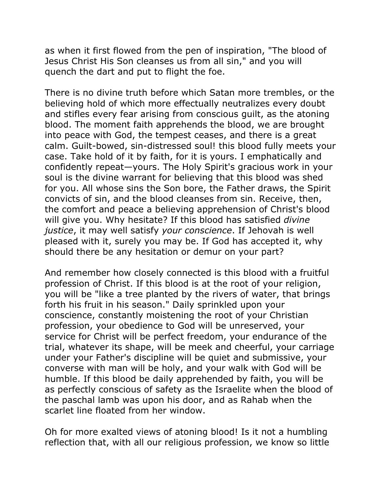as when it first flowed from the pen of inspiration, "The blood of Jesus Christ His Son cleanses us from all sin," and you will quench the dart and put to flight the foe.

There is no divine truth before which Satan more trembles, or the believing hold of which more effectually neutralizes every doubt and stifles every fear arising from conscious guilt, as the atoning blood. The moment faith apprehends the blood, we are brought into peace with God, the tempest ceases, and there is a great calm. Guilt-bowed, sin-distressed soul! this blood fully meets your case. Take hold of it by faith, for it is yours. I emphatically and confidently repeat—yours. The Holy Spirit's gracious work in your soul is the divine warrant for believing that this blood was shed for you. All whose sins the Son bore, the Father draws, the Spirit convicts of sin, and the blood cleanses from sin. Receive, then, the comfort and peace a believing apprehension of Christ's blood will give you. Why hesitate? If this blood has satisfied *divine justice*, it may well satisfy *your conscience*. If Jehovah is well pleased with it, surely you may be. If God has accepted it, why should there be any hesitation or demur on your part?

And remember how closely connected is this blood with a fruitful profession of Christ. If this blood is at the root of your religion, you will be "like a tree planted by the rivers of water, that brings forth his fruit in his season." Daily sprinkled upon your conscience, constantly moistening the root of your Christian profession, your obedience to God will be unreserved, your service for Christ will be perfect freedom, your endurance of the trial, whatever its shape, will be meek and cheerful, your carriage under your Father's discipline will be quiet and submissive, your converse with man will be holy, and your walk with God will be humble. If this blood be daily apprehended by faith, you will be as perfectly conscious of safety as the Israelite when the blood of the paschal lamb was upon his door, and as Rahab when the scarlet line floated from her window.

Oh for more exalted views of atoning blood! Is it not a humbling reflection that, with all our religious profession, we know so little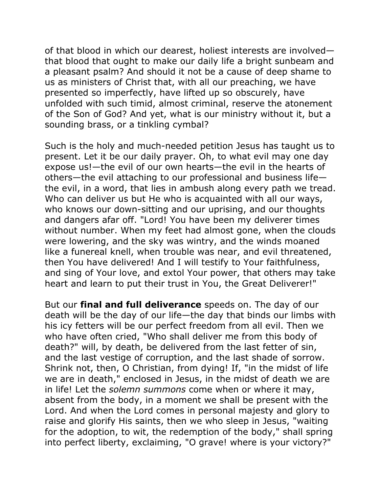of that blood in which our dearest, holiest interests are involved that blood that ought to make our daily life a bright sunbeam and a pleasant psalm? And should it not be a cause of deep shame to us as ministers of Christ that, with all our preaching, we have presented so imperfectly, have lifted up so obscurely, have unfolded with such timid, almost criminal, reserve the atonement of the Son of God? And yet, what is our ministry without it, but a sounding brass, or a tinkling cymbal?

Such is the holy and much-needed petition Jesus has taught us to present. Let it be our daily prayer. Oh, to what evil may one day expose us!—the evil of our own hearts—the evil in the hearts of others—the evil attaching to our professional and business life the evil, in a word, that lies in ambush along every path we tread. Who can deliver us but He who is acquainted with all our ways, who knows our down-sitting and our uprising, and our thoughts and dangers afar off. "Lord! You have been my deliverer times without number. When my feet had almost gone, when the clouds were lowering, and the sky was wintry, and the winds moaned like a funereal knell, when trouble was near, and evil threatened, then You have delivered! And I will testify to Your faithfulness, and sing of Your love, and extol Your power, that others may take heart and learn to put their trust in You, the Great Deliverer!"

But our **final and full deliverance** speeds on. The day of our death will be the day of our life—the day that binds our limbs with his icy fetters will be our perfect freedom from all evil. Then we who have often cried, "Who shall deliver me from this body of death?" will, by death, be delivered from the last fetter of sin, and the last vestige of corruption, and the last shade of sorrow. Shrink not, then, O Christian, from dying! If, "in the midst of life we are in death," enclosed in Jesus, in the midst of death we are in life! Let the *solemn summons* come when or where it may, absent from the body, in a moment we shall be present with the Lord. And when the Lord comes in personal majesty and glory to raise and glorify His saints, then we who sleep in Jesus, "waiting for the adoption, to wit, the redemption of the body," shall spring into perfect liberty, exclaiming, "O grave! where is your victory?"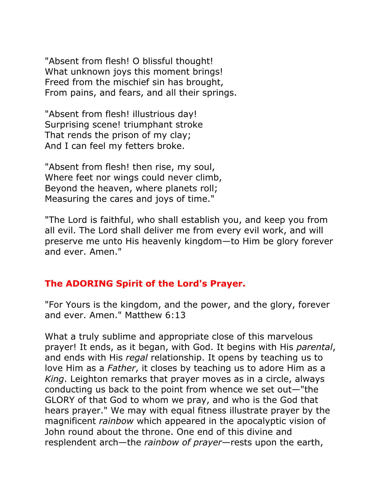"Absent from flesh! O blissful thought! What unknown joys this moment brings! Freed from the mischief sin has brought, From pains, and fears, and all their springs.

"Absent from flesh! illustrious day! Surprising scene! triumphant stroke That rends the prison of my clay; And I can feel my fetters broke.

"Absent from flesh! then rise, my soul, Where feet nor wings could never climb, Beyond the heaven, where planets roll; Measuring the cares and joys of time."

"The Lord is faithful, who shall establish you, and keep you from all evil. The Lord shall deliver me from every evil work, and will preserve me unto His heavenly kingdom—to Him be glory forever and ever. Amen."

# **The ADORING Spirit of the Lord's Prayer.**

"For Yours is the kingdom, and the power, and the glory, forever and ever. Amen." Matthew 6:13

What a truly sublime and appropriate close of this marvelous prayer! It ends, as it began, with God. It begins with His *parental*, and ends with His *regal* relationship. It opens by teaching us to love Him as a *Father*, it closes by teaching us to adore Him as a *King*. Leighton remarks that prayer moves as in a circle, always conducting us back to the point from whence we set out—"the GLORY of that God to whom we pray, and who is the God that hears prayer." We may with equal fitness illustrate prayer by the magnificent *rainbow* which appeared in the apocalyptic vision of John round about the throne. One end of this divine and resplendent arch—the *rainbow of prayer*—rests upon the earth,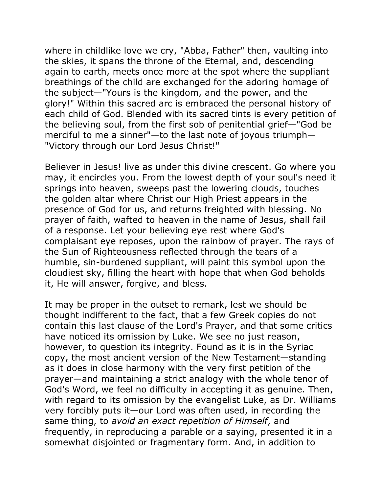where in childlike love we cry, "Abba, Father" then, vaulting into the skies, it spans the throne of the Eternal, and, descending again to earth, meets once more at the spot where the suppliant breathings of the child are exchanged for the adoring homage of the subject—"Yours is the kingdom, and the power, and the glory!" Within this sacred arc is embraced the personal history of each child of God. Blended with its sacred tints is every petition of the believing soul, from the first sob of penitential grief—"God be merciful to me a sinner"—to the last note of joyous triumph— "Victory through our Lord Jesus Christ!"

Believer in Jesus! live as under this divine crescent. Go where you may, it encircles you. From the lowest depth of your soul's need it springs into heaven, sweeps past the lowering clouds, touches the golden altar where Christ our High Priest appears in the presence of God for us, and returns freighted with blessing. No prayer of faith, wafted to heaven in the name of Jesus, shall fail of a response. Let your believing eye rest where God's complaisant eye reposes, upon the rainbow of prayer. The rays of the Sun of Righteousness reflected through the tears of a humble, sin-burdened suppliant, will paint this symbol upon the cloudiest sky, filling the heart with hope that when God beholds it, He will answer, forgive, and bless.

It may be proper in the outset to remark, lest we should be thought indifferent to the fact, that a few Greek copies do not contain this last clause of the Lord's Prayer, and that some critics have noticed its omission by Luke. We see no just reason, however, to question its integrity. Found as it is in the Syriac copy, the most ancient version of the New Testament—standing as it does in close harmony with the very first petition of the prayer—and maintaining a strict analogy with the whole tenor of God's Word, we feel no difficulty in accepting it as genuine. Then, with regard to its omission by the evangelist Luke, as Dr. Williams very forcibly puts it—our Lord was often used, in recording the same thing, to *avoid an exact repetition of Himself*, and frequently, in reproducing a parable or a saying, presented it in a somewhat disjointed or fragmentary form. And, in addition to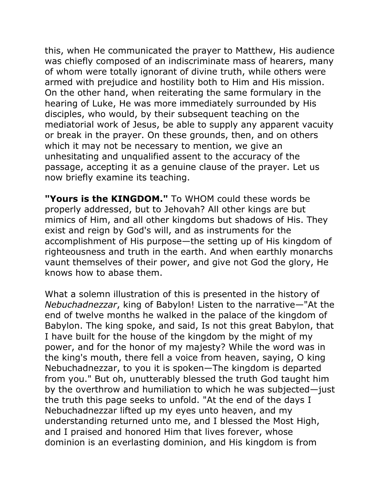this, when He communicated the prayer to Matthew, His audience was chiefly composed of an indiscriminate mass of hearers, many of whom were totally ignorant of divine truth, while others were armed with prejudice and hostility both to Him and His mission. On the other hand, when reiterating the same formulary in the hearing of Luke, He was more immediately surrounded by His disciples, who would, by their subsequent teaching on the mediatorial work of Jesus, be able to supply any apparent vacuity or break in the prayer. On these grounds, then, and on others which it may not be necessary to mention, we give an unhesitating and unqualified assent to the accuracy of the passage, accepting it as a genuine clause of the prayer. Let us now briefly examine its teaching.

**"Yours is the KINGDOM."** To WHOM could these words be properly addressed, but to Jehovah? All other kings are but mimics of Him, and all other kingdoms but shadows of His. They exist and reign by God's will, and as instruments for the accomplishment of His purpose—the setting up of His kingdom of righteousness and truth in the earth. And when earthly monarchs vaunt themselves of their power, and give not God the glory, He knows how to abase them.

What a solemn illustration of this is presented in the history of *Nebuchadnezzar*, king of Babylon! Listen to the narrative—"At the end of twelve months he walked in the palace of the kingdom of Babylon. The king spoke, and said, Is not this great Babylon, that I have built for the house of the kingdom by the might of my power, and for the honor of my majesty? While the word was in the king's mouth, there fell a voice from heaven, saying, O king Nebuchadnezzar, to you it is spoken—The kingdom is departed from you." But oh, unutterably blessed the truth God taught him by the overthrow and humiliation to which he was subjected—just the truth this page seeks to unfold. "At the end of the days I Nebuchadnezzar lifted up my eyes unto heaven, and my understanding returned unto me, and I blessed the Most High, and I praised and honored Him that lives forever, whose dominion is an everlasting dominion, and His kingdom is from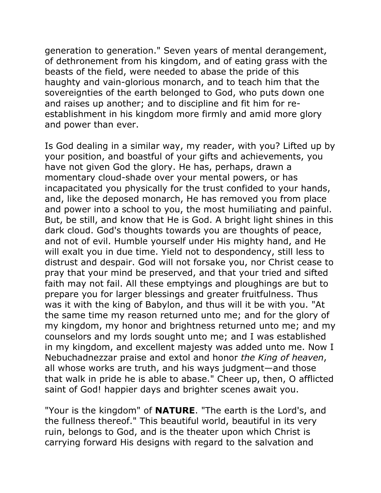generation to generation." Seven years of mental derangement, of dethronement from his kingdom, and of eating grass with the beasts of the field, were needed to abase the pride of this haughty and vain-glorious monarch, and to teach him that the sovereignties of the earth belonged to God, who puts down one and raises up another; and to discipline and fit him for reestablishment in his kingdom more firmly and amid more glory and power than ever.

Is God dealing in a similar way, my reader, with you? Lifted up by your position, and boastful of your gifts and achievements, you have not given God the glory. He has, perhaps, drawn a momentary cloud-shade over your mental powers, or has incapacitated you physically for the trust confided to your hands, and, like the deposed monarch, He has removed you from place and power into a school to you, the most humiliating and painful. But, be still, and know that He is God. A bright light shines in this dark cloud. God's thoughts towards you are thoughts of peace, and not of evil. Humble yourself under His mighty hand, and He will exalt you in due time. Yield not to despondency, still less to distrust and despair. God will not forsake you, nor Christ cease to pray that your mind be preserved, and that your tried and sifted faith may not fail. All these emptyings and ploughings are but to prepare you for larger blessings and greater fruitfulness. Thus was it with the king of Babylon, and thus will it be with you. "At the same time my reason returned unto me; and for the glory of my kingdom, my honor and brightness returned unto me; and my counselors and my lords sought unto me; and I was established in my kingdom, and excellent majesty was added unto me. Now I Nebuchadnezzar praise and extol and honor *the King of heaven*, all whose works are truth, and his ways judgment—and those that walk in pride he is able to abase." Cheer up, then, O afflicted saint of God! happier days and brighter scenes await you.

"Your is the kingdom" of **NATURE**. "The earth is the Lord's, and the fullness thereof." This beautiful world, beautiful in its very ruin, belongs to God, and is the theater upon which Christ is carrying forward His designs with regard to the salvation and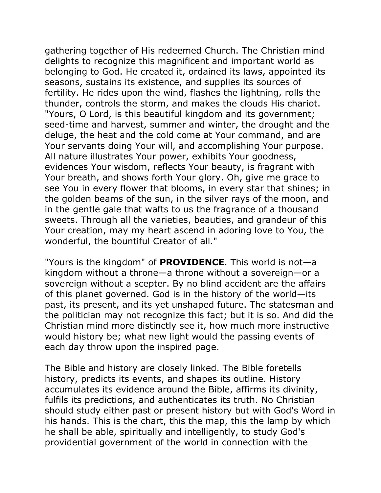gathering together of His redeemed Church. The Christian mind delights to recognize this magnificent and important world as belonging to God. He created it, ordained its laws, appointed its seasons, sustains its existence, and supplies its sources of fertility. He rides upon the wind, flashes the lightning, rolls the thunder, controls the storm, and makes the clouds His chariot. "Yours, O Lord, is this beautiful kingdom and its government; seed-time and harvest, summer and winter, the drought and the deluge, the heat and the cold come at Your command, and are Your servants doing Your will, and accomplishing Your purpose. All nature illustrates Your power, exhibits Your goodness, evidences Your wisdom, reflects Your beauty, is fragrant with Your breath, and shows forth Your glory. Oh, give me grace to see You in every flower that blooms, in every star that shines; in the golden beams of the sun, in the silver rays of the moon, and in the gentle gale that wafts to us the fragrance of a thousand sweets. Through all the varieties, beauties, and grandeur of this Your creation, may my heart ascend in adoring love to You, the wonderful, the bountiful Creator of all."

"Yours is the kingdom" of **PROVIDENCE**. This world is not—a kingdom without a throne—a throne without a sovereign—or a sovereign without a scepter. By no blind accident are the affairs of this planet governed. God is in the history of the world—its past, its present, and its yet unshaped future. The statesman and the politician may not recognize this fact; but it is so. And did the Christian mind more distinctly see it, how much more instructive would history be; what new light would the passing events of each day throw upon the inspired page.

The Bible and history are closely linked. The Bible foretells history, predicts its events, and shapes its outline. History accumulates its evidence around the Bible, affirms its divinity, fulfils its predictions, and authenticates its truth. No Christian should study either past or present history but with God's Word in his hands. This is the chart, this the map, this the lamp by which he shall be able, spiritually and intelligently, to study God's providential government of the world in connection with the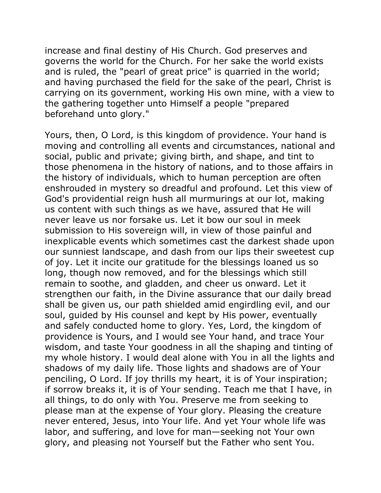increase and final destiny of His Church. God preserves and governs the world for the Church. For her sake the world exists and is ruled, the "pearl of great price" is quarried in the world; and having purchased the field for the sake of the pearl, Christ is carrying on its government, working His own mine, with a view to the gathering together unto Himself a people "prepared beforehand unto glory."

Yours, then, O Lord, is this kingdom of providence. Your hand is moving and controlling all events and circumstances, national and social, public and private; giving birth, and shape, and tint to those phenomena in the history of nations, and to those affairs in the history of individuals, which to human perception are often enshrouded in mystery so dreadful and profound. Let this view of God's providential reign hush all murmurings at our lot, making us content with such things as we have, assured that He will never leave us nor forsake us. Let it bow our soul in meek submission to His sovereign will, in view of those painful and inexplicable events which sometimes cast the darkest shade upon our sunniest landscape, and dash from our lips their sweetest cup of joy. Let it incite our gratitude for the blessings loaned us so long, though now removed, and for the blessings which still remain to soothe, and gladden, and cheer us onward. Let it strengthen our faith, in the Divine assurance that our daily bread shall be given us, our path shielded amid engirdling evil, and our soul, guided by His counsel and kept by His power, eventually and safely conducted home to glory. Yes, Lord, the kingdom of providence is Yours, and I would see Your hand, and trace Your wisdom, and taste Your goodness in all the shaping and tinting of my whole history. I would deal alone with You in all the lights and shadows of my daily life. Those lights and shadows are of Your penciling, O Lord. If joy thrills my heart, it is of Your inspiration; if sorrow breaks it, it is of Your sending. Teach me that I have, in all things, to do only with You. Preserve me from seeking to please man at the expense of Your glory. Pleasing the creature never entered, Jesus, into Your life. And yet Your whole life was labor, and suffering, and love for man—seeking not Your own glory, and pleasing not Yourself but the Father who sent You.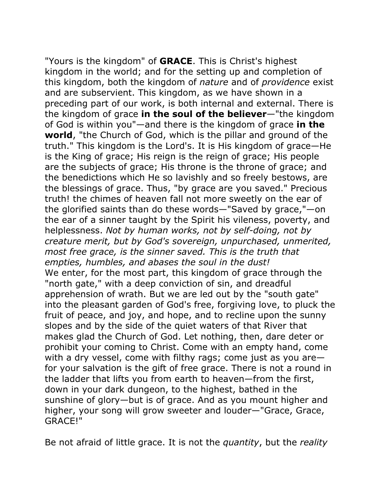"Yours is the kingdom" of **GRACE**. This is Christ's highest kingdom in the world; and for the setting up and completion of this kingdom, both the kingdom of *nature* and of *providence* exist and are subservient. This kingdom, as we have shown in a preceding part of our work, is both internal and external. There is the kingdom of grace **in the soul of the believer**—"the kingdom of God is within you"—and there is the kingdom of grace **in the world**, "the Church of God, which is the pillar and ground of the truth." This kingdom is the Lord's. It is His kingdom of grace—He is the King of grace; His reign is the reign of grace; His people are the subjects of grace; His throne is the throne of grace; and the benedictions which He so lavishly and so freely bestows, are the blessings of grace. Thus, "by grace are you saved." Precious truth! the chimes of heaven fall not more sweetly on the ear of the glorified saints than do these words—"Saved by grace,"—on the ear of a sinner taught by the Spirit his vileness, poverty, and helplessness. *Not by human works, not by self-doing, not by creature merit, but by God's sovereign, unpurchased, unmerited, most free grace, is the sinner saved. This is the truth that empties, humbles, and abases the soul in the dust!*  We enter, for the most part, this kingdom of grace through the "north gate," with a deep conviction of sin, and dreadful apprehension of wrath. But we are led out by the "south gate" into the pleasant garden of God's free, forgiving love, to pluck the fruit of peace, and joy, and hope, and to recline upon the sunny slopes and by the side of the quiet waters of that River that makes glad the Church of God. Let nothing, then, dare deter or prohibit your coming to Christ. Come with an empty hand, come with a dry vessel, come with filthy rags; come just as you are for your salvation is the gift of free grace. There is not a round in the ladder that lifts you from earth to heaven—from the first, down in your dark dungeon, to the highest, bathed in the sunshine of glory—but is of grace. And as you mount higher and higher, your song will grow sweeter and louder—"Grace, Grace, GRACE!"

Be not afraid of little grace. It is not the *quantity*, but the *reality*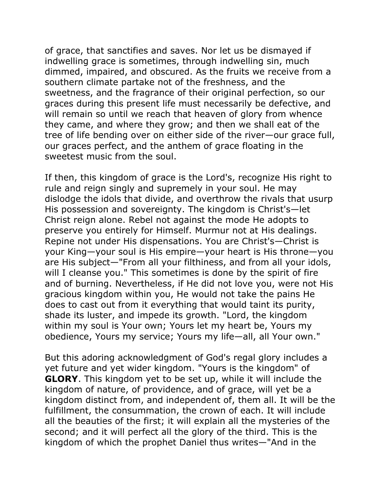of grace, that sanctifies and saves. Nor let us be dismayed if indwelling grace is sometimes, through indwelling sin, much dimmed, impaired, and obscured. As the fruits we receive from a southern climate partake not of the freshness, and the sweetness, and the fragrance of their original perfection, so our graces during this present life must necessarily be defective, and will remain so until we reach that heaven of glory from whence they came, and where they grow; and then we shall eat of the tree of life bending over on either side of the river—our grace full, our graces perfect, and the anthem of grace floating in the sweetest music from the soul.

If then, this kingdom of grace is the Lord's, recognize His right to rule and reign singly and supremely in your soul. He may dislodge the idols that divide, and overthrow the rivals that usurp His possession and sovereignty. The kingdom is Christ's—let Christ reign alone. Rebel not against the mode He adopts to preserve you entirely for Himself. Murmur not at His dealings. Repine not under His dispensations. You are Christ's—Christ is your King—your soul is His empire—your heart is His throne—you are His subject—"From all your filthiness, and from all your idols, will I cleanse you." This sometimes is done by the spirit of fire and of burning. Nevertheless, if He did not love you, were not His gracious kingdom within you, He would not take the pains He does to cast out from it everything that would taint its purity, shade its luster, and impede its growth. "Lord, the kingdom within my soul is Your own; Yours let my heart be, Yours my obedience, Yours my service; Yours my life—all, all Your own."

But this adoring acknowledgment of God's regal glory includes a yet future and yet wider kingdom. "Yours is the kingdom" of **GLORY**. This kingdom yet to be set up, while it will include the kingdom of nature, of providence, and of grace, will yet be a kingdom distinct from, and independent of, them all. It will be the fulfillment, the consummation, the crown of each. It will include all the beauties of the first; it will explain all the mysteries of the second; and it will perfect all the glory of the third. This is the kingdom of which the prophet Daniel thus writes—"And in the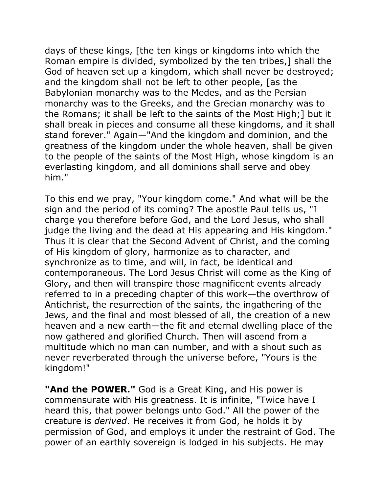days of these kings, [the ten kings or kingdoms into which the Roman empire is divided, symbolized by the ten tribes,] shall the God of heaven set up a kingdom, which shall never be destroyed; and the kingdom shall not be left to other people, [as the Babylonian monarchy was to the Medes, and as the Persian monarchy was to the Greeks, and the Grecian monarchy was to the Romans; it shall be left to the saints of the Most High;] but it shall break in pieces and consume all these kingdoms, and it shall stand forever." Again—"And the kingdom and dominion, and the greatness of the kingdom under the whole heaven, shall be given to the people of the saints of the Most High, whose kingdom is an everlasting kingdom, and all dominions shall serve and obey him."

To this end we pray, "Your kingdom come." And what will be the sign and the period of its coming? The apostle Paul tells us, "I charge you therefore before God, and the Lord Jesus, who shall judge the living and the dead at His appearing and His kingdom." Thus it is clear that the Second Advent of Christ, and the coming of His kingdom of glory, harmonize as to character, and synchronize as to time, and will, in fact, be identical and contemporaneous. The Lord Jesus Christ will come as the King of Glory, and then will transpire those magnificent events already referred to in a preceding chapter of this work—the overthrow of Antichrist, the resurrection of the saints, the ingathering of the Jews, and the final and most blessed of all, the creation of a new heaven and a new earth—the fit and eternal dwelling place of the now gathered and glorified Church. Then will ascend from a multitude which no man can number, and with a shout such as never reverberated through the universe before, "Yours is the kingdom!"

**"And the POWER."** God is a Great King, and His power is commensurate with His greatness. It is infinite, "Twice have I heard this, that power belongs unto God." All the power of the creature is *derived*. He receives it from God, he holds it by permission of God, and employs it under the restraint of God. The power of an earthly sovereign is lodged in his subjects. He may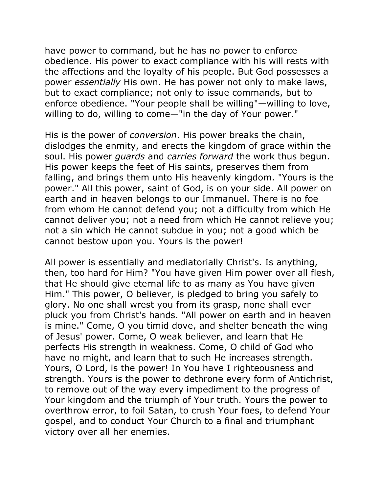have power to command, but he has no power to enforce obedience. His power to exact compliance with his will rests with the affections and the loyalty of his people. But God possesses a power *essentially* His own. He has power not only to make laws, but to exact compliance; not only to issue commands, but to enforce obedience. "Your people shall be willing"—willing to love, willing to do, willing to come—"in the day of Your power."

His is the power of *conversion*. His power breaks the chain, dislodges the enmity, and erects the kingdom of grace within the soul. His power *guards* and *carries forward* the work thus begun. His power keeps the feet of His saints, preserves them from falling, and brings them unto His heavenly kingdom. "Yours is the power." All this power, saint of God, is on your side. All power on earth and in heaven belongs to our Immanuel. There is no foe from whom He cannot defend you; not a difficulty from which He cannot deliver you; not a need from which He cannot relieve you; not a sin which He cannot subdue in you; not a good which be cannot bestow upon you. Yours is the power!

All power is essentially and mediatorially Christ's. Is anything, then, too hard for Him? "You have given Him power over all flesh, that He should give eternal life to as many as You have given Him." This power, O believer, is pledged to bring you safely to glory. No one shall wrest you from its grasp, none shall ever pluck you from Christ's hands. "All power on earth and in heaven is mine." Come, O you timid dove, and shelter beneath the wing of Jesus' power. Come, O weak believer, and learn that He perfects His strength in weakness. Come, O child of God who have no might, and learn that to such He increases strength. Yours, O Lord, is the power! In You have I righteousness and strength. Yours is the power to dethrone every form of Antichrist, to remove out of the way every impediment to the progress of Your kingdom and the triumph of Your truth. Yours the power to overthrow error, to foil Satan, to crush Your foes, to defend Your gospel, and to conduct Your Church to a final and triumphant victory over all her enemies.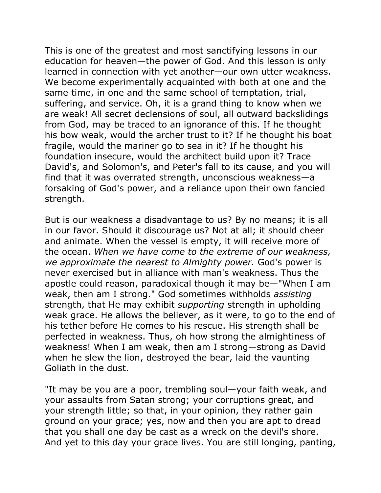This is one of the greatest and most sanctifying lessons in our education for heaven—the power of God. And this lesson is only learned in connection with yet another—our own utter weakness. We become experimentally acquainted with both at one and the same time, in one and the same school of temptation, trial, suffering, and service. Oh, it is a grand thing to know when we are weak! All secret declensions of soul, all outward backslidings from God, may be traced to an ignorance of this. If he thought his bow weak, would the archer trust to it? If he thought his boat fragile, would the mariner go to sea in it? If he thought his foundation insecure, would the architect build upon it? Trace David's, and Solomon's, and Peter's fall to its cause, and you will find that it was overrated strength, unconscious weakness—a forsaking of God's power, and a reliance upon their own fancied strength.

But is our weakness a disadvantage to us? By no means; it is all in our favor. Should it discourage us? Not at all; it should cheer and animate. When the vessel is empty, it will receive more of the ocean. *When we have come to the extreme of our weakness, we approximate the nearest to Almighty power.* God's power is never exercised but in alliance with man's weakness. Thus the apostle could reason, paradoxical though it may be—"When I am weak, then am I strong." God sometimes withholds *assisting* strength, that He may exhibit *supporting* strength in upholding weak grace. He allows the believer, as it were, to go to the end of his tether before He comes to his rescue. His strength shall be perfected in weakness. Thus, oh how strong the almightiness of weakness! When I am weak, then am I strong—strong as David when he slew the lion, destroyed the bear, laid the vaunting Goliath in the dust.

"It may be you are a poor, trembling soul—your faith weak, and your assaults from Satan strong; your corruptions great, and your strength little; so that, in your opinion, they rather gain ground on your grace; yes, now and then you are apt to dread that you shall one day be cast as a wreck on the devil's shore. And yet to this day your grace lives. You are still longing, panting,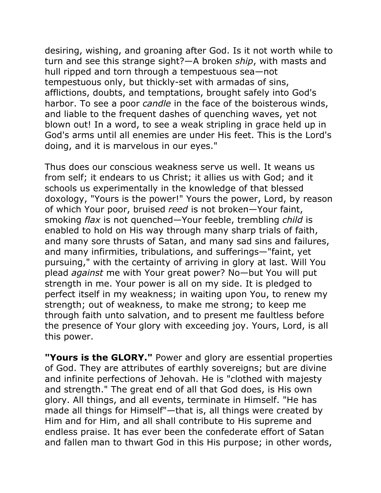desiring, wishing, and groaning after God. Is it not worth while to turn and see this strange sight?—A broken *ship*, with masts and hull ripped and torn through a tempestuous sea—not tempestuous only, but thickly-set with armadas of sins, afflictions, doubts, and temptations, brought safely into God's harbor. To see a poor *candle* in the face of the boisterous winds, and liable to the frequent dashes of quenching waves, yet not blown out! In a word, to see a weak stripling in grace held up in God's arms until all enemies are under His feet. This is the Lord's doing, and it is marvelous in our eyes."

Thus does our conscious weakness serve us well. It weans us from self; it endears to us Christ; it allies us with God; and it schools us experimentally in the knowledge of that blessed doxology, "Yours is the power!" Yours the power, Lord, by reason of which Your poor, bruised *reed* is not broken—Your faint, smoking *flax* is not quenched—Your feeble, trembling *child* is enabled to hold on His way through many sharp trials of faith, and many sore thrusts of Satan, and many sad sins and failures, and many infirmities, tribulations, and sufferings—"faint, yet pursuing," with the certainty of arriving in glory at last. Will You plead *against* me with Your great power? No—but You will put strength in me. Your power is all on my side. It is pledged to perfect itself in my weakness; in waiting upon You, to renew my strength; out of weakness, to make me strong; to keep me through faith unto salvation, and to present me faultless before the presence of Your glory with exceeding joy. Yours, Lord, is all this power.

**"Yours is the GLORY."** Power and glory are essential properties of God. They are attributes of earthly sovereigns; but are divine and infinite perfections of Jehovah. He is "clothed with majesty and strength." The great end of all that God does, is His own glory. All things, and all events, terminate in Himself. "He has made all things for Himself"—that is, all things were created by Him and for Him, and all shall contribute to His supreme and endless praise. It has ever been the confederate effort of Satan and fallen man to thwart God in this His purpose; in other words,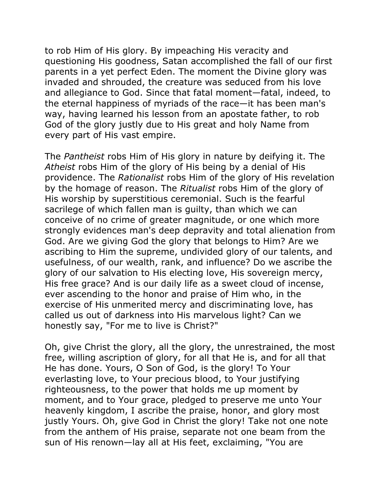to rob Him of His glory. By impeaching His veracity and questioning His goodness, Satan accomplished the fall of our first parents in a yet perfect Eden. The moment the Divine glory was invaded and shrouded, the creature was seduced from his love and allegiance to God. Since that fatal moment—fatal, indeed, to the eternal happiness of myriads of the race—it has been man's way, having learned his lesson from an apostate father, to rob God of the glory justly due to His great and holy Name from every part of His vast empire.

The *Pantheist* robs Him of His glory in nature by deifying it. The *Atheist* robs Him of the glory of His being by a denial of His providence. The *Rationalist* robs Him of the glory of His revelation by the homage of reason. The *Ritualist* robs Him of the glory of His worship by superstitious ceremonial. Such is the fearful sacrilege of which fallen man is guilty, than which we can conceive of no crime of greater magnitude, or one which more strongly evidences man's deep depravity and total alienation from God. Are we giving God the glory that belongs to Him? Are we ascribing to Him the supreme, undivided glory of our talents, and usefulness, of our wealth, rank, and influence? Do we ascribe the glory of our salvation to His electing love, His sovereign mercy, His free grace? And is our daily life as a sweet cloud of incense, ever ascending to the honor and praise of Him who, in the exercise of His unmerited mercy and discriminating love, has called us out of darkness into His marvelous light? Can we honestly say, "For me to live is Christ?"

Oh, give Christ the glory, all the glory, the unrestrained, the most free, willing ascription of glory, for all that He is, and for all that He has done. Yours, O Son of God, is the glory! To Your everlasting love, to Your precious blood, to Your justifying righteousness, to the power that holds me up moment by moment, and to Your grace, pledged to preserve me unto Your heavenly kingdom, I ascribe the praise, honor, and glory most justly Yours. Oh, give God in Christ the glory! Take not one note from the anthem of His praise, separate not one beam from the sun of His renown—lay all at His feet, exclaiming, "You are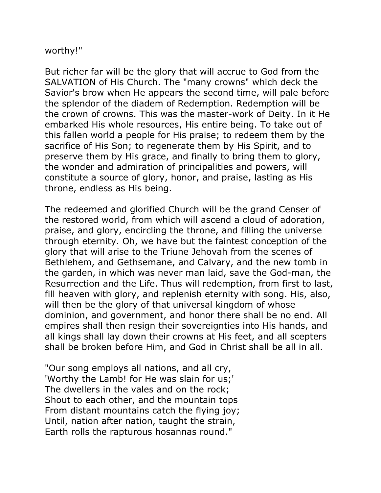worthy!"

But richer far will be the glory that will accrue to God from the SALVATION of His Church. The "many crowns" which deck the Savior's brow when He appears the second time, will pale before the splendor of the diadem of Redemption. Redemption will be the crown of crowns. This was the master-work of Deity. In it He embarked His whole resources, His entire being. To take out of this fallen world a people for His praise; to redeem them by the sacrifice of His Son; to regenerate them by His Spirit, and to preserve them by His grace, and finally to bring them to glory, the wonder and admiration of principalities and powers, will constitute a source of glory, honor, and praise, lasting as His throne, endless as His being.

The redeemed and glorified Church will be the grand Censer of the restored world, from which will ascend a cloud of adoration, praise, and glory, encircling the throne, and filling the universe through eternity. Oh, we have but the faintest conception of the glory that will arise to the Triune Jehovah from the scenes of Bethlehem, and Gethsemane, and Calvary, and the new tomb in the garden, in which was never man laid, save the God-man, the Resurrection and the Life. Thus will redemption, from first to last, fill heaven with glory, and replenish eternity with song. His, also, will then be the glory of that universal kingdom of whose dominion, and government, and honor there shall be no end. All empires shall then resign their sovereignties into His hands, and all kings shall lay down their crowns at His feet, and all scepters shall be broken before Him, and God in Christ shall be all in all.

"Our song employs all nations, and all cry, 'Worthy the Lamb! for He was slain for us;' The dwellers in the vales and on the rock; Shout to each other, and the mountain tops From distant mountains catch the flying joy; Until, nation after nation, taught the strain, Earth rolls the rapturous hosannas round."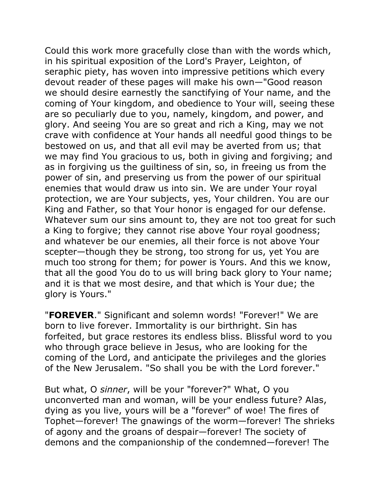Could this work more gracefully close than with the words which, in his spiritual exposition of the Lord's Prayer, Leighton, of seraphic piety, has woven into impressive petitions which every devout reader of these pages will make his own—"Good reason we should desire earnestly the sanctifying of Your name, and the coming of Your kingdom, and obedience to Your will, seeing these are so peculiarly due to you, namely, kingdom, and power, and glory. And seeing You are so great and rich a King, may we not crave with confidence at Your hands all needful good things to be bestowed on us, and that all evil may be averted from us; that we may find You gracious to us, both in giving and forgiving; and as in forgiving us the guiltiness of sin, so, in freeing us from the power of sin, and preserving us from the power of our spiritual enemies that would draw us into sin. We are under Your royal protection, we are Your subjects, yes, Your children. You are our King and Father, so that Your honor is engaged for our defense. Whatever sum our sins amount to, they are not too great for such a King to forgive; they cannot rise above Your royal goodness; and whatever be our enemies, all their force is not above Your scepter—though they be strong, too strong for us, yet You are much too strong for them; for power is Yours. And this we know, that all the good You do to us will bring back glory to Your name; and it is that we most desire, and that which is Your due; the glory is Yours."

"**FOREVER**." Significant and solemn words! "Forever!" We are born to live forever. Immortality is our birthright. Sin has forfeited, but grace restores its endless bliss. Blissful word to you who through grace believe in Jesus, who are looking for the coming of the Lord, and anticipate the privileges and the glories of the New Jerusalem. "So shall you be with the Lord forever."

But what, O *sinner*, will be your "forever?" What, O you unconverted man and woman, will be your endless future? Alas, dying as you live, yours will be a "forever" of woe! The fires of Tophet—forever! The gnawings of the worm—forever! The shrieks of agony and the groans of despair—forever! The society of demons and the companionship of the condemned—forever! The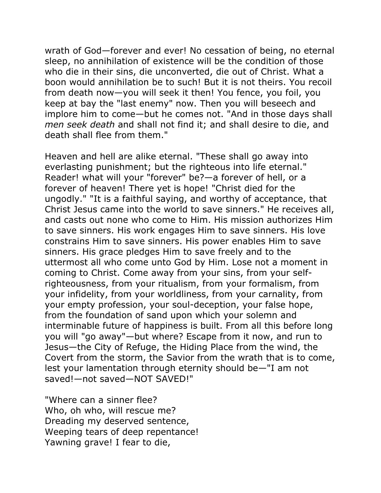wrath of God—forever and ever! No cessation of being, no eternal sleep, no annihilation of existence will be the condition of those who die in their sins, die unconverted, die out of Christ. What a boon would annihilation be to such! But it is not theirs. You recoil from death now—you will seek it then! You fence, you foil, you keep at bay the "last enemy" now. Then you will beseech and implore him to come—but he comes not. "And in those days shall *men seek death* and shall not find it; and shall desire to die, and death shall flee from them."

Heaven and hell are alike eternal. "These shall go away into everlasting punishment; but the righteous into life eternal." Reader! what will your "forever" be?—a forever of hell, or a forever of heaven! There yet is hope! "Christ died for the ungodly." "It is a faithful saying, and worthy of acceptance, that Christ Jesus came into the world to save sinners." He receives all, and casts out none who come to Him. His mission authorizes Him to save sinners. His work engages Him to save sinners. His love constrains Him to save sinners. His power enables Him to save sinners. His grace pledges Him to save freely and to the uttermost all who come unto God by Him. Lose not a moment in coming to Christ. Come away from your sins, from your selfrighteousness, from your ritualism, from your formalism, from your infidelity, from your worldliness, from your carnality, from your empty profession, your soul-deception, your false hope, from the foundation of sand upon which your solemn and interminable future of happiness is built. From all this before long you will "go away"—but where? Escape from it now, and run to Jesus—the City of Refuge, the Hiding Place from the wind, the Covert from the storm, the Savior from the wrath that is to come, lest your lamentation through eternity should be—"I am not saved!—not saved—NOT SAVED!"

"Where can a sinner flee? Who, oh who, will rescue me? Dreading my deserved sentence, Weeping tears of deep repentance! Yawning grave! I fear to die,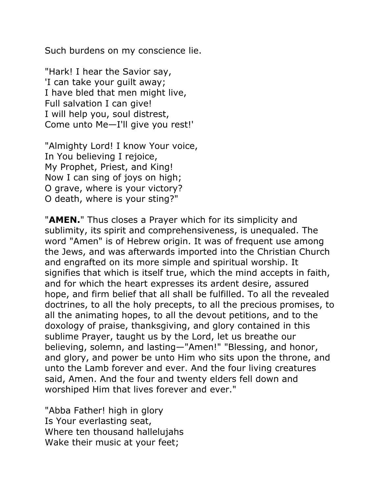Such burdens on my conscience lie.

"Hark! I hear the Savior say, 'I can take your guilt away; I have bled that men might live, Full salvation I can give! I will help you, soul distrest, Come unto Me—I'll give you rest!'

"Almighty Lord! I know Your voice, In You believing I rejoice, My Prophet, Priest, and King! Now I can sing of joys on high; O grave, where is your victory? O death, where is your sting?"

"**AMEN.**" Thus closes a Prayer which for its simplicity and sublimity, its spirit and comprehensiveness, is unequaled. The word "Amen" is of Hebrew origin. It was of frequent use among the Jews, and was afterwards imported into the Christian Church and engrafted on its more simple and spiritual worship. It signifies that which is itself true, which the mind accepts in faith, and for which the heart expresses its ardent desire, assured hope, and firm belief that all shall be fulfilled. To all the revealed doctrines, to all the holy precepts, to all the precious promises, to all the animating hopes, to all the devout petitions, and to the doxology of praise, thanksgiving, and glory contained in this sublime Prayer, taught us by the Lord, let us breathe our believing, solemn, and lasting—"Amen!" "Blessing, and honor, and glory, and power be unto Him who sits upon the throne, and unto the Lamb forever and ever. And the four living creatures said, Amen. And the four and twenty elders fell down and worshiped Him that lives forever and ever."

"Abba Father! high in glory Is Your everlasting seat, Where ten thousand hallelujahs Wake their music at your feet;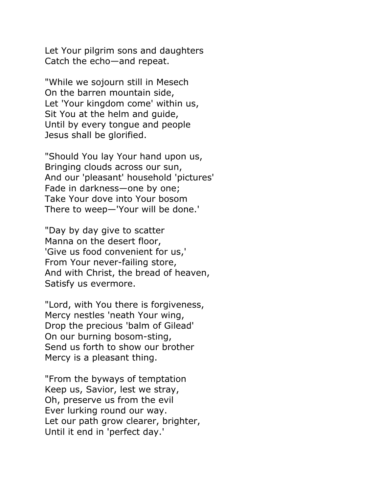Let Your pilgrim sons and daughters Catch the echo—and repeat.

"While we sojourn still in Mesech On the barren mountain side, Let 'Your kingdom come' within us, Sit You at the helm and guide, Until by every tongue and people Jesus shall be glorified.

"Should You lay Your hand upon us, Bringing clouds across our sun, And our 'pleasant' household 'pictures' Fade in darkness—one by one; Take Your dove into Your bosom There to weep—'Your will be done.'

"Day by day give to scatter Manna on the desert floor, 'Give us food convenient for us,' From Your never-failing store, And with Christ, the bread of heaven, Satisfy us evermore.

"Lord, with You there is forgiveness, Mercy nestles 'neath Your wing, Drop the precious 'balm of Gilead' On our burning bosom-sting, Send us forth to show our brother Mercy is a pleasant thing.

"From the byways of temptation Keep us, Savior, lest we stray, Oh, preserve us from the evil Ever lurking round our way. Let our path grow clearer, brighter, Until it end in 'perfect day.'